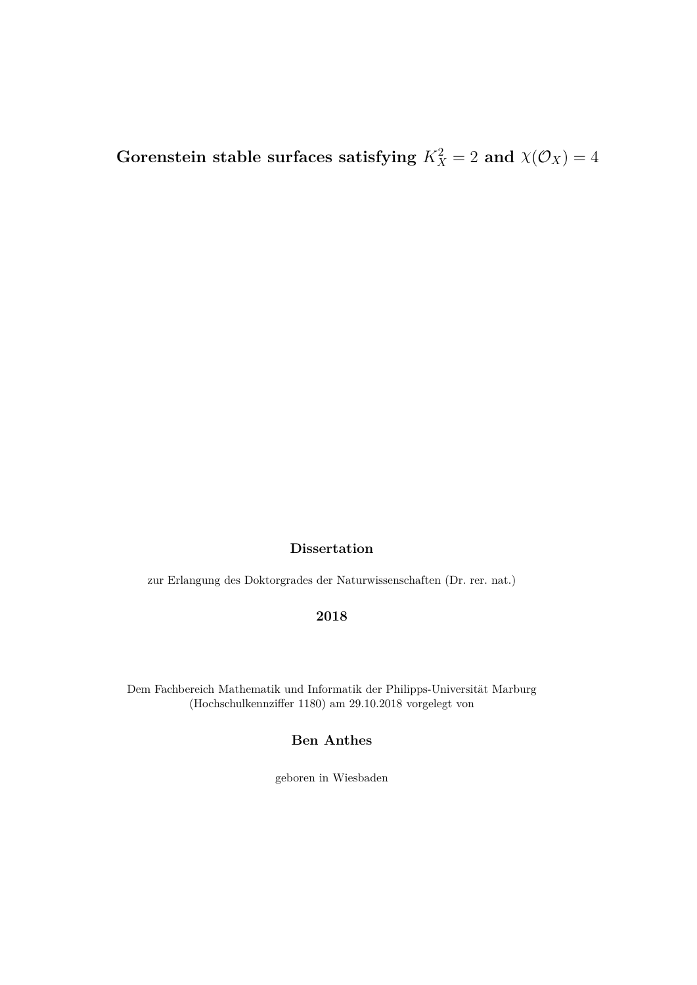Gorenstein stable surfaces satisfying  $K_X^2 = 2$  and  $\chi(\mathcal{O}_X) = 4$ 

# **Dissertation**

zur Erlangung des Doktorgrades der Naturwissenschaften (Dr. rer. nat.)

## **2018**

Dem Fachbereich Mathematik und Informatik der Philipps-Universität Marburg (Hochschulkennziffer 1180) am 29.10.2018 vorgelegt von

# **Ben Anthes**

geboren in Wiesbaden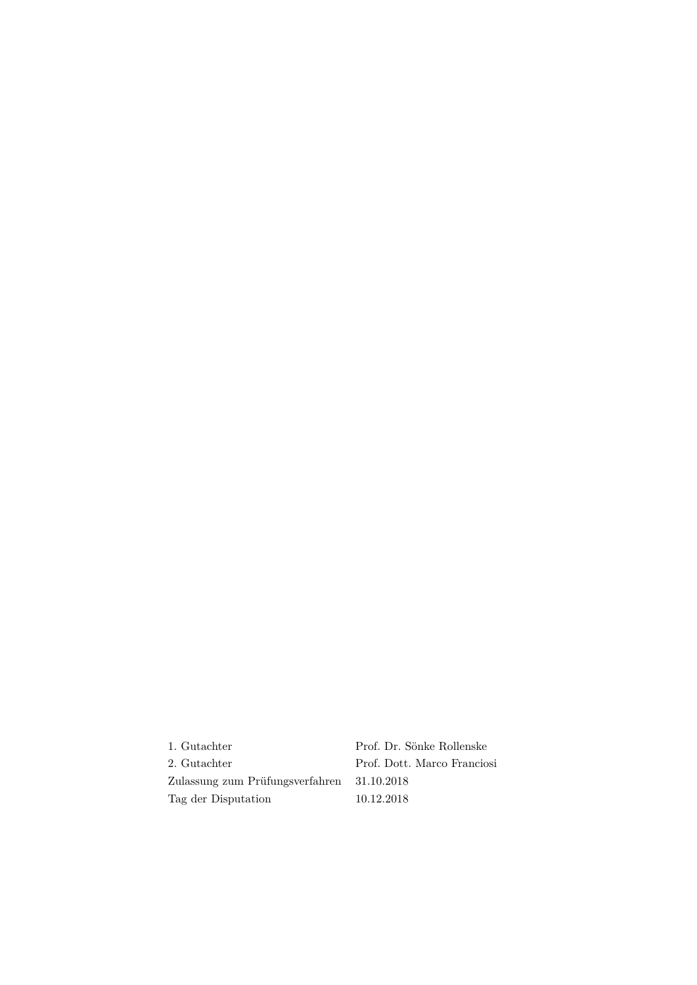1. Gutachter Prof. Dr. Sönke Rollenske 2. Gutachter Prof. Dott. Marco Franciosi Zulassung zum Prüfungsverfahren 31.10.2018 Tag der Disputation 10.12.2018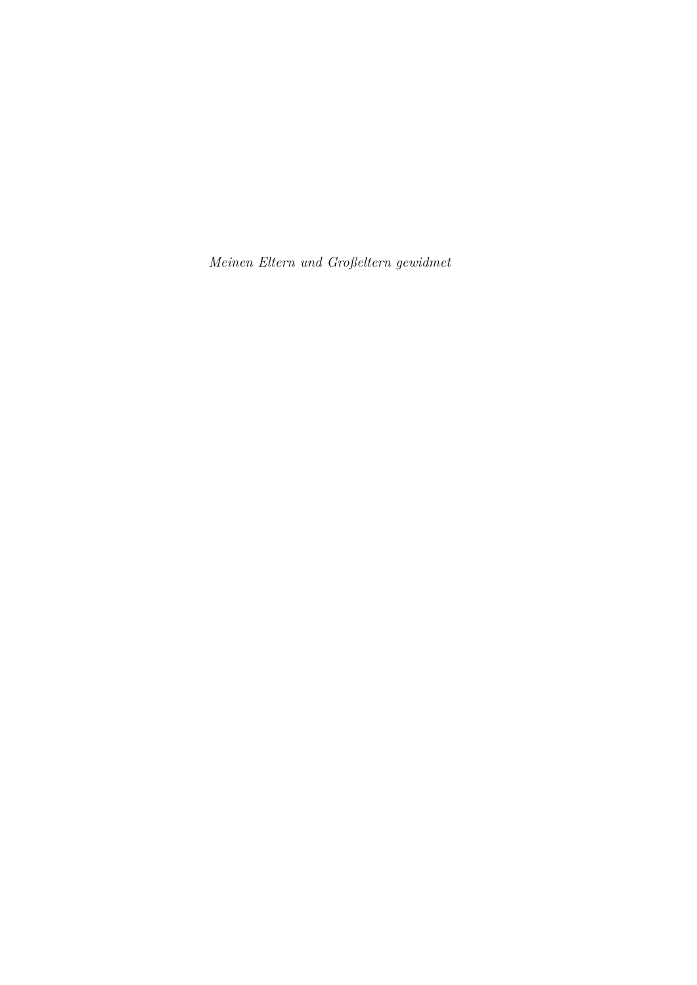*Meinen Eltern und Großeltern gewidmet*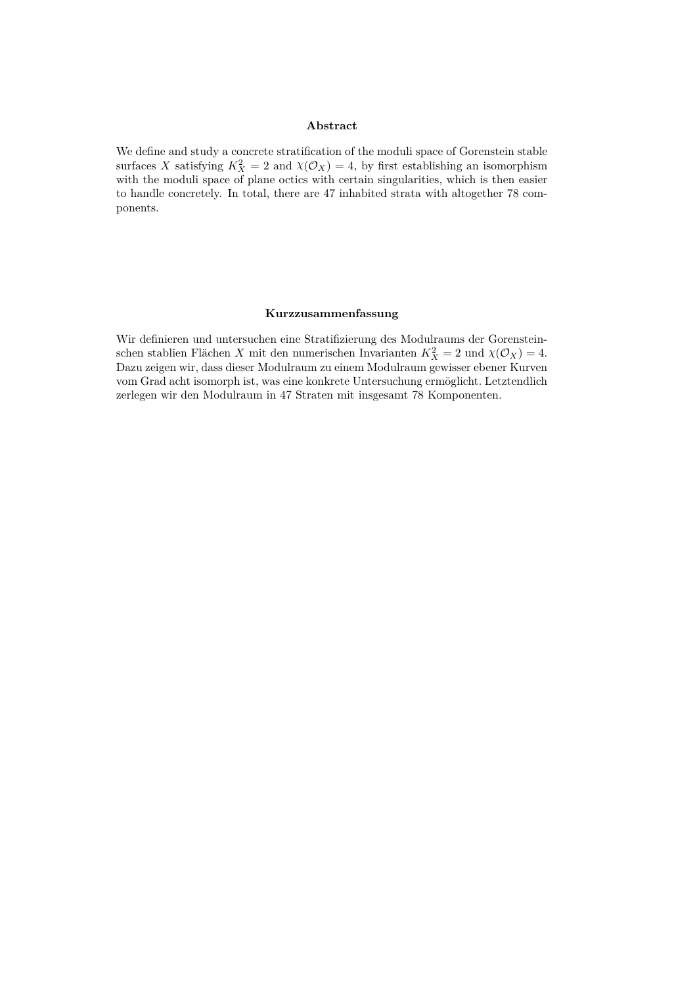### **Abstract**

We define and study a concrete stratification of the moduli space of Gorenstein stable surfaces *X* satisfying  $K_X^2 = 2$  and  $\chi(\mathcal{O}_X) = 4$ , by first establishing an isomorphism with the moduli space of plane octics with certain singularities, which is then easier to handle concretely. In total, there are 47 inhabited strata with altogether 78 components.

### **Kurzzusammenfassung**

Wir definieren und untersuchen eine Stratifizierung des Modulraums der Gorensteinschen stablien Flächen *X* mit den numerischen Invarianten  $K_X^2 = 2$  und  $\chi(\mathcal{O}_X) = 4$ . Dazu zeigen wir, dass dieser Modulraum zu einem Modulraum gewisser ebener Kurven vom Grad acht isomorph ist, was eine konkrete Untersuchung ermöglicht. Letztendlich zerlegen wir den Modulraum in 47 Straten mit insgesamt 78 Komponenten.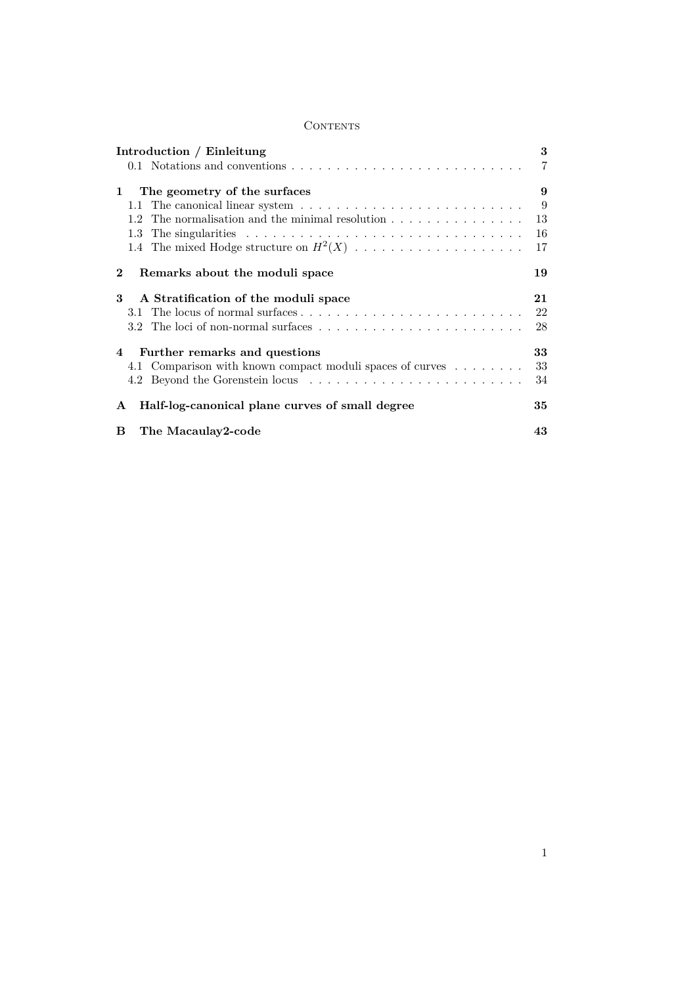## CONTENTS

| 3<br>Introduction / Einleitung |         |                                                                                   |     |
|--------------------------------|---------|-----------------------------------------------------------------------------------|-----|
|                                |         |                                                                                   | 7   |
| $\mathbf{1}$                   |         | The geometry of the surfaces                                                      | 9   |
|                                |         |                                                                                   | - 9 |
|                                | 1.2     | The normalisation and the minimal resolution $\ldots \ldots \ldots \ldots \ldots$ | 13  |
|                                | $1.3\,$ |                                                                                   | 16  |
|                                |         | 1.4 The mixed Hodge structure on $H^2(X)$                                         | 17  |
| $\bf{2}$                       |         | Remarks about the moduli space                                                    | 19  |
| 3                              |         | A Stratification of the moduli space                                              | 21  |
|                                | 3.1     |                                                                                   | 22  |
|                                |         |                                                                                   | 28  |
| $\boldsymbol{4}$               |         | Further remarks and questions                                                     | 33  |
|                                |         | 4.1 Comparison with known compact moduli spaces of curves $\dots \dots$           | 33  |
|                                |         |                                                                                   | 34  |
| $\mathbf{A}$                   |         | Half-log-canonical plane curves of small degree                                   | 35  |
| в                              |         | The Macaulay2-code                                                                | 43  |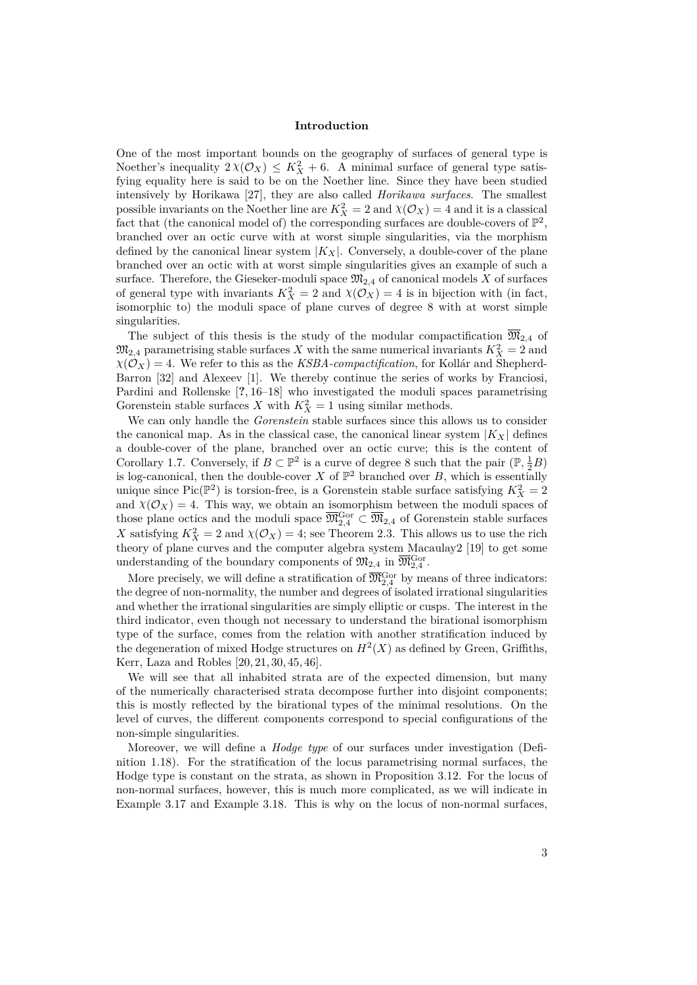#### <span id="page-8-0"></span>**Introduction**

One of the most important bounds on the geography of surfaces of general type is Noether's inequality  $2\chi(\mathcal{O}_X) \leq K_X^2 + 6$ . A minimal surface of general type satisfying equality here is said to be on the Noether line. Since they have been studied intensively by Horikawa [[27\]](#page-97-0), they are also called *Horikawa surfaces*. The smallest possible invariants on the Noether line are  $K_X^2 = 2$  and  $\chi(\mathcal{O}_X) = 4$  and it is a classical fact that (the canonical model of) the corresponding surfaces are double-covers of  $\mathbb{P}^2$ , branched over an octic curve with at worst simple singularities, via the morphism defined by the canonical linear system  $|K_X|$ . Conversely, a double-cover of the plane branched over an octic with at worst simple singularities gives an example of such a surface. Therefore, the Gieseker-moduli space  $\mathfrak{M}_{2,4}$  of canonical models X of surfaces of general type with invariants  $K_X^2 = 2$  and  $\chi(\mathcal{O}_X) = 4$  is in bijection with (in fact, isomorphic to) the moduli space of plane curves of degree 8 with at worst simple singularities.

The subject of this thesis is the study of the modular compactification  $\overline{\mathfrak{M}}_{2,4}$  of  $\mathfrak{M}_{2,4}$  parametrising stable surfaces X with the same numerical invariants  $K_X^2 = 2$  and  $\chi(\mathcal{O}_X) = 4$ . We refer to this as the *KSBA-compactification*, for Kollár and Shepherd-Barron [\[32](#page-98-0)] and Alexeev [[1\]](#page-96-0). We thereby continue the series of works by Franciosi, Pardini and Rollenske [**?**, [16–](#page-97-1)[18\]](#page-97-2) who investigated the moduli spaces parametrising Gorenstein stable surfaces *X* with  $K_X^2 = 1$  using similar methods.

We can only handle the *Gorenstein* stable surfaces since this allows us to consider the canonical map. As in the classical case, the canonical linear system  $|K_X|$  defines a double-cover of the plane, branched over an octic curve; this is the content of Corollary [1.7.](#page-17-0) Conversely, if  $B \subset \mathbb{P}^2$  is a curve of degree 8 such that the pair  $(\mathbb{P}, \frac{1}{2}B)$ is log-canonical, then the double-cover *X* of  $\mathbb{P}^2$  branched over *B*, which is essentially unique since Pic( $\mathbb{P}^2$ ) is torsion-free, is a Gorenstein stable surface satisfying  $K_X^2 = 2$ and  $\chi(\mathcal{O}_X) = 4$ . This way, we obtain an isomorphism between the moduli spaces of those plane octics and the moduli space  $\overline{\mathfrak{M}}_{2,4}^{\text{Gor}} \subset \overline{\mathfrak{M}}_{2,4}$  of Gorenstein stable surfaces *X* satisfying  $K_X^2 = 2$  and  $\chi(\mathcal{O}_X) = 4$ ; see Theorem [2.3](#page-25-0). This allows us to use the rich theory of plane curves and the computer algebra system Macaulay2 [\[19](#page-97-3)] to get some understanding of the boundary components of  $\mathfrak{M}_{2,4}$  in  $\overline{\mathfrak{M}}_{2,4}^{\rm Gor}$ .

More precisely, we will define a stratification of  $\overline{\mathfrak{M}}_{2,4}^{\rm Gor}$  by means of three indicators: the degree of non-normality, the number and degrees of isolated irrational singularities and whether the irrational singularities are simply elliptic or cusps. The interest in the third indicator, even though not necessary to understand the birational isomorphism type of the surface, comes from the relation with another stratification induced by the degeneration of mixed Hodge structures on  $H^2(X)$  as defined by Green, Griffiths, Kerr, Laza and Robles [[20,](#page-97-4) [21,](#page-97-5) [30,](#page-97-6) [45,](#page-98-1) [46\]](#page-98-2).

We will see that all inhabited strata are of the expected dimension, but many of the numerically characterised strata decompose further into disjoint components; this is mostly reflected by the birational types of the minimal resolutions. On the level of curves, the different components correspond to special configurations of the non-simple singularities.

Moreover, we will define a *Hodge type* of our surfaces under investigation (Definition [1.18\)](#page-23-0). For the stratification of the locus parametrising normal surfaces, the Hodge type is constant on the strata, as shown in Proposition [3.12.](#page-32-0) For the locus of non-normal surfaces, however, this is much more complicated, as we will indicate in Example [3.17](#page-37-0) and Example [3.18](#page-38-2). This is why on the locus of non-normal surfaces,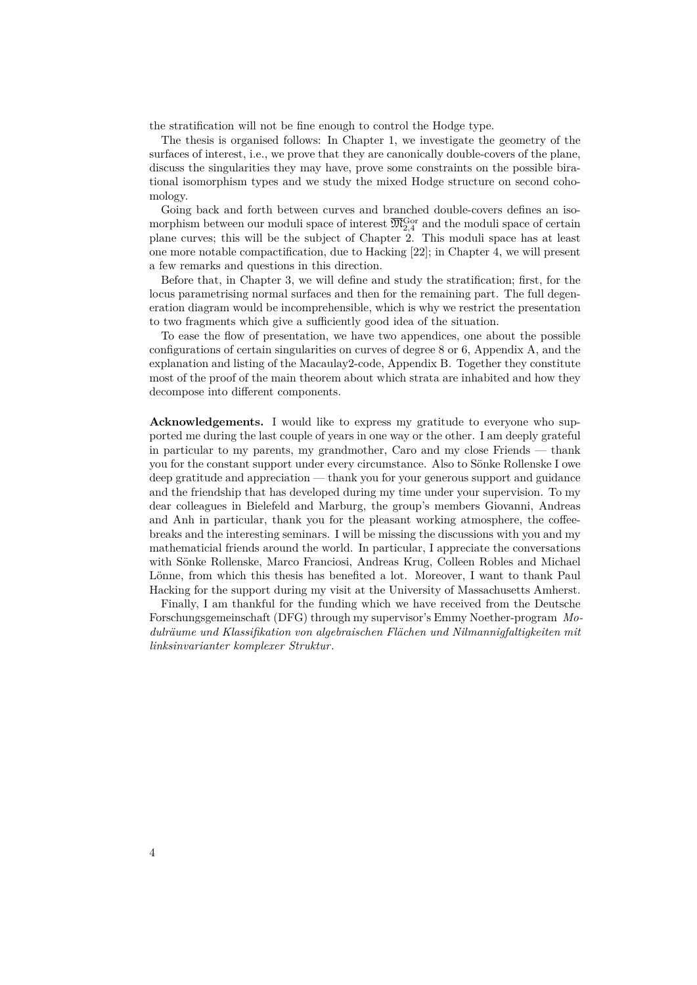the stratification will not be fine enough to control the Hodge type.

The thesis is organised follows: In Chapter [1,](#page-14-0) we investigate the geometry of the surfaces of interest, i.e., we prove that they are canonically double-covers of the plane, discuss the singularities they may have, prove some constraints on the possible birational isomorphism types and we study the mixed Hodge structure on second cohomology.

Going back and forth between curves and branched double-covers defines an isomorphism between our moduli space of interest  $\overline{\mathfrak{M}}_{2,4}^{\rm Gor}$  and the moduli space of certain plane curves; this will be the subject of Chapter [2](#page-24-0). This moduli space has at least one more notable compactification, due to Hacking [\[22](#page-97-7)]; in Chapter [4](#page-38-0), we will present a few remarks and questions in this direction.

Before that, in Chapter [3,](#page-26-0) we will define and study the stratification; first, for the locus parametrising normal surfaces and then for the remaining part. The full degeneration diagram would be incomprehensible, which is why we restrict the presentation to two fragments which give a sufficiently good idea of the situation.

To ease the flow of presentation, we have two appendices, one about the possible configurations of certain singularities on curves of degree 8 or 6, [Appendix A,](#page-40-0) and the explanation and listing of the Macaulay2-code, [Appendix B](#page-48-0). Together they constitute most of the proof of the main theorem about which strata are inhabited and how they decompose into different components.

**Acknowledgements.** I would like to express my gratitude to everyone who supported me during the last couple of years in one way or the other. I am deeply grateful in particular to my parents, my grandmother, Caro and my close Friends — thank you for the constant support under every circumstance. Also to Sönke Rollenske I owe deep gratitude and appreciation — thank you for your generous support and guidance and the friendship that has developed during my time under your supervision. To my dear colleagues in Bielefeld and Marburg, the group's members Giovanni, Andreas and Anh in particular, thank you for the pleasant working atmosphere, the coffeebreaks and the interesting seminars. I will be missing the discussions with you and my mathematicial friends around the world. In particular, I appreciate the conversations with Sönke Rollenske, Marco Franciosi, Andreas Krug, Colleen Robles and Michael Lönne, from which this thesis has benefited a lot. Moreover, I want to thank Paul Hacking for the support during my visit at the University of Massachusetts Amherst.

Finally, I am thankful for the funding which we have received from the Deutsche Forschungsgemeinschaft (DFG) through my supervisor's Emmy Noether-program *Modulräume und Klassifikation von algebraischen Flächen und Nilmannigfaltigkeiten mit linksinvarianter komplexer Struktur*.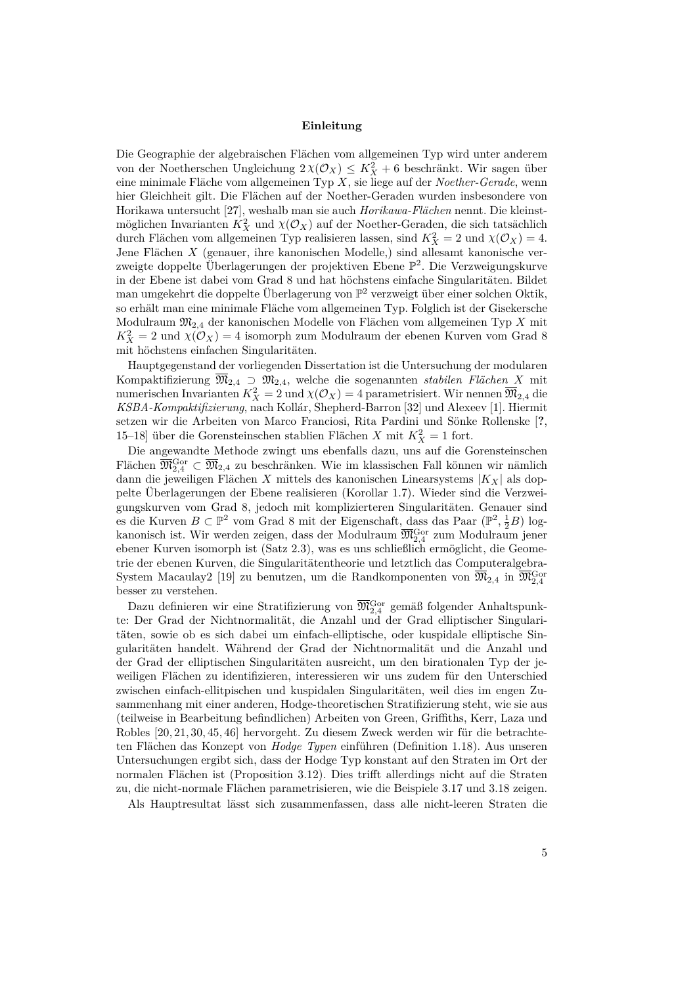#### **Einleitung**

Die Geographie der algebraischen Flächen vom allgemeinen Typ wird unter anderem von der Noetherschen Ungleichung  $2\chi(\mathcal{O}_X) \leq K_X^2 + 6$  beschränkt. Wir sagen über eine minimale Fläche vom allgemeinen Typ *X*, sie liege auf der *Noether-Gerade*, wenn hier Gleichheit gilt. Die Flächen auf der Noether-Geraden wurden insbesondere von Horikawa untersucht [[27\]](#page-97-0), weshalb man sie auch *Horikawa-Flächen* nennt. Die kleinstmöglichen Invarianten  $K_X^2$  und  $\chi(\mathcal{O}_X)$  auf der Noether-Geraden, die sich tatsächlich durch Flächen vom allgemeinen Typ realisieren lassen, sind  $K_X^2 = 2$  und  $\chi(\mathcal{O}_X) = 4$ . Jene Flächen *X* (genauer, ihre kanonischen Modelle,) sind allesamt kanonische verzweigte doppelte Überlagerungen der projektiven Ebene $\mathbb{P}^2.$  Die Verzweigungskurve in der Ebene ist dabei vom Grad 8 und hat höchstens einfache Singularitäten. Bildet man umgekehrt die doppelte Überlagerung von  $\mathbb{P}^2$  verzweigt über einer solchen Oktik, so erhält man eine minimale Fläche vom allgemeinen Typ. Folglich ist der Gisekersche Modulraum M2*,*<sup>4</sup> der kanonischen Modelle von Flächen vom allgemeinen Typ *X* mit  $K_X^2 = 2$  und  $\chi(\mathcal{O}_X) = 4$  isomorph zum Modulraum der ebenen Kurven vom Grad 8 mit höchstens einfachen Singularitäten.

Hauptgegenstand der vorliegenden Dissertation ist die Untersuchung der modularen Kompaktifizierung M2*,*<sup>4</sup> *⊃* M2*,*4, welche die sogenannten *stabilen Flächen X* mit numerischen Invarianten  $K_X^2 = 2$  und  $\chi(\mathcal{O}_X) = 4$  parametrisiert. Wir nennen  $\overline{\mathfrak{M}}_{2,4}$  die *KSBA-Kompaktifizierung*, nach Kollár, Shepherd-Barron [[32\]](#page-98-0) und Alexeev [\[1](#page-96-0)]. Hiermit setzen wir die Arbeiten von Marco Franciosi, Rita Pardini und Sönke Rollenske [**?**, [15](#page-97-8)[–18](#page-97-2)] über die Gorensteinschen stablien Flächen *X* mit  $K_X^2 = 1$  fort.

Die angewandte Methode zwingt uns ebenfalls dazu, uns auf die Gorensteinschen Flächen MGor <sup>2</sup>*,*<sup>4</sup> *⊂* M2*,*<sup>4</sup> zu beschränken. Wie im klassischen Fall können wir nämlich dann die jeweiligen Flächen *X* mittels des kanonischen Linearsystems *|KX|* als doppelte Überlagerungen der Ebene realisieren (Korollar [1.7\)](#page-17-0). Wieder sind die Verzweigungskurven vom Grad 8, jedoch mit komplizierteren Singularitäten. Genauer sind es die Kurven  $B \subset \mathbb{P}^2$  vom Grad 8 mit der Eigenschaft, dass das Paar ( $\mathbb{P}^2$ ,  $\frac{1}{2}B$ ) logkanonisch ist. Wir werden zeigen, dass der Modulraum  $\overline{\mathfrak{M}}_{2,4}^{\rm Gor}$  zum Modulraum jener ebener Kurven isomorph ist (Satz [2.3\)](#page-25-0), was es uns schließlich ermöglicht, die Geometrie der ebenen Kurven, die Singularitätentheorie und letztlich das Computeralgebra-System Macaulay2 [\[19](#page-97-3)] zu benutzen, um die Randkomponenten von  $\overline{\mathfrak{M}}_{2,4}$  in  $\overline{\mathfrak{M}}_{2,4}^{\rm Gor}$ besser zu verstehen.

Dazu definieren wir eine Stratifizierung von  $\overline{\mathfrak{M}}_{2,4}^{\rm Gor}$  gemäß folgender Anhaltspunkte: Der Grad der Nichtnormalität, die Anzahl und der Grad elliptischer Singularitäten, sowie ob es sich dabei um einfach-elliptische, oder kuspidale elliptische Singularitäten handelt. Während der Grad der Nichtnormalität und die Anzahl und der Grad der elliptischen Singularitäten ausreicht, um den birationalen Typ der jeweiligen Flächen zu identifizieren, interessieren wir uns zudem für den Unterschied zwischen einfach-ellitpischen und kuspidalen Singularitäten, weil dies im engen Zusammenhang mit einer anderen, Hodge-theoretischen Stratifizierung steht, wie sie aus (teilweise in Bearbeitung befindlichen) Arbeiten von Green, Griffiths, Kerr, Laza und Robles [[20,](#page-97-4) [21,](#page-97-5) [30](#page-97-6), [45](#page-98-1), [46](#page-98-2)] hervorgeht. Zu diesem Zweck werden wir für die betrachteten Flächen das Konzept von *Hodge Typen* einführen (Definition [1.18\)](#page-23-0). Aus unseren Untersuchungen ergibt sich, dass der Hodge Typ konstant auf den Straten im Ort der normalen Flächen ist (Proposition [3.12](#page-32-0)). Dies trifft allerdings nicht auf die Straten zu, die nicht-normale Flächen parametrisieren, wie die Beispiele [3.17](#page-37-0) und [3.18](#page-38-2) zeigen.

Als Hauptresultat lässt sich zusammenfassen, dass alle nicht-leeren Straten die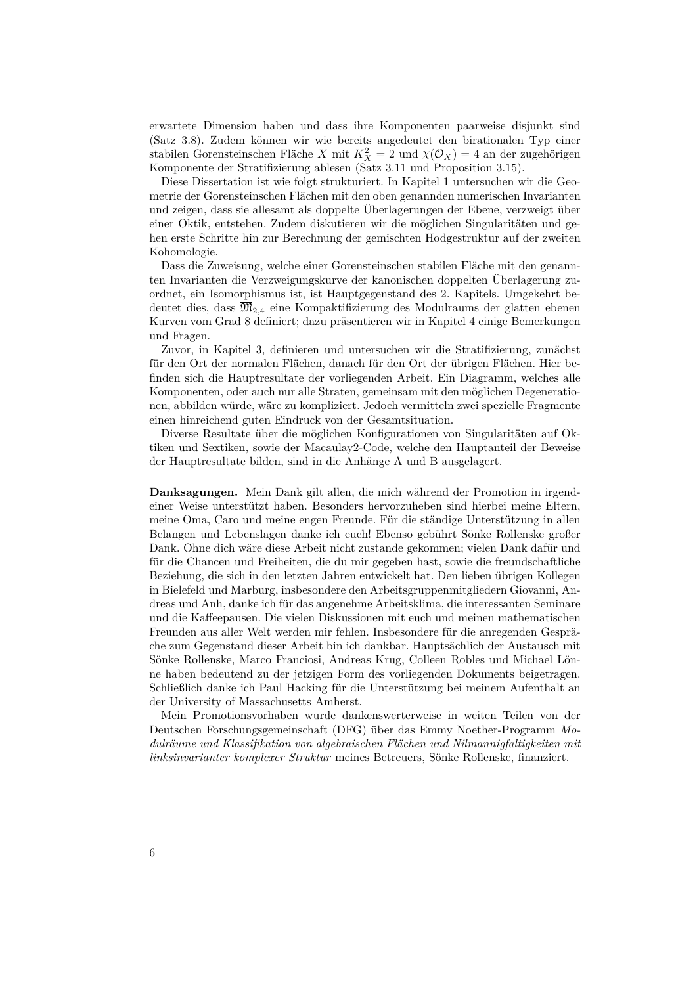erwartete Dimension haben und dass ihre Komponenten paarweise disjunkt sind (Satz [3.8\)](#page-28-0). Zudem können wir wie bereits angedeutet den birationalen Typ einer stabilen Gorensteinschen Fläche $X$ mit  $K_X^2 = 2$  und  $\chi(\mathcal{O}_X) = 4$  an der zugehörigen Komponente der Stratifizierung ablesen (Satz [3.11](#page-30-0) und Proposition [3.15\)](#page-34-0).

Diese Dissertation ist wie folgt strukturiert. In Kapitel [1](#page-14-0) untersuchen wir die Geometrie der Gorensteinschen Flächen mit den oben genannden numerischen Invarianten und zeigen, dass sie allesamt als doppelte Überlagerungen der Ebene, verzweigt über einer Oktik, entstehen. Zudem diskutieren wir die möglichen Singularitäten und gehen erste Schritte hin zur Berechnung der gemischten Hodgestruktur auf der zweiten Kohomologie.

Dass die Zuweisung, welche einer Gorensteinschen stabilen Fläche mit den genannten Invarianten die Verzweigungskurve der kanonischen doppelten Überlagerung zuordnet, ein Isomorphismus ist, ist Hauptgegenstand des [2.](#page-24-0) Kapitels. Umgekehrt bedeutet dies, dass M2*,*<sup>4</sup> eine Kompaktifizierung des Modulraums der glatten ebenen Kurven vom Grad 8 definiert; dazu präsentieren wir in Kapitel [4](#page-38-0) einige Bemerkungen und Fragen.

Zuvor, in Kapitel [3,](#page-26-0) definieren und untersuchen wir die Stratifizierung, zunächst für den Ort der normalen Flächen, danach für den Ort der übrigen Flächen. Hier befinden sich die Hauptresultate der vorliegenden Arbeit. Ein Diagramm, welches alle Komponenten, oder auch nur alle Straten, gemeinsam mit den möglichen Degenerationen, abbilden würde, wäre zu kompliziert. Jedoch vermitteln zwei spezielle Fragmente einen hinreichend guten Eindruck von der Gesamtsituation.

Diverse Resultate über die möglichen Konfigurationen von Singularitäten auf Oktiken und Sextiken, sowie der Macaulay2-Code, welche den Hauptanteil der Beweise der Hauptresultate bilden, sind in die Anhänge [A](#page-40-0) und [B](#page-48-0) ausgelagert.

**Danksagungen.** Mein Dank gilt allen, die mich während der Promotion in irgendeiner Weise unterstützt haben. Besonders hervorzuheben sind hierbei meine Eltern, meine Oma, Caro und meine engen Freunde. Für die ständige Unterstützung in allen Belangen und Lebenslagen danke ich euch! Ebenso gebührt Sönke Rollenske großer Dank. Ohne dich wäre diese Arbeit nicht zustande gekommen; vielen Dank dafür und für die Chancen und Freiheiten, die du mir gegeben hast, sowie die freundschaftliche Beziehung, die sich in den letzten Jahren entwickelt hat. Den lieben übrigen Kollegen in Bielefeld und Marburg, insbesondere den Arbeitsgruppenmitgliedern Giovanni, Andreas und Anh, danke ich für das angenehme Arbeitsklima, die interessanten Seminare und die Kaffeepausen. Die vielen Diskussionen mit euch und meinen mathematischen Freunden aus aller Welt werden mir fehlen. Insbesondere für die anregenden Gespräche zum Gegenstand dieser Arbeit bin ich dankbar. Hauptsächlich der Austausch mit Sönke Rollenske, Marco Franciosi, Andreas Krug, Colleen Robles und Michael Lönne haben bedeutend zu der jetzigen Form des vorliegenden Dokuments beigetragen. Schließlich danke ich Paul Hacking für die Unterstützung bei meinem Aufenthalt an der University of Massachusetts Amherst.

Mein Promotionsvorhaben wurde dankenswerterweise in weiten Teilen von der Deutschen Forschungsgemeinschaft (DFG) über das Emmy Noether-Programm *Modulräume und Klassifikation von algebraischen Flächen und Nilmannigfaltigkeiten mit linksinvarianter komplexer Struktur* meines Betreuers, Sönke Rollenske, finanziert.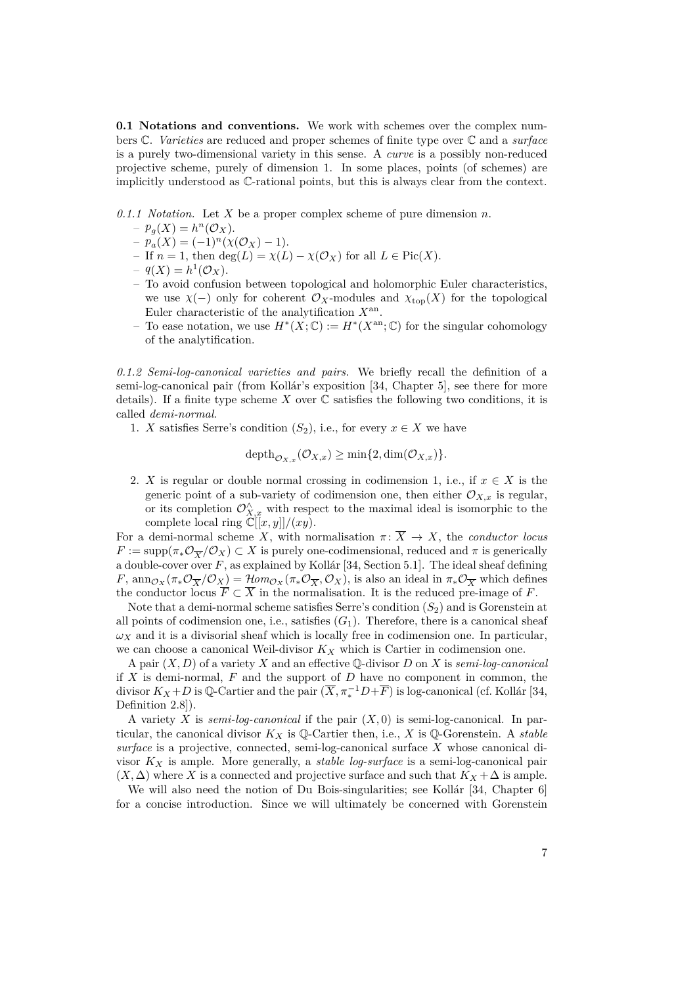<span id="page-12-0"></span>**0.1 Notations and conventions.** We work with schemes over the complex numbers C. *Varieties* are reduced and proper schemes of finite type over C and a *surface* is a purely two-dimensional variety in this sense. A *curve* is a possibly non-reduced projective scheme, purely of dimension 1. In some places, points (of schemes) are implicitly understood as C-rational points, but this is always clear from the context.

*0.1.1 Notation.* Let *X* be a proper complex scheme of pure dimension *n*.

- $p_g(X) = h^n(\mathcal{O}_X).$
- $p_a(X) = (-1)^n(\chi(\mathcal{O}_X) 1).$
- If *n* = 1, then deg(*L*) = *χ*(*L*) *− χ*(*OX*) for all *L ∈* Pic(*X*).
- $q(X) = h^{1}(\mathcal{O}_{X}).$
- To avoid confusion between topological and holomorphic Euler characteristics, we use  $\chi(-)$  only for coherent  $\mathcal{O}_X$ -modules and  $\chi_{\text{top}}(X)$  for the topological Euler characteristic of the analytification *X*an .
- $-$  To ease notation, we use  $H^*(X; \mathbb{C}) := H^*(X^{\text{an}}; \mathbb{C})$  for the singular cohomology of the analytification.

*0.1.2 Semi-log-canonical varieties and pairs.* We briefly recall the definition of a semi-log-canonical pair (from Kollár's exposition [[34,](#page-98-3) Chapter 5], see there for more details). If a finite type scheme  $X$  over  $\mathbb C$  satisfies the following two conditions, it is called *demi-normal*.

1. *X* satisfies Serre's condition  $(S_2)$ , i.e., for every  $x \in X$  we have

$$
depth_{\mathcal{O}_{X,x}}(\mathcal{O}_{X,x}) \geq \min\{2, \dim(\mathcal{O}_{X,x})\}.
$$

2. *X* is regular or double normal crossing in codimension 1, i.e., if  $x \in X$  is the generic point of a sub-variety of codimension one, then either  $\mathcal{O}_{X,x}$  is regular, or its completion  $\mathcal{O}_{X,x}^{\wedge}$  with respect to the maximal ideal is isomorphic to the complete local ring  $\mathbb{C}[[x,y]]/(xy)$ .

For a demi-normal scheme *X*, with normalisation  $\pi \colon \overline{X} \to X$ , the *conductor locus*  $F := \text{supp}(\pi_* \mathcal{O}_{\overline{X}}/\mathcal{O}_X) \subset X$  is purely one-codimensional, reduced and  $\pi$  is generically a double-cover over *F*, as explained by Kollár [[34,](#page-98-3) Section 5.1]. The ideal sheaf defining  $F$ , ann $_{\mathcal{O}_X}(\pi_*\mathcal{O}_{\overline{X}}/\mathcal{O}_X) = \mathcal{H}om_{\mathcal{O}_X}(\pi_*\mathcal{O}_{\overline{X}}, \mathcal{O}_X)$ , is also an ideal in  $\pi_*\mathcal{O}_{\overline{X}}$  which defines the conductor locus  $\overline{F} \subset \overline{X}$  in the normalisation. It is the reduced pre-image of *F*.

Note that a demi-normal scheme satisfies Serre's condition (*S*2) and is Gorenstein at all points of codimension one, i.e., satisfies  $(G_1)$ . Therefore, there is a canonical sheaf  $\omega_X$  and it is a divisorial sheaf which is locally free in codimension one. In particular, we can choose a canonical Weil-divisor *K<sup>X</sup>* which is Cartier in codimension one.

A pair (*X, D*) of a variety *X* and an effective Q-divisor *D* on *X* is *semi-log-canonical* if *X* is demi-normal, *F* and the support of *D* have no component in common, the divisor $K_X + D$  is Q-Cartier and the pair  $(\overline{X}, \pi_*^{-1}D + \overline{F})$  is log-canonical (cf. Kollár [[34,](#page-98-3) Definition 2.8]).

A variety *X* is *semi-log-canonical* if the pair (*X,* 0) is semi-log-canonical. In particular, the canonical divisor  $K_X$  is  $\mathbb{Q}$ -Cartier then, i.e., X is  $\mathbb{Q}$ -Gorenstein. A *stable surface* is a projective, connected, semi-log-canonical surface *X* whose canonical divisor *K<sup>X</sup>* is ample. More generally, a *stable log-surface* is a semi-log-canonical pair  $(X, \Delta)$  where *X* is a connected and projective surface and such that  $K_X + \Delta$  is ample.

We will also need the notion of Du Bois-singularities; see Kollár [\[34](#page-98-3), Chapter 6] for a concise introduction. Since we will ultimately be concerned with Gorenstein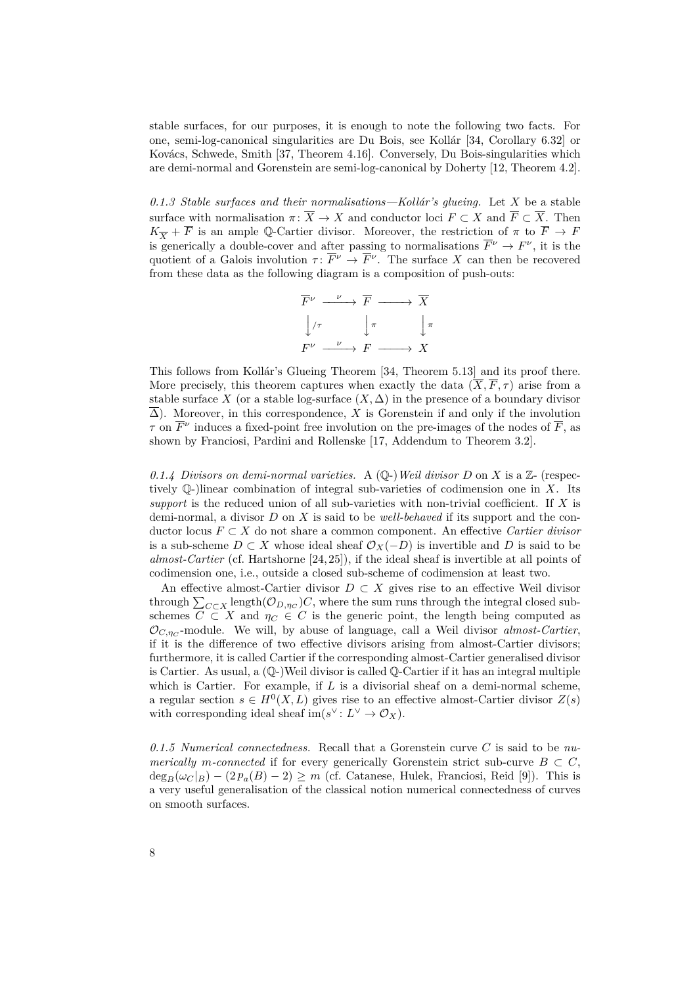stable surfaces, for our purposes, it is enough to note the following two facts. For one, semi-log-canonical singularities are Du Bois, see Kollár [[34,](#page-98-3) Corollary 6.32] or Kovács, Schwede, Smith [\[37](#page-98-4), Theorem 4.16]. Conversely, Du Bois-singularities which are demi-normal and Gorenstein are semi-log-canonical by Doherty [\[12](#page-96-1), Theorem 4.2].

*0.1.3 Stable surfaces and their normalisations—Kollár's glueing.* Let *X* be a stable surface with normalisation  $\pi \colon \overline{X} \to X$  and conductor loci  $F \subset X$  and  $\overline{F} \subset \overline{X}$ . Then  $K_{\overline{X}} + \overline{F}$  is an ample Q-Cartier divisor. Moreover, the restriction of  $\pi$  to  $\overline{F} \to F$ is generically a double-cover and after passing to normalisations  $\overline{F}^{\nu} \to F^{\nu}$ , it is the quotient of a Galois involution  $\tau: \overline{F}^{\nu} \to \overline{F}^{\nu}$ . The surface X can then be recovered from these data as the following diagram is a composition of push-outs:

$$
\overline{F}^{\nu} \xrightarrow{\nu} \overline{F} \longrightarrow \overline{X}
$$
\n
$$
\downarrow/\tau \qquad \downarrow \pi \qquad \downarrow \pi
$$
\n
$$
F^{\nu} \xrightarrow{\nu} F \longrightarrow X
$$

This follows from Kollár's Glueing Theorem [[34,](#page-98-3) Theorem 5.13] and its proof there. More precisely, this theorem captures when exactly the data  $(\overline{X}, \overline{F}, \tau)$  arise from a stable surface *X* (or a stable log-surface  $(X, \Delta)$  in the presence of a boundary divisor  $\overline{\Delta}$ ). Moreover, in this correspondence, *X* is Gorenstein if and only if the involution *τ* on  $\overline{F}$ <sup>*ν*</sup> induces a fixed-point free involution on the pre-images of the nodes of  $\overline{F}$ , as shown by Franciosi, Pardini and Rollenske [[17,](#page-97-9) Addendum to Theorem 3.2].

0.1.4 Divisors on demi-normal varieties. A  $(\mathbb{Q}_{\mathbb{Z}})$  *Weil divisor* D on X is a  $\mathbb{Z}_{\mathbb{Z}}$  (respectively Q-)linear combination of integral sub-varieties of codimension one in *X*. Its *support* is the reduced union of all sub-varieties with non-trivial coefficient. If *X* is demi-normal, a divisor *D* on *X* is said to be *well-behaved* if its support and the conductor locus *F ⊂ X* do not share a common component. An effective *Cartier divisor* is a sub-scheme *D*  $\subset$  *X* whose ideal sheaf  $\mathcal{O}_X(-D)$  is invertible and *D* is said to be *almost-Cartier* (cf. Hartshorne [[24,](#page-97-10)[25\]](#page-97-11)), if the ideal sheaf is invertible at all points of codimension one, i.e., outside a closed sub-scheme of codimension at least two.

An effective almost-Cartier divisor  $D \subset X$  gives rise to an effective Weil divisor through  $\sum_{C \subset X}$  length $(\mathcal{O}_{D, \eta_C})$ , where the sum runs through the integral closed subschemes  $C \subset X$  and  $\eta_C \in C$  is the generic point, the length being computed as  $\mathcal{O}_{C,\eta_C}$ -module. We will, by abuse of language, call a Weil divisor *almost-Cartier*, if it is the difference of two effective divisors arising from almost-Cartier divisors; furthermore, it is called Cartier if the corresponding almost-Cartier generalised divisor is Cartier. As usual, a  $(\mathbb{Q}-)$ Weil divisor is called  $\mathbb{Q}-$ Cartier if it has an integral multiple which is Cartier. For example, if L is a divisorial sheaf on a demi-normal scheme, a regular section  $s \in H^0(X, L)$  gives rise to an effective almost-Cartier divisor  $Z(s)$ with corresponding ideal sheaf  $\text{im}(s^{\vee} : L^{\vee} \to \mathcal{O}_X)$ .

*0.1.5 Numerical connectedness.* Recall that a Gorenstein curve *C* is said to be *numerically m-connected* if for every generically Gorenstein strict sub-curve  $B \subset C$ ,  $\deg_B(\omega_C|_B) - (2p_a(B) - 2) \geq m$  (cf. Catanese, Hulek, Franciosi, Reid [[9\]](#page-96-2)). This is a very useful generalisation of the classical notion numerical connectedness of curves on smooth surfaces.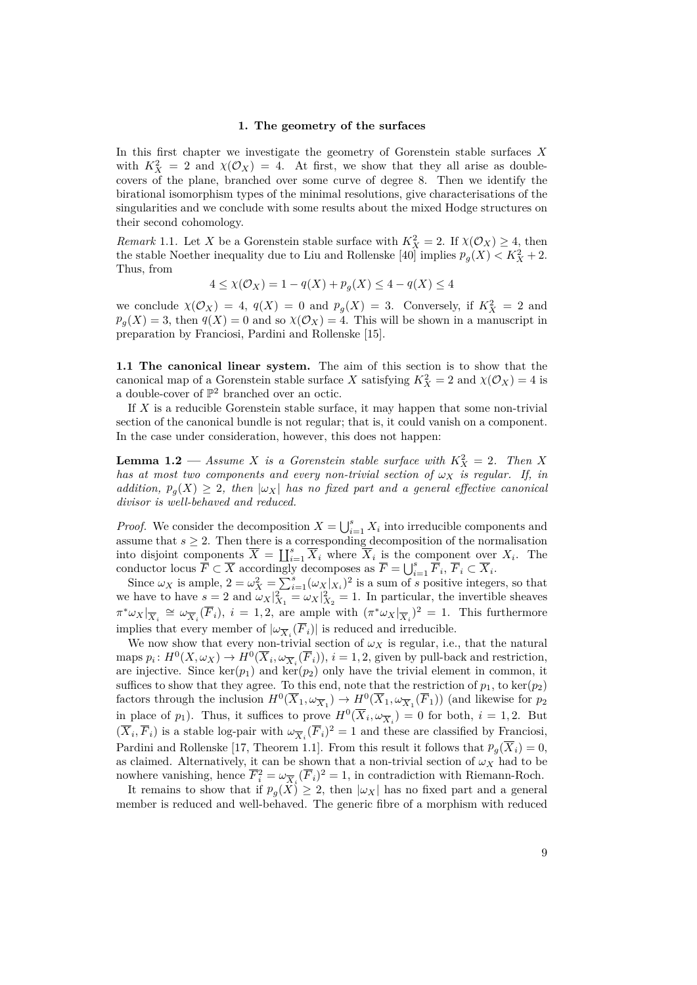#### **1. The geometry of the surfaces**

<span id="page-14-0"></span>In this first chapter we investigate the geometry of Gorenstein stable surfaces *X* with  $K_X^2 = 2$  and  $\chi(\mathcal{O}_X) = 4$ . At first, we show that they all arise as doublecovers of the plane, branched over some curve of degree 8. Then we identify the birational isomorphism types of the minimal resolutions, give characterisations of the singularities and we conclude with some results about the mixed Hodge structures on their second cohomology.

<span id="page-14-3"></span>*Remark* 1.1. Let *X* be a Gorenstein stable surface with  $K_X^2 = 2$ . If  $\chi(\mathcal{O}_X) \geq 4$ , then the stable Noether inequality due to Liu and Rollenske [\[40](#page-98-5)] implies  $p_g(X) < K_X^2 + 2$ . Thus, from

$$
4 \le \chi(\mathcal{O}_X) = 1 - q(X) + p_g(X) \le 4 - q(X) \le 4
$$

we conclude  $\chi(\mathcal{O}_X) = 4$ ,  $q(X) = 0$  and  $p_g(X) = 3$ . Conversely, if  $K_X^2 = 2$  and  $p_g(X) = 3$ , then  $q(X) = 0$  and so  $\chi(\mathcal{O}_X) = 4$ . This will be shown in a manuscript in preparation by Franciosi, Pardini and Rollenske [[15\]](#page-97-8).

<span id="page-14-1"></span>**1.1 The canonical linear system.** The aim of this section is to show that the canonical map of a Gorenstein stable surface *X* satisfying  $K_X^2 = 2$  and  $\chi(\mathcal{O}_X) = 4$  is a double-cover of  $\mathbb{P}^2$  branched over an octic.

If *X* is a reducible Gorenstein stable surface, it may happen that some non-trivial section of the canonical bundle is not regular; that is, it could vanish on a component. In the case under consideration, however, this does not happen:

<span id="page-14-2"></span>**Lemma 1.2** — *Assume X is a Gorenstein stable surface with*  $K_X^2 = 2$ *. Then X has at most two components and every non-trivial section of ω<sup>X</sup> is regular. If, in addition,*  $p_q(X) \geq 2$ , then  $|\omega_X|$  has no fixed part and a general effective canonical *divisor is well-behaved and reduced.*

*Proof.* We consider the decomposition  $X = \bigcup_{i=1}^{s} X_i$  into irreducible components and assume that  $s \geq 2$ . Then there is a corresponding decomposition of the normalisation into disjoint components  $\overline{X} = \coprod_{i=1}^{s} \overline{X}_i$  where  $\overline{X}_i$  is the component over  $X_i$ . The conductor locus  $\overline{F} \subset \overline{X}$  accordingly decomposes as  $\overline{F} = \bigcup_{i=1}^{s} \overline{F}_i$ ,  $\overline{F}_i \subset \overline{X}_i$ .

Since  $\omega_X$  is ample,  $2 = \omega_X^2 = \sum_{i=1}^s (\omega_X | X_i)^2$  is a sum of *s* positive integers, so that we have to have  $s = 2$  and  $\omega_X |_{X_1}^2 = \omega_X |_{X_2}^2 = 1$ . In particular, the invertible sheaves  $\pi^*\omega_X|_{\overline{X}_i} \cong \omega_{\overline{X}_i}(\overline{F}_i)$ ,  $i = 1, 2$ , are ample with  $(\pi^*\omega_X|_{\overline{X}_i})^2 = 1$ . This furthermore implies that every member of  $|\omega_{\overline{X}_i}(\overline{F}_i)|$  is reduced and irreducible.

We now show that every non-trivial section of  $\omega_X$  is regular, i.e., that the natural  $\text{maps } p_i: H^0(X, \omega_X) \to H^0(\overline{X}_i, \omega_{\overline{X}_i}(\overline{F}_i)), i = 1, 2$ , given by pull-back and restriction, are injective. Since  $\ker(p_1)$  and  $\ker(p_2)$  only have the trivial element in common, it suffices to show that they agree. To this end, note that the restriction of  $p_1$ , to ker( $p_2$ ) factors through the inclusion  $H^0(\overline{X}_1, \omega_{\overline{X}_1}) \to H^0(\overline{X}_1, \omega_{\overline{X}_1}(\overline{F}_1))$  (and likewise for  $p_2$ in place of  $p_1$ ). Thus, it suffices to prove  $H^0(\overline{X}_i, \omega_{\overline{X}_i}) = 0$  for both,  $i = 1, 2$ . But  $(\overline{X}_i, \overline{F}_i)$  is a stable log-pair with  $\omega_{\overline{X}_i}(\overline{F}_i)^2 = 1$  and these are classified by Franciosi, Pardini and Rollenske [\[17](#page-97-9), Theorem 1.1]. From this result it follows that  $p_g(\overline{X}_i) = 0$ , as claimed. Alternatively, it can be shown that a non-trivial section of  $\omega_X$  had to be nowhere vanishing, hence  $\overline{F}_i^2 = \omega_{\overline{X}_i}(\overline{F}_i)^2 = 1$ , in contradiction with Riemann-Roch.

It remains to show that if  $p_q(X) \geq 2$ , then  $|\omega_X|$  has no fixed part and a general member is reduced and well-behaved. The generic fibre of a morphism with reduced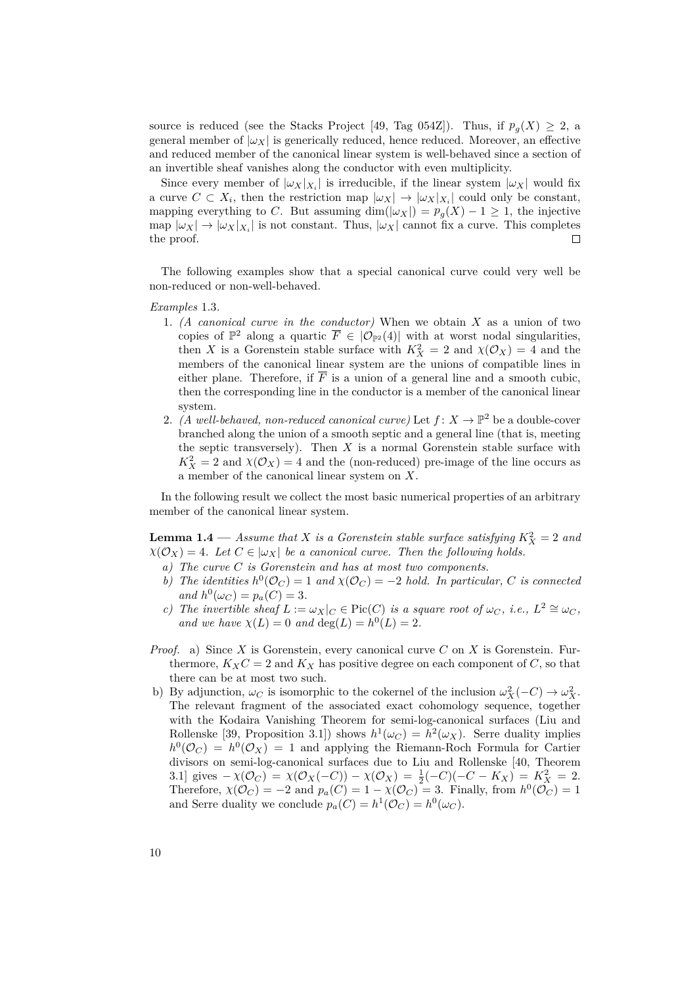source is reduced (see the Stacks Project [\[49](#page-99-0), [Tag 054Z](https://stacks.math.columbia.edu/tag/054Z)]). Thus, if  $p_q(X) \geq 2$ , a general member of  $|\omega_X|$  is generically reduced, hence reduced. Moreover, an effective and reduced member of the canonical linear system is well-behaved since a section of an invertible sheaf vanishes along the conductor with even multiplicity.

Since every member of  $|\omega_X|_{X_i}$  is irreducible, if the linear system  $|\omega_X|$  would fix a curve  $C \subset X_i$ , then the restriction map  $|\omega_X| \to |\omega_X|_{X_i}|$  could only be constant, mapping everything to *C*. But assuming dim( $|\omega_X|$ ) =  $p_q(X) - 1 \ge 1$ , the injective map  $|\omega_X| \to |\omega_X|_{X_i}$  is not constant. Thus,  $|\omega_X|$  cannot fix a curve. This completes the proof.  $\Box$ 

The following examples show that a special canonical curve could very well be non-reduced or non-well-behaved.

*Examples* 1.3*.*

- 1. *(A canonical curve in the conductor)* When we obtain *X* as a union of two copies of  $\mathbb{P}^2$  along a quartic  $\overline{F} \in |O_{\mathbb{P}^2}(4)|$  with at worst nodal singularities, then *X* is a Gorenstein stable surface with  $K_X^2 = 2$  and  $\chi(\mathcal{O}_X) = 4$  and the members of the canonical linear system are the unions of compatible lines in either plane. Therefore, if  $\overline{F}$  is a union of a general line and a smooth cubic, then the corresponding line in the conductor is a member of the canonical linear system.
- 2. *(A well-behaved, non-reduced canonical curve)* Let  $f: X \to \mathbb{P}^2$  be a double-cover branched along the union of a smooth septic and a general line (that is, meeting the septic transversely). Then  $X$  is a normal Gorenstein stable surface with  $K_X^2 = 2$  and  $\chi(\mathcal{O}_X) = 4$  and the (non-reduced) pre-image of the line occurs as a member of the canonical linear system on *X*.

In the following result we collect the most basic numerical properties of an arbitrary member of the canonical linear system.

<span id="page-15-0"></span>**Lemma 1.4** — *Assume that X is a Gorenstein stable surface satisfying*  $K_X^2 = 2$  *and*  $\chi(\mathcal{O}_X) = 4$ *. Let*  $C \in |\omega_X|$  *be a canonical curve. Then the following holds.* 

- *a) The curve C is Gorenstein and has at most two components.*
- *b*) *The identities*  $h^0(\mathcal{O}_C) = 1$  *and*  $\chi(\mathcal{O}_C) = -2$  *hold. In particular, C is connected and*  $h^0(\omega_C) = p_a(C) = 3$ *.*
- *c) The invertible sheaf*  $L := \omega_X |_{C} \in \text{Pic}(C)$  *is a square root of*  $\omega_C$ , *i.e.*,  $L^2 \cong \omega_C$ , *and we have*  $\chi(L) = 0$  *and*  $\deg(L) = h^0(L) = 2$ .
- *Proof.* a) Since *X* is Gorenstein, every canonical curve *C* on *X* is Gorenstein. Furthermore,  $K_X C = 2$  and  $K_X$  has positive degree on each component of *C*, so that there can be at most two such.
- b) By adjunction,  $\omega_C$  is isomorphic to the cokernel of the inclusion  $\omega_X^2(-C) \to \omega_X^2$ . The relevant fragment of the associated exact cohomology sequence, together with the Kodaira Vanishing Theorem for semi-log-canonical surfaces (Liu and Rollenske [[39,](#page-98-6) Proposition 3.1]) shows  $h^1(\omega_C) = h^2(\omega_X)$ . Serre duality implies  $h^0(\mathcal{O}_C) = h^0(\mathcal{O}_X) = 1$  and applying the Riemann-Roch Formula for Cartier divisors on semi-log-canonical surfaces due to Liu and Rollenske [\[40](#page-98-5), Theorem 3.1] gives  $-\chi(\mathcal{O}_C) = \chi(\mathcal{O}_X(-C)) - \chi(\mathcal{O}_X) = \frac{1}{2}(-C)(-C - K_X) = K_X^2 = 2.$ Therefore,  $\chi(\mathcal{O}_C) = -2$  and  $p_a(C) = 1 - \chi(\mathcal{O}_C) = 3$ . Finally, from  $h^0(\mathcal{O}_C) = 1$ and Serre duality we conclude  $p_a(C) = h^1(\mathcal{O}_C) = h^0(\omega_C)$ .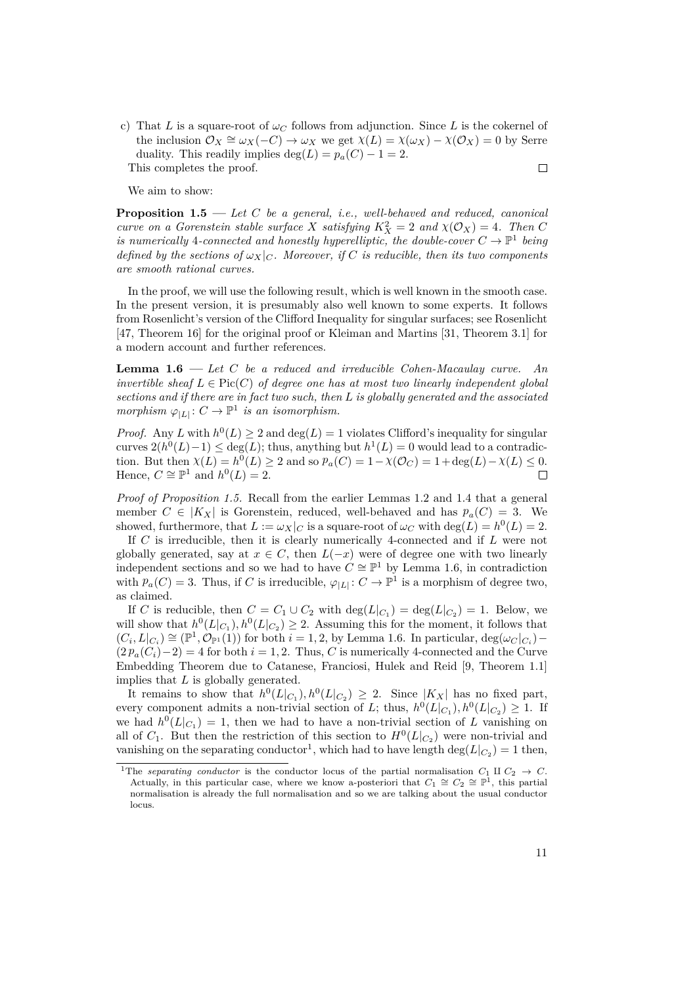c) That *L* is a square-root of  $\omega_C$  follows from adjunction. Since *L* is the cokernel of the inclusion  $\mathcal{O}_X \cong \omega_X(-C) \to \omega_X$  we get  $\chi(L) = \chi(\omega_X) - \chi(\mathcal{O}_X) = 0$  by Serre duality. This readily implies deg( $L$ ) =  $p_a(C) - 1 = 2$ . This completes the proof.  $\Box$ 

We aim to show:

<span id="page-16-0"></span>**Proposition 1.5 —** *Let C be a general, i.e., well-behaved and reduced, canonical curve on a Gorenstein stable surface X satisfying*  $K_X^2 = 2$  *and*  $\chi(\mathcal{O}_X) = 4$ *. Then C is numerically* 4-connected and honestly hyperelliptic, the double-cover  $C \to \mathbb{P}^1$  being *defined by the sections of*  $\omega_X|_C$ . Moreover, if C is reducible, then its two components *are smooth rational curves.*

In the proof, we will use the following result, which is well known in the smooth case. In the present version, it is presumably also well known to some experts. It follows from Rosenlicht's version of the Clifford Inequality for singular surfaces; see Rosenlicht [[47,](#page-98-7) Theorem 16] for the original proof or Kleiman and Martins [[31,](#page-97-12) Theorem 3.1] for a modern account and further references.

<span id="page-16-1"></span>**Lemma 1.6 —** *Let C be a reduced and irreducible Cohen-Macaulay curve. An invertible sheaf*  $L \in Pic(C)$  *of degree one has at most two linearly independent global sections and if there are in fact two such, then L is globally generated and the associated morphism*  $\varphi_{|L|}: C \to \mathbb{P}^1$  *is an isomorphism.* 

*Proof.* Any *L* with  $h^0(L) \geq 2$  and  $\deg(L) = 1$  violates Clifford's inequality for singular curves  $2(h^0(L)-1) \leq deg(L)$ ; thus, anything but  $h^1(L) = 0$  would lead to a contradiction. But then  $\chi(L) = h^0(L) \geq 2$  and so  $p_a(C) = 1 - \chi(\mathcal{O}_C) = 1 + \deg(L) - \chi(L) \leq 0$ . Hence,  $C \cong \mathbb{P}^1$  and  $h^0(L) = 2$ .  $\Box$ 

*Proof of Proposition [1.5.](#page-16-0)* Recall from the earlier Lemmas [1.2](#page-14-2) and [1.4](#page-15-0) that a general member  $C \in |K_X|$  is Gorenstein, reduced, well-behaved and has  $p_a(C) = 3$ . We showed, furthermore, that  $L := \omega_X|_C$  is a square-root of  $\omega_C$  with  $\deg(L) = h^0(L) = 2$ .

If *C* is irreducible, then it is clearly numerically 4-connected and if *L* were not globally generated, say at  $x \in C$ , then  $L(-x)$  were of degree one with two linearly independent sections and so we had to have  $C \cong \mathbb{P}^1$  by Lemma [1.6](#page-16-1), in contradiction with  $p_a(C) = 3$ . Thus, if *C* is irreducible,  $\varphi_{|L|}: C \to \mathbb{P}^1$  is a morphism of degree two, as claimed.

If *C* is reducible, then  $C = C_1 \cup C_2$  with  $\deg(L|_{C_1}) = \deg(L|_{C_2}) = 1$ . Below, we will show that  $h^0(L|_{C_1}), h^0(L|_{C_2}) \geq 2$ . Assuming this for the moment, it follows that  $(C_i, L|_{C_i}) \cong (\mathbb{P}^1, \mathcal{O}_{\mathbb{P}^1}(1))$  for both  $i = 1, 2$ , by Lemma [1.6](#page-16-1). In particular,  $\deg(\omega_C|_{C_i})$  $(2 p_a(C_i)-2) = 4$  for both  $i=1,2$ . Thus, *C* is numerically 4-connected and the Curve Embedding Theorem due to Catanese, Franciosi, Hulek and Reid [\[9](#page-96-2), Theorem 1.1] implies that *L* is globally generated.

It remains to show that  $h^0(L|_{C_1}), h^0(L|_{C_2}) \geq 2$ . Since  $|K_X|$  has no fixed part, every component admits a non-trivial section of *L*; thus,  $h^0(L|_{C_1}), h^0(L|_{C_2}) \geq 1$ . If we had  $h^0(L|_{C_1}) = 1$ , then we had to have a non-trivial section of *L* vanishing on all of  $C_1$ . But then the restriction of this section to  $H^0(L|_{C_2})$  were non-trivial and vanishing on the separating conductor<sup>[1](#page-16-2)</sup>, which had to have length  $\deg(L|_{C_2}) = 1$  then,

<span id="page-16-2"></span><sup>&</sup>lt;sup>1</sup>The *separating conductor* is the conductor locus of the partial normalisation  $C_1 \amalg C_2 \rightarrow C$ . Actually, in this particular case, where we know a-posteriori that  $C_1 \cong C_2 \cong \mathbb{P}^1$ , this partial normalisation is already the full normalisation and so we are talking about the usual conductor locus.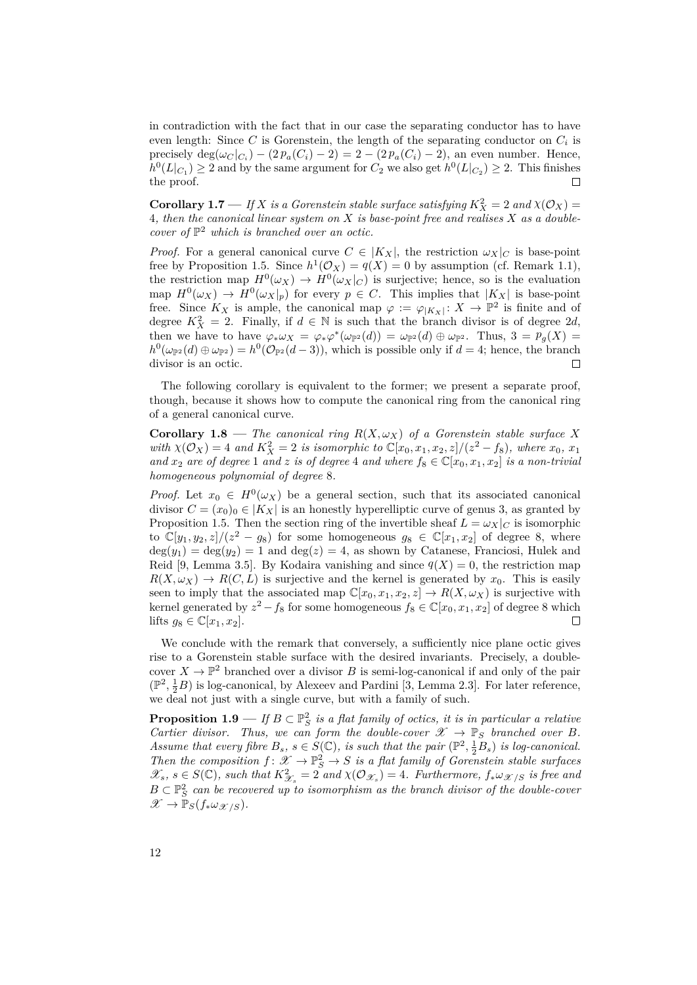in contradiction with the fact that in our case the separating conductor has to have even length: Since *C* is Gorenstein, the length of the separating conductor on *C<sup>i</sup>* is precisely  $\deg(\omega_C|_{C_i}) - (2p_a(C_i) - 2) = 2 - (2p_a(C_i) - 2)$ , an even number. Hence,  $h^0(L|_{C_1}) \geq 2$  and by the same argument for  $C_2$  we also get  $h^0(L|_{C_2}) \geq 2$ . This finishes the proof.  $\Box$ 

<span id="page-17-0"></span>**Corollary 1.7** — *If X is a Gorenstein stable surface satisfying*  $K_X^2 = 2$  *and*  $\chi(\mathcal{O}_X) =$ 4*, then the canonical linear system on X is base-point free and realises X as a doublecover of* P <sup>2</sup> *which is branched over an octic.*

*Proof.* For a general canonical curve  $C \in |K_X|$ , the restriction  $\omega_X|_C$  is base-point free by Proposition [1.5.](#page-16-0) Since  $h^1(\mathcal{O}_X) = q(X) = 0$  by assumption (cf. Remark [1.1](#page-14-3)), the restriction map  $H^0(\omega_X) \to H^0(\omega_X|_C)$  is surjective; hence, so is the evaluation map  $H^0(\omega_X) \to H^0(\omega_X|_p)$  for every  $p \in C$ . This implies that  $|K_X|$  is base-point free. Since  $K_X$  is ample, the canonical map  $\varphi := \varphi_{|K_X|}: X \to \mathbb{P}^2$  is finite and of degree  $K_X^2 = 2$ . Finally, if  $d \in \mathbb{N}$  is such that the branch divisor is of degree 2*d*, then we have to have  $\varphi_* \omega_X = \varphi_* \varphi^* (\omega_{\mathbb{P}^2}(d)) = \omega_{\mathbb{P}^2}(d) \oplus \omega_{\mathbb{P}^2}$ . Thus,  $3 = p_g(X) =$  $h^0(\omega_{\mathbb{P}^2}(d) \oplus \omega_{\mathbb{P}^2}) = h^0(\mathcal{O}_{\mathbb{P}^2}(d-3))$ , which is possible only if  $d = 4$ ; hence, the branch divisor is an octic.  $\Box$ 

The following corollary is equivalent to the former; we present a separate proof, though, because it shows how to compute the canonical ring from the canonical ring of a general canonical curve.

**Corollary 1.8** — *The canonical ring*  $R(X, \omega_X)$  *of a Gorenstein stable surface* X *with*  $\chi(\mathcal{O}_X) = 4$  *and*  $K_X^2 = 2$  *is isomorphic to*  $\mathbb{C}[x_0, x_1, x_2, z]/(z^2 - f_8)$ *, where*  $x_0, x_1$ *and*  $x_2$  *are of degree* 1 *and z is of degree* 4 *and where*  $f_8 \in \mathbb{C}[x_0, x_1, x_2]$  *is a non-trivial homogeneous polynomial of degree* 8*.*

*Proof.* Let  $x_0 \in H^0(\omega_X)$  be a general section, such that its associated canonical divisor  $C = (x_0)_0 \in |K_X|$  is an honestly hyperelliptic curve of genus 3, as granted by Proposition [1.5.](#page-16-0) Then the section ring of the invertible sheaf  $L = \omega_X|_C$  is isomorphic to  $\mathbb{C}[y_1, y_2, z]/(z^2 - g_8)$  for some homogeneous  $g_8 \in \mathbb{C}[x_1, x_2]$  of degree 8, where  $deg(y_1) = deg(y_2) = 1$  and  $deg(z) = 4$ , as shown by Catanese, Franciosi, Hulek and Reid [[9,](#page-96-2) Lemma 3.5]. By Kodaira vanishing and since  $q(X) = 0$ , the restriction map  $R(X, \omega_X) \to R(C, L)$  is surjective and the kernel is generated by  $x_0$ . This is easily seen to imply that the associated map  $\mathbb{C}[x_0, x_1, x_2, z] \to R(X, \omega_X)$  is surjective with kernel generated by  $z^2 - f_8$  for some homogeneous  $f_8 \in \mathbb{C}[x_0, x_1, x_2]$  of degree 8 which lifts  $q_8 \in \mathbb{C}[x_1, x_2]$ .  $\Box$ 

We conclude with the remark that conversely, a sufficiently nice plane octic gives rise to a Gorenstein stable surface with the desired invariants. Precisely, a doublecover  $X \to \mathbb{P}^2$  branched over a divisor *B* is semi-log-canonical if and only of the pair  $(\mathbb{P}^2, \frac{1}{2}B)$  is log-canonical, by Alexeev and Pardini [\[3](#page-96-3), Lemma 2.3]. For later reference, we deal not just with a single curve, but with a family of such.

<span id="page-17-1"></span>**Proposition 1.9** — *If*  $B \subset \mathbb{P}_{S}^2$  *is a flat family of octics, it is in particular a relative Cartier divisor.* Thus, we can form the double-cover  $\mathscr{X} \to \mathbb{P}_S$  branched over *B*. *Assume that every fibre*  $B_s$ ,  $s \in S(\mathbb{C})$ , *is such that the pair*  $(\mathbb{P}^2, \frac{1}{2}B_s)$  *is log-canonical. Then the composition*  $f: \mathcal{X} \to \mathbb{P}_{S}^{2} \to S$  *is a flat family of Gorenstein stable surfaces*  $\mathscr{X}_s$ ,  $s \in S(\mathbb{C})$ , such that  $K^2_{\mathscr{X}_s} = 2$  and  $\chi(\mathcal{O}_{\mathscr{X}_s}) = 4$ . Furthermore,  $f_*\omega_{\mathscr{X}/S}$  is free and  $B \subset \mathbb{P}^2_S$  *can be recovered up to isomorphism as the branch divisor of the double-cover*  $\mathscr{X} \to \mathbb{P}_S(f_*\omega_{\mathscr{X}/S}).$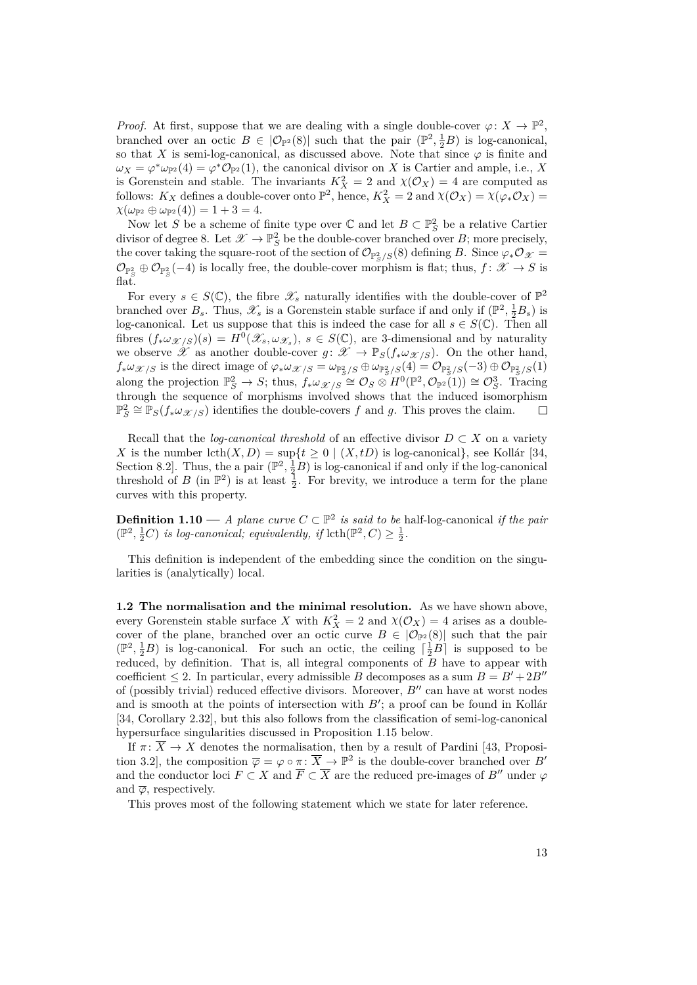*Proof.* At first, suppose that we are dealing with a single double-cover  $\varphi \colon X \to \mathbb{P}^2$ , branched over an octic  $B \in |\mathcal{O}_{\mathbb{P}^2}(8)|$  such that the pair  $(\mathbb{P}^2, \frac{1}{2}B)$  is log-canonical, so that *X* is semi-log-canonical, as discussed above. Note that since  $\varphi$  is finite and  $\omega_X = \varphi^* \omega_{\mathbb{P}^2}(4) = \varphi^* \mathcal{O}_{\mathbb{P}^2}(1)$ , the canonical divisor on *X* is Cartier and ample, i.e., *X* is Gorenstein and stable. The invariants  $K_X^2 = 2$  and  $\chi(\mathcal{O}_X) = 4$  are computed as follows:  $K_X$  defines a double-cover onto  $\mathbb{P}^2$ , hence,  $K_X^2 = 2$  and  $\chi(\mathcal{O}_X) = \chi(\varphi_* \mathcal{O}_X) =$  $\chi(\omega_{\mathbb{P}^2} \oplus \omega_{\mathbb{P}^2}(4)) = 1 + 3 = 4.$ 

Now let *S* be a scheme of finite type over  $\mathbb{C}$  and let  $B \subset \mathbb{P}_{S}^{2}$  be a relative Cartier divisor of degree 8. Let  $\mathcal{X} \to \mathbb{P}^2_S$  be the double-cover branched over *B*; more precisely, the cover taking the square-root of the section of  $\mathcal{O}_{\mathbb{P}^2_S/S}(8)$  defining *B*. Since  $\varphi_*\mathcal{O}_\mathscr{X} =$  $\mathcal{O}_{\mathbb{P}_S^2} \oplus \mathcal{O}_{\mathbb{P}_S^2}(-4)$  is locally free, the double-cover morphism is flat; thus,  $f: \mathscr{X} \to S$  is flat.

For every  $s \in S(\mathbb{C})$ , the fibre  $\mathscr{X}_s$  naturally identifies with the double-cover of  $\mathbb{P}^2$ branched over  $B_s$ . Thus,  $\mathscr{X}_s$  is a Gorenstein stable surface if and only if  $(\mathbb{P}^2, \frac{1}{2}B_s)$  is log-canonical. Let us suppose that this is indeed the case for all  $s \in S(\mathbb{C})$ . Then all fibres  $(f_*\omega_{\mathscr{X}/S})(s) = H^0(\mathscr{X}_s, \omega_{\mathscr{X}_s}), s \in S(\mathbb{C})$ , are 3-dimensional and by naturality we observe  $\mathscr{X}$  as another double-cover  $g: \mathscr{X} \to \mathbb{P}_S(f_* \omega_{\mathscr{X}/S})$ . On the other hand,  $f_*\omega_{\mathscr{X}/S}$  is the direct image of  $\varphi_*\omega_{\mathscr{X}/S} = \omega_{\mathbb{P}^2_S/S} \oplus \omega_{\mathbb{P}^2_S/S}(4) = \mathcal{O}_{\mathbb{P}^2_S/S}(-3) \oplus \mathcal{O}_{\mathbb{P}^2_S/S}(1)$ along the projection  $\mathbb{P}_{S}^{2} \to S$ ; thus,  $f_{*}\omega_{\mathscr{X}/S} \cong \mathcal{O}_{S} \otimes H^{0}(\mathbb{P}^{2}, \mathcal{O}_{\mathbb{P}^{2}}(1)) \cong \mathcal{O}_{S}^{3}$ . Tracing through the sequence of morphisms involved shows that the induced isomorphism  $\mathbb{P}_{S}^{2} \cong \mathbb{P}_{S}(f_{*}\omega_{\mathscr{X}/S})$  identifies the double-covers *f* and *g*. This proves the claim.

Recall that the *log-canonical threshold* of an effective divisor  $D \subset X$  on a variety *X* is the number lcth $(X, D) = \sup\{t \geq 0 \mid (X, tD) \text{ is log-canonical}\}\)$ , see Kollár [[34,](#page-98-3) Section 8.2]. Thus, the a pair  $(\mathbb{P}^2, \frac{1}{2}B)$  is log-canonical if and only if the log-canonical threshold of *B* (in  $\mathbb{P}^2$ ) is at least  $\frac{1}{2}$ . For brevity, we introduce a term for the plane curves with this property.

**Definition 1.10** — *A* plane curve  $C \subset \mathbb{P}^2$  is said to be half-log-canonical *if the pair*  $(\mathbb{P}^2, \frac{1}{2}C)$  *is log-canonical; equivalently, if* lcth $(\mathbb{P}^2, C) \geq \frac{1}{2}$ *.* 

This definition is independent of the embedding since the condition on the singularities is (analytically) local.

<span id="page-18-0"></span>**1.2 The normalisation and the minimal resolution.** As we have shown above, every Gorenstein stable surface *X* with  $K_X^2 = 2$  and  $\chi(\mathcal{O}_X) = 4$  arises as a doublecover of the plane, branched over an octic curve  $B \in |{\mathcal{O}}_{{\mathbb{P}}^2}(8)|$  such that the pair  $(\mathbb{P}^2, \frac{1}{2}B)$  is log-canonical. For such an octic, the ceiling  $\lceil \frac{1}{2}B \rceil$  is supposed to be reduced, by definition. That is, all integral components of *B* have to appear with coefficient  $\leq$  2. In particular, every admissible *B* decomposes as a sum  $B = B' + 2B''$ of (possibly trivial) reduced effective divisors. Moreover, *B′′* can have at worst nodes and is smooth at the points of intersection with *B′* ; a proof can be found in Kollár [[34,](#page-98-3) Corollary 2.32], but this also follows from the classification of semi-log-canonical hypersurface singularities discussed in Proposition [1.15](#page-21-1) below.

If  $\pi: \overline{X} \to X$  denotes the normalisation, then by a result of Pardini [[43,](#page-98-8) Proposition 3.2], the composition  $\overline{\varphi} = \varphi \circ \pi \colon \overline{X} \to \mathbb{P}^2$  is the double-cover branched over *B'* and the conductor loci  $F \subset X$  and  $\overline{F} \subset \overline{X}$  are the reduced pre-images of  $B''$  under  $\varphi$ and  $\overline{\varphi}$ , respectively.

<span id="page-18-1"></span>This proves most of the following statement which we state for later reference.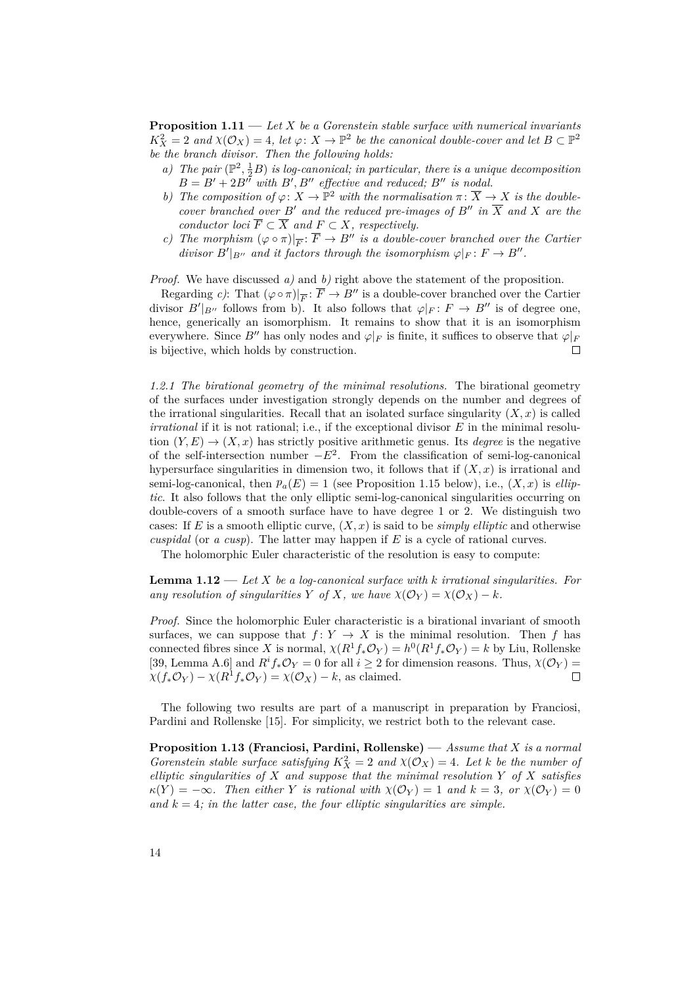**Proposition 1.11 —** *Let X be a Gorenstein stable surface with numerical invariants*  $K_X^2 = 2$  *and*  $\chi(\mathcal{O}_X) = 4$ *, let*  $\varphi: X \to \mathbb{P}^2$  *be the canonical double-cover and let*  $B \subset \mathbb{P}^2$ *be the branch divisor. Then the following holds:*

- <span id="page-19-0"></span>*a*) *The pair*  $(\mathbb{P}^2, \frac{1}{2}B)$  *is log-canonical; in particular, there is a unique decomposition*  $B = B' + 2B''$  *with*  $B'$ ,  $B''$  *effective and reduced;*  $B''$  *is nodal.*
- <span id="page-19-1"></span>*b*) *The composition of*  $\varphi: X \to \mathbb{P}^2$  *with the normalisation*  $\pi: \overline{X} \to X$  *is the doublecover branched over*  $B'$  *and the reduced pre-images of*  $B''$  *in*  $\overline{X}$  *and*  $X$  *are the conductor loci*  $\overline{F} \subset \overline{X}$  *and*  $F \subset X$ *, respectively.*
- <span id="page-19-2"></span>*c)* The morphism  $(\varphi \circ \pi)|_{\overline{F}} : \overline{F} \to B''$  is a double-cover branched over the Cartier *divisor*  $B'|_{B''}$  *and it factors through the isomorphism*  $\varphi|_F: F \to B''$ .

*Proof.* We have discussed *[a\)](#page-19-0)* and *[b\)](#page-19-1)* right above the statement of the proposition.

Regarding *c*): That  $(\varphi \circ \pi)|_{\overline{F}}: \overline{F} \to B''$  is a double-cover branched over the Cartier divisor  $B'|_{B''}$  follows from [b\).](#page-19-1) It also follows that  $\varphi|_F: F \to B''$  is of degree one, hence, generically an isomorphism. It remains to show that it is an isomorphism everywhere. Since *B*<sup>*''*</sup> has only nodes and  $\varphi|_F$  is finite, it suffices to observe that  $\varphi|_F$ is bijective, which holds by construction.  $\Box$ 

*1.2.1 The birational geometry of the minimal resolutions.* The birational geometry of the surfaces under investigation strongly depends on the number and degrees of the irrational singularities. Recall that an isolated surface singularity  $(X, x)$  is called *irrational* if it is not rational; i.e., if the exceptional divisor *E* in the minimal resolution  $(Y, E) \rightarrow (X, x)$  has strictly positive arithmetic genus. Its *degree* is the negative of the self-intersection number *−E*<sup>2</sup> . From the classification of semi-log-canonical hypersurface singularities in dimension two, it follows that if  $(X, x)$  is irrational and semi-log-canonical, then  $p_a(E) = 1$  (see Proposition [1.15](#page-21-1) below), i.e.,  $(X, x)$  is *elliptic*. It also follows that the only elliptic semi-log-canonical singularities occurring on double-covers of a smooth surface have to have degree 1 or 2. We distinguish two cases: If *E* is a smooth elliptic curve,  $(X, x)$  is said to be *simply elliptic* and otherwise *cuspidal* (or *a cusp*). The latter may happen if *E* is a cycle of rational curves.

<span id="page-19-3"></span>The holomorphic Euler characteristic of the resolution is easy to compute:

**Lemma 1.12 —** *Let X be a log-canonical surface with k irrational singularities. For any resolution of singularities Y of X, we have*  $\chi(\mathcal{O}_Y) = \chi(\mathcal{O}_X) - k$ *.* 

*Proof.* Since the holomorphic Euler characteristic is a birational invariant of smooth surfaces, we can suppose that  $f: Y \to X$  is the minimal resolution. Then f has connected fibres since *X* is normal,  $\chi(R^1 f_* \mathcal{O}_Y) = h^0(R^1 f_* \mathcal{O}_Y) = k$  by Liu, Rollenske [\[39](#page-98-6), Lemma A.6] and  $R^i f_* \mathcal{O}_Y = 0$  for all  $i \geq 2$  for dimension reasons. Thus,  $\chi(\mathcal{O}_Y) = \chi(f_* \mathcal{O}_Y) - \chi(R^1 f_* \mathcal{O}_Y) = \chi(\mathcal{O}_X) - k$ , as claimed.  $\chi(f_*\mathcal{O}_Y) - \chi(R^1f_*\mathcal{O}_Y) = \chi(\mathcal{O}_X) - k$ , as claimed.

The following two results are part of a manuscript in preparation by Franciosi, Pardini and Rollenske [\[15](#page-97-8)]. For simplicity, we restrict both to the relevant case.

<span id="page-19-4"></span>**Proposition 1.13 (Franciosi, Pardini, Rollenske) —** *Assume that X is a normal Gorenstein stable surface satisfying*  $K_X^2 = 2$  *and*  $\chi(\mathcal{O}_X) = 4$ *. Let k be the number of elliptic singularities of X and suppose that the minimal resolution Y of X satisfies*  $\kappa(Y) = -\infty$ . Then either *Y* is rational with  $\chi(\mathcal{O}_Y) = 1$  and  $k = 3$ , or  $\chi(\mathcal{O}_Y) = 0$ and  $k = 4$ ; in the latter case, the four elliptic singularities are simple.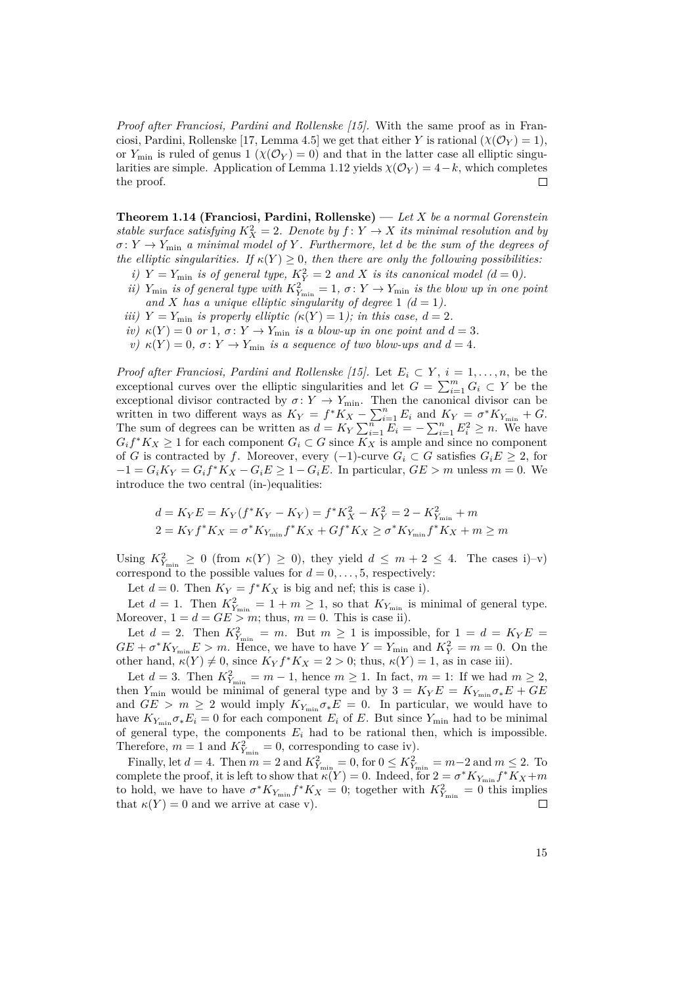*Proof after Franciosi, Pardini and Rollenske [\[15\]](#page-97-8).* With the same proof as in Fran-ciosi, Pardini, Rollenske [[17,](#page-97-9) Lemma 4.5] we get that either *Y* is rational  $(\chi(\mathcal{O}_Y) = 1)$ , or  $Y_{\text{min}}$  is ruled of genus 1 ( $\chi(\mathcal{O}_Y) = 0$ ) and that in the latter case all elliptic singu-larities are simple. Application of Lemma [1.12](#page-19-3) yields  $\chi(\mathcal{O}_Y) = 4 - k$ , which completes the proof.  $\Box$ 

<span id="page-20-5"></span>**Theorem 1.14 (Franciosi, Pardini, Rollenske) —** *Let X be a normal Gorenstein stable surface satisfying*  $K_X^2 = 2$ . Denote by  $f: Y \to X$  *its minimal resolution and by*  $\sigma: Y \to Y_{\text{min}}$  *a minimal model of Y*. Furthermore, let *d* be the sum of the degrees of *the elliptic singularities. If*  $\kappa(Y) \geq 0$ *, then there are only the following possibilities:* 

- <span id="page-20-0"></span>*i*)  $Y = Y_{\text{min}}$  *is of general type,*  $K_Y^2 = 2$  *and X is its canonical model*  $(d = 0)$ .
- <span id="page-20-2"></span>*ii)*  $Y_{\text{min}}$  *is of general type with*  $K_{Y_{\text{min}}}^2 = 1$ ,  $\sigma: Y \to Y_{\text{min}}$  *is the blow up in one point* and *X* has a unique elliptic singularity of degree 1  $(d = 1)$ .
- <span id="page-20-3"></span>*iii*)  $Y = Y_{\text{min}}$  *is properly elliptic*  $(\kappa(Y) = 1)$ *; in this case,*  $d = 2$ *.*
- <span id="page-20-4"></span>*iv*)  $\kappa(Y) = 0$  *or* 1*,*  $\sigma: Y \to Y_{\text{min}}$  *is a blow-up in one point and*  $d = 3$ *.*
- <span id="page-20-1"></span> $\nu$ *)*  $\kappa(Y) = 0$ ,  $\sigma: Y \to Y_{\text{min}}$  *is a sequence of two blow-ups and*  $d = 4$ *.*

*Proof after Franciosi, Pardini and Rollenske* [\[15\]](#page-97-8)*.* Let  $E_i \subset Y$ ,  $i = 1, \ldots, n$ , be the exceptional curves over the elliptic singularities and let  $G = \sum_{i=1}^{m} G_i \subset Y$  be the exceptional divisor contracted by  $\sigma: Y \to Y_{\min}$ . Then the canonical divisor can be written in two different ways as  $K_Y = f^*K_X - \sum_{i=1}^n E_i$  and  $K_Y = \sigma^*K_{Y_{\min}} + G$ . The sum of degrees can be written as  $d = K_Y \sum_{i=1}^n E_i = -\sum_{i=1}^n E_i^2 \geq n$ . We have  $G_i f^* K_X \geq 1$  for each component  $G_i \subset G$  since  $K_X$  is ample and since no component of *G* is contracted by *f*. Moreover, every  $(-1)$ -curve  $G_i \subset G$  satisfies  $G_i E \geq 2$ , for  $-1 = G_i K_Y = G_i f^* K_X - G_i E \ge 1 - G_i E$ . In particular,  $GE > m$  unless  $m = 0$ . We introduce the two central (in-)equalities:

$$
d = K_Y E = K_Y(f^* K_Y - K_Y) = f^* K_X^2 - K_Y^2 = 2 - K_{Y_{\min}}^2 + m
$$
  

$$
2 = K_Y f^* K_X = \sigma^* K_{Y_{\min}} f^* K_X + G f^* K_X \ge \sigma^* K_{Y_{\min}} f^* K_X + m \ge m
$$

Using  $K_{Y_{\min}}^2 \geq 0$  (from  $\kappa(Y) \geq 0$ ), they yield  $d \leq m+2 \leq 4$ . The cases [i\)–](#page-20-0)[v\)](#page-20-1) correspond to the possible values for  $d = 0, \ldots, 5$ , respectively:

Let  $d = 0$ . Then  $K_Y = f^*K_X$  is big and nef; this is case [i\)](#page-20-0).

Let  $d = 1$ . Then  $K_{Y_{\min}}^2 = 1 + m \ge 1$ , so that  $K_{Y_{\min}}$  is minimal of general type. Moreover,  $1 = d = GE > m$ ; thus,  $m = 0$ . This is case [ii\).](#page-20-2)

Let  $d = 2$ . Then  $K_{Y_{\text{min}}}^2 = m$ . But  $m \ge 1$  is impossible, for  $1 = d = K_Y E =$  $GE + \sigma^* K_{Y_{\text{min}}} E > m$ . Hence, we have to have  $Y = Y_{\text{min}}$  and  $K_Y^2 = m = 0$ . On the other hand,  $\kappa(Y) \neq 0$ , since  $K_Y f^* K_X = 2 > 0$ ; thus,  $\kappa(Y) = 1$ , as in case [iii\)](#page-20-3).

Let  $d = 3$ . Then  $K_{Y_{\min}}^2 = m - 1$ , hence  $m \ge 1$ . In fact,  $m = 1$ : If we had  $m \ge 2$ , then  $Y_{\text{min}}$  would be minimal of general type and by  $3 = K_Y E = K_{Y_{\text{min}}}\sigma_* E + GE$ and  $GE > m \geq 2$  would imply  $K_{Y_{\min}} \sigma_* E = 0$ . In particular, we would have to have  $K_{Y_{\min}} \sigma_* E_i = 0$  for each component  $E_i$  of  $E$ . But since  $Y_{\min}$  had to be minimal of general type, the components  $E_i$  had to be rational then, which is impossible. Therefore,  $m = 1$  and  $K_{Y_{\min}}^2 = 0$ , corresponding to case [iv\).](#page-20-4)

Finally, let  $d = 4$ . Then  $m = 2$  and  $K_{Y_{\text{min}}}^2 = 0$ , for  $0 \le K_{Y_{\text{min}}}^2 = m-2$  and  $m \le 2$ . To complete the proof, it is left to show that  $\kappa(Y) = 0$ . Indeed, for  $2 = \sigma^* K_{Y_{\text{min}}} f^* K_X + m$ to hold, we have to have  $\sigma^* K_{Y_{\min}} f^* K_X = 0$ ; together with  $K^2_{Y_{\min}} = 0$  this implies that  $\kappa(Y) = 0$  and we arrive at case [v\).](#page-20-1)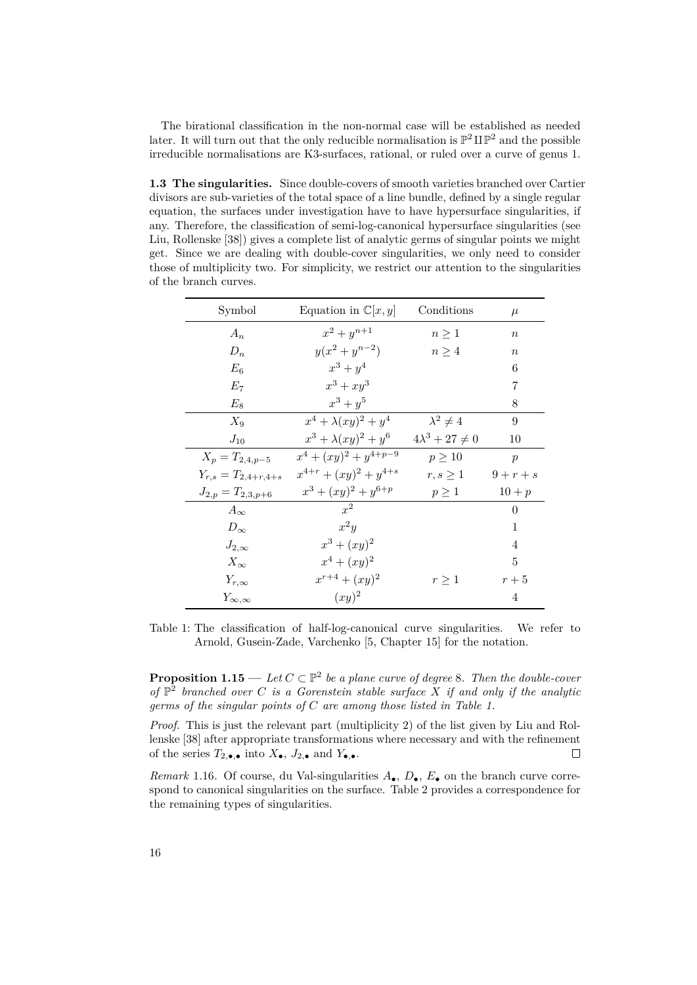The birational classification in the non-normal case will be established as needed later. It will turn out that the only reducible normalisation is  $\mathbb{P}^2 \amalg \mathbb{P}^2$  and the possible irreducible normalisations are K3-surfaces, rational, or ruled over a curve of genus 1.

<span id="page-21-0"></span>**1.3 The singularities.** Since double-covers of smooth varieties branched over Cartier divisors are sub-varieties of the total space of a line bundle, defined by a single regular equation, the surfaces under investigation have to have hypersurface singularities, if any. Therefore, the classification of semi-log-canonical hypersurface singularities (see Liu, Rollenske [\[38](#page-98-9)]) gives a complete list of analytic germs of singular points we might get. Since we are dealing with double-cover singularities, we only need to consider those of multiplicity two. For simplicity, we restrict our attention to the singularities of the branch curves.

| Symbol                    | Conditions<br>Equation in $\mathbb{C}[x,y]$ |                          | $\mu$            |
|---------------------------|---------------------------------------------|--------------------------|------------------|
| $A_n$                     | $x^2 + y^{n+1}$                             | $n\geq 1$                | $\boldsymbol{n}$ |
| $D_n$                     | $y(x^2+y^{n-2})$                            | $n\geq 4$                | $\boldsymbol{n}$ |
| $E_6$                     | $x^3 + y^4$                                 |                          | 6                |
| $E_7$                     | $x^3 + xy^3$                                |                          | 7                |
| $E_8$                     | $x^3 + y^5$                                 |                          | 8                |
| $X_9$                     | $x^4 + \lambda(xy)^2 + y^4$                 | $\lambda^2 \neq 4$       | 9                |
| $J_{10}$                  | $x^3 + \lambda(xy)^2 + y^6$                 | $4\lambda^3 + 27 \neq 0$ | 10               |
| $X_p = T_{2,4,p-5}$       | $x^4 + (xy)^2 + y^{4+p-9}$                  | $p \geq 10$              | $\boldsymbol{p}$ |
| $Y_{r,s} = T_{2,4+r,4+s}$ | $x^{4+r} + (xy)^2 + y^{4+s}$                | $r, s \geq 1$            | $9+r+s$          |
| $J_{2,p} = T_{2,3,p+6}$   | $x^3 + (xy)^2 + y^{6+p}$                    | $p \geq 1$               | $10 + p$         |
| $A_{\infty}$              | $x^2$                                       |                          | $\overline{0}$   |
| $D_\infty$                | $x^2y$                                      |                          | 1                |
| $J_{2,\infty}$            | $x^3 + (xy)^2$                              |                          | 4                |
| $X_{\infty}$              | $x^4 + (xy)^2$                              |                          | 5                |
| $Y_{r,\infty}$            | $x^{r+4} + (xy)^2$                          | $r\geq 1$                | $r+5$            |
| $Y_{\infty,\infty}$       | $(xy)^2$                                    |                          | 4                |

<span id="page-21-2"></span>Table 1: The classification of half-log-canonical curve singularities. We refer to Arnold, Gusein-Zade, Varchenko [\[5,](#page-96-4) Chapter 15] for the notation.

<span id="page-21-1"></span>**Proposition 1.15** — *Let*  $C \subset \mathbb{P}^2$  *be a plane curve of degree* 8*. Then the double-cover of* P 2 *branched over C is a Gorenstein stable surface X if and only if the analytic germs of the singular points of C are among those listed in [Table 1.](#page-21-2)*

*Proof.* This is just the relevant part (multiplicity 2) of the list given by Liu and Rollenske [\[38](#page-98-9)] after appropriate transformations where necessary and with the refinement of the series  $T_{2,\bullet,\bullet}$  into  $X_{\bullet}, J_{2,\bullet}$  and  $Y_{\bullet,\bullet}$ .  $\Box$ 

*Remark* 1.16*.* Of course, du Val-singularities *A•*, *D•*, *E•* on the branch curve correspond to canonical singularities on the surface. [Table 2](#page-22-1) provides a correspondence for the remaining types of singularities.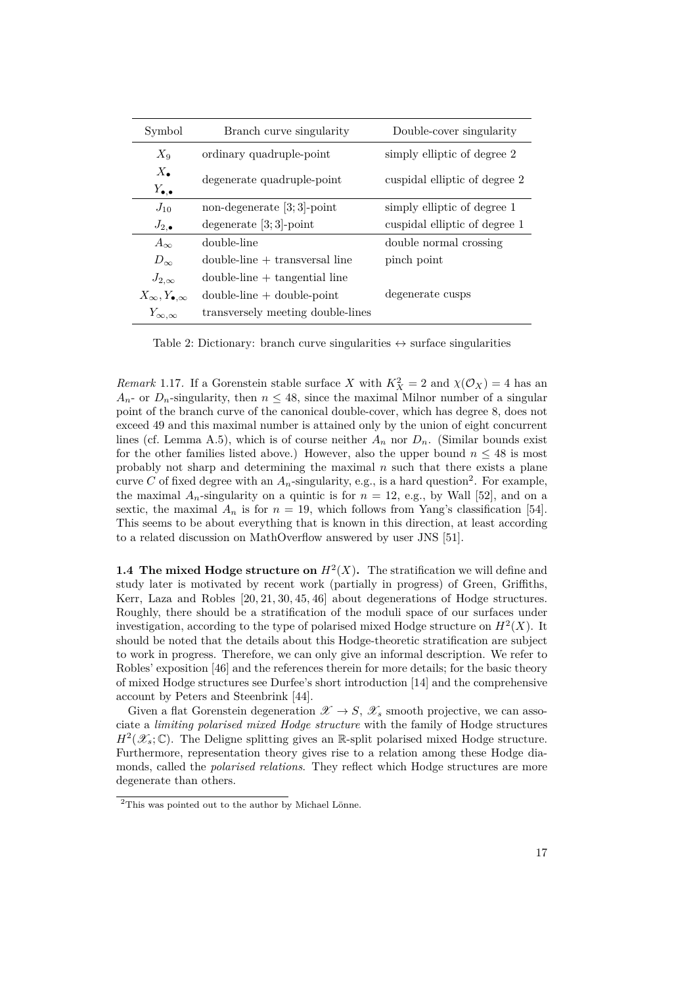| Symbol                           | Branch curve singularity          | Double-cover singularity      |  |
|----------------------------------|-----------------------------------|-------------------------------|--|
| $X_9$                            | ordinary quadruple-point          | simply elliptic of degree 2   |  |
| $X_{\bullet}$                    | degenerate quadruple-point        | cuspidal elliptic of degree 2 |  |
| $Y_{\bullet,\bullet}$            |                                   |                               |  |
| $J_{10}$                         | non-degenerate $[3;3]$ -point     | simply elliptic of degree 1   |  |
| $J_{2,\bullet}$                  | degenerate $[3;3]$ -point         | cuspidal elliptic of degree 1 |  |
| $A_{\infty}$                     | double-line                       | double normal crossing        |  |
| $D_{\infty}$                     | $double-line + transversal line$  | pinch point                   |  |
| $J_{2,\infty}$                   | $double-line + tangential line$   |                               |  |
| $X_{\infty}, Y_{\bullet,\infty}$ | $double-line + double-point$      | degenerate cusps              |  |
| $Y_{\infty,\infty}$              | transversely meeting double-lines |                               |  |

<span id="page-22-1"></span>Table 2: Dictionary: branch curve singularities  $\leftrightarrow$  surface singularities

*Remark* 1.17. If a Gorenstein stable surface *X* with  $K_X^2 = 2$  and  $\chi(\mathcal{O}_X) = 4$  has an  $A_n$ - or  $D_n$ -singularity, then  $n \leq 48$ , since the maximal Milnor number of a singular point of the branch curve of the canonical double-cover, which has degree 8, does not exceed 49 and this maximal number is attained only by the union of eight concurrent lines (cf. Lemma [A.5](#page-42-0)), which is of course neither  $A_n$  nor  $D_n$ . (Similar bounds exist for the other families listed above.) However, also the upper bound  $n \leq 48$  is most probably not sharp and determining the maximal  $n$  such that there exists a plane curve C of fixed degree with an  $A_n$ -singularity, e.g., is a hard question<sup>[2](#page-22-2)</sup>. For example, the maximal  $A_n$ -singularity on a quintic is for  $n = 12$ , e.g., by Wall [[52\]](#page-99-1), and on a sextic, the maximal  $A_n$  is for  $n = 19$ , which follows from Yang's classification [\[54](#page-99-2)]. This seems to be about everything that is known in this direction, at least according to a related discussion on MathOverflow answered by user JNS [[51\]](#page-99-3).

<span id="page-22-0"></span>**1.4 The mixed Hodge structure on**  $H^2(X)$ **.** The stratification we will define and study later is motivated by recent work (partially in progress) of Green, Griffiths, Kerr, Laza and Robles [\[20](#page-97-4), [21,](#page-97-5) [30](#page-97-6), [45](#page-98-1), [46\]](#page-98-2) about degenerations of Hodge structures. Roughly, there should be a stratification of the moduli space of our surfaces under investigation, according to the type of polarised mixed Hodge structure on  $H^2(X)$ . It should be noted that the details about this Hodge-theoretic stratification are subject to work in progress. Therefore, we can only give an informal description. We refer to Robles' exposition [\[46](#page-98-2)] and the references therein for more details; for the basic theory of mixed Hodge structures see Durfee's short introduction [[14\]](#page-96-5) and the comprehensive account by Peters and Steenbrink [\[44](#page-98-10)].

Given a flat Gorenstein degeneration  $\mathscr{X} \to S$ ,  $\mathscr{X}_s$  smooth projective, we can associate a *limiting polarised mixed Hodge structure* with the family of Hodge structures  $H^2(\mathscr{X}_s;\mathbb{C})$ . The Deligne splitting gives an R-split polarised mixed Hodge structure. Furthermore, representation theory gives rise to a relation among these Hodge diamonds, called the *polarised relations*. They reflect which Hodge structures are more degenerate than others.

<span id="page-22-2"></span><sup>2</sup>This was pointed out to the author by Michael Lönne.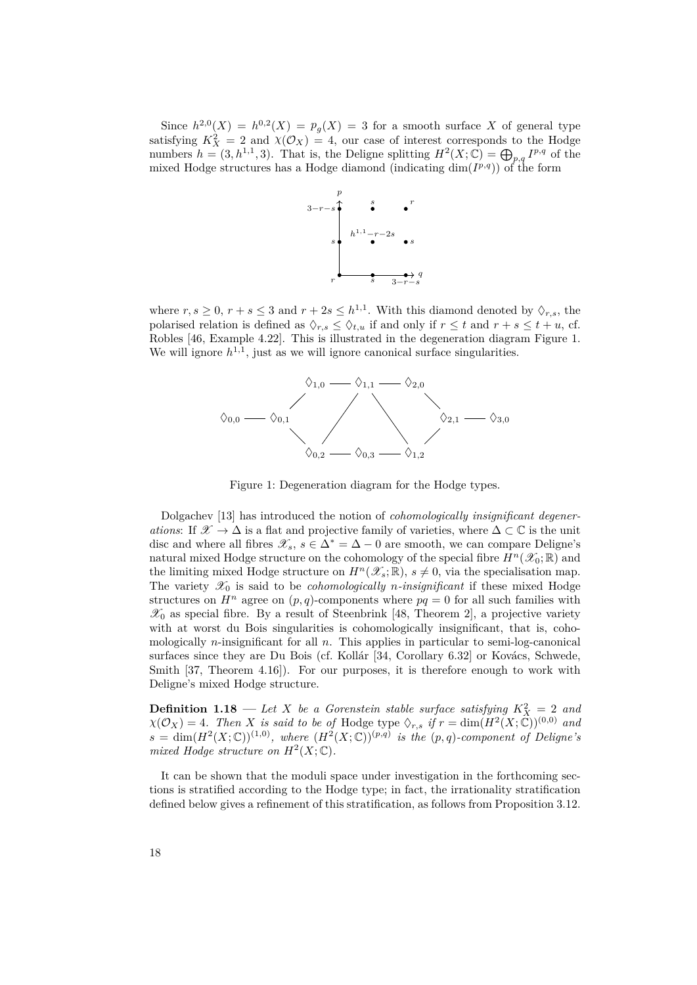Since  $h^{2,0}(X) = h^{0,2}(X) = p_g(X) = 3$  for a smooth surface X of general type satisfying  $K_X^2 = 2$  and  $\chi(\mathcal{O}_X) = 4$ , our case of interest corresponds to the Hodge numbers  $h = (3, h^{1,1}, 3)$ . That is, the Deligne splitting  $H^2(X; \mathbb{C}) = \bigoplus_{p,q} I^{p,q}$  of the mixed Hodge structures has a Hodge diamond (indicating dim $(I^{p,q})$ ) of the form



where  $r, s \geq 0, r + s \leq 3$  and  $r + 2s \leq h^{1,1}$ . With this diamond denoted by  $\Diamond_{r,s}$ , the polarised relation is defined as  $\Diamond_{r,s} \leq \Diamond_{t,u}$  if and only if  $r \leq t$  and  $r + s \leq t + u$ , cf. Robles [[46,](#page-98-2) Example 4.22]. This is illustrated in the degeneration diagram [Figure 1](#page-23-1). We will ignore  $h^{1,1}$ , just as we will ignore canonical surface singularities.



<span id="page-23-1"></span>Figure 1: Degeneration diagram for the Hodge types.

Dolgachev [\[13](#page-96-6)] has introduced the notion of *cohomologically insignificant degenerations*: If  $\mathscr{X} \to \Delta$  is a flat and projective family of varieties, where  $\Delta \subset \mathbb{C}$  is the unit disc and where all fibres  $\mathscr{X}_s$ ,  $s \in \Delta^* = \Delta - 0$  are smooth, we can compare Deligne's natural mixed Hodge structure on the cohomology of the special fibre  $H^n(\mathscr{X}_0;\mathbb{R})$  and the limiting mixed Hodge structure on  $H^n(\mathscr{X}_s; \mathbb{R}), s \neq 0$ , via the specialisation map. The variety  $\mathscr{X}_0$  is said to be *cohomologically n-insignificant* if these mixed Hodge structures on  $H^n$  agree on  $(p, q)$ -components where  $pq = 0$  for all such families with  $\mathscr{X}_0$  as special fibre. By a result of Steenbrink [\[48](#page-98-11), Theorem 2], a projective variety with at worst du Bois singularities is cohomologically insignificant, that is, cohomologically *n*-insignificant for all *n*. This applies in particular to semi-log-canonical surfaces since they are Du Bois (cf. Kollár [[34,](#page-98-3) Corollary 6.32] or Kovács, Schwede, Smith [[37,](#page-98-4) Theorem 4.16]). For our purposes, it is therefore enough to work with Deligne's mixed Hodge structure.

<span id="page-23-0"></span>**Definition 1.18** — Let X be a Gorenstein stable surface satisfying  $K_X^2 = 2$  and  $\chi(\mathcal{O}_X) = 4$ . Then *X* is said to be of Hodge type  $\Diamond_{r,s}$  if  $r = \dim(H^2(X;\mathbb{C}))^{(0,0)}$  and  $s = \dim(H^2(X;\mathbb{C}))^{(1,0)}$ , where  $(H^2(X;\mathbb{C}))^{(p,q)}$  is the  $(p,q)$ -component of Deligne's *mixed Hodge structure on*  $H^2(X; \mathbb{C})$ *.* 

It can be shown that the moduli space under investigation in the forthcoming sections is stratified according to the Hodge type; in fact, the irrationality stratification defined below gives a refinement of this stratification, as follows from Proposition [3.12](#page-32-0).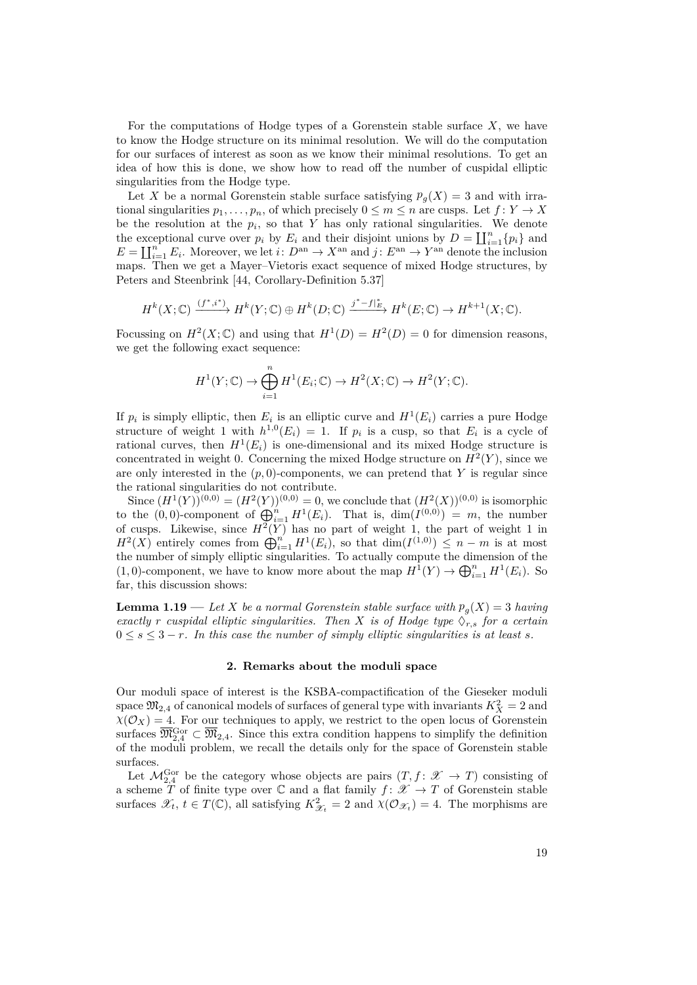For the computations of Hodge types of a Gorenstein stable surface *X*, we have to know the Hodge structure on its minimal resolution. We will do the computation for our surfaces of interest as soon as we know their minimal resolutions. To get an idea of how this is done, we show how to read off the number of cuspidal elliptic singularities from the Hodge type.

Let *X* be a normal Gorenstein stable surface satisfying  $p_q(X) = 3$  and with irrational singularities  $p_1, \ldots, p_n$ , of which precisely  $0 \leq m \leq n$  are cusps. Let  $f: Y \to X$ be the resolution at the  $p_i$ , so that  $Y$  has only rational singularities. We denote the exceptional curve over  $p_i$  by  $E_i$  and their disjoint unions by  $D = \coprod_{i=1}^n \{p_i\}$  and  $E = \coprod_{i=1}^{n} E_i$ . Moreover, we let  $i: D^{\text{an}} \to X^{\text{an}}$  and  $j: E^{\text{an}} \to Y^{\text{an}}$  denote the inclusion maps. Then we get a Mayer–Vietoris exact sequence of mixed Hodge structures, by Peters and Steenbrink [[44,](#page-98-10) Corollary-Definition 5.37]

$$
H^k(X; \mathbb{C}) \xrightarrow{(f^*, i^*)} H^k(Y; \mathbb{C}) \oplus H^k(D; \mathbb{C}) \xrightarrow{j^*-f|_{E}^*} H^k(E; \mathbb{C}) \to H^{k+1}(X; \mathbb{C}).
$$

Focussing on  $H^2(X; \mathbb{C})$  and using that  $H^1(D) = H^2(D) = 0$  for dimension reasons, we get the following exact sequence:

$$
H^1(Y; \mathbb{C}) \to \bigoplus_{i=1}^n H^1(E_i; \mathbb{C}) \to H^2(X; \mathbb{C}) \to H^2(Y; \mathbb{C}).
$$

If  $p_i$  is simply elliptic, then  $E_i$  is an elliptic curve and  $H^1(E_i)$  carries a pure Hodge structure of weight 1 with  $h^{1,0}(E_i) = 1$ . If  $p_i$  is a cusp, so that  $E_i$  is a cycle of rational curves, then  $H^1(E_i)$  is one-dimensional and its mixed Hodge structure is concentrated in weight 0. Concerning the mixed Hodge structure on  $H^2(Y)$ , since we are only interested in the  $(p, 0)$ -components, we can pretend that  $Y$  is regular since the rational singularities do not contribute.

Since  $(H^1(Y))^{(0,0)} = (H^2(Y))^{(0,0)} = 0$ , we conclude that  $(H^2(X))^{(0,0)}$  is isomorphic to the  $(0,0)$ -component of  $\bigoplus_{i=1}^{n} H^{1}(E_{i})$ . That is,  $\dim(I^{(0,0)}) = m$ , the number of cusps. Likewise, since  $H^2(Y)$  has no part of weight 1, the part of weight 1 in  $H^2(X)$  entirely comes from  $\bigoplus_{i=1}^{n'} H^1(E_i)$ , so that  $\dim(I^{(1,0)}) \leq n-m$  is at most the number of simply elliptic singularities. To actually compute the dimension of the  $(1,0)$ -component, we have to know more about the map  $H^1(Y) \to \bigoplus_{i=1}^n H^1(E_i)$ . So far, this discussion shows:

<span id="page-24-1"></span>**Lemma 1.19** — Let *X* be a normal Gorenstein stable surface with  $p_g(X) = 3$  having *exactly r cuspidal elliptic singularities. Then X is of Hodge type*  $\Diamond$ *r,s for a certain*  $0 \leq s \leq 3 - r$ . In this case the number of simply elliptic singularities is at least *s*.

#### **2. Remarks about the moduli space**

<span id="page-24-0"></span>Our moduli space of interest is the KSBA-compactification of the Gieseker moduli space  $\mathfrak{M}_{2,4}$  of canonical models of surfaces of general type with invariants  $K_X^2 = 2$  and  $\chi(\mathcal{O}_X) = 4$ . For our techniques to apply, we restrict to the open locus of Gorenstein surfaces  $\overline{\mathfrak{M}}_{2,4}^{\text{Gor}} \subset \overline{\mathfrak{M}}_{2,4}$ . Since this extra condition happens to simplify the definition of the moduli problem, we recall the details only for the space of Gorenstein stable surfaces.

Let  $\mathcal{M}_{2,4}^{\text{Gor}}$  be the category whose objects are pairs  $(T, f: \mathscr{X} \to T)$  consisting of a scheme  $\hat{T}$  of finite type over  $\mathbb C$  and a flat family  $f: \mathscr X \to T$  of Gorenstein stable surfaces  $\mathscr{X}_t$ ,  $t \in T(\mathbb{C})$ , all satisfying  $K^2_{\mathscr{X}_t} = 2$  and  $\chi(\mathcal{O}_{\mathscr{X}_t}) = 4$ . The morphisms are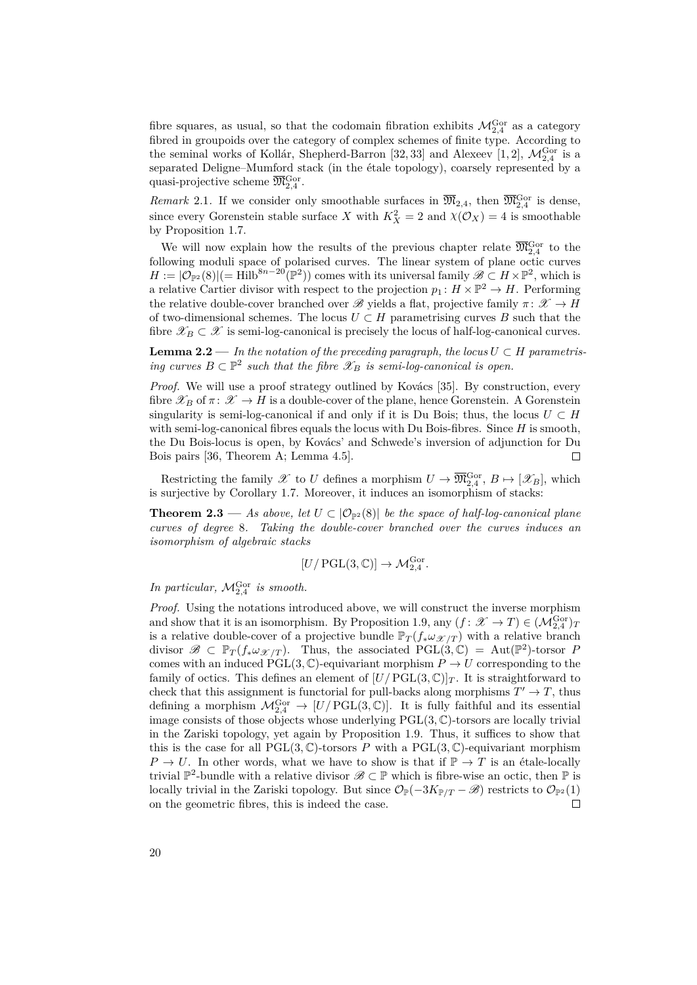fibre squares, as usual, so that the codomain fibration exhibits  $\mathcal{M}_{2,4}^{\text{Gor}}$  as a category fibred in groupoids over the category of complex schemes of finite type. According to the seminal works of Kollár, Shepherd-Barron [\[32](#page-98-0), [33\]](#page-98-12) and Alexeev [\[1](#page-96-0), [2\]](#page-96-7),  $\mathcal{M}_{2,4}^{\text{Gor}}$  is a separated Deligne–Mumford stack (in the étale topology), coarsely represented by a quasi-projective scheme  $\overline{\mathfrak{M}}_{2,4}^{\text{Gor}}$ .

*Remark* 2.1. If we consider only smoothable surfaces in  $\overline{\mathfrak{M}}_{2,4}$ , then  $\overline{\mathfrak{M}}_{2,4}^{\text{Gor}}$  is dense, since every Gorenstein stable surface *X* with  $K_X^2 = 2$  and  $\chi(\mathcal{O}_X) = 4$  is smoothable by Proposition [1.7.](#page-17-0)

We will now explain how the results of the previous chapter relate  $\overline{\mathfrak{M}}_{2,4}^{\rm Gor}$  to the following moduli space of polarised curves. The linear system of plane octic curves  $H := |\mathcal{O}_{\mathbb{P}^2}(8)| (= \text{Hilb}^{8n-20}(\mathbb{P}^2))$  comes with its universal family  $\mathscr{B} \subset H \times \mathbb{P}^2$ , which is a relative Cartier divisor with respect to the projection  $p_1: H \times \mathbb{P}^2 \to H$ . Performing the relative double-cover branched over  $\mathscr{B}$  yields a flat, projective family  $\pi \colon \mathscr{X} \to H$ of two-dimensional schemes. The locus  $U \subset H$  parametrising curves  $B$  such that the fibre  $\mathscr{X}_B \subset \mathscr{X}$  is semi-log-canonical is precisely the locus of half-log-canonical curves.

**Lemma 2.2** — *In the notation of the preceding paragraph, the locus*  $U \subset H$  *parametrising curves*  $B \subset \mathbb{P}^2$  *such that the fibre*  $\mathscr{X}_B$  *is semi-log-canonical is open.* 

*Proof.* We will use a proof strategy outlined by Kovács [\[35](#page-98-13)]. By construction, every fibre  $\mathscr{X}_B$  of  $\pi: \mathscr{X} \to H$  is a double-cover of the plane, hence Gorenstein. A Gorenstein singularity is semi-log-canonical if and only if it is Du Bois; thus, the locus  $U \subset H$ with semi-log-canonical fibres equals the locus with Du Bois-fibres. Since *H* is smooth, the Du Bois-locus is open, by Kovács' and Schwede's inversion of adjunction for Du Bois pairs [[36,](#page-98-14) Theorem A; Lemma 4.5].  $\Box$ 

Restricting the family  $\mathscr{X}$  to *U* defines a morphism  $U \to \overline{\mathfrak{M}}_{2,4}^{\text{Gor}}, B \mapsto [\mathscr{X}_B]$ , which is surjective by Corollary [1.7.](#page-17-0) Moreover, it induces an isomorphism of stacks:

<span id="page-25-0"></span>**Theorem 2.3** — *As above, let*  $U \subset |\mathcal{O}_{\mathbb{P}^2}(8)|$  *be the space of half-log-canonical plane curves of degree* 8*. Taking the double-cover branched over the curves induces an isomorphism of algebraic stacks*

$$
[U/\operatorname{PGL}(3,\mathbb{C})] \to \mathcal{M}_{2,4}^{\operatorname{Gor}}.
$$

*In particular,*  $\mathcal{M}_{2,4}^{\text{Gor}}$  *is smooth.* 

*Proof.* Using the notations introduced above, we will construct the inverse morphism and show that it is an isomorphism. By Proposition [1.9,](#page-17-1) any  $(f: \mathscr{X} \to T) \in (\mathcal{M}_{2,4}^{\text{Gor}})$ is a relative double-cover of a projective bundle  $\mathbb{P}_T(f_*\omega_{\mathscr{X}/T})$  with a relative branch divisor  $\mathscr{B} \subset \mathbb{P}_T(f_*\omega_{\mathscr{X}/T})$ . Thus, the associated  $PGL(3,\mathbb{C}) = Aut(\mathbb{P}^2)$ -torsor *P* comes with an induced  $\text{PGL}(3,\mathbb{C})$ -equivariant morphism  $P \to U$  corresponding to the family of octics. This defines an element of  $[U/PGL(3,\mathbb{C})]_T$ . It is straightforward to check that this assignment is functorial for pull-backs along morphisms  $T' \to T$ , thus defining a morphism  $\mathcal{M}_{2,4}^{\text{Gor}} \to [U/\operatorname{PGL}(3,\mathbb{C})]$ . It is fully faithful and its essential image consists of those objects whose underlying PGL(3*,* C)-torsors are locally trivial in the Zariski topology, yet again by Proposition [1.9.](#page-17-1) Thus, it suffices to show that this is the case for all  $PGL(3,\mathbb{C})$ -torsors *P* with a  $PGL(3,\mathbb{C})$ -equivariant morphism  $P \to U$ . In other words, what we have to show is that if  $\mathbb{P} \to T$  is an étale-locally trivial  $\mathbb{P}^2$ -bundle with a relative divisor  $\mathscr{B} \subset \mathbb{P}$  which is fibre-wise an octic, then  $\mathbb P$  is locally trivial in the Zariski topology. But since  $\mathcal{O}_{\mathbb{P}}(-3K_{\mathbb{P}/T} - \mathscr{B})$  restricts to  $\mathcal{O}_{\mathbb{P}^2}(1)$  on the geometric fibres, this is indeed the case. □ on the geometric fibres, this is indeed the case.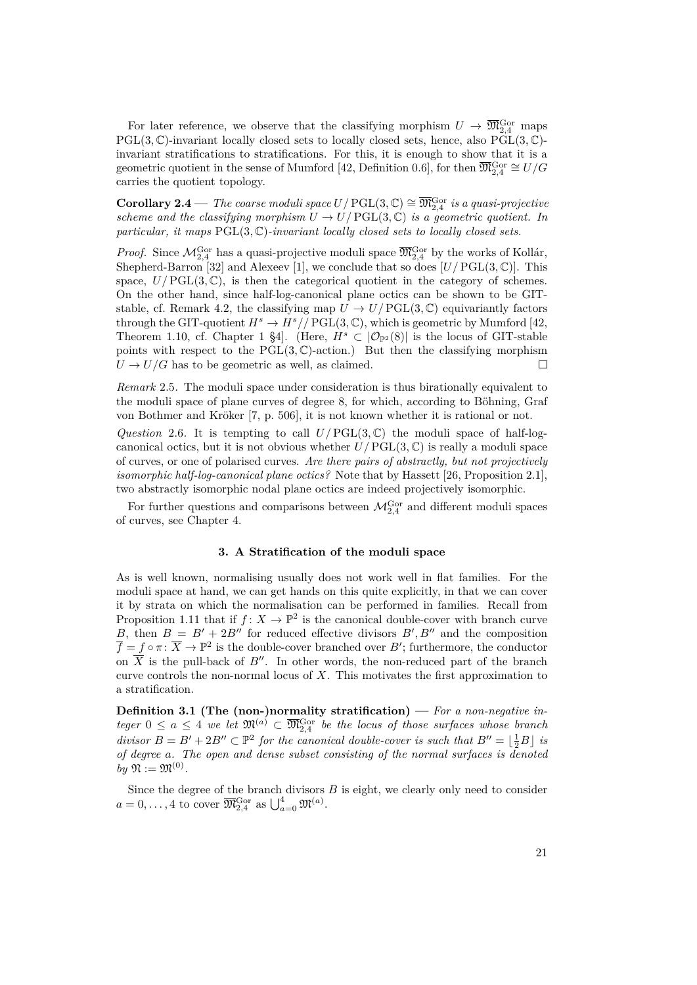For later reference, we observe that the classifying morphism  $U \to \overline{\mathfrak{M}}_{2,4}^{\rm Gor}$  maps PGL(3,  $\mathbb{C}$ )-invariant locally closed sets to locally closed sets, hence, also PGL(3,  $\mathbb{C}$ )invariant stratifications to stratifications. For this, it is enough to show that it is a geometric quotient in the sense of Mumford [\[42](#page-98-15), Definition 0.6], for then  $\overline{\mathfrak{M}}_{2,4}^{\rm Gor} \cong U/G$ carries the quotient topology.

<span id="page-26-1"></span> $Corollary 2.4$  — *The coarse moduli space*  $U/$   $PGL(3,\mathbb{C}) \cong \overline{\mathfrak{M}}_{2,4}^{\rm Gor}$  *is a quasi-projective scheme and the classifying morphism*  $U \to U/PGL(3,\mathbb{C})$  *is a geometric quotient. In particular, it maps* PGL(3*,* C)*-invariant locally closed sets to locally closed sets.*

*Proof.* Since  $M_{2,4}^{\text{Gor}}$  has a quasi-projective moduli space  $\overline{\mathfrak{M}}_{2,4}^{\text{Gor}}$  by the works of Kollár, Shepherd-Barron [[32\]](#page-98-0) and Alexeev [\[1](#page-96-0)], we conclude that so does  $[U/PGL(3,\mathbb{C})]$ . This space,  $U/PGL(3,\mathbb{C})$ , is then the categorical quotient in the category of schemes. On the other hand, since half-log-canonical plane octics can be shown to be GIT-stable, cf. Remark [4.2,](#page-39-1) the classifying map  $U \rightarrow U/PGL(3,\mathbb{C})$  equivariantly factors throughthe GIT-quotient  $H^s \to H^s//\mathrm{PGL}(3,\mathbb{C})$ , which is geometric by Mumford [[42,](#page-98-15) Theorem 1.10, cf. Chapter 1 §4. (Here,  $H^s \subset |\mathcal{O}_{\mathbb{P}^2}(8)|$  is the locus of GIT-stable points with respect to the PGL(3, C)-action.) But then the classifying morphism  $U \rightarrow U/G$  has to be geometric as well, as claimed.  $U \rightarrow U/G$  has to be geometric as well, as claimed.

*Remark* 2.5*.* The moduli space under consideration is thus birationally equivalent to the moduli space of plane curves of degree 8, for which, according to Böhning, Graf von Bothmer and Kröker [[7,](#page-96-8) p. 506], it is not known whether it is rational or not.

*Question* 2.6. It is tempting to call  $U/PGL(3,\mathbb{C})$  the moduli space of half-logcanonical octics, but it is not obvious whether  $U/PGL(3,\mathbb{C})$  is really a moduli space of curves, or one of polarised curves. *Are there pairs of abstractly, but not projectively isomorphic half-log-canonical plane octics?* Note that by Hassett [\[26](#page-97-13), Proposition 2.1], two abstractly isomorphic nodal plane octics are indeed projectively isomorphic.

For further questions and comparisons between  $\mathcal{M}_{2,4}^{\text{Gor}}$  and different moduli spaces of curves, see Chapter [4.](#page-38-0)

## **3. A Stratification of the moduli space**

<span id="page-26-0"></span>As is well known, normalising usually does not work well in flat families. For the moduli space at hand, we can get hands on this quite explicitly, in that we can cover it by strata on which the normalisation can be performed in families. Recall from Proposition [1.11](#page-18-1) that if  $f: X \to \mathbb{P}^2$  is the canonical double-cover with branch curve *B*, then  $B = B' + 2B''$  for reduced effective divisors  $B', B''$  and the composition  $\overline{f} = f \circ \pi \colon \overline{X} \to \mathbb{P}^2$  is the double-cover branched over  $B'$ ; furthermore, the conductor on  $\overline{X}$  is the pull-back of *B<sup>''</sup>*. In other words, the non-reduced part of the branch curve controls the non-normal locus of *X*. This motivates the first approximation to a stratification.

**Definition 3.1 (The (non-)normality stratification) —** *For a non-negative in* $teger\ 0 \le a \le 4$  *we let*  $\mathfrak{M}^{(a)} \subset \overline{\mathfrak{M}}_{2,4}^{\text{Gor}}$  *be the locus of those surfaces whose branch divisor*  $B = B' + 2B'' \subset \mathbb{P}^2$  *for the canonical double-cover is such that*  $B'' = \lfloor \frac{1}{2}B \rfloor$  *is of degree a. The open and dense subset consisting of the normal surfaces is denoted*  $by \mathfrak{N} := \mathfrak{M}^{(0)}$ .

<span id="page-26-2"></span>Since the degree of the branch divisors *B* is eight, we clearly only need to consider  $a = 0, \ldots, 4$  to cover  $\overline{\mathfrak{M}}_{2,4}^{\text{Gor}}$  as  $\bigcup_{a=0}^{4} \mathfrak{M}^{(a)}$ .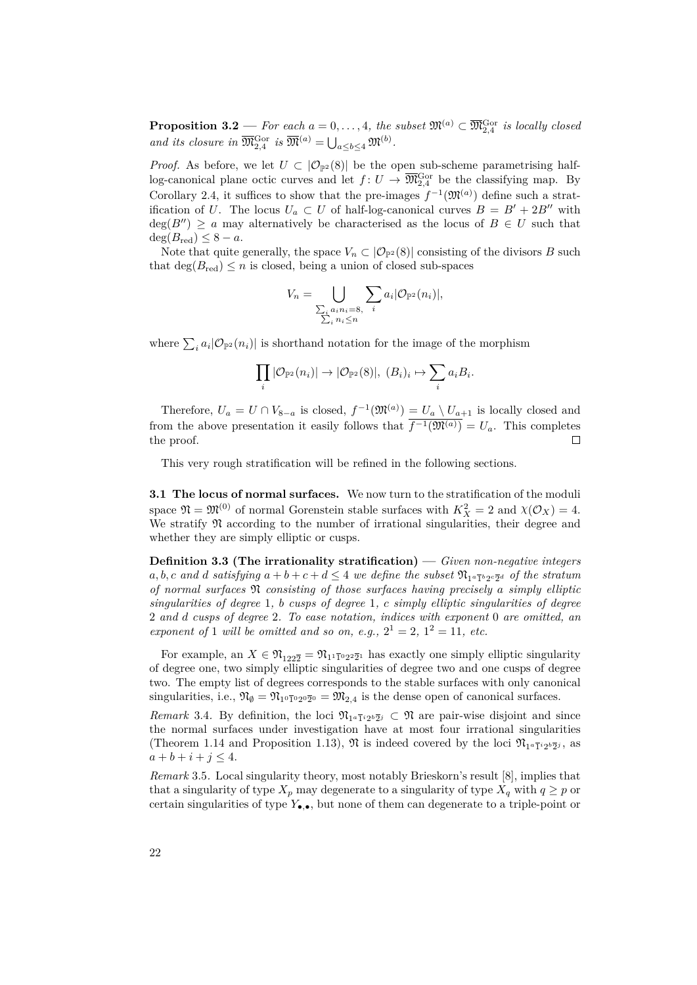**Proposition 3.2** — *For each*  $a = 0, \ldots, 4$ , the subset  $\mathfrak{M}^{(a)} \subset \overline{\mathfrak{M}}_{2,4}^{\text{Gor}}$  is locally closed *and its closure in*  $\overline{\mathfrak{M}}_{2,4}^{\text{Gor}}$  *is*  $\overline{\mathfrak{M}}^{(a)} = \bigcup_{a \leq b \leq 4} \mathfrak{M}^{(b)}$ *.* 

*Proof.* As before, we let  $U \subset |\mathcal{O}_{\mathbb{P}^2}(8)|$  be the open sub-scheme parametrising halflog-canonical plane octic curves and let  $f: U \to \overline{\mathfrak{M}}_{2,4}^{\text{Gor}}$  be the classifying map. By Corollary [2.4,](#page-26-1) it suffices to show that the pre-images  $f^{-1}(\mathfrak{M}^{(a)})$  define such a stratification of *U*. The locus  $U_a \subset U$  of half-log-canonical curves  $B = B' + 2B''$  with  $deg(B'') \ge a$  may alternatively be characterised as the locus of  $B \in U$  such that  $deg(B_{red})$  < 8 − *a*.

Note that quite generally, the space  $V_n \subset |O_{\mathbb{P}^2}(8)|$  consisting of the divisors *B* such that  $deg(B_{red}) \leq n$  is closed, being a union of closed sub-spaces

$$
V_n = \bigcup_{\substack{\sum_i a_i n_i = 8, \\ \sum_i n_i \le n}} \sum_i a_i |\mathcal{O}_{\mathbb{P}^2}(n_i)|,
$$

where  $\sum_i a_i | \mathcal{O}_{\mathbb{P}^2}(n_i) |$  is shorthand notation for the image of the morphism

$$
\prod_i |\mathcal{O}_{\mathbb{P}^2}(n_i)| \to |\mathcal{O}_{\mathbb{P}^2}(8)|, (B_i)_i \mapsto \sum_i a_i B_i.
$$

Therefore,  $U_a = U \cap V_{8-a}$  is closed,  $f^{-1}(\mathfrak{M}^{(a)}) = U_a \setminus U_{a+1}$  is locally closed and from the above presentation it easily follows that  $\overline{f^{-1}(\mathfrak{M}^{(a)})} = U_a$ . This completes the proof.  $\Box$ 

<span id="page-27-0"></span>This very rough stratification will be refined in the following sections.

**3.1 The locus of normal surfaces.** We now turn to the stratification of the moduli space  $\mathfrak{N} = \mathfrak{M}^{(0)}$  of normal Gorenstein stable surfaces with  $K_X^2 = 2$  and  $\chi(\mathcal{O}_X) = 4$ . We stratify  $\mathfrak N$  according to the number of irrational singularities, their degree and whether they are simply elliptic or cusps.

**Definition 3.3 (The irrationality stratification) —** *Given non-negative integers*  $a, b, c$  and  $d$  satisfying  $a + b + c + d \leq 4$  we define the subset  $\mathfrak{N}_{1^a \overline{1}^b 2^{c} \overline{2}^d}$  of the stratum *of normal surfaces* N *consisting of those surfaces having precisely a simply elliptic singularities of degree* 1*, b cusps of degree* 1*, c simply elliptic singularities of degree* 2 *and d cusps of degree* 2*. To ease notation, indices with exponent* 0 *are omitted, an exponent of* 1 *will be omitted and so on, e.g.,*  $2^1 = 2$ ,  $1^2 = 11$ *, etc.* 

For example, an  $X \in \mathfrak{N}_{122\overline{2}} = \mathfrak{N}_{11\overline{1}^0 2^2\overline{2}^1}$  has exactly one simply elliptic singularity of degree one, two simply elliptic singularities of degree two and one cusps of degree two. The empty list of degrees corresponds to the stable surfaces with only canonical singularities, i.e.,  $\mathfrak{N}_{\emptyset} = \mathfrak{N}_{1^0}$ <sup>7</sup><sup>0</sup><sub>2</sub><sup>0</sup><sup>7</sup><sup>0</sup><sub>2</sub><sup>0</sup><sup>7</sup><sup>0</sup><sub>2</sub><sup>*A*</sup> is the dense open of canonical surfaces.

*Remark* 3.4. By definition, the loci  $\mathfrak{N}_{1^a \overline{1}^i 2^b \overline{2}^j} \subset \mathfrak{N}$  are pair-wise disjoint and since the normal surfaces under investigation have at most four irrational singularities (Theorem [1.14](#page-20-5) and Proposition [1.13\)](#page-19-4),  $\mathfrak{N}$  is indeed covered by the loci  $\mathfrak{N}_{1^a\overline{1}^i2^b\overline{2}^j}$ , as  $a + b + i + j \leq 4.$ 

*Remark* 3.5*.* Local singularity theory, most notably Brieskorn's result [\[8](#page-96-9)], implies that that a singularity of type  $X_p$  may degenerate to a singularity of type  $X_q$  with  $q \geq p$  or certain singularities of type *Y•,•*, but none of them can degenerate to a triple-point or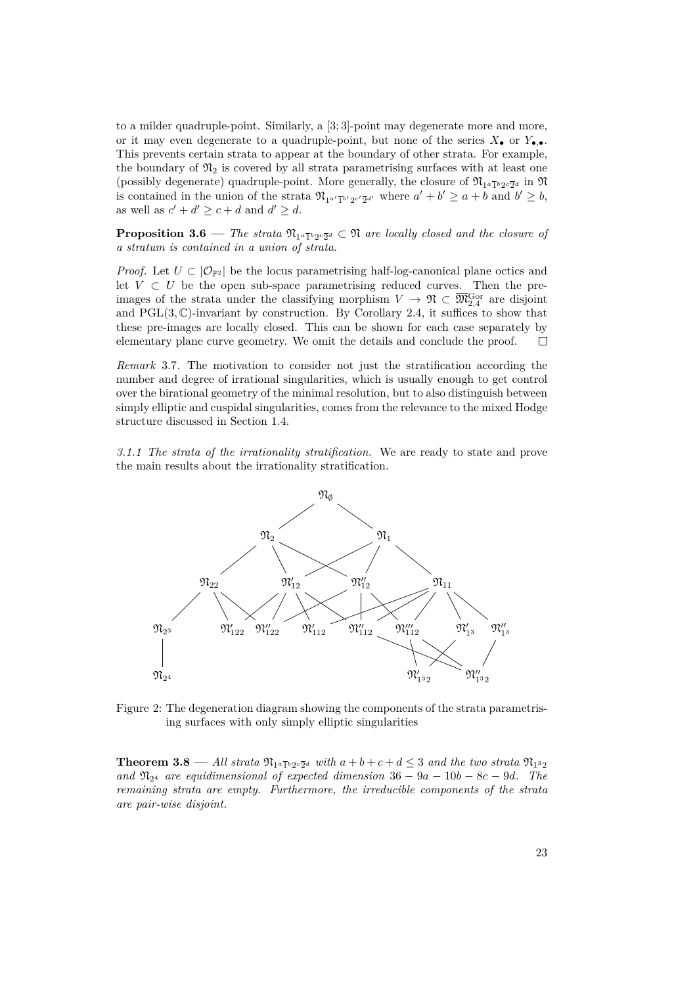to a milder quadruple-point. Similarly, a [3; 3]-point may degenerate more and more, or it may even degenerate to a quadruple-point, but none of the series *X•* or *Y•,•*. This prevents certain strata to appear at the boundary of other strata. For example, the boundary of  $\mathfrak{N}_2$  is covered by all strata parametrising surfaces with at least one (possibly degenerate) quadruple-point. More generally, the closure of  $\mathfrak{N}_{1^a\overline{1}^b2^c\overline{2}^d}$  in  $\mathfrak{N}$ is contained in the union of the strata  $\mathfrak{N}_{1^{a'}\overline{1}^{b'}2^{c'}\overline{2}^{d'}}$  where  $a'+b'\geq a+b$  and  $b'\geq b$ , as well as  $c' + d' \ge c + d$  and  $d' \ge d$ .

<span id="page-28-2"></span>**Proposition 3.6** — *The strata*  $\mathfrak{N}_{1^a \overline{1}^b 2^c \overline{2}^d} \subset \mathfrak{N}$  *are locally closed and the closure of a stratum is contained in a union of strata.*

*Proof.* Let  $U \subset |O_{\mathbb{P}^2}|$  be the locus parametrising half-log-canonical plane octics and let  $V \subset U$  be the open sub-space parametrising reduced curves. Then the preimages of the strata under the classifying morphism  $V \to \mathfrak{N} \subset \overline{\mathfrak{M}}_{2,4}^{\text{Gor}}$  are disjoint and  $PGL(3,\mathbb{C})$ -invariant by construction. By Corollary [2.4](#page-26-1), it suffices to show that these pre-images are locally closed. This can be shown for each case separately by elementary plane curve geometry. We omit the details and conclude the proof.  $\Box$ 

*Remark* 3.7*.* The motivation to consider not just the stratification according the number and degree of irrational singularities, which is usually enough to get control over the birational geometry of the minimal resolution, but to also distinguish between simply elliptic and cuspidal singularities, comes from the relevance to the mixed Hodge structure discussed in Section [1.4](#page-22-0).

*3.1.1 The strata of the irrationality stratification.* We are ready to state and prove the main results about the irrationality stratification.



<span id="page-28-1"></span>Figure 2: The degeneration diagram showing the components of the strata parametrising surfaces with only simply elliptic singularities

<span id="page-28-0"></span>**Theorem 3.8** — All strata  $\mathfrak{N}_{1^a \overline{1}^b 2^c \overline{2}^d}$  with  $a + b + c + d \leq 3$  and the two strata  $\mathfrak{N}_{1^3 2}$ *and*  $\mathfrak{N}_{2^4}$  *are equidimensional of expected dimension*  $36 - 9a - 10b - 8c - 9d$ *. The remaining strata are empty. Furthermore, the irreducible components of the strata are pair-wise disjoint.*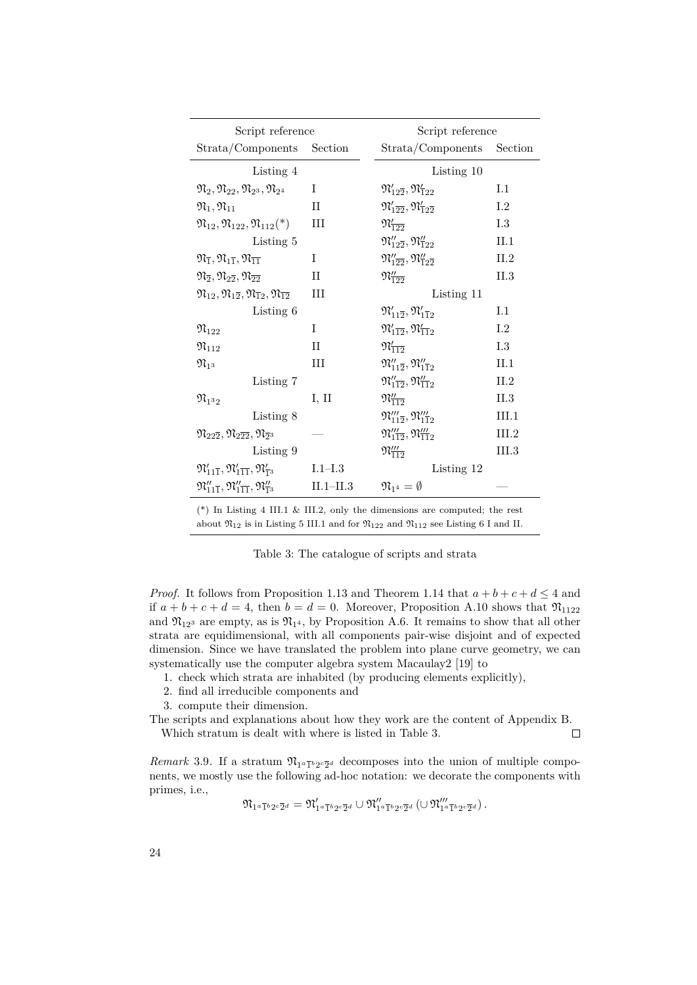| Script reference                                                                                                      |           | Script reference                                                      |         |
|-----------------------------------------------------------------------------------------------------------------------|-----------|-----------------------------------------------------------------------|---------|
| Strata/Components Section                                                                                             |           | Strata/Components                                                     | Section |
| Listing 4                                                                                                             |           | Listing 10                                                            |         |
| $\mathfrak{N}_{2}, \mathfrak{N}_{22}, \mathfrak{N}_{23}, \mathfrak{N}_{24}$                                           | T         | $\mathfrak{N}_{122}^{\prime},\mathfrak{N}_{122}^{\prime}$             | I.1     |
| $\mathfrak{N}_1, \mathfrak{N}_{11}$                                                                                   | H         | $\mathfrak{N}_{122}^{\prime}, \mathfrak{N}_{122}^{\prime}$            | I.2     |
| $\mathfrak{N}_{12}, \mathfrak{N}_{122}, \mathfrak{N}_{112}(^*)$                                                       | Ш         | $\mathfrak{N}'_{122}$                                                 | 1.3     |
| Listing 5                                                                                                             |           | $\mathfrak{N}_{122}'$ , $\mathfrak{N}_{122}''$                        | II.1    |
| $\mathfrak{N}_{\overline{1}}, \mathfrak{N}_{1\overline{1}}, \mathfrak{N}_{\overline{1}\overline{1}}$                  | T         | $\mathfrak{N}_{122}''$ , $\mathfrak{N}_{122}''$                       | II.2    |
| $\mathfrak{N}_{\overline{2}}, \mathfrak{N}_{2\overline{2}}, \mathfrak{N}_{\overline{22}}$                             | H         | $\mathfrak{N}_{122}''$                                                | II.3    |
| $\mathfrak{N}_{12},\mathfrak{N}_{1\overline{2}},\mathfrak{N}_{\overline{1}2},\mathfrak{N}_{\overline{1}\overline{2}}$ | Ш         | Listing 11                                                            |         |
| Listing 6                                                                                                             |           | $\mathfrak{N}_{112}^{\prime}, \mathfrak{N}_{112}^{\prime}$            | I.1     |
| $\mathfrak{N}_{122}$                                                                                                  | T         | $\mathfrak{N}_{1\overline{12}}'$ , $\mathfrak{N}_{1\overline{12}}'$   | 1.2     |
| $\mathfrak{N}_{112}$                                                                                                  | H         | $\mathfrak{N}'_{112}$                                                 | 1.3     |
| $\mathfrak{N}_{13}$                                                                                                   | Ħ         | $\mathfrak{N}_{112}'$ , $\mathfrak{N}_{112}'$                         | $\Pi.1$ |
| Listing 7                                                                                                             |           | $\mathfrak{N}_{112}'$ , $\mathfrak{N}_{112}''$                        | II.2    |
| $\mathfrak{N}_{1^32}$                                                                                                 | I, II     | $\mathfrak{N}_{112}''$                                                | II.3    |
| Listing 8                                                                                                             |           | $\mathfrak{N}_{11\overline{2}}''$ , $\mathfrak{N}_{11\overline{2}}''$ | III.1   |
| $\mathfrak{N}_{22\overline{2}},\mathfrak{N}_{2\overline{22}},\mathfrak{N}_{\overline{2}^3}$                           |           | $\mathfrak{N}_{112}''$ , $\mathfrak{N}_{112}'''$                      | III.2   |
| Listing 9                                                                                                             |           | $\mathfrak{N}_{112}'''$                                               | III.3   |
| $\mathfrak{N}'_{11\overline{1}}, \mathfrak{N}'_{1\overline{11}}, \mathfrak{N}'_{\overline{1}3}$                       | I.1–I.3   | Listing 12                                                            |         |
| $\mathfrak{N}_{11\overline{1}}''$ , $\mathfrak{N}_{1\overline{1}\overline{1}}''$ , $\mathfrak{N}_{\overline{1}3}''$   | II.1–II.3 | $\mathfrak{N}_{14}=\emptyset$                                         |         |

<span id="page-29-0"></span>(\*) In [Listing 4](#page-50-0) III.1 & III.2, only the dimensions are computed; the rest about  $\mathfrak{N}_{12}$  is in [Listing 5](#page-53-0) III.1 and for  $\mathfrak{N}_{122}$  and  $\mathfrak{N}_{112}$  see [Listing 6](#page-59-0) I and II.

<span id="page-29-1"></span>

*Proof.* It follows from Proposition [1.13](#page-19-4) and Theorem [1.14](#page-20-5) that  $a + b + c + d \leq 4$  and if  $a + b + c + d = 4$ , then  $b = d = 0$ . Moreover, Proposition [A.10](#page-45-0) shows that  $\mathfrak{N}_{1122}$ and  $\mathfrak{N}_{12^3}$  are empty, as is  $\mathfrak{N}_{1^4}$ , by Proposition [A.6.](#page-43-0) It remains to show that all other strata are equidimensional, with all components pair-wise disjoint and of expected dimension. Since we have translated the problem into plane curve geometry, we can systematically use the computer algebra system Macaulay2 [[19\]](#page-97-3) to

- 1. check which strata are inhabited (by producing elements explicitly),
- 2. find all irreducible components and
- 3. compute their dimension.

The scripts and explanations about how they work are the content of [Appendix B](#page-48-0). Which stratum is dealt with where is listed in [Table 3.](#page-29-1)  $\Box$ 

*Remark* 3.9. If a stratum  $\mathfrak{N}_{1^a\bar{1}^b2^c\bar{2}^d}$  decomposes into the union of multiple components, we mostly use the following ad-hoc notation: we decorate the components with primes, i.e.,

$$
\mathfrak{N}_{1^a\overline{1}^b2^c\overline{2}^d}=\mathfrak{N}'_{1^a\overline{1}^b2^c\overline{2}^d}\cup\mathfrak{N}''_{1^a\overline{1}^b2^c\overline{2}^d}\left(\cup\mathfrak{N}'''_{1^a\overline{1}^b2^c\overline{2}^d}\right).
$$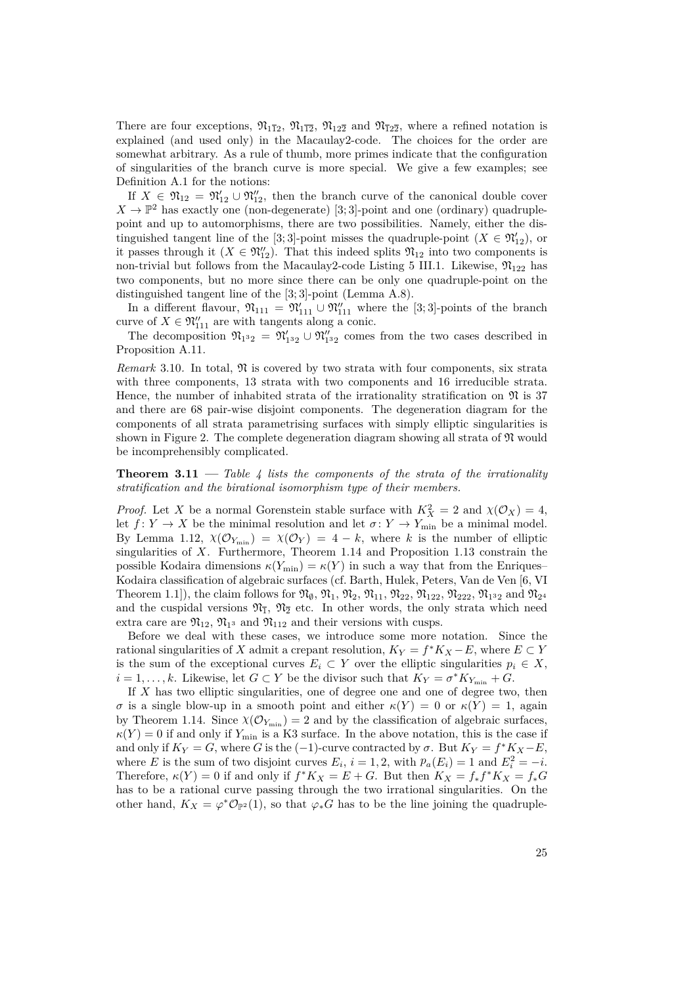There are four exceptions,  $\mathfrak{N}_{112}$ ,  $\mathfrak{N}_{112}$ ,  $\mathfrak{N}_{122}$  and  $\mathfrak{N}_{122}$ , where a refined notation is explained (and used only) in the Macaulay2-code. The choices for the order are somewhat arbitrary. As a rule of thumb, more primes indicate that the configuration of singularities of the branch curve is more special. We give a few examples; see Definition [A.1](#page-40-1) for the notions:

If  $X \in \mathfrak{N}_{12} = \mathfrak{N}'_{12} \cup \mathfrak{N}''_{12}$ , then the branch curve of the canonical double cover  $X \to \mathbb{P}^2$  has exactly one (non-degenerate) [3; 3]-point and one (ordinary) quadruplepoint and up to automorphisms, there are two possibilities. Namely, either the distinguished tangent line of the [3; 3]-point misses the quadruple-point  $(X \in \mathfrak{N}'_{12})$ , or it passes through it  $(X \in \mathfrak{N}'_{12})$ . That this indeed splits  $\mathfrak{N}_{12}$  into two components is non-trivial but follows from the Macaulay2-code [Listing 5](#page-53-0) III.1. Likewise,  $\mathfrak{N}_{122}$  has two components, but no more since there can be only one quadruple-point on the distinguished tangent line of the [3; 3]-point (Lemma [A.8](#page-44-0)).

In a different flavour,  $\mathfrak{N}_{111} = \mathfrak{N}'_{111} \cup \mathfrak{N}''_{111}$  where the [3;3]-points of the branch curve of  $X \in \mathfrak{N}''_{111}$  are with tangents along a conic.

The decomposition  $\mathfrak{N}_{1^32} = \mathfrak{N}'_{1^32} \cup \mathfrak{N}''_{1^32}$  comes from the two cases described in Proposition [A.11](#page-45-1).

*Remark* 3.10. In total,  $\mathfrak N$  is covered by two strata with four components, six strata with three components, 13 strata with two components and 16 irreducible strata. Hence, the number of inhabited strata of the irrationality stratification on  $\mathfrak{N}$  is 37 and there are 68 pair-wise disjoint components. The degeneration diagram for the components of all strata parametrising surfaces with simply elliptic singularities is shown in [Figure 2.](#page-28-1) The complete degeneration diagram showing all strata of  $\mathfrak N$  would be incomprehensibly complicated.

## <span id="page-30-0"></span>**Theorem 3.11 —** *[Table 4](#page-32-1) lists the components of the strata of the irrationality stratification and the birational isomorphism type of their members.*

*Proof.* Let *X* be a normal Gorenstein stable surface with  $K_X^2 = 2$  and  $\chi(\mathcal{O}_X) = 4$ , let  $f: Y \to X$  be the minimal resolution and let  $\sigma: Y \to Y_{\text{min}}$  be a minimal model. By Lemma [1.12](#page-19-3),  $\chi(\mathcal{O}_{Y_{\min}}) = \chi(\mathcal{O}_Y) = 4 - k$ , where *k* is the number of elliptic singularities of *X*. Furthermore, Theorem [1.14](#page-20-5) and Proposition [1.13](#page-19-4) constrain the possible Kodaira dimensions  $\kappa(Y_{\min}) = \kappa(Y)$  in such a way that from the Enriques– Kodaira classification of algebraic surfaces (cf. Barth, Hulek, Peters, Van de Ven [\[6](#page-96-10), VI Theorem 1.1]), the claim follows for  $\mathfrak{N}_\emptyset$ ,  $\mathfrak{N}_1$ ,  $\mathfrak{N}_2$ ,  $\mathfrak{N}_{11}$ ,  $\mathfrak{N}_{22}$ ,  $\mathfrak{N}_{122}$ ,  $\mathfrak{N}_{132}$  and  $\mathfrak{N}_{24}$ and the cuspidal versions  $\mathfrak{N}_{1}$ ,  $\mathfrak{N}_{2}$  etc. In other words, the only strata which need extra care are  $\mathfrak{N}_{12}$ ,  $\mathfrak{N}_{13}$  and  $\mathfrak{N}_{112}$  and their versions with cusps.

Before we deal with these cases, we introduce some more notation. Since the rational singularities of *X* admit a crepant resolution,  $K_Y = f^*K_X - E$ , where  $E \subset Y$ is the sum of the exceptional curves  $E_i \subset Y$  over the elliptic singularities  $p_i \in X$ ,  $i = 1, \ldots, k$ . Likewise, let  $G \subset Y$  be the divisor such that  $K_Y = \sigma^* K_{Y_{\min}} + G$ .

If *X* has two elliptic singularities, one of degree one and one of degree two, then *σ* is a single blow-up in a smooth point and either  $κ(Y) = 0$  or  $κ(Y) = 1$ , again by Theorem [1.14](#page-20-5). Since  $\chi(\mathcal{O}_{Y_{\rm min}}) = 2$  and by the classification of algebraic surfaces,  $\kappa(Y) = 0$  if and only if  $Y_{\text{min}}$  is a K3 surface. In the above notation, this is the case if and only if  $K_Y = G$ , where *G* is the  $(-1)$ -curve contracted by  $\sigma$ . But  $K_Y = f^*K_X - E$ , where *E* is the sum of two disjoint curves  $E_i$ ,  $i = 1, 2$ , with  $p_a(E_i) = 1$  and  $E_i^2 = -i$ . Therefore,  $\kappa(Y) = 0$  if and only if  $f^*K_X = E + G$ . But then  $K_X = f_*f^*K_X = f_*G$ has to be a rational curve passing through the two irrational singularities. On the other hand,  $K_X = \varphi^* \mathcal{O}_{\mathbb{P}^2}(1)$ , so that  $\varphi_* G$  has to be the line joining the quadruple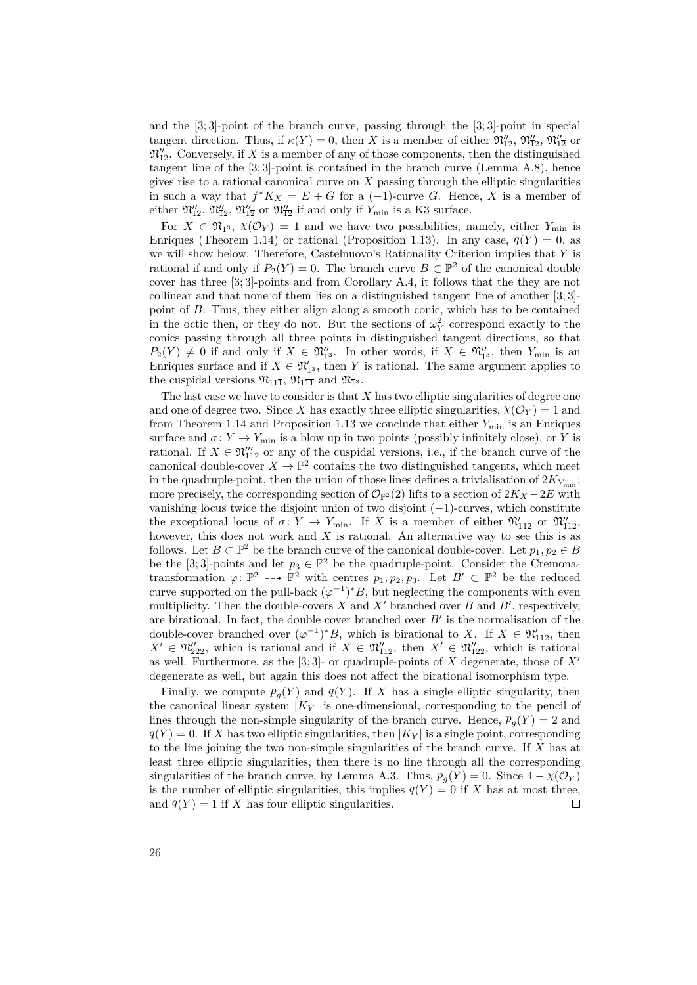and the [3; 3]-point of the branch curve, passing through the [3; 3]-point in special tangent direction. Thus, if  $\kappa(Y) = 0$ , then *X* is a member of either  $\mathfrak{N}'_{12}$ ,  $\mathfrak{N}''_{12}$ ,  $\mathfrak{N}''_{12}$  or  $\mathfrak{N}_{12}^{\prime\prime}$ . Conversely, if *X* is a member of any of those components, then the distinguished tangent line of the [3; 3]-point is contained in the branch curve (Lemma [A.8](#page-44-0)), hence gives rise to a rational canonical curve on *X* passing through the elliptic singularities in such a way that  $f^*K_X = E + G$  for a  $(-1)$ -curve *G*. Hence, *X* is a member of either  $\mathfrak{N}''_{12}$ ,  $\mathfrak{N}''_{12}$ ,  $\mathfrak{N}''_{12}$  or  $\mathfrak{N}''_{12}$  if and only if  $Y_{\min}$  is a K3 surface.

For  $X \in \mathfrak{N}_{1^3}$ ,  $\chi(\mathcal{O}_Y) = 1$  and we have two possibilities, namely, either  $Y_{\text{min}}$  is Enriques (Theorem [1.14](#page-20-5)) or rational (Proposition [1.13\)](#page-19-4). In any case,  $q(Y) = 0$ , as we will show below. Therefore, Castelnuovo's Rationality Criterion implies that *Y* is rational if and only if  $P_2(Y) = 0$ . The branch curve  $B \subset \mathbb{P}^2$  of the canonical double cover has three [3; 3]-points and from Corollary [A.4,](#page-42-1) it follows that the they are not collinear and that none of them lies on a distinguished tangent line of another [3; 3] point of *B*. Thus, they either align along a smooth conic, which has to be contained in the octic then, or they do not. But the sections of  $\omega_Y^2$  correspond exactly to the conics passing through all three points in distinguished tangent directions, so that  $P_2(Y) \neq 0$  if and only if  $X \in \mathfrak{N}''_{13}$ . In other words, if  $X \in \mathfrak{N}''_{13}$ , then  $Y_{\min}$  is an Enriques surface and if  $X \in \mathfrak{N}'_{1^3}$ , then *Y* is rational. The same argument applies to the cuspidal versions  $\mathfrak{N}_{11\overline{1}}$ ,  $\mathfrak{N}_{11\overline{1}}$  and  $\mathfrak{N}_{\overline{1}^3}$ .

The last case we have to consider is that *X* has two elliptic singularities of degree one and one of degree two. Since X has exactly three elliptic singularities,  $\chi(\mathcal{O}_Y) = 1$  and from Theorem [1.14](#page-20-5) and Proposition [1.13](#page-19-4) we conclude that either  $Y_{\text{min}}$  is an Enriques surface and  $\sigma: Y \to Y_{\text{min}}$  is a blow up in two points (possibly infinitely close), or *Y* is rational. If  $X \in \mathfrak{N}_{112}''$  or any of the cuspidal versions, i.e., if the branch curve of the canonical double-cover  $X \to \mathbb{P}^2$  contains the two distinguished tangents, which meet in the quadruple-point, then the union of those lines defines a trivialisation of  $2K_{Y_{\text{min}}}$ ; more precisely, the corresponding section of  $\mathcal{O}_{\mathbb{P}^2}(2)$  lifts to a section of  $2K_X - 2E$  with vanishing locus twice the disjoint union of two disjoint (*−*1)-curves, which constitute the exceptional locus of  $\sigma: Y \to Y_{\text{min}}$ . If X is a member of either  $\mathfrak{N}'_{112}$  or  $\mathfrak{N}''_{112}$ , however, this does not work and *X* is rational. An alternative way to see this is as follows. Let  $B \subset \mathbb{P}^2$  be the branch curve of the canonical double-cover. Let  $p_1, p_2 \in B$ be the [3; 3]-points and let  $p_3 \in \mathbb{P}^2$  be the quadruple-point. Consider the Cremonatransformation  $\varphi: \mathbb{P}^2 \dashrightarrow \mathbb{P}^2$  with centres  $p_1, p_2, p_3$ . Let  $B' \subset \mathbb{P}^2$  be the reduced curve supported on the pull-back  $(\varphi^{-1})^*B$ , but neglecting the components with even multiplicity. Then the double-covers  $X$  and  $X'$  branched over  $B$  and  $B'$ , respectively, are birational. In fact, the double cover branched over *B′* is the normalisation of the double-cover branched over  $(\varphi^{-1})^*B$ , which is birational to *X*. If  $X \in \mathfrak{N}'_{112}$ , then  $X' \in \mathfrak{N}''_{222}$ , which is rational and if  $X \in \mathfrak{N}''_{112}$ , then  $X' \in \mathfrak{N}''_{122}$ , which is rational as well. Furthermore, as the [3; 3]- or quadruple-points of *X* degenerate, those of *X′* degenerate as well, but again this does not affect the birational isomorphism type.

Finally, we compute  $p_q(Y)$  and  $q(Y)$ . If X has a single elliptic singularity, then the canonical linear system  $|K_Y|$  is one-dimensional, corresponding to the pencil of lines through the non-simple singularity of the branch curve. Hence,  $p_q(Y) = 2$  and  $q(Y) = 0$ . If *X* has two elliptic singularities, then  $|K_Y|$  is a single point, corresponding to the line joining the two non-simple singularities of the branch curve. If *X* has at least three elliptic singularities, then there is no line through all the corresponding singularities of the branch curve, by Lemma [A.3](#page-41-0). Thus,  $p_g(Y) = 0$ . Since  $4 - \chi(\mathcal{O}_Y)$ is the number of elliptic singularities, this implies  $q(Y) = 0$  if X has at most three, and  $q(Y) = 1$  if X has four elliptic singularities.  $\Box$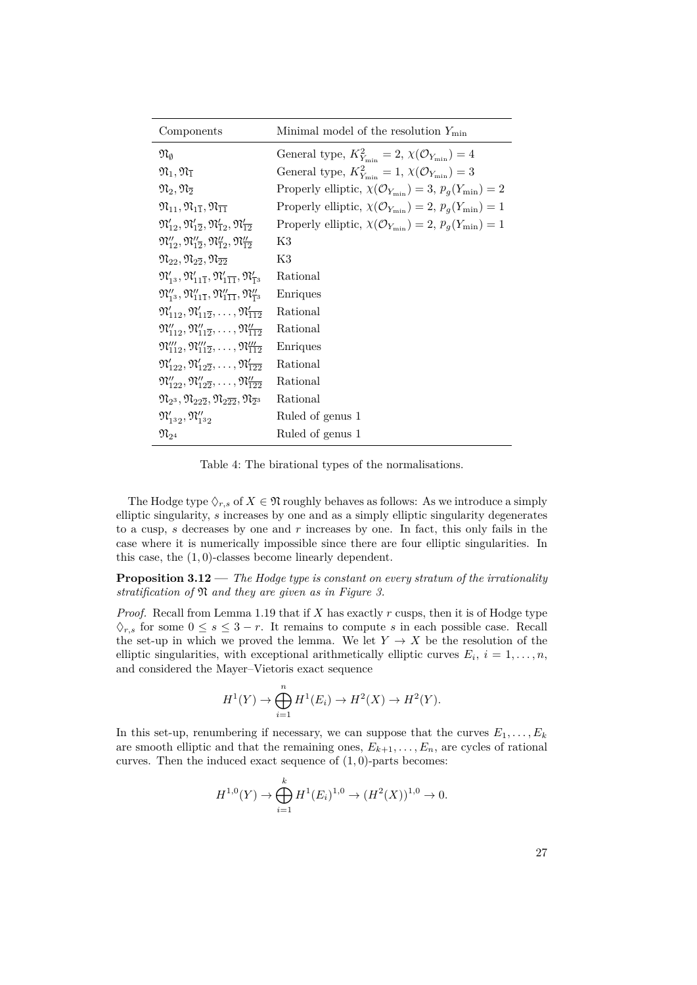| Components                                                                                                                       | Minimal model of the resolution $Y_{\min}$                                  |
|----------------------------------------------------------------------------------------------------------------------------------|-----------------------------------------------------------------------------|
| $\mathfrak{N}_\emptyset$                                                                                                         | General type, $K_{Y_{\min}}^2 = 2$ , $\chi(\mathcal{O}_{Y_{\min}}) = 4$     |
| $\mathfrak{N}_1, \mathfrak{N}_{\overline{1}}$                                                                                    | General type, $K_{Y_{\min}}^2 = 1$ , $\chi(\mathcal{O}_{Y_{\min}}) = 3$     |
| $\mathfrak{N}_2, \mathfrak{N}_{\overline{2}}$                                                                                    | Properly elliptic, $\chi(\mathcal{O}_{Y_{\min}}) = 3$ , $p_a(Y_{\min}) = 2$ |
| $\mathfrak{N}_{11}, \mathfrak{N}_{11}, \mathfrak{N}_{11}$                                                                        | Properly elliptic, $\chi(\mathcal{O}_{Y_{\min}}) = 2$ , $p_q(Y_{\min}) = 1$ |
| $\mathfrak{N}'_{12}, \mathfrak{N}'_{12}, \mathfrak{N}'_{12}, \mathfrak{N}'_{12}$                                                 | Properly elliptic, $\chi(\mathcal{O}_{Y_{\min}}) = 2$ , $p_q(Y_{\min}) = 1$ |
| $\mathfrak{N}_{12}'$ , $\mathfrak{N}_{12}'$ , $\mathfrak{N}_{12}''$ , $\mathfrak{N}_{12}''$                                      | KЗ                                                                          |
| $\mathfrak{N}_{22}, \mathfrak{N}_{2\overline{2}}, \mathfrak{N}_{\overline{22}}$                                                  | K3                                                                          |
| $\mathfrak{N}'_{13}, \mathfrak{N}'_{111}, \mathfrak{N}'_{111}, \mathfrak{N}'_{13}$                                               | Rational                                                                    |
| $\mathfrak{N}_{13}''$ , $\mathfrak{N}_{11\overline{1}}''$ , $\mathfrak{N}_{11\overline{1}}''$ , $\mathfrak{N}_{\overline{1}3}''$ | Enriques                                                                    |
| $\mathfrak{N}'_{112}, \mathfrak{N}'_{112}, \ldots, \mathfrak{N}'_{112}$                                                          | Rational                                                                    |
| $\mathfrak{N}_{112}'$ , $\mathfrak{N}_{112}'$ , , $\mathfrak{N}_{112}''$                                                         | Rational                                                                    |
| $\mathfrak{N}_{112}'''$ , $\mathfrak{N}_{112}'''$ , , $\mathfrak{N}_{112}'''$                                                    | Enriques                                                                    |
| $\mathfrak{N}'_{122}, \mathfrak{N}'_{122}, \ldots, \mathfrak{N}'_{122}$                                                          | Rational                                                                    |
| $\mathfrak{N}_{122}'$ , $\mathfrak{N}_{122}'$ , , $\mathfrak{N}_{122}'$                                                          | Rational                                                                    |
| $\mathfrak{N}_{23}, \mathfrak{N}_{22\overline{2}}, \mathfrak{N}_{2\overline{22}}, \mathfrak{N}_{\overline{23}}$                  | Rational                                                                    |
| $\mathfrak{N}'_{132}, \mathfrak{N}''_{132}$                                                                                      | Ruled of genus 1                                                            |
| $\mathfrak{N}_{24}$                                                                                                              | Ruled of genus 1                                                            |

<span id="page-32-1"></span>Table 4: The birational types of the normalisations.

The Hodge type  $\Diamond_{r,s}$  of  $X \in \mathfrak{N}$  roughly behaves as follows: As we introduce a simply elliptic singularity, *s* increases by one and as a simply elliptic singularity degenerates to a cusp, *s* decreases by one and *r* increases by one. In fact, this only fails in the case where it is numerically impossible since there are four elliptic singularities. In this case, the (1*,* 0)-classes become linearly dependent.

<span id="page-32-0"></span>**Proposition 3.12 —** *The Hodge type is constant on every stratum of the irrationality stratification of* N *and they are given as in [Figure 3.](#page-33-1)*

*Proof.* Recall from Lemma [1.19](#page-24-1) that if *X* has exactly *r* cusps, then it is of Hodge type  $\diamondsuit_{r,s}$  for some 0 ≤ *s* ≤ 3 − *r*. It remains to compute *s* in each possible case. Recall the set-up in which we proved the lemma. We let  $Y \to X$  be the resolution of the elliptic singularities, with exceptional arithmetically elliptic curves  $E_i$ ,  $i = 1, \ldots, n$ , and considered the Mayer–Vietoris exact sequence

$$
H^{1}(Y) \to \bigoplus_{i=1}^{n} H^{1}(E_{i}) \to H^{2}(X) \to H^{2}(Y).
$$

In this set-up, renumbering if necessary, we can suppose that the curves  $E_1, \ldots, E_k$ are smooth elliptic and that the remaining ones,  $E_{k+1}, \ldots, E_n$ , are cycles of rational curves. Then the induced exact sequence of (1*,* 0)-parts becomes:

$$
H^{1,0}(Y) \to \bigoplus_{i=1}^k H^1(E_i)^{1,0} \to (H^2(X))^{1,0} \to 0.
$$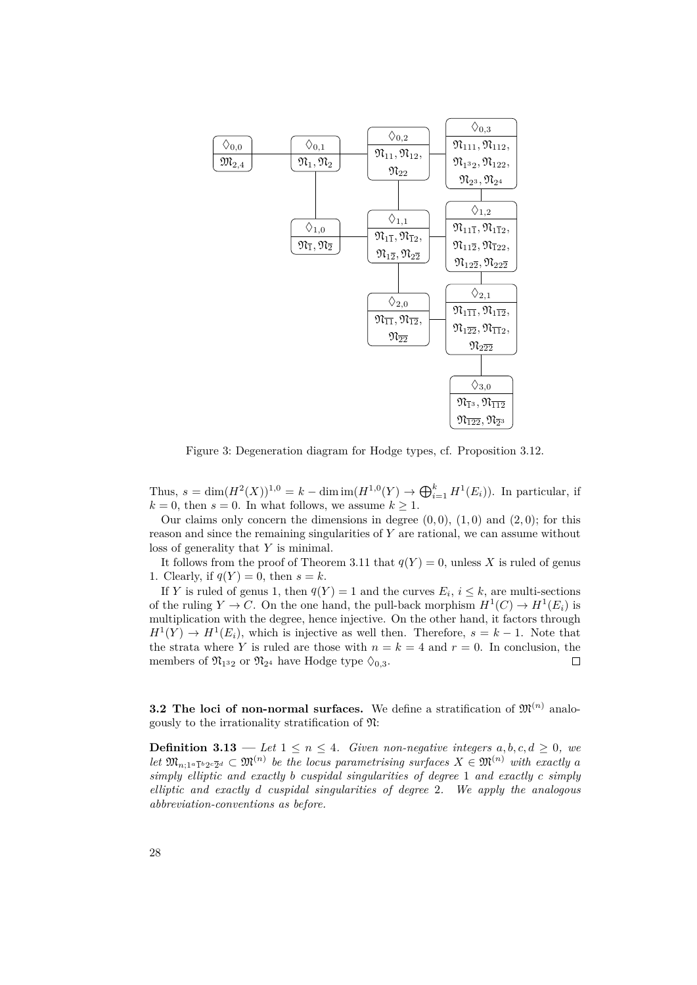

<span id="page-33-1"></span>Figure 3: Degeneration diagram for Hodge types, cf. Proposition [3.12](#page-32-0).

Thus,  $s = \dim(H^2(X))^{1,0} = k - \dim \text{im}(H^{1,0}(Y) \to \bigoplus_{i=1}^k H^1(E_i)).$  In particular, if  $k = 0$ , then  $s = 0$ . In what follows, we assume  $k \geq 1$ .

Our claims only concern the dimensions in degree  $(0,0)$ ,  $(1,0)$  and  $(2,0)$ ; for this reason and since the remaining singularities of *Y* are rational, we can assume without loss of generality that *Y* is minimal.

It follows from the proof of Theorem [3.11](#page-30-0) that  $q(Y) = 0$ , unless X is ruled of genus 1. Clearly, if  $q(Y) = 0$ , then  $s = k$ .

If *Y* is ruled of genus 1, then  $q(Y) = 1$  and the curves  $E_i$ ,  $i \leq k$ , are multi-sections of the ruling  $Y \to C$ . On the one hand, the pull-back morphism  $H^1(C) \to H^1(E_i)$  is multiplication with the degree, hence injective. On the other hand, it factors through  $H^1(Y) \to H^1(E_i)$ , which is injective as well then. Therefore,  $s = k - 1$ . Note that the strata where *Y* is ruled are those with  $n = k = 4$  and  $r = 0$ . In conclusion, the members of  $\mathfrak{N}_{1^32}$  or  $\mathfrak{N}_{2^4}$  have Hodge type  $\Diamond_{0,3}$ .  $\Box$ 

<span id="page-33-0"></span>**3.2 The loci of non-normal surfaces.** We define a stratification of  $\mathfrak{M}^{(n)}$  analogously to the irrationality stratification of  $\mathfrak{N}$ :

**Definition 3.13** — Let  $1 \leq n \leq 4$ . Given non-negative integers  $a, b, c, d \geq 0$ , we *let*  $\mathfrak{M}_{n;1}$ <sup>2</sup> $^{1}_{2}$ <sup>2</sup> $^{2}_{2}$ <sup>d</sup>  $\subset \mathfrak{M}^{(n)}$  *be the locus parametrising surfaces*  $X \in \mathfrak{M}^{(n)}$  *with exactly a simply elliptic and exactly b cuspidal singularities of degree* 1 *and exactly c simply elliptic and exactly d cuspidal singularities of degree* 2*. We apply the analogous abbreviation-conventions as before.*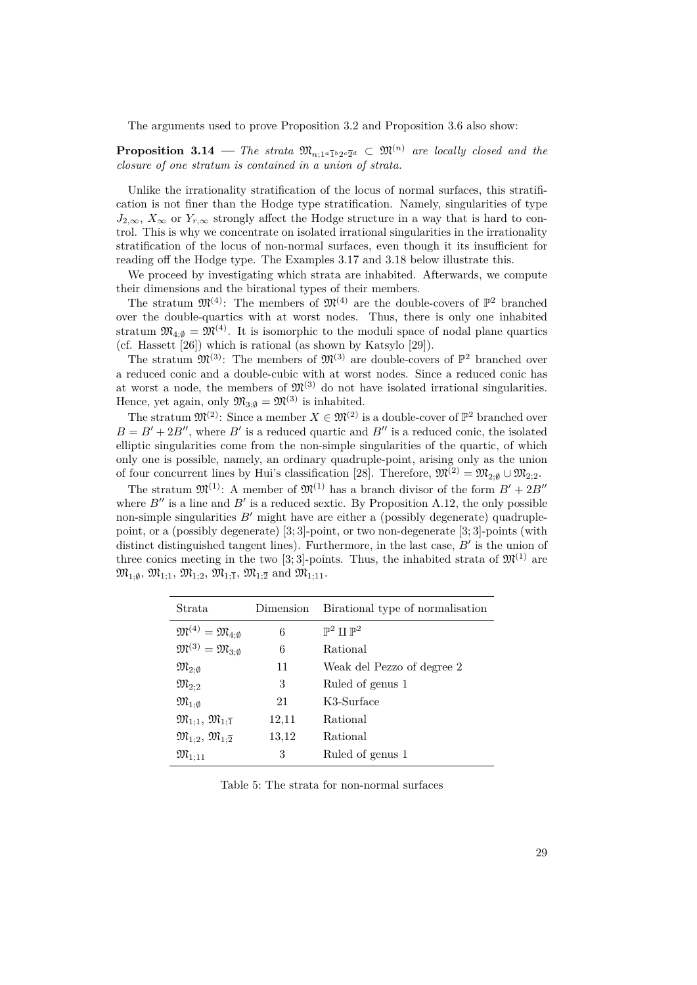The arguments used to prove Proposition [3.2](#page-26-2) and Proposition [3.6](#page-28-2) also show:

**Proposition 3.14** — *The strata*  $\mathfrak{M}_{n;1^a\overline{1}^b2^c\overline{2}^d} \subset \mathfrak{M}^{(n)}$  are locally closed and the *closure of one stratum is contained in a union of strata.*

Unlike the irrationality stratification of the locus of normal surfaces, this stratification is not finer than the Hodge type stratification. Namely, singularities of type  $J_{2,\infty}$ ,  $X_{\infty}$  or  $Y_{r,\infty}$  strongly affect the Hodge structure in a way that is hard to control. This is why we concentrate on isolated irrational singularities in the irrationality stratification of the locus of non-normal surfaces, even though it its insufficient for reading off the Hodge type. The Examples [3.17](#page-37-0) and [3.18](#page-38-2) below illustrate this.

We proceed by investigating which strata are inhabited. Afterwards, we compute their dimensions and the birational types of their members.

The stratum  $\mathfrak{M}^{(4)}$ : The members of  $\mathfrak{M}^{(4)}$  are the double-covers of  $\mathbb{P}^2$  branched over the double-quartics with at worst nodes. Thus, there is only one inhabited stratum  $\mathfrak{M}_{4,\emptyset} = \mathfrak{M}^{(4)}$ . It is isomorphic to the moduli space of nodal plane quartics (cf. Hassett [\[26](#page-97-13)]) which is rational (as shown by Katsylo [[29\]](#page-97-14)).

The stratum  $\mathfrak{M}^{(3)}$ : The members of  $\mathfrak{M}^{(3)}$  are double-covers of  $\mathbb{P}^2$  branched over a reduced conic and a double-cubic with at worst nodes. Since a reduced conic has at worst a node, the members of  $\mathfrak{M}^{(3)}$  do not have isolated irrational singularities. Hence, yet again, only  $\mathfrak{M}_{3;\emptyset} = \mathfrak{M}^{(3)}$  is inhabited.

The stratum  $\mathfrak{M}^{(2)}$ : Since a member  $X \in \mathfrak{M}^{(2)}$  is a double-cover of  $\mathbb{P}^2$  branched over  $B = B' + 2B''$ , where B' is a reduced quartic and B'' is a reduced conic, the isolated elliptic singularities come from the non-simple singularities of the quartic, of which only one is possible, namely, an ordinary quadruple-point, arising only as the union of four concurrent lines by Hui's classification [\[28](#page-97-15)]. Therefore,  $\mathfrak{M}^{(2)} = \mathfrak{M}_{2;\emptyset} \cup \mathfrak{M}_{2;2}$ .

The stratum  $\mathfrak{M}^{(1)}$ : A member of  $\mathfrak{M}^{(1)}$  has a branch divisor of the form  $B' + 2B''$ where  $B''$  is a line and  $B'$  is a reduced sextic. By Proposition [A.12](#page-47-0), the only possible non-simple singularities *B'* might have are either a (possibly degenerate) quadruplepoint, or a (possibly degenerate) [3; 3]-point, or two non-degenerate [3; 3]-points (with distinct distinguished tangent lines). Furthermore, in the last case, *B′* is the union of three conics meeting in the two [3; 3]-points. Thus, the inhabited strata of  $\mathfrak{M}^{(1)}$  are  $\mathfrak{M}_{1;\emptyset}$ ,  $\mathfrak{M}_{1;1}$ ,  $\mathfrak{M}_{1;2}$ ,  $\mathfrak{M}_{1;\overline{1}}$ ,  $\mathfrak{M}_{1;\overline{2}}$  and  $\mathfrak{M}_{1;11}$ .

| Strata                                                 | Dimension | Birational type of normalisation |
|--------------------------------------------------------|-----------|----------------------------------|
| $\mathfrak{M}^{(4)}=\mathfrak{M}_{4;\emptyset}$        | 6         | $\mathbb{P}^2$ II $\mathbb{P}^2$ |
| $\mathfrak{M}^{(3)}=\mathfrak{M}_{3:0}$                | 6         | Rational                         |
| $\mathfrak{M}_{2;\emptyset}$                           | 11        | Weak del Pezzo of degree 2       |
| $\mathfrak{M}_{2:2}$                                   | 3         | Ruled of genus 1                 |
| $\mathfrak{M}_{1:0}$                                   | 21        | K3-Surface                       |
| $\mathfrak{M}_{1:1}, \, \mathfrak{M}_{1:\overline{1}}$ | 12,11     | Rational                         |
| $\mathfrak{M}_{1;2}, \, \mathfrak{M}_{1;\overline{2}}$ | 13,12     | Rational                         |
| $\mathfrak{M}_{1;11}$                                  | 3         | Ruled of genus 1                 |

<span id="page-34-1"></span><span id="page-34-0"></span>Table 5: The strata for non-normal surfaces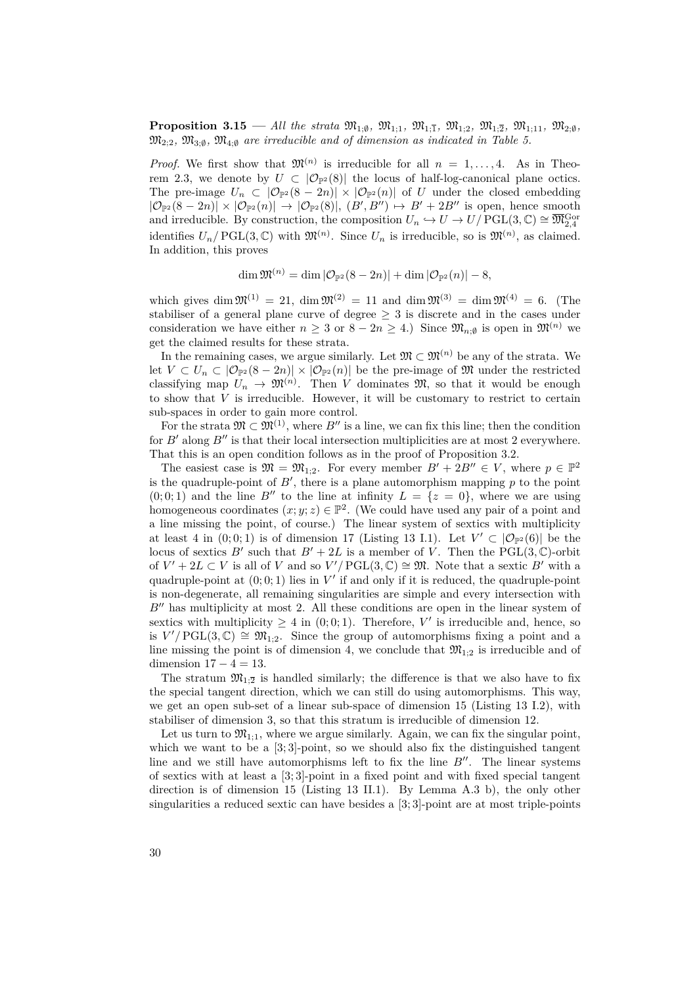**Proposition 3.15** — All the strata  $\mathfrak{M}_{1:\emptyset}$ ,  $\mathfrak{M}_{1:1}$ ,  $\mathfrak{M}_{1:1}$ ,  $\mathfrak{M}_{1:2}$ ,  $\mathfrak{M}_{1:1}$ ,  $\mathfrak{M}_{2:\emptyset}$ ,  $\mathfrak{M}_{2:2}$ ,  $\mathfrak{M}_{3:0}$ ,  $\mathfrak{M}_{4:0}$  are irreducible and of dimension as indicated in [Table 5](#page-34-1).

*Proof.* We first show that  $\mathfrak{M}^{(n)}$  is irreducible for all  $n = 1, \ldots, 4$ . As in Theo-rem [2.3,](#page-25-0) we denote by  $U \subset |\mathcal{O}_{\mathbb{P}^2}(8)|$  the locus of half-log-canonical plane octics. The pre-image  $U_n \text{ }\subset \text{ } |\mathcal{O}_{\mathbb{P}^2}(8-2n)| \times |\mathcal{O}_{\mathbb{P}^2}(n)|$  of *U* under the closed embedding  $|\mathcal{O}_{\mathbb{P}^2}(8-2n)| \times |\mathcal{O}_{\mathbb{P}^2}(n)| \rightarrow |\mathcal{O}_{\mathbb{P}^2}(8)|$ ,  $(B', B'') \mapsto B' + 2B''$  is open, hence smooth and irreducible. By construction, the composition  $U_n \hookrightarrow U \rightarrow U/\overline{PGL}(3,\mathbb{C}) \cong \overline{\mathfrak{M}}_{2,4}^{\text{Gor}}$ identifies  $U_n / \text{PGL}(3, \mathbb{C})$  with  $\mathfrak{M}^{(n)}$ . Since  $U_n$  is irreducible, so is  $\mathfrak{M}^{(n)}$ , as claimed. In addition, this proves

$$
\dim \mathfrak{M}^{(n)} = \dim |\mathcal{O}_{\mathbb{P}^2}(8-2n)| + \dim |\mathcal{O}_{\mathbb{P}^2}(n)| - 8,
$$

which gives dim  $\mathfrak{M}^{(1)} = 21$ , dim  $\mathfrak{M}^{(2)} = 11$  and dim  $\mathfrak{M}^{(3)} = \dim \mathfrak{M}^{(4)} = 6$ . (The stabiliser of a general plane curve of degree *≥* 3 is discrete and in the cases under consideration we have either  $n \geq 3$  or  $8 - 2n \geq 4$ .) Since  $\mathfrak{M}_{n,\emptyset}$  is open in  $\mathfrak{M}^{(n)}$  we get the claimed results for these strata.

In the remaining cases, we argue similarly. Let  $\mathfrak{M} \subset \mathfrak{M}^{(n)}$  be any of the strata. We let *V* ⊂  $U_n$  ⊂  $|\mathcal{O}_{\mathbb{P}^2}(8-2n)| \times |\mathcal{O}_{\mathbb{P}^2}(n)|$  be the pre-image of M under the restricted classifying map  $U_n \to \mathfrak{M}^{(n)}$ . Then *V* dominates  $\mathfrak{M}$ , so that it would be enough to show that *V* is irreducible. However, it will be customary to restrict to certain sub-spaces in order to gain more control.

For the strata  $\mathfrak{M} \subset \mathfrak{M}^{(1)}$ , where  $B''$  is a line, we can fix this line; then the condition for *B′* along *B′′* is that their local intersection multiplicities are at most 2 everywhere. That this is an open condition follows as in the proof of Proposition [3.2](#page-26-2).

The easiest case is  $\mathfrak{M} = \mathfrak{M}_{1,2}$ . For every member  $B' + 2B'' \in V$ , where  $p \in \mathbb{P}^2$ is the quadruple-point of *B′* , there is a plane automorphism mapping *p* to the point  $(0, 0, 1)$  and the line *B''* to the line at infinity  $L = \{z = 0\}$ , where we are using homogeneous coordinates  $(x; y; z) \in \mathbb{P}^2$ . (We could have used any pair of a point and a line missing the point, of course.) The linear system of sextics with multiplicity at least 4 in  $(0,0,1)$  is of dimension 17 ([Listing 13](#page-86-0) I.1). Let  $V' \subset |\mathcal{O}_{\mathbb{P}^2}(6)|$  be the locus of sextics *B'* such that  $B' + 2L$  is a member of *V*. Then the PGL(3,  $\mathbb{C}$ )-orbit of  $V' + 2L \subset V$  is all of *V* and so  $V'/PGL(3,\mathbb{C}) \cong \mathfrak{M}$ . Note that a sextic  $B'$  with a quadruple-point at  $(0, 0, 1)$  lies in V' if and only if it is reduced, the quadruple-point is non-degenerate, all remaining singularities are simple and every intersection with *B′′* has multiplicity at most 2. All these conditions are open in the linear system of sextics with multiplicity  $\geq 4$  in  $(0, 0, 1)$ . Therefore, *V'* is irreducible and, hence, so is *V*'/PGL(3,  $\mathbb{C}$ )  $\cong$   $\mathfrak{M}_{1,2}$ . Since the group of automorphisms fixing a point and a line missing the point is of dimension 4, we conclude that  $\mathfrak{M}_{1:2}$  is irreducible and of dimension 17 *−* 4 = 13.

The stratum  $\mathfrak{M}_1$ ; is handled similarly; the difference is that we also have to fix the special tangent direction, which we can still do using automorphisms. This way, we get an open sub-set of a linear sub-space of dimension 15 ([Listing 13](#page-86-0) I.2), with stabiliser of dimension 3, so that this stratum is irreducible of dimension 12.

Let us turn to  $\mathfrak{M}_{1;1}$ , where we argue similarly. Again, we can fix the singular point, which we want to be a  $[3;3]$ -point, so we should also fix the distinguished tangent line and we still have automorphisms left to fix the line *B′′*. The linear systems of sextics with at least a [3; 3]-point in a fixed point and with fixed special tangent direction is of dimension 15 [\(Listing 13](#page-86-0) II.1). By Lemma [A.3](#page-41-0) [b\),](#page-41-1) the only other singularities a reduced sextic can have besides a [3; 3]-point are at most triple-points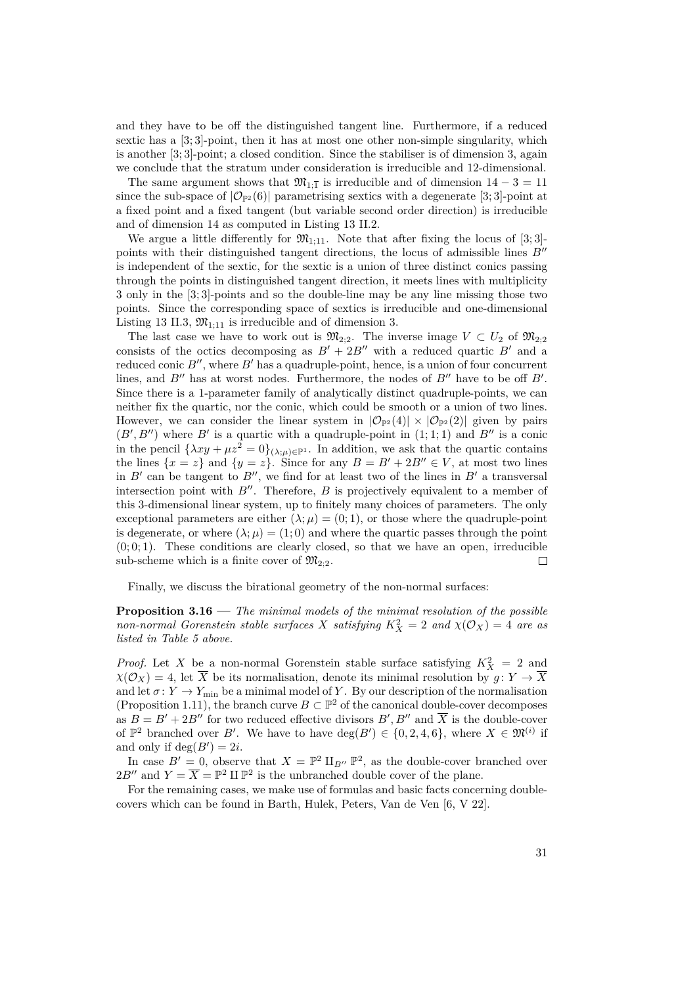and they have to be off the distinguished tangent line. Furthermore, if a reduced sextic has a [3; 3]-point, then it has at most one other non-simple singularity, which is another [3; 3]-point; a closed condition. Since the stabiliser is of dimension 3, again we conclude that the stratum under consideration is irreducible and 12-dimensional.

The same argument shows that  $\mathfrak{M}_{1;\overline{1}}$  is irreducible and of dimension  $14-3=11$ since the sub-space of  $|\mathcal{O}_{\mathbb{P}^2}(6)|$  parametrising sextics with a degenerate [3; 3]-point at a fixed point and a fixed tangent (but variable second order direction) is irreducible and of dimension 14 as computed in [Listing 13](#page-86-0) II.2.

We argue a little differently for  $\mathfrak{M}_{1,11}$ . Note that after fixing the locus of [3; 3]points with their distinguished tangent directions, the locus of admissible lines *B′′* is independent of the sextic, for the sextic is a union of three distinct conics passing through the points in distinguished tangent direction, it meets lines with multiplicity 3 only in the [3; 3]-points and so the double-line may be any line missing those two points. Since the corresponding space of sextics is irreducible and one-dimensional [Listing 13](#page-86-0) II.3,  $\mathfrak{M}_{1,11}$  is irreducible and of dimension 3.

The last case we have to work out is  $\mathfrak{M}_{2:2}$ . The inverse image  $V \subset U_2$  of  $\mathfrak{M}_{2:2}$ consists of the octics decomposing as  $B' + 2B''$  with a reduced quartic B' and a reduced conic *B′′*, where *B′* has a quadruple-point, hence, is a union of four concurrent lines, and *B′′* has at worst nodes. Furthermore, the nodes of *B′′* have to be off *B′* . Since there is a 1-parameter family of analytically distinct quadruple-points, we can neither fix the quartic, nor the conic, which could be smooth or a union of two lines. However, we can consider the linear system in  $|\mathcal{O}_{\mathbb{P}^2}(4)| \times |\mathcal{O}_{\mathbb{P}^2}(2)|$  given by pairs  $(B', B'')$  where B' is a quartic with a quadruple-point in  $(1; 1; 1)$  and B'' is a conic in the pencil  $\{\lambda xy + \mu z^2 = 0\}_{(\lambda;\mu)\in\mathbb{P}^1}$ . In addition, we ask that the quartic contains the lines  $\{x = z\}$  and  $\{y = z\}$ . Since for any  $B = B' + 2B'' \in V$ , at most two lines in  $B'$  can be tangent to  $B''$ , we find for at least two of the lines in  $B'$  a transversal intersection point with *B′′*. Therefore, *B* is projectively equivalent to a member of this 3-dimensional linear system, up to finitely many choices of parameters. The only exceptional parameters are either  $(\lambda; \mu) = (0; 1)$ , or those where the quadruple-point is degenerate, or where  $(\lambda; \mu) = (1; 0)$  and where the quartic passes through the point  $(0, 0, 1)$ . These conditions are clearly closed, so that we have an open, irreducible sub-scheme which is a finite cover of  $\mathfrak{M}_{2:2}$ .  $\Box$ 

Finally, we discuss the birational geometry of the non-normal surfaces:

**Proposition 3.16 —** *The minimal models of the minimal resolution of the possible non-normal Gorenstein stable surfaces X satisfying*  $K_X^2 = 2$  *and*  $\chi(\mathcal{O}_X) = 4$  *are as listed in [Table 5](#page-34-0) above.*

*Proof.* Let *X* be a non-normal Gorenstein stable surface satisfying  $K_X^2 = 2$  and  $\chi(\mathcal{O}_X) = 4$ , let  $\overline{X}$  be its normalisation, denote its minimal resolution by  $g: Y \to \overline{X}$ and let  $\sigma: Y \to Y_{\text{min}}$  be a minimal model of *Y*. By our description of the normalisation (Proposition [1.11](#page-18-0)), the branch curve  $B \subset \mathbb{P}^2$  of the canonical double-cover decomposes as  $B = B' + 2B''$  for two reduced effective divisors  $B', B''$  and  $\overline{X}$  is the double-cover of  $\mathbb{P}^2$  branched over *B'*. We have to have  $deg(B') \in \{0, 2, 4, 6\}$ , where  $X \in \mathfrak{M}^{(i)}$  if and only if  $deg(B') = 2i$ .

In case  $B' = 0$ , observe that  $X = \mathbb{P}^2 \amalg_{B''} \mathbb{P}^2$ , as the double-cover branched over  $2B''$  and  $Y = \overline{X} = \mathbb{P}^2 \amalg \mathbb{P}^2$  is the unbranched double cover of the plane.

For the remaining cases, we make use of formulas and basic facts concerning doublecovers which can be found in Barth, Hulek, Peters, Van de Ven [\[6](#page-96-0), V 22].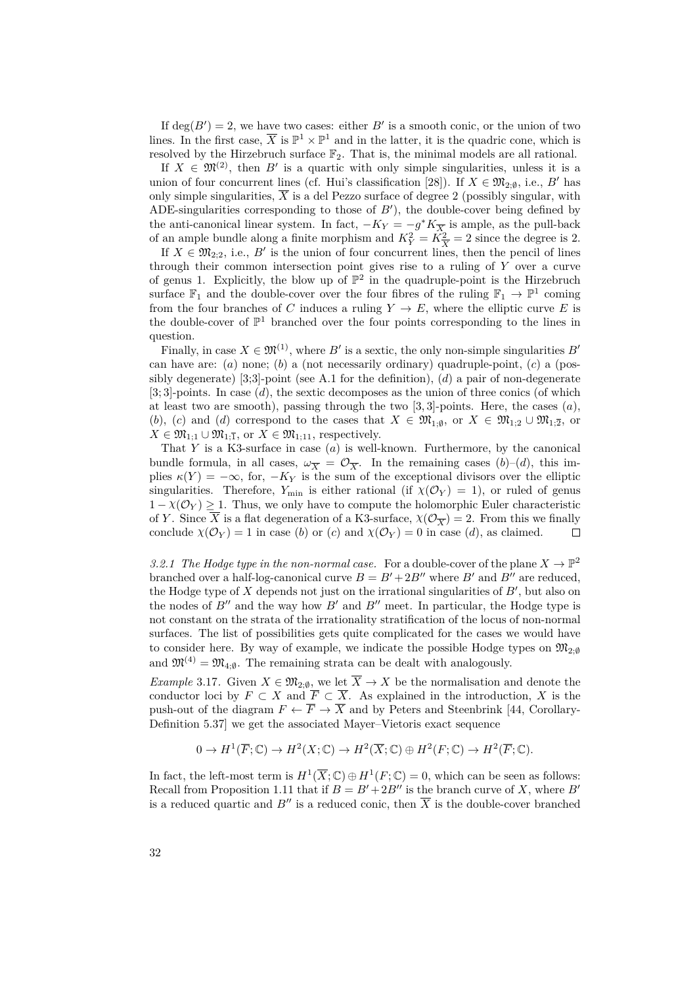If  $deg(B') = 2$ , we have two cases: either B' is a smooth conic, or the union of two lines. In the first case,  $\overline{X}$  is  $\mathbb{P}^1 \times \mathbb{P}^1$  and in the latter, it is the quadric cone, which is resolved by the Hirzebruch surface  $\mathbb{F}_2$ . That is, the minimal models are all rational.

If  $X \in \mathfrak{M}^{(2)}$ , then *B'* is a quartic with only simple singularities, unless it is a union of four concurrent lines (cf. Hui's classification [[28\]](#page-97-0)). If  $X \in \mathfrak{M}_{2,\emptyset}$ , i.e., *B'* has only simple singularities,  $\overline{X}$  is a del Pezzo surface of degree 2 (possibly singular, with ADE-singularities corresponding to those of *B′* ), the double-cover being defined by the anti-canonical linear system. In fact,  $-K_Y = -g^*K_{\overline{X}_s}$  is ample, as the pull-back of an ample bundle along a finite morphism and  $K_Y^2 = K_X^2 = 2$  since the degree is 2.

If  $X \in \mathfrak{M}_{2,2}$ , i.e., *B'* is the union of four concurrent lines, then the pencil of lines through their common intersection point gives rise to a ruling of *Y* over a curve of genus 1. Explicitly, the blow up of  $\mathbb{P}^2$  in the quadruple-point is the Hirzebruch surface  $\mathbb{F}_1$  and the double-cover over the four fibres of the ruling  $\mathbb{F}_1 \to \mathbb{P}^1$  coming from the four branches of *C* induces a ruling  $Y \to E$ , where the elliptic curve *E* is the double-cover of  $\mathbb{P}^1$  branched over the four points corresponding to the lines in question.

Finally, in case  $X \in \mathfrak{M}^{(1)}$ , where  $B'$  is a sextic, the only non-simple singularities  $B'$ can have are: (*a*) none; (*b*) a (not necessarily ordinary) quadruple-point, (*c*) a (possibly degenerate) [3;3]-point (see [A.1](#page-40-0) for the definition), (*d*) a pair of non-degenerate [3; 3]-points. In case (*d*), the sextic decomposes as the union of three conics (of which at least two are smooth), passing through the two [3*,* 3]-points. Here, the cases (*a*), (*b*), (*c*) and (*d*) correspond to the cases that  $X \in \mathfrak{M}_{1;\emptyset}$ , or  $X \in \mathfrak{M}_{1;2} \cup \mathfrak{M}_{1;\overline{2}}$ , or  $X \in \mathfrak{M}_{1;1} \cup \mathfrak{M}_{1;\overline{1}}$ , or  $X \in \mathfrak{M}_{1;11}$ , respectively.

That *Y* is a K3-surface in case (*a*) is well-known. Furthermore, by the canonical bundle formula, in all cases,  $\omega_{\overline{X}} = \mathcal{O}_{\overline{X}}$ . In the remaining cases  $(b)-(d)$ , this implies  $\kappa(Y) = -\infty$ , for,  $-K_Y$  is the sum of the exceptional divisors over the elliptic singularities. Therefore,  $Y_{\text{min}}$  is either rational (if  $\chi(\mathcal{O}_Y) = 1$ ), or ruled of genus  $1 - \chi(\mathcal{O}_Y) \geq 1$ . Thus, we only have to compute the holomorphic Euler characteristic of *Y*. Since  $\overline{X}$  is a flat degeneration of a K3-surface,  $\chi(\mathcal{O}_{\overline{X}}) = 2$ . From this we finally conclude  $\chi(\mathcal{O}_Y) = 1$  in case (b) or (c) and  $\chi(\mathcal{O}_Y) = 0$  in case (d), as claimed. conclude  $\chi(\mathcal{O}_Y) = 1$  in case (*b*) or (*c*) and  $\chi(\mathcal{O}_Y) = 0$  in case (*d*), as claimed.

3.2.1 The Hodge type in the non-normal case. For a double-cover of the plane  $X \to \mathbb{P}^2$ branched over a half-log-canonical curve  $B = B' + 2B''$  where B' and B'' are reduced, the Hodge type of *X* depends not just on the irrational singularities of *B′* , but also on the nodes of  $B''$  and the way how  $B'$  and  $B''$  meet. In particular, the Hodge type is not constant on the strata of the irrationality stratification of the locus of non-normal surfaces. The list of possibilities gets quite complicated for the cases we would have to consider here. By way of example, we indicate the possible Hodge types on  $\mathfrak{M}_{2:0}$ and  $\mathfrak{M}^{(4)} = \mathfrak{M}_{4:\emptyset}$ . The remaining strata can be dealt with analogously.

*Example* 3.17*.* Given  $X \in \mathfrak{M}_{2,0}$  we let  $\overline{X} \to X$  be the normalisation and denote the conductor loci by  $F \subset X$  and  $\overline{F} \subset \overline{X}$ . As explained in the introduction, X is the push-out of the diagram  $F \leftarrow \overline{F} \rightarrow \overline{X}$  and by Peters and Steenbrink [[44,](#page-98-0) Corollary-Definition 5.37] we get the associated Mayer–Vietoris exact sequence

$$
0 \to H^1(\overline{F}; \mathbb{C}) \to H^2(X; \mathbb{C}) \to H^2(\overline{X}; \mathbb{C}) \oplus H^2(F; \mathbb{C}) \to H^2(\overline{F}; \mathbb{C}).
$$

In fact, the left-most term is  $H^1(\overline{X}; \mathbb{C}) \oplus H^1(F; \mathbb{C}) = 0$ , which can be seen as follows: Recall from Proposition [1.11](#page-18-0) that if  $B = B' + 2B''$  is the branch curve of *X*, where *B'* is a reduced quartic and  $B''$  is a reduced conic, then  $\overline{X}$  is the double-cover branched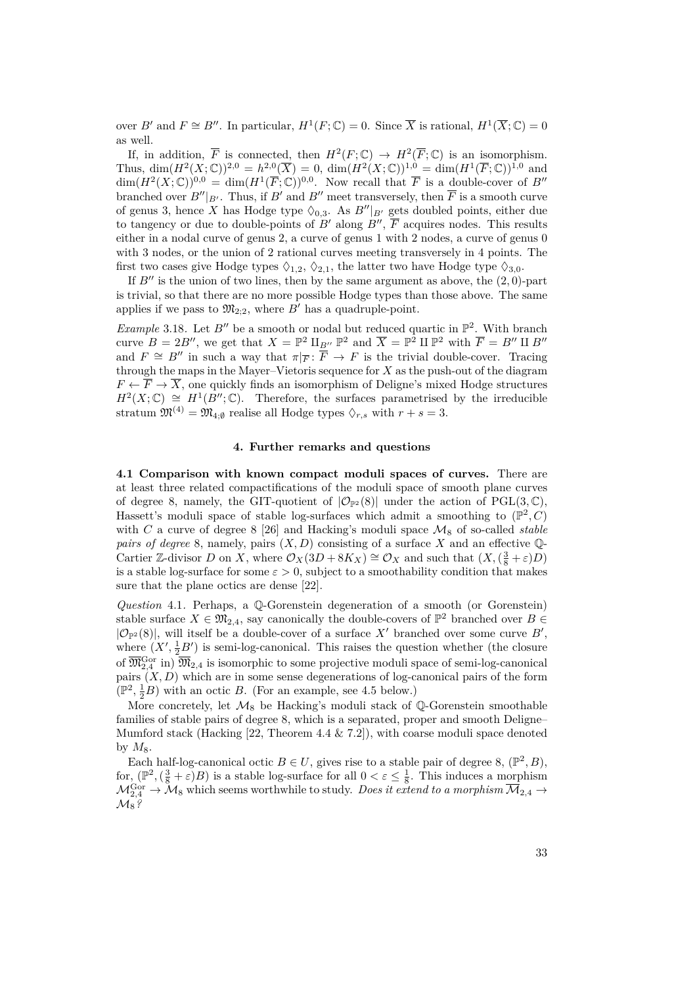over *B'* and  $F \cong B''$ . In particular,  $H^1(F; \mathbb{C}) = 0$ . Since  $\overline{X}$  is rational,  $H^1(\overline{X}; \mathbb{C}) = 0$ as well.

If, in addition,  $\overline{F}$  is connected, then  $H^2(F; \mathbb{C}) \to H^2(\overline{F}; \mathbb{C})$  is an isomorphism. Thus,  $\dim(H^2(X; \mathbb{C}))^{2,0} = h^{2,0}(\overline{X}) = 0$ ,  $\dim(H^2(X; \mathbb{C}))^{1,0} = \dim(H^1(\overline{F}; \mathbb{C}))^{1,0}$  and  $\dim(H^2(X;\mathbb{C}))^{0,0} = \dim(H^1(\overline{F};\mathbb{C}))^{0,0}$ . Now recall that  $\overline{F}$  is a double-cover of  $B''$ branched over  $B''|_{B'}$ . Thus, if  $B'$  and  $B''$  meet transversely, then  $\overline{F}$  is a smooth curve of genus 3, hence *X* has Hodge type  $\Diamond_{0,3}$ . As  $B''|_{B'}$  gets doubled points, either due to tangency or due to double-points of *B′* along *B′′* , *F* acquires nodes. This results either in a nodal curve of genus 2, a curve of genus 1 with 2 nodes, a curve of genus 0 with 3 nodes, or the union of 2 rational curves meeting transversely in 4 points. The first two cases give Hodge types  $\Diamond_{1,2}, \Diamond_{2,1}$ , the latter two have Hodge type  $\Diamond_{3,0}$ .

If  $B''$  is the union of two lines, then by the same argument as above, the  $(2,0)$ -part is trivial, so that there are no more possible Hodge types than those above. The same applies if we pass to  $\mathfrak{M}_{2;2}$ , where *B'* has a quadruple-point.

*Example* 3.18. Let  $B''$  be a smooth or nodal but reduced quartic in  $\mathbb{P}^2$ . With branch curve  $B = 2B''$ , we get that  $X = \mathbb{P}^2 \amalg_{B''} \mathbb{P}^2$  and  $\overline{X} = \mathbb{P}^2 \amalg \mathbb{P}^2$  with  $\overline{F} = B'' \amalg B''$ and  $F \cong B''$  in such a way that  $\pi|_{\overline{F}} \colon \overline{F} \to F$  is the trivial double-cover. Tracing through the maps in the Mayer–Vietoris sequence for *X* as the push-out of the diagram  $F \leftarrow \overline{F} \rightarrow \overline{X}$ , one quickly finds an isomorphism of Deligne's mixed Hodge structures *H*<sup>2</sup>(*X*; ℂ)  $\cong$  *H*<sup>1</sup>(*B''*; ℂ). Therefore, the surfaces parametrised by the irreducible stratum  $\mathfrak{M}^{(4)} = \mathfrak{M}_{4;\emptyset}$  realise all Hodge types  $\Diamond_{r,s}$  with  $r+s=3$ .

### **4. Further remarks and questions**

**4.1 Comparison with known compact moduli spaces of curves.** There are at least three related compactifications of the moduli space of smooth plane curves of degree 8, namely, the GIT-quotient of  $|\mathcal{O}_{\mathbb{P}^2}(8)|$  under the action of PGL(3, C), Hassett's moduli space of stable log-surfaces which admit a smoothing to  $(\mathbb{P}^2, C)$ with *C* a curve of degree 8 [[26\]](#page-97-1) and Hacking's moduli space  $M_8$  of so-called *stable pairs of degree* 8, namely, pairs  $(X, D)$  consisting of a surface X and an effective  $\mathbb{Q}$ -Cartier Z-divisor *D* on *X*, where  $\mathcal{O}_X(3D + 8K_X) \cong \mathcal{O}_X$  and such that  $(X, (\frac{3}{8} + \varepsilon)D)$ is a stable log-surface for some  $\varepsilon > 0$ , subject to a smoothability condition that makes sure that the plane octics are dense [\[22](#page-97-2)].

*Question* 4.1*.* Perhaps, a Q-Gorenstein degeneration of a smooth (or Gorenstein) stable surface  $X \in \mathfrak{M}_{2,4}$ , say canonically the double-covers of  $\mathbb{P}^2$  branched over  $B \in$  $|\mathcal{O}_{\mathbb{P}^2}(8)|$ , will itself be a double-cover of a surface X<sup>*'*</sup> branched over some curve *B'*, where  $(X', \frac{1}{2}B')$  is semi-log-canonical. This raises the question whether (the closure of  $\overline{\mathfrak{M}}_{2,4}^{\rm Gor}$  in)  $\overline{\mathfrak{M}}_{2,4}$  is isomorphic to some projective moduli space of semi-log-canonical pairs  $(X, D)$  which are in some sense degenerations of log-canonical pairs of the form  $(\mathbb{P}^2, \frac{1}{2}B)$  with an octic *B*. (For an example, see [4.5](#page-39-0) below.)

More concretely, let  $\mathcal{M}_8$  be Hacking's moduli stack of Q-Gorenstein smoothable families of stable pairs of degree 8, which is a separated, proper and smooth Deligne– Mumford stack (Hacking  $[22,$  $[22,$  Theorem 4.4  $\&$  7.2]), with coarse moduli space denoted by  $M_8$ .

Each half-log-canonical octic  $B \in U$ , gives rise to a stable pair of degree 8,  $(\mathbb{P}^2, B)$ , for,  $(\mathbb{P}^2, (\frac{3}{8} + \varepsilon)B)$  is a stable log-surface for all  $0 < \varepsilon \leq \frac{1}{8}$ . This induces a morphism  $\mathcal{M}_{2,4}^{\rm Gor} \to \mathcal{M}_8$  which seems worthwhile to study. *Does it extend to a morphism*  $\overline{\mathcal{M}}_{2,4} \to$  $\mathcal{M}_8$ <sup>?</sup>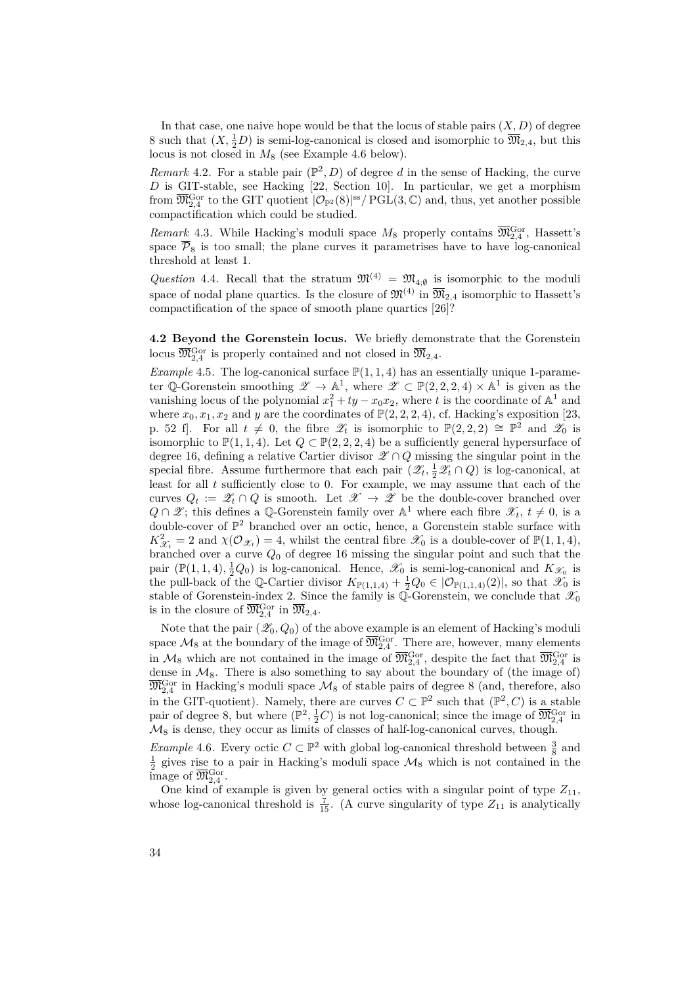In that case, one naive hope would be that the locus of stable pairs  $(X, D)$  of degree 8 such that  $(X, \frac{1}{2}D)$  is semi-log-canonical is closed and isomorphic to  $\overline{\mathfrak{M}}_{2,4}$ , but this locus is not closed in *M*<sup>8</sup> (see Example [4.6](#page-39-1) below).

*Remark* 4.2. For a stable pair  $(\mathbb{P}^2, D)$  of degree *d* in the sense of Hacking, the curve *D* is GIT-stable, see Hacking [\[22](#page-97-2), Section 10]. In particular, we get a morphism from  $\overline{\mathfrak{M}}_{2,4}^{\text{Gor}}$  to the GIT quotient  $|\mathcal{O}_{\mathbb{P}^2}(8)|^{\text{ss}}/|\text{PGL}(3,\mathbb{C})|$  and, thus, yet another possible compactification which could be studied.

*Remark* 4.3. While Hacking's moduli space  $M_8$  properly contains  $\overline{\mathfrak{M}}_{2,4}^{\text{Gor}}$ , Hassett's space  $\overline{P}_8$  is too small; the plane curves it parametrises have to have log-canonical threshold at least 1.

*Question* 4.4. Recall that the stratum  $\mathfrak{M}^{(4)} = \mathfrak{M}_{4,\emptyset}$  is isomorphic to the moduli space of nodal plane quartics. Is the closure of  $\mathfrak{M}^{(4)}$  in  $\overline{\mathfrak{M}}_{2,4}$  isomorphic to Hassett's compactification of the space of smooth plane quartics [\[26](#page-97-1)]?

**4.2 Beyond the Gorenstein locus.** We briefly demonstrate that the Gorenstein locus  $\overline{\mathfrak{M}}_{2,4}^{\text{Gor}}$  is properly contained and not closed in  $\overline{\mathfrak{M}}_{2,4}$ .

<span id="page-39-0"></span>*Example* 4.5. The log-canonical surface  $\mathbb{P}(1,1,4)$  has an essentially unique 1-parameter Q-Gorenstein smoothing  $\mathscr{Z} \to \mathbb{A}^1$ , where  $\mathscr{Z} \subset \mathbb{P}(2, 2, 2, 4) \times \mathbb{A}^1$  is given as the vanishing locus of the polynomial  $x_1^2 + ty - x_0x_2$ , where *t* is the coordinate of  $\mathbb{A}^1$  and where  $x_0, x_1, x_2$  and  $y$  are the coordinates of  $\mathbb{P}(2, 2, 2, 4)$ , cf. Hacking's exposition [\[23](#page-97-3), p. 52 f]. For all  $t \neq 0$ , the fibre  $\mathscr{Z}_t$  is isomorphic to  $\mathbb{P}(2,2,2) \cong \mathbb{P}^2$  and  $\mathscr{Z}_0$  is isomorphic to  $\mathbb{P}(1,1,4)$ . Let  $Q \subset \mathbb{P}(2,2,2,4)$  be a sufficiently general hypersurface of degree 16, defining a relative Cartier divisor *Z ∩ Q* missing the singular point in the special fibre. Assume furthermore that each pair  $(\mathscr{Z}_t, \frac{1}{2}\mathscr{Z}_t \cap Q)$  is log-canonical, at least for all *t* sufficiently close to 0. For example, we may assume that each of the curves  $Q_t := \mathscr{Z}_t \cap Q$  is smooth. Let  $\mathscr{X} \to \mathscr{Z}$  be the double-cover branched over *Q* ∩  $\mathscr{Z}$ ; this defines a Q-Gorenstein family over  $\mathbb{A}^1$  where each fibre  $\mathscr{X}_t$ ,  $t \neq 0$ , is a double-cover of  $\mathbb{P}^2$  branched over an octic, hence, a Gorenstein stable surface with  $K_{\mathscr{X}_t}^2 = 2$  and  $\chi(\mathcal{O}_{\mathscr{X}_t}) = 4$ , whilst the central fibre  $\mathscr{X}_0$  is a double-cover of  $\mathbb{P}(1,1,4)$ , branched over a curve *Q*<sup>0</sup> of degree 16 missing the singular point and such that the pair  $(\mathbb{P}(1,1,4), \frac{1}{2}Q_0)$  is log-canonical. Hence,  $\mathscr{X}_0$  is semi-log-canonical and  $K_{\mathscr{X}_0}$  is the pull-back of the Q-Cartier divisor  $K_{\mathbb{P}(1,1,4)} + \frac{1}{2}Q_0 \in |\mathcal{O}_{\mathbb{P}(1,1,4)}(2)|$ , so that  $\mathscr{X}_0$  is stable of Gorenstein-index 2. Since the family is  $\mathbb{Q}$ -Gorenstein, we conclude that  $\mathscr{X}_0$ is in the closure of  $\overline{\mathfrak{M}}_{2,4}^{\text{Gor}}$  in  $\overline{\mathfrak{M}}_{2,4}$ .

Note that the pair  $(\mathscr{Z}_0, Q_0)$  of the above example is an element of Hacking's moduli space  $\mathcal{M}_8$  at the boundary of the image of  $\overline{\mathfrak{M}}_{2,4}^{\rm Gor}$ . There are, however, many elements in  $\mathcal{M}_8$  which are not contained in the image of  $\overline{\mathfrak{M}}_{2,4}^{\text{Gor}}$ , despite the fact that  $\overline{\mathfrak{M}}_{2,4}^{\text{Gor}}$  is dense in  $M_8$ . There is also something to say about the boundary of (the image of)  $\overline{\mathfrak{M}}_{2,4}^{\rm Gor}$  in Hacking's moduli space  $\mathcal{M}_8$  of stable pairs of degree 8 (and, therefore, also in the GIT-quotient). Namely, there are curves  $C \subset \mathbb{P}^2$  such that  $(\mathbb{P}^2, C)$  is a stable pair of degree 8, but where  $(\mathbb{P}^2, \frac{1}{2}C)$  is not log-canonical; since the image of  $\overline{\mathfrak{M}}_{2,4}^{\rm Gor}$  in  $\mathcal{M}_8$  is dense, they occur as limits of classes of half-log-canonical curves, though.

<span id="page-39-1"></span>*Example* 4.6. Every octic  $C \subset \mathbb{P}^2$  with global log-canonical threshold between  $\frac{3}{8}$  and  $\frac{1}{2}$  gives rise to a pair in Hacking's moduli space  $\mathcal{M}_8$  which is not contained in the image of  $\overline{\mathfrak{M}}_{2,4}^{\text{Gor}}$ .

One kind of example is given by general octics with a singular point of type  $Z_{11}$ , whose log-canonical threshold is  $\frac{7}{15}$ . (A curve singularity of type  $Z_{11}$  is analytically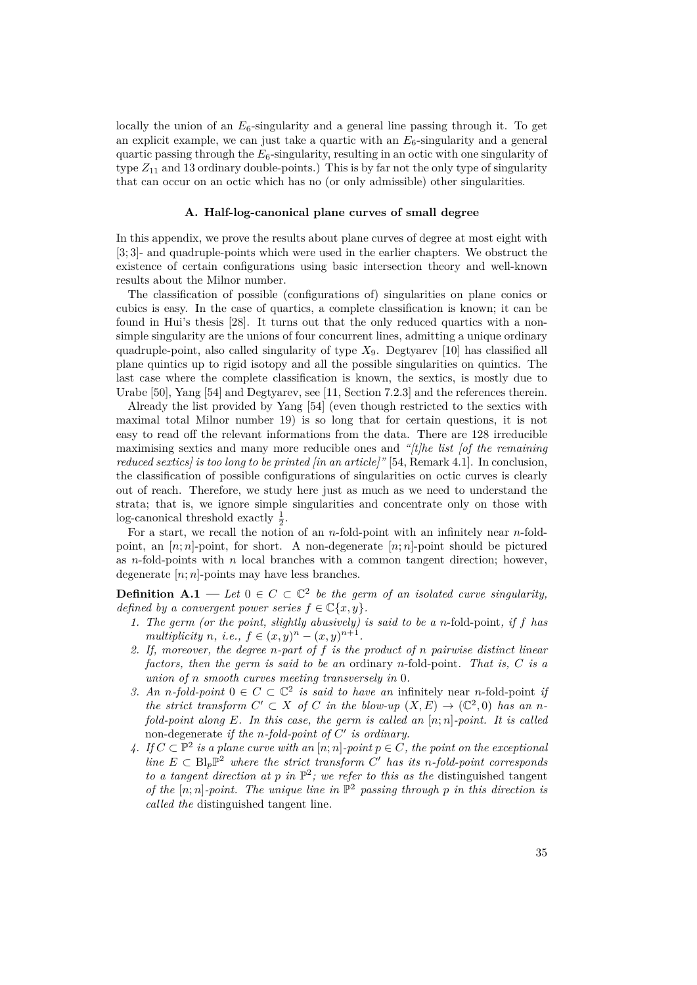locally the union of an  $E_6$ -singularity and a general line passing through it. To get an explicit example, we can just take a quartic with an  $E_6$ -singularity and a general quartic passing through the  $E_6$ -singularity, resulting in an octic with one singularity of type  $Z_{11}$  and 13 ordinary double-points.) This is by far not the only type of singularity that can occur on an octic which has no (or only admissible) other singularities.

### **A. Half-log-canonical plane curves of small degree**

In this appendix, we prove the results about plane curves of degree at most eight with [3; 3]- and quadruple-points which were used in the earlier chapters. We obstruct the existence of certain configurations using basic intersection theory and well-known results about the Milnor number.

The classification of possible (configurations of) singularities on plane conics or cubics is easy. In the case of quartics, a complete classification is known; it can be found in Hui's thesis [[28\]](#page-97-0). It turns out that the only reduced quartics with a nonsimple singularity are the unions of four concurrent lines, admitting a unique ordinary quadruple-point, also called singularity of type *X*9. Degtyarev [[10](#page-96-1)] has classified all plane quintics up to rigid isotopy and all the possible singularities on quintics. The last case where the complete classification is known, the sextics, is mostly due to Urabe [\[50](#page-99-0)], Yang[[54\]](#page-99-1) and Degtyarev, see [[11,](#page-96-2) Section 7.2.3] and the references therein.

Already the list provided by Yang [[54\]](#page-99-1) (even though restricted to the sextics with maximal total Milnor number 19) is so long that for certain questions, it is not easy to read off the relevant informations from the data. There are 128 irreducible maximising sextics and many more reducible ones and *"[t]he list [of the remaining reduced sextics] is too long to be printed [in an article]"* [[54,](#page-99-1) Remark 4.1]. In conclusion, the classification of possible configurations of singularities on octic curves is clearly out of reach. Therefore, we study here just as much as we need to understand the strata; that is, we ignore simple singularities and concentrate only on those with log-canonical threshold exactly  $\frac{1}{2}$ .

For a start, we recall the notion of an *n*-fold-point with an infinitely near *n*-foldpoint, an  $[n; n]$ -point, for short. A non-degenerate  $[n; n]$ -point should be pictured as *n*-fold-points with *n* local branches with a common tangent direction; however, degenerate [*n*; *n*]-points may have less branches.

<span id="page-40-0"></span>**Definition A.1** — Let  $0 \in C \subset \mathbb{C}^2$  be the germ of an isolated curve singularity, *defined by a convergent power series*  $f \in \mathbb{C}\{x, y\}$ *.* 

- *1. The germ (or the point, slightly abusively) is said to be a n*-fold-point*, if f has multiplicity n*, *i.e.*,  $f \in (x, y)^n - (x, y)^{n+1}$ .
- *2. If, moreover, the degree n-part of f is the product of n pairwise distinct linear factors, then the germ is said to be an* ordinary *n*-fold-point*. That is, C is a union of n smooth curves meeting transversely in* 0*.*
- *3. An n*-fold-point 0 ∈  $C \subset \mathbb{C}^2$  *is said to have an* infinitely near *n*-fold-point *if the strict transform*  $C' \subset X$  *of*  $C$  *in the blow-up*  $(X, E) \to (\mathbb{C}^2, 0)$  *has an nfold-point along E. In this case, the germ is called an* [*n*; *n*]*-point. It is called* non-degenerate *if the n-fold-point of C ′ is ordinary.*
- *4. If*  $C \subset \mathbb{P}^2$  *is a plane curve with an* [*n*; *n*]*-point p* ∈ *C, the point on the exceptional line*  $E \text{ }\subset \text{Bl}_p\mathbb{P}^2$  *where the strict transform*  $C'$  *has its n*-fold-point corresponds *to a tangent direction at*  $p$  *in*  $\mathbb{P}^2$ *; we refer to this as the distinguished tangent of the*  $[n; n]$ -point. The unique line in  $\mathbb{P}^2$  passing through p in this direction is *called the* distinguished tangent line*.*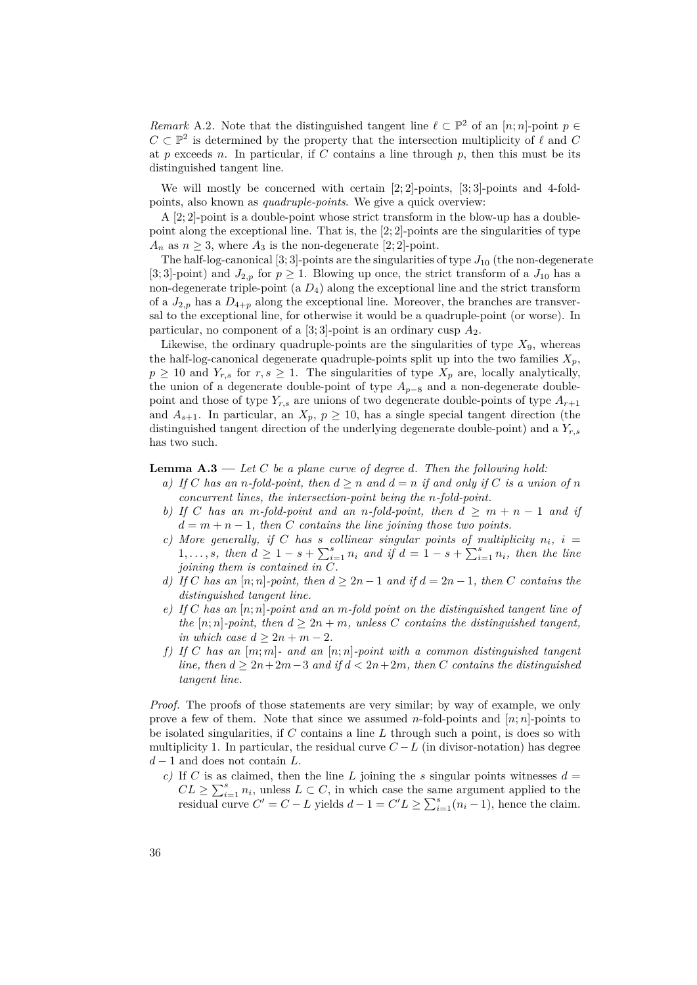*Remark* A.2. Note that the distinguished tangent line  $\ell \subset \mathbb{P}^2$  of an [*n*; *n*]-point  $p \in$  $C \subset \mathbb{P}^2$  is determined by the property that the intersection multiplicity of  $\ell$  and  $C$ at *p* exceeds *n*. In particular, if *C* contains a line through *p*, then this must be its distinguished tangent line.

We will mostly be concerned with certain [2; 2]-points, [3; 3]-points and 4-foldpoints, also known as *quadruple-points*. We give a quick overview:

A [2; 2]-point is a double-point whose strict transform in the blow-up has a doublepoint along the exceptional line. That is, the [2; 2]-points are the singularities of type  $A_n$  as  $n \geq 3$ , where  $A_3$  is the non-degenerate [2; 2]-point.

The half-log-canonical  $[3; 3]$ -points are the singularities of type  $J_{10}$  (the non-degenerate [3; 3]-point) and  $J_{2,p}$  for  $p \ge 1$ . Blowing up once, the strict transform of a  $J_{10}$  has a non-degenerate triple-point (a *D*4) along the exceptional line and the strict transform of a  $J_{2,p}$  has a  $D_{4+p}$  along the exceptional line. Moreover, the branches are transversal to the exceptional line, for otherwise it would be a quadruple-point (or worse). In particular, no component of a [3; 3]-point is an ordinary cusp *A*2.

Likewise, the ordinary quadruple-points are the singularities of type  $X_9$ , whereas the half-log-canonical degenerate quadruple-points split up into the two families  $X_p$ ,  $p \geq 10$  and  $Y_{r,s}$  for  $r, s \geq 1$ . The singularities of type  $X_p$  are, locally analytically, the union of a degenerate double-point of type *A<sup>p</sup>−*<sup>8</sup> and a non-degenerate doublepoint and those of type  $Y_{r,s}$  are unions of two degenerate double-points of type  $A_{r+1}$ and  $A_{s+1}$ . In particular, an  $X_p$ ,  $p \ge 10$ , has a single special tangent direction (the distinguished tangent direction of the underlying degenerate double-point) and a *Yr,s* has two such.

<span id="page-41-0"></span>**Lemma A.3 —** *Let C be a plane curve of degree d. Then the following hold:*

- *a)* If C has an *n*-fold-point, then  $d \ge n$  and  $d = n$  if and only if C is a union of *n concurrent lines, the intersection-point being the n-fold-point.*
- <span id="page-41-3"></span>*b*) If C has an *m*-fold-point and an *n*-fold-point, then  $d > m + n - 1$  and if  $d = m + n - 1$ , then *C* contains the line joining those two points.
- <span id="page-41-2"></span>*c)* More generally, if C has *s* collinear singular points of multiplicity  $n_i$ ,  $i =$ 1,...,s, then  $d \ge 1 - s + \sum_{i=1}^{s} n_i$  and if  $d = 1 - s + \sum_{i=1}^{s} n_i$ , then the line *joining them is contained in C.*
- <span id="page-41-1"></span>*d)* If C has an  $[n; n]$ -point, then  $d \geq 2n - 1$  and if  $d = 2n - 1$ , then C contains the *distinguished tangent line.*
- <span id="page-41-4"></span>*e) If C has an* [*n*; *n*]*-point and an m-fold point on the distinguished tangent line of the*  $[n; n]$ -point, then  $d \geq 2n + m$ , unless C contains the distinguished tangent. *in which case*  $d > 2n + m - 2$ *.*
- *f) If C has an* [*m*; *m*] *and an* [*n*; *n*]*-point with a common distinguished tangent line, then*  $d \geq 2n + 2m - 3$  *and if*  $d < 2n + 2m$ *, then C contains the distinguished tangent line.*

*Proof.* The proofs of those statements are very similar; by way of example, we only prove a few of them. Note that since we assumed *n*-fold-points and [*n*; *n*]-points to be isolated singularities, if *C* contains a line *L* through such a point, is does so with multiplicity 1. In particular, the residual curve  $C - L$  (in divisor-notation) has degree *d −* 1 and does not contain *L*.

*c)* If *C* is as claimed, then the line *L* joining the *s* singular points witnesses  $d =$  $CL \geq \sum_{i=1}^{s} n_i$ , unless  $L \subset C$ , in which case the same argument applied to the residual curve  $C' = C - L$  yields  $d - 1 = C'L \ge \sum_{i=1}^{s} (n_i - 1)$ , hence the claim.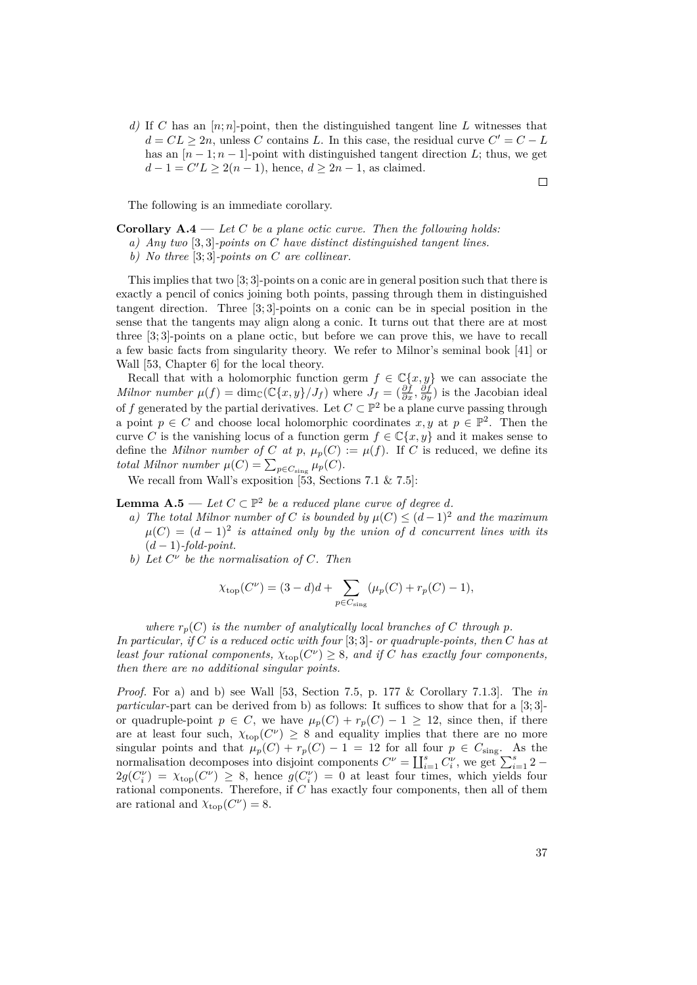*d)* If *C* has an [*n*; *n*]-point, then the distinguished tangent line *L* witnesses that  $d = CL \geq 2n$ , unless *C* contains *L*. In this case, the residual curve  $C' = C - L$ has an  $[n-1; n-1]$ -point with distinguished tangent direction *L*; thus, we get  $d-1 = C'L \geq 2(n-1)$ , hence,  $d \geq 2n-1$ , as claimed.

The following is an immediate corollary.

<span id="page-42-4"></span><span id="page-42-2"></span>**Corollary A.4 —** *Let C be a plane octic curve. Then the following holds:*

- *a) Any two* [3*,* 3]*-points on C have distinct distinguished tangent lines.*
- <span id="page-42-5"></span>*b) No three* [3; 3]*-points on C are collinear.*

This implies that two [3; 3]-points on a conic are in general position such that there is exactly a pencil of conics joining both points, passing through them in distinguished tangent direction. Three [3; 3]-points on a conic can be in special position in the sense that the tangents may align along a conic. It turns out that there are at most three [3; 3]-points on a plane octic, but before we can prove this, we have to recall a few basic facts from singularity theory. We refer to Milnor's seminal book [\[41](#page-98-1)] or Wall [\[53](#page-99-2), Chapter 6] for the local theory.

Recall that with a holomorphic function germ  $f \in \mathbb{C}\lbrace x, y \rbrace$  we can associate the *Milnor number*  $\mu(f) = \dim_{\mathbb{C}}(\mathbb{C}\{x,y\}/J_f)$  where  $J_f = (\frac{\partial f}{\partial x}, \frac{\partial f}{\partial y})$  is the Jacobian ideal of *f* generated by the partial derivatives. Let  $C \subset \mathbb{P}^2$  be a plane curve passing through a point  $p \in C$  and choose local holomorphic coordinates  $x, y$  at  $p \in \mathbb{P}^2$ . Then the curve *C* is the vanishing locus of a function germ  $f \in \mathbb{C}\{x, y\}$  and it makes sense to define the *Milnor number of C at*  $p$ ,  $\mu_p(C) := \mu(f)$ . If *C* is reduced, we define its *total Milnor number*  $\mu(C) = \sum_{p \in C_{\text{sing}}} \mu_p(C)$ .

We recall from Wall's exposition [[53,](#page-99-2) Sections 7.1 & 7.5]:

<span id="page-42-3"></span><span id="page-42-0"></span>**Lemma A.5** — *Let*  $C \subset \mathbb{P}^2$  *be a reduced plane curve of degree d.* 

- *a) The total Milnor number of C is bounded by*  $\mu(C) \leq (d-1)^2$  *and the maximum*  $\mu(C) = (d-1)^2$  *is attained only by the union of d concurrent lines with its* (*d −* 1)*-fold-point.*
- <span id="page-42-1"></span>*b*) Let  $C^{\nu}$  be the normalisation of  $C$ . Then

$$
\chi_{\text{top}}(C^{\nu}) = (3 - d)d + \sum_{p \in C_{\text{sing}}} (\mu_p(C) + r_p(C) - 1),
$$

*where*  $r_p(C)$  *is the number of analytically local branches of C through*  $p$ *. In particular, if C is a reduced octic with four* [3; 3]*- or quadruple-points, then C has at least four rational components,*  $\chi_{\text{top}}(C^{\nu}) \geq 8$ , and if C has exactly four components, *then there are no additional singular points.*

*Proof.* For [a\)](#page-42-0) and [b\)](#page-42-1) see Wall [\[53](#page-99-2), Section 7.5, p. 177 & Corollary 7.1.3]. The *in particular*-part can be derived from [b\)](#page-42-1) as follows: It suffices to show that for a [3; 3] or quadruple-point  $p \in C$ , we have  $\mu_p(C) + r_p(C) - 1 \geq 12$ , since then, if there are at least four such,  $\chi_{\text{top}}(C^{\nu}) \geq 8$  and equality implies that there are no more singular points and that  $\mu_p(C) + r_p(C) - 1 = 12$  for all four  $p \in C_{\text{sing}}$ . As the normalisation decomposes into disjoint components  $C^{\nu} = \coprod_{i=1}^{s} C_i^{\nu}$ , we get  $\sum_{i=1}^{s} 2 2g(C_i^{\nu}) = \chi_{\text{top}}(C^{\nu}) \geq 8$ , hence  $g(C_i^{\nu}) = 0$  at least four times, which yields four rational components. Therefore, if *C* has exactly four components, then all of them are rational and  $\chi_{\text{top}}(C^{\nu}) = 8$ .

 $\Box$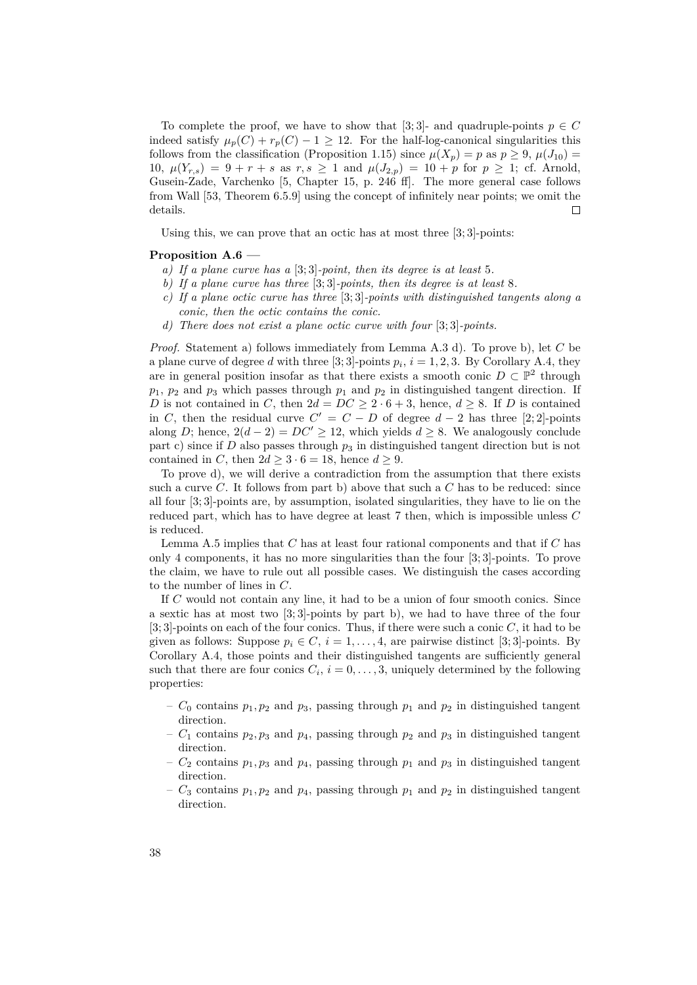To complete the proof, we have to show that [3; 3]- and quadruple-points  $p \in C$ indeed satisfy  $\mu_p(C) + r_p(C) - 1 \geq 12$ . For the half-log-canonical singularities this follows from the classification (Proposition [1.15\)](#page-21-0) since  $\mu(X_p) = p$  as  $p \ge 9$ ,  $\mu(J_{10}) =$ 10,  $\mu(Y_{r,s}) = 9 + r + s$  as  $r, s \ge 1$  and  $\mu(J_{2,p}) = 10 + p$  for  $p \ge 1$ ; cf. Arnold, Gusein-Zade, Varchenko [[5,](#page-96-3) Chapter 15, p. 246 ff]. The more general case follows from Wall [\[53](#page-99-2), Theorem 6.5.9] using the concept of infinitely near points; we omit the details.  $\Box$ 

Using this, we can prove that an octic has at most three [3; 3]-points:

## <span id="page-43-4"></span><span id="page-43-0"></span>**Proposition A.6 —**

- *a) If a plane curve has a* [3; 3]*-point, then its degree is at least* 5*.*
- <span id="page-43-1"></span>*b) If a plane curve has three* [3; 3]*-points, then its degree is at least* 8*.*
- <span id="page-43-2"></span>*c) If a plane octic curve has three* [3; 3]*-points with distinguished tangents along a conic, then the octic contains the conic.*
- <span id="page-43-3"></span>*d) There does not exist a plane octic curve with four* [3; 3]*-points.*

*Proof.* Statement [a\)](#page-43-0) follows immediately from Lemma [A.3](#page-41-0) [d\).](#page-41-1) To prove [b\)](#page-43-1), let *C* be a plane curve of degree *d* with three [3; 3]-points  $p_i$ ,  $i = 1, 2, 3$ . By Corollary [A.4](#page-42-2), they are in general position insofar as that there exists a smooth conic  $D \subset \mathbb{P}^2$  through  $p_1$ ,  $p_2$  and  $p_3$  which passes through  $p_1$  and  $p_2$  in distinguished tangent direction. If *D* is not contained in *C*, then  $2d = DC \geq 2 \cdot 6 + 3$ , hence,  $d \geq 8$ . If *D* is contained in *C*, then the residual curve  $C' = C - D$  of degree  $d - 2$  has three [2; 2]-points along *D*; hence,  $2(d-2) = DC' \geq 12$ , which yields  $d \geq 8$ . We analogously conclude part [c\)](#page-43-2) since if *D* also passes through *p*<sup>3</sup> in distinguished tangent direction but is not contained in *C*, then  $2d \geq 3 \cdot 6 = 18$ , hence  $d \geq 9$ .

To prove [d\)](#page-43-3), we will derive a contradiction from the assumption that there exists such a curve *C*. It follows from part [b\)](#page-43-1) above that such a *C* has to be reduced: since all four [3; 3]-points are, by assumption, isolated singularities, they have to lie on the reduced part, which has to have degree at least 7 then, which is impossible unless *C* is reduced.

Lemma [A.5](#page-42-3) implies that *C* has at least four rational components and that if *C* has only 4 components, it has no more singularities than the four [3; 3]-points. To prove the claim, we have to rule out all possible cases. We distinguish the cases according to the number of lines in *C*.

If *C* would not contain any line, it had to be a union of four smooth conics. Since a sextic has at most two [3; 3]-points by part [b\),](#page-43-1) we had to have three of the four [3; 3]-points on each of the four conics. Thus, if there were such a conic *C*, it had to be given as follows: Suppose  $p_i \in C$ ,  $i = 1, \ldots, 4$ , are pairwise distinct [3; 3]-points. By Corollary [A.4](#page-42-2), those points and their distinguished tangents are sufficiently general such that there are four conics  $C_i$ ,  $i = 0, \ldots, 3$ , uniquely determined by the following properties:

- $-C_0$  contains  $p_1, p_2$  and  $p_3$ , passing through  $p_1$  and  $p_2$  in distinguished tangent direction.
- $-C_1$  contains  $p_2, p_3$  and  $p_4$ , passing through  $p_2$  and  $p_3$  in distinguished tangent direction.
- $-C_2$  contains  $p_1, p_3$  and  $p_4$ , passing through  $p_1$  and  $p_3$  in distinguished tangent direction.
- $-C_3$  contains  $p_1, p_2$  and  $p_4$ , passing through  $p_1$  and  $p_2$  in distinguished tangent direction.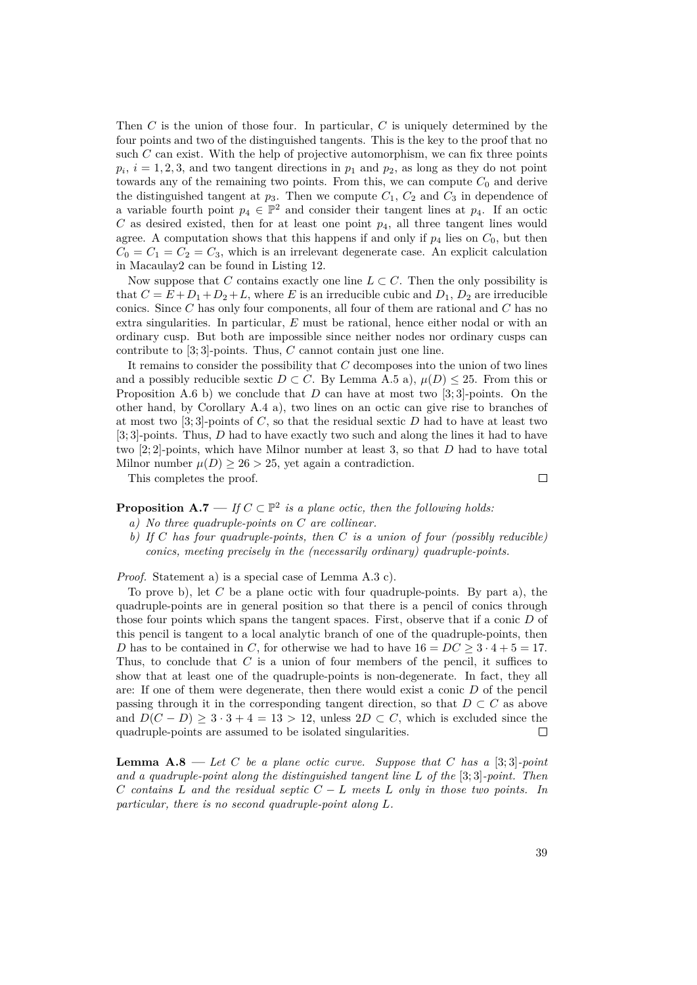Then *C* is the union of those four. In particular, *C* is uniquely determined by the four points and two of the distinguished tangents. This is the key to the proof that no such *C* can exist. With the help of projective automorphism, we can fix three points  $p_i$ ,  $i = 1, 2, 3$ , and two tangent directions in  $p_1$  and  $p_2$ , as long as they do not point towards any of the remaining two points. From this, we can compute  $C_0$  and derive the distinguished tangent at  $p_3$ . Then we compute  $C_1$ ,  $C_2$  and  $C_3$  in dependence of a variable fourth point  $p_4 \in \mathbb{P}^2$  and consider their tangent lines at  $p_4$ . If an octic  $C$  as desired existed, then for at least one point  $p_4$ , all three tangent lines would agree. A computation shows that this happens if and only if  $p_4$  lies on  $C_0$ , but then  $C_0 = C_1 = C_2 = C_3$ , which is an irrelevant degenerate case. An explicit calculation in Macaulay2 can be found in [Listing 12.](#page-85-0)

Now suppose that *C* contains exactly one line  $L \subset C$ . Then the only possibility is that  $C = E + D_1 + D_2 + L$ , where *E* is an irreducible cubic and  $D_1$ ,  $D_2$  are irreducible conics. Since *C* has only four components, all four of them are rational and *C* has no extra singularities. In particular, *E* must be rational, hence either nodal or with an ordinary cusp. But both are impossible since neither nodes nor ordinary cusps can contribute to [3; 3]-points. Thus, *C* cannot contain just one line.

It remains to consider the possibility that *C* decomposes into the union of two lines and a possibly reducible sextic  $D \subset C$ . By Lemma [A.5](#page-42-3) [a\)](#page-42-0),  $\mu(D) \leq 25$ . From this or Proposition [A.6](#page-43-4) [b\)](#page-43-1) we conclude that *D* can have at most two [3; 3]-points. On the other hand, by Corollary [A.4](#page-42-2) [a\),](#page-42-4) two lines on an octic can give rise to branches of at most two [3; 3]-points of *C*, so that the residual sextic *D* had to have at least two [3; 3]-points. Thus, *D* had to have exactly two such and along the lines it had to have two [2; 2]-points, which have Milnor number at least 3, so that *D* had to have total Milnor number  $\mu(D) \geq 26 > 25$ , yet again a contradiction.

This completes the proof.

 $\Box$ 

# <span id="page-44-3"></span><span id="page-44-0"></span>**Proposition A.7** — *If*  $C \subset \mathbb{P}^2$  *is a plane octic, then the following holds:*

- *a) No three quadruple-points on C are collinear.*
- <span id="page-44-1"></span>*b) If C has four quadruple-points, then C is a union of four (possibly reducible) conics, meeting precisely in the (necessarily ordinary) quadruple-points.*

*Proof.* Statement [a\)](#page-44-0) is a special case of Lemma [A.3](#page-41-0) [c\)](#page-41-2).

To prove [b\),](#page-44-1) let *C* be a plane octic with four quadruple-points. By part [a\),](#page-44-0) the quadruple-points are in general position so that there is a pencil of conics through those four points which spans the tangent spaces. First, observe that if a conic *D* of this pencil is tangent to a local analytic branch of one of the quadruple-points, then *D* has to be contained in *C*, for otherwise we had to have  $16 = DC \geq 3 \cdot 4 + 5 = 17$ . Thus, to conclude that *C* is a union of four members of the pencil, it suffices to show that at least one of the quadruple-points is non-degenerate. In fact, they all are: If one of them were degenerate, then there would exist a conic *D* of the pencil passing through it in the corresponding tangent direction, so that  $D \subset C$  as above and  $D(C - D) \geq 3 \cdot 3 + 4 = 13 > 12$ , unless  $2D \subset C$ , which is excluded since the quadruple-points are assumed to be isolated singularities.  $\Box$ 

<span id="page-44-2"></span>**Lemma A.8** — Let C be a plane octic curve. Suppose that C has a [3;3]-point *and a quadruple-point along the distinguished tangent line L of the* [3; 3]*-point. Then C contains L and the residual septic C − L meets L only in those two points. In particular, there is no second quadruple-point along L.*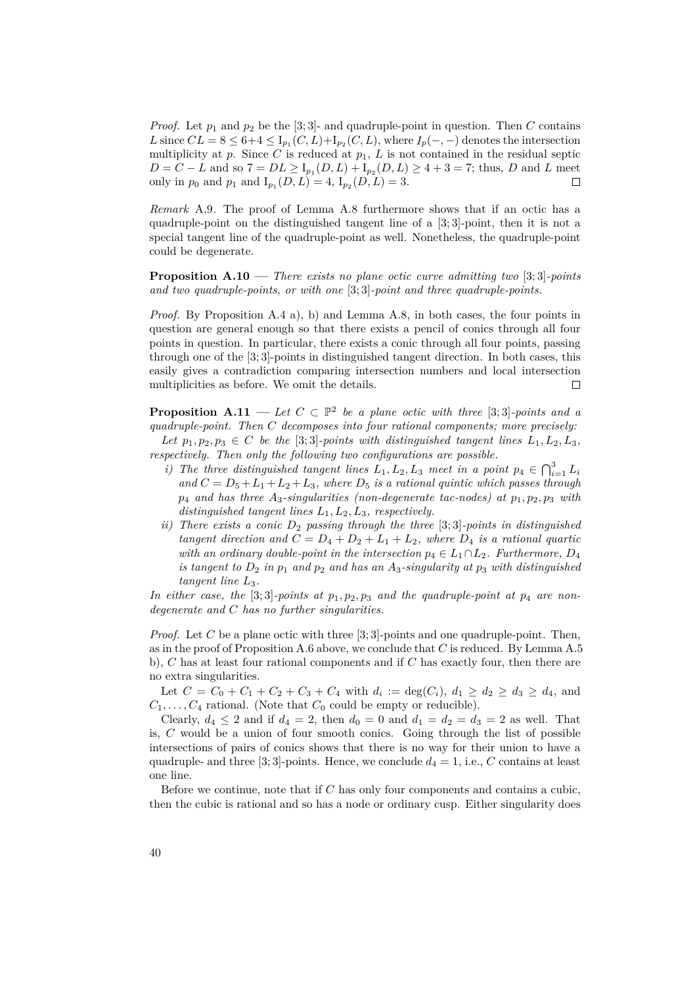*Proof.* Let  $p_1$  and  $p_2$  be the [3; 3]- and quadruple-point in question. Then *C* contains L since  $CL = 8 \leq 6+4 \leq I_{p_1}(C, L)+I_{p_2}(C, L)$ , where  $I_p(-, -)$  denotes the intersection multiplicity at  $p$ . Since  $C$  is reduced at  $p_1$ ,  $L$  is not contained in the residual septic  $D = C - L$  and so  $7 = DL \ge I_{p_1}(D, L) + I_{p_2}(D, L) \ge 4 + 3 = 7$ ; thus, *D* and *L* meet only in  $p_0$  and  $p_1$  and  $I_{p_1}(D, L) = 4$ ,  $I_{p_2}(D, L) = 3$ .  $\Box$ 

*Remark* A.9*.* The proof of Lemma [A.8](#page-44-2) furthermore shows that if an octic has a quadruple-point on the distinguished tangent line of a [3; 3]-point, then it is not a special tangent line of the quadruple-point as well. Nonetheless, the quadruple-point could be degenerate.

**Proposition A.10 —** *There exists no plane octic curve admitting two* [3; 3]*-points and two quadruple-points, or with one* [3; 3]*-point and three quadruple-points.*

*Proof.* By Proposition [A.4](#page-42-2) [a\),](#page-42-4) [b\)](#page-42-5) and Lemma [A.8,](#page-44-2) in both cases, the four points in question are general enough so that there exists a pencil of conics through all four points in question. In particular, there exists a conic through all four points, passing through one of the [3; 3]-points in distinguished tangent direction. In both cases, this easily gives a contradiction comparing intersection numbers and local intersection multiplicities as before. We omit the details.  $\Box$ 

**Proposition A.11** — Let  $C \subset \mathbb{P}^2$  be a plane octic with three [3;3]-points and a *quadruple-point. Then C decomposes into four rational components; more precisely:*

*Let*  $p_1, p_2, p_3 \in C$  *be the* [3;3]*-points with distinguished tangent lines*  $L_1, L_2, L_3$ *, respectively. Then only the following two configurations are possible.*

- *i*) The three distinguished tangent lines  $L_1, L_2, L_3$  meet in a point  $p_4 \in \bigcap_{i=1}^3 L_i$ and  $C = D_5 + L_1 + L_2 + L_3$ , where  $D_5$  *is a rational quintic which passes through*  $p_4$  *and has three*  $A_3$ -singularities (non-degenerate tac-nodes) at  $p_1, p_2, p_3$  with *distinguished tangent lines L*1*, L*2*, L*3*, respectively.*
- *ii) There exists a conic D*<sup>2</sup> *passing through the three* [3; 3]*-points in distinguished tangent direction and*  $C = D_4 + D_2 + L_1 + L_2$ *, where*  $D_4$  *is a rational quartic with an ordinary double-point in the intersection*  $p_4 \in L_1 \cap L_2$ *. Furthermore,*  $D_4$ *is tangent to*  $D_2$  *in*  $p_1$  *and*  $p_2$  *and has an*  $A_3$ -singularity at  $p_3$  *with distinguished tangent line L*3*.*

*In either case, the* [3;3]*-points at*  $p_1, p_2, p_3$  *and the quadruple-point at*  $p_4$  *are nondegenerate and C has no further singularities.*

*Proof.* Let *C* be a plane octic with three [3; 3]-points and one quadruple-point. Then, as in the proof of Proposition [A.6](#page-43-4) above, we conclude that *C* is reduced. By Lemma [A.5](#page-42-3) [b\),](#page-42-1) *C* has at least four rational components and if *C* has exactly four, then there are no extra singularities.

Let  $C = C_0 + C_1 + C_2 + C_3 + C_4$  with  $d_i := \deg(C_i)$ ,  $d_1 \geq d_2 \geq d_3 \geq d_4$ , and  $C_1, \ldots, C_4$  rational. (Note that  $C_0$  could be empty or reducible).

Clearly,  $d_4 \leq 2$  and if  $d_4 = 2$ , then  $d_0 = 0$  and  $d_1 = d_2 = d_3 = 2$  as well. That is, *C* would be a union of four smooth conics. Going through the list of possible intersections of pairs of conics shows that there is no way for their union to have a quadruple- and three [3; 3]-points. Hence, we conclude  $d_4 = 1$ , i.e., *C* contains at least one line.

Before we continue, note that if *C* has only four components and contains a cubic, then the cubic is rational and so has a node or ordinary cusp. Either singularity does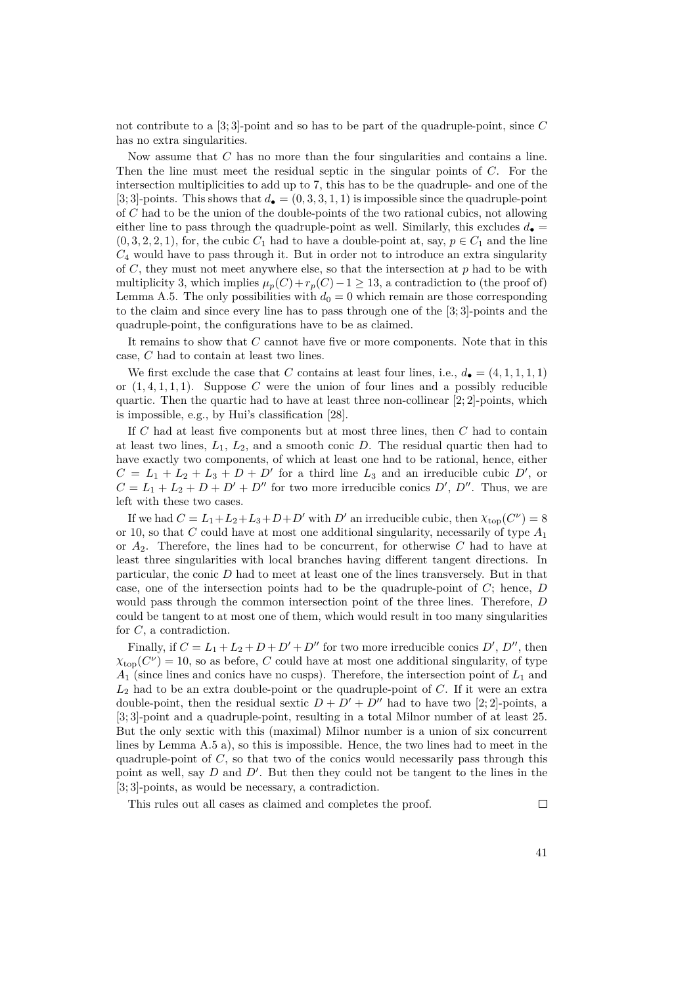not contribute to a [3; 3]-point and so has to be part of the quadruple-point, since *C* has no extra singularities.

Now assume that *C* has no more than the four singularities and contains a line. Then the line must meet the residual septic in the singular points of *C*. For the intersection multiplicities to add up to 7, this has to be the quadruple- and one of the [3; 3]-points. This shows that  $d_{\bullet} = (0, 3, 3, 1, 1)$  is impossible since the quadruple-point of *C* had to be the union of the double-points of the two rational cubics, not allowing either line to pass through the quadruple-point as well. Similarly, this excludes  $d_{\bullet}$  $(0, 3, 2, 2, 1)$ , for, the cubic  $C_1$  had to have a double-point at, say,  $p \in C_1$  and the line *C*<sup>4</sup> would have to pass through it. But in order not to introduce an extra singularity of *C*, they must not meet anywhere else, so that the intersection at *p* had to be with multiplicity 3, which implies  $\mu_p(C) + r_p(C) - 1 \geq 13$ , a contradiction to (the proof of) Lemma [A.5.](#page-42-3) The only possibilities with  $d_0 = 0$  which remain are those corresponding to the claim and since every line has to pass through one of the [3; 3]-points and the quadruple-point, the configurations have to be as claimed.

It remains to show that *C* cannot have five or more components. Note that in this case, *C* had to contain at least two lines.

We first exclude the case that *C* contains at least four lines, i.e.,  $d_{\bullet} = (4, 1, 1, 1, 1)$ or  $(1, 4, 1, 1, 1)$ . Suppose C were the union of four lines and a possibly reducible quartic. Then the quartic had to have at least three non-collinear [2; 2]-points, which is impossible, e.g., by Hui's classification [\[28](#page-97-0)].

If *C* had at least five components but at most three lines, then *C* had to contain at least two lines,  $L_1$ ,  $L_2$ , and a smooth conic *D*. The residual quartic then had to have exactly two components, of which at least one had to be rational, hence, either  $C = L_1 + L_2 + L_3 + D + D'$  for a third line  $L_3$  and an irreducible cubic *D'*, or  $C = L_1 + L_2 + D + D' + D''$  for two more irreducible conics  $D'$ ,  $D''$ . Thus, we are left with these two cases.

If we had  $C = L_1 + L_2 + L_3 + D + D'$  with  $D'$  an irreducible cubic, then  $\chi_{top}(C^{\nu}) = 8$ or 10, so that *C* could have at most one additional singularity, necessarily of type *A*<sup>1</sup> or *A*2. Therefore, the lines had to be concurrent, for otherwise *C* had to have at least three singularities with local branches having different tangent directions. In particular, the conic *D* had to meet at least one of the lines transversely. But in that case, one of the intersection points had to be the quadruple-point of *C*; hence, *D* would pass through the common intersection point of the three lines. Therefore, *D* could be tangent to at most one of them, which would result in too many singularities for *C*, a contradiction.

Finally, if  $C = L_1 + L_2 + D + D' + D''$  for two more irreducible conics  $D'$ ,  $D''$ , then  $\chi_{\text{top}}(C^{\nu}) = 10$ , so as before, *C* could have at most one additional singularity, of type *A*<sup>1</sup> (since lines and conics have no cusps). Therefore, the intersection point of *L*<sup>1</sup> and *L*<sup>2</sup> had to be an extra double-point or the quadruple-point of *C*. If it were an extra double-point, then the residual sextic  $D + D' + D''$  had to have two [2; 2]-points, a [3; 3]-point and a quadruple-point, resulting in a total Milnor number of at least 25. But the only sextic with this (maximal) Milnor number is a union of six concurrent lines by Lemma [A.5](#page-42-3) [a\),](#page-42-0) so this is impossible. Hence, the two lines had to meet in the quadruple-point of *C*, so that two of the conics would necessarily pass through this point as well, say *D* and *D′* . But then they could not be tangent to the lines in the [3; 3]-points, as would be necessary, a contradiction.

This rules out all cases as claimed and completes the proof.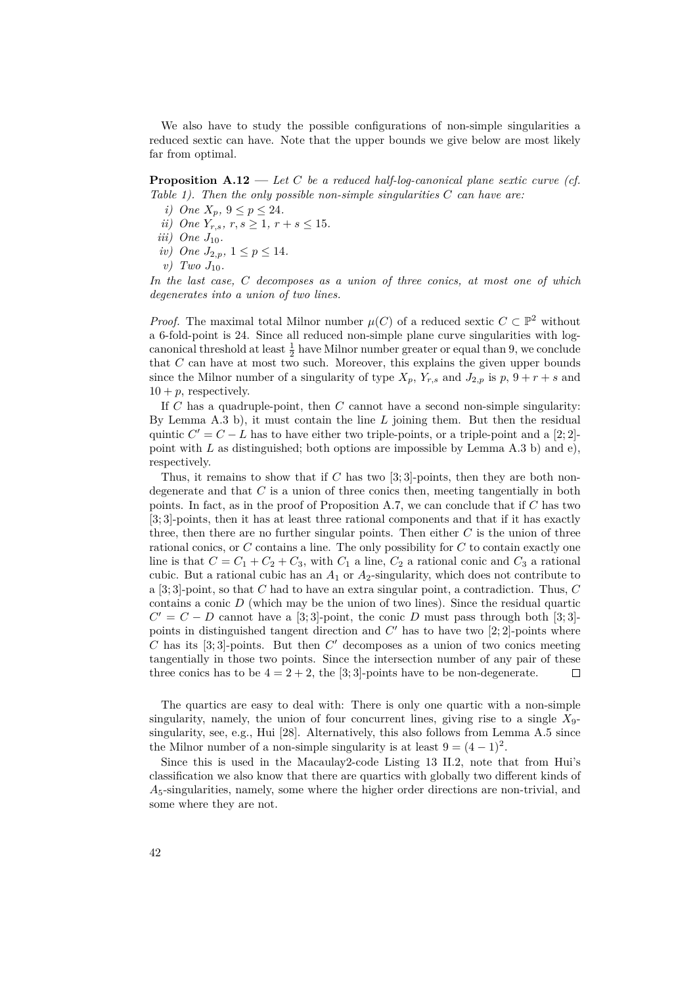We also have to study the possible configurations of non-simple singularities a reduced sextic can have. Note that the upper bounds we give below are most likely far from optimal.

**Proposition A.12 —** *Let C be a reduced half-log-canonical plane sextic curve (cf. [Table 1](#page-21-1)). Then the only possible non-simple singularities C can have are:*

- *i*) *One*  $X_p$ ,  $9 \leq p \leq 24$ *.*
- *ii*) *One*  $Y_{r,s}$ *,*  $r, s \geq 1$ *,*  $r + s \leq 15$ *.*
- *iii*) *One*  $J_{10}$ *.*
- *iv*) *One*  $J_{2,p}$ ,  $1 \leq p \leq 14$ *.*
- *v*)  $Two\ J_{10}$ .

*In the last case, C decomposes as a union of three conics, at most one of which degenerates into a union of two lines.*

*Proof.* The maximal total Milnor number  $\mu$ (*C*) of a reduced sextic  $C \subset \mathbb{P}^2$  without a 6-fold-point is 24. Since all reduced non-simple plane curve singularities with logcanonical threshold at least  $\frac{1}{2}$  have Milnor number greater or equal than 9, we conclude that *C* can have at most two such. Moreover, this explains the given upper bounds since the Milnor number of a singularity of type  $X_p$ ,  $Y_{r,s}$  and  $J_{2,p}$  is  $p, 9 + r + s$  and  $10 + p$ , respectively.

If *C* has a quadruple-point, then *C* cannot have a second non-simple singularity: By Lemma [A.3](#page-41-0) [b\),](#page-41-3) it must contain the line *L* joining them. But then the residual quintic  $C' = C - L$  has to have either two triple-points, or a triple-point and a [2; 2]point with *L* as distinguished; both options are impossible by Lemma  $(A.3 b)$  $(A.3 b)$  $(A.3 b)$  $(A.3 b)$  and [e\)](#page-41-4), respectively.

Thus, it remains to show that if *C* has two [3; 3]-points, then they are both nondegenerate and that *C* is a union of three conics then, meeting tangentially in both points. In fact, as in the proof of Proposition [A.7](#page-44-3), we can conclude that if *C* has two [3; 3]-points, then it has at least three rational components and that if it has exactly three, then there are no further singular points. Then either *C* is the union of three rational conics, or *C* contains a line. The only possibility for *C* to contain exactly one line is that  $C = C_1 + C_2 + C_3$ , with  $C_1$  a line,  $C_2$  a rational conic and  $C_3$  a rational cubic. But a rational cubic has an *A*<sup>1</sup> or *A*2-singularity, which does not contribute to a [3; 3]-point, so that *C* had to have an extra singular point, a contradiction. Thus, *C* contains a conic *D* (which may be the union of two lines). Since the residual quartic  $C' = C - D$  cannot have a [3; 3]-point, the conic *D* must pass through both [3; 3]points in distinguished tangent direction and *C ′* has to have two [2; 2]-points where *C* has its [3; 3]-points. But then *C ′* decomposes as a union of two conics meeting tangentially in those two points. Since the intersection number of any pair of these three conics has to be  $4 = 2 + 2$ , the [3; 3]-points have to be non-degenerate.  $\Box$ 

The quartics are easy to deal with: There is only one quartic with a non-simple singularity, namely, the union of four concurrent lines, giving rise to a single *X*9 singularity, see, e.g., Hui [\[28](#page-97-0)]. Alternatively, this also follows from Lemma [A.5](#page-42-3) since the Milnor number of a non-simple singularity is at least  $9 = (4 - 1)^2$ .

Since this is used in the Macaulay2-code [Listing 13](#page-86-0) II.2, note that from Hui's classification we also know that there are quartics with globally two different kinds of *A*5-singularities, namely, some where the higher order directions are non-trivial, and some where they are not.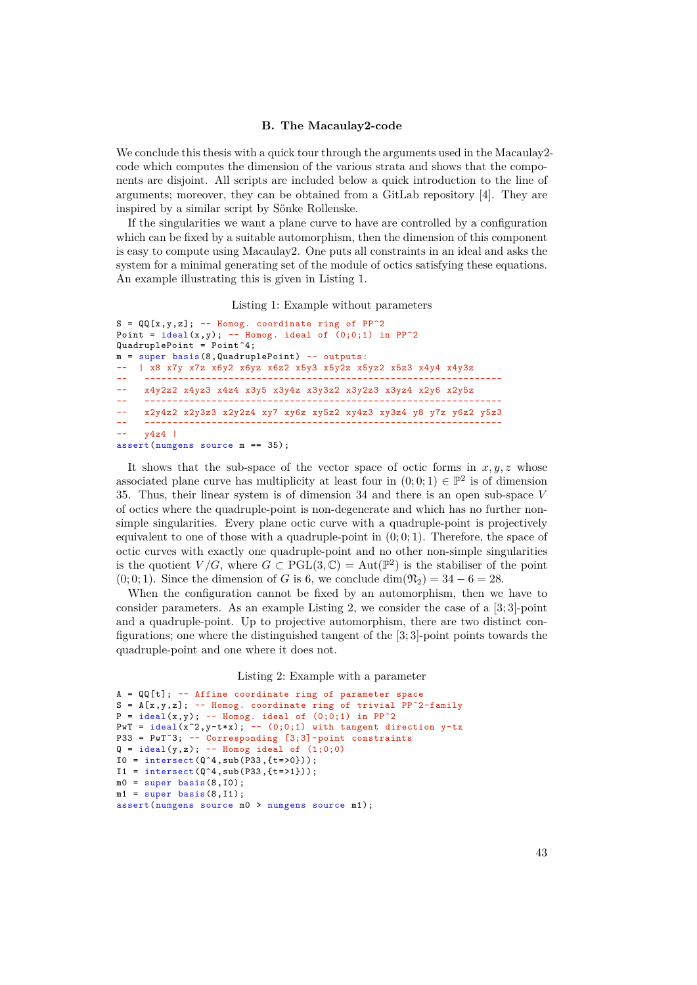### **B. The Macaulay2-code**

We conclude this thesis with a quick tour through the arguments used in the Macaulay 2code which computes the dimension of the various strata and shows that the components are disjoint. All scripts are included below a quick introduction to the line of arguments; moreover, they can be obtained from a GitLab repository [\[4](#page-96-4)]. They are inspired by a similar script by Sönke Rollenske.

If the singularities we want a plane curve to have are controlled by a configuration which can be fixed by a suitable automorphism, then the dimension of this component is easy to compute using Macaulay2. One puts all constraints in an ideal and asks the system for a minimal generating set of the module of octics satisfying these equations. An example illustrating this is given in [Listing 1](#page-48-0).

#### Listing 1: Example without parameters

```
S = QQ[x,y,z]; -- Homog. coordinate ring of PP^2
Point = ideal(x,y); -- Homog. ideal of (0;0;1) in PP^2
QuadruplePoint = Point^4:
m = super basis(8,QuadruplePoint) -- outputs:
   | x8 x7y x7z x6y2 x6yz x6z2 x5y3 x5y2z x5yz2 x5z3 x4y4 x4y3z
                             -- ----------------------------------------------------------------
-- x4y2z2 x4yz3 x4z4 x3y5 x3y4z x3y3z2 x3y2z3 x3yz4 x2y6 x2y5z
      -- ----------------------------------------------------------------
-- x2y4z2 x2y3z3 x2y2z4 xy7 xy6z xy5z2 xy4z3 xy3z4 y8 y7z y6z2 y5z3
-- ----------------------------------------------------------------
     v4z4 |
assert(numgens source m == 35);
```
It shows that the sub-space of the vector space of octic forms in  $x, y, z$  whose associated plane curve has multiplicity at least four in  $(0,0,1) \in \mathbb{P}^2$  is of dimension 35. Thus, their linear system is of dimension 34 and there is an open sub-space *V* of octics where the quadruple-point is non-degenerate and which has no further nonsimple singularities. Every plane octic curve with a quadruple-point is projectively equivalent to one of those with a quadruple-point in  $(0; 0; 1)$ . Therefore, the space of octic curves with exactly one quadruple-point and no other non-simple singularities is the quotient  $V/G$ , where  $G \subset \text{PGL}(3, \mathbb{C}) = \text{Aut}(\mathbb{P}^2)$  is the stabiliser of the point (0; 0; 1). Since the dimension of *G* is 6, we conclude  $\dim(\mathfrak{N}_2) = 34 - 6 = 28$ .

When the configuration cannot be fixed by an automorphism, then we have to consider parameters. As an example [Listing 2](#page-48-1), we consider the case of a [3; 3]-point and a quadruple-point. Up to projective automorphism, there are two distinct configurations; one where the distinguished tangent of the [3; 3]-point points towards the quadruple-point and one where it does not.

## Listing 2: Example with a parameter

```
A = QQ[t]; -- Affine coordinate ring of parameter space
S = A[x,y,z]; -- Homog. coordinate ring of trivial PP^2-family
P = ideal(x,y); -- Homog. ideal of (0;0;1) in PP^2PwT = ideal(x^2, y-t*x); - - (0;0;1) with tangent direction y-tx
P33 = PwT^3; -- Corresponding [3;3]-point constraints
Q = ideal(y, z); -- Homog ideal of (1; 0; 0)I0 = intersect (Q^4, sub(P33, {t=>0}));
I1 = interest(Q^4, sub(P33, {t=>1}));
m0 = super basis(8, I0);m1 = super basis(8, I1);assert(numgens source m0 > numgens source m1);
```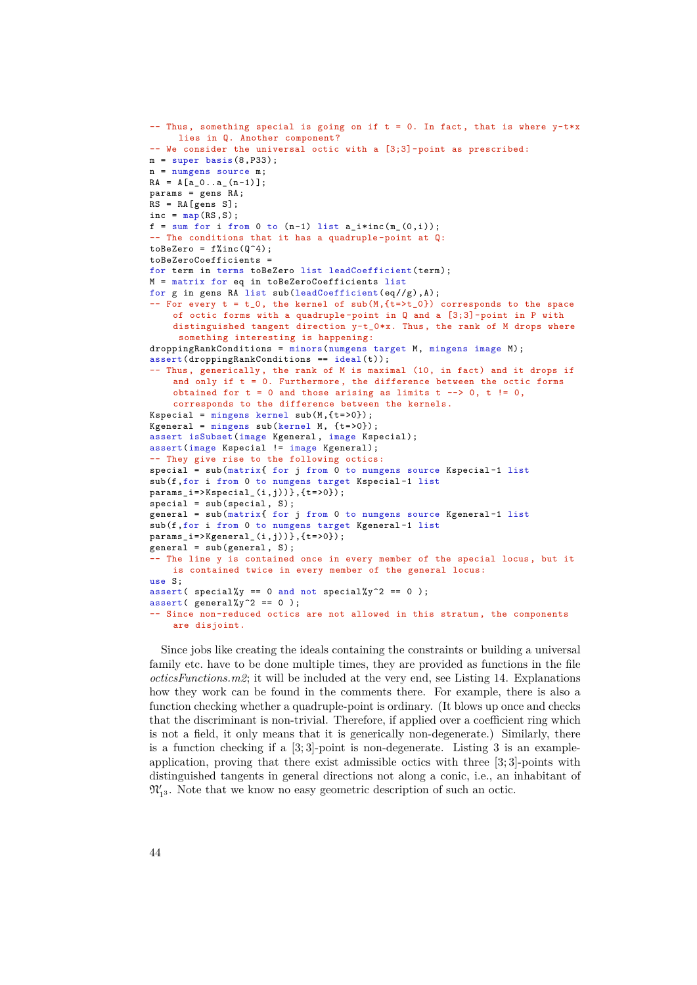```
-- Thus, something special is going on if t = 0. In fact, that is where y-t*xlies in Q. Another component?
-- We consider the universal octic with a [3;3]-point as prescribed:
m = super basis(8, P33);n = numgens source m;
RA = A[a_0...a_-(n-1)];
params = gens RA;
RS = RA[gens S]:inc = map(RS, S);
f = sum for i from 0 to (n-1) list a_i*inc(m_0,i));-- The conditions that it has a quadruple -point at Q:
toBeZero = f%inc(Q^4);
toBeZeroCoefficients =
for term in terms toBeZero list leadCoefficient(term);
M = matrix for eq in toBeZeroCoefficients list
for g in gens RA list sub(leadCoefficient(eq//g), A);
-- For every t = t_0, the kernel of sub(M, \{t = > t_0\}) corresponds to the space
    of octic forms with a quadruple -point in Q and a [3;3]-point in P with
    distinguished tangent direction y-t_0*x. Thus, the rank of M drops where
     something interesting is happening:
droppingRankConditions = minors(numgens target M, mingens image M);
assert(droppingRankConditions == ideal(t));
-- Thus, generically, the rank of M is maximal (10, in fact) and it drops if
    and only if t = 0. Furthermore, the difference between the octic forms
    obtained for t = 0 and those arising as limits t \rightarrow 0, t := 0,
    corresponds to the difference between the kernels.
Kspecial = mingens kernel sub(M,{t=>0});
Kgeneral = mingens sub(kernel M, {t=>0});
assert isSubset(image Kgeneral , image Kspecial);
assert(image Kspecial != image Kgeneral);
-- They give rise to the following octics:
special = sub(matrix{for if from 0 to numgens source Kspecial -1 list})sub(f, for i from 0 to numgens target Kspecial-1 list
params_i=>Kspecial_(i,j))},{t=>0});
special = sub(special, S);
general = sub(matrix{ for j from 0 to numgens source Kgeneral -1 list
sub(f, for i from 0 to numgens target Kgeneral-1 list
params_i=>Kgeneral_(i,j))},{t=>0});
general = sub(general, S);-- The line y is contained once in every member of the special locus , but it
    is contained twice in every member of the general locus:
use S;
assert( special%y == 0 and not special%y^2 == 0 );
assert(general\y^2 == 0 );
-- Since non-reduced octics are not allowed in this stratum, the components
    are disjoint.
```
<span id="page-49-0"></span>Since jobs like creating the ideals containing the constraints or building a universal family etc. have to be done multiple times, they are provided as functions in the file *octicsFunctions.m2*; it will be included at the very end, see [Listing 14.](#page-87-0) Explanations how they work can be found in the comments there. For example, there is also a function checking whether a quadruple-point is ordinary. (It blows up once and checks that the discriminant is non-trivial. Therefore, if applied over a coefficient ring which is not a field, it only means that it is generically non-degenerate.) Similarly, there is a function checking if a [3; 3]-point is non-degenerate. [Listing 3](#page-49-0) is an exampleapplication, proving that there exist admissible octics with three [3; 3]-points with distinguished tangents in general directions not along a conic, i.e., an inhabitant of  $\mathfrak{N}'_{1^3}.$  Note that we know no easy geometric description of such an octic.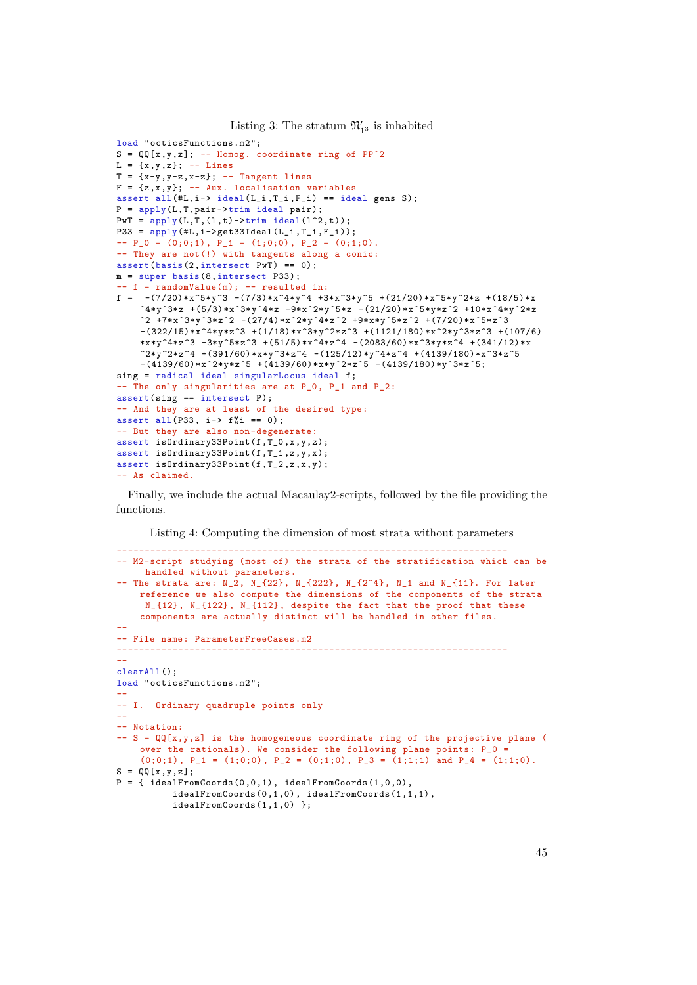Listing 3: The stratum  $\mathfrak{N}'_{13}$  is inhabited

```
load "octicsFunctions.m2";
S = QQ[x,y,z]; -- Homog. coordinate ring of PP^2
L = {x,y,z}; -- Lines
T = \{x-y, y-z, x-z\}; -- Tangent lines
F = \{z, x, y\}; -- Aux. localisation variables
assert all(H, i \rightarrow ideal (L_i, T_i, F_i) == ideal gens S);
P = apply(L, T, pair -\tau) ideal pair);
PwT = apply(L,T,(1,t)-\text{trim ideal}(1^2,t));P33 = apply(#L,i->get33Ideal(L_i,T_i,F_i));
-P_0 = (0;0;1), P_1 = (1;0;0), P_2 = (0;1;0).
-- They are not(!) with tangents along a conic:
assert(basis(2,intersect PWT) == 0);m = super basis(8,intersect P33);
-- f = randomValue(m); -- resulted in:
f = -(7/20)*x^5*y^3 -(7/3)*x^4*y^4 +3*x^3*y^5 +(21/20)*x^5*y^2*z +(18/5)*x^24*y^3*z + (5/3)*x^3*y^4*z -9*x^2*y^5*z - (21/20)*x^5*y*z^2 +10*x^4*y^2*z^2 +7*x^3*y^3*z^2 -(27/4)*x^2*y^4*z^2 +9*x*y^5*z^2 +(7/20)*x^5*z^3
    -(322/15)*x^4*y*z^3 + (1/18)*x^3*y^2*z^3 + (1121/180)*x^2*y^3*z^3 + (107/6)*x*v^4*z^3 -3*y^5*z^3 +(51/5)*x^4*z^4 -(2083/60)*x^3*y*z^4 +(341/12)*x
    2*y^2*z^4 +(391/60)*x*y^3*z^4 -(125/12)*y^4*z^4 +(4139/180)*x^3*z^5
    -(4139/60)*x^2*yz^5 +(4139/60)*x*y^2*z^5 -(4139/180)*y^3*z^5;
sing = radical ideal singularLocus ideal f;
-- The only singularities are at P_0, P_1 and P_2:
assert(sing == interest P);
-- And they are at least of the desired type:
assert all (P33, i-> f\frac{0}{0}i == 0);-- But they are also non-degenerate:
assert isOrdinary33Point(f,T_0,x,y,z);
assert isOrdinary33Point(f,T_1,z,y,x);
assert isOrdinary33Point(f,T_2,z,x,y);
-- As claimed.
```
Finally, we include the actual Macaulay2-scripts, followed by the file providing the functions.

Listing 4: Computing the dimension of most strata without parameters ----------------------------------------------------------------------

```
-- M2-script studying (most of) the strata of the stratification which can be
     handled without parameters.
-- The strata are: N_2, N_2(22}, N_2(222}, N_2(2<sup>2</sup>4}, N_1 and N_2(11}. For later
   reference we also compute the dimensions of the components of the strata
     N_{12}, N_{122}, N_{112}, despite the fact that the proof that these
    components are actually distinct will be handled in other files.
--
-- File name: ParameterFreeCases.m2
----------------------------------------------------------------------
--
\text{clearAll}():
load "octicsFunctions.m2";
--
-- I. Ordinary quadruple points only
--
-- Notation:
- S = QQ[x,y,z] is the homogeneous coordinate ring of the projective plane (
    over the rationals). We consider the following plane points: P_0 =
    (0;0;1), P_1 = (1;0;0), P_2 = (0;1;0), P_3 = (1;1;1) and P_4 = (1;1;0).
S = QQ[x, y, z];P = \{ idealFromCoords(0,0,1), idealFromCoords(1,0,0),
          idealFromCoords(0,1,0), idealFromCoords(1,1,1),
          idealFromCoords(1,1,0) };
```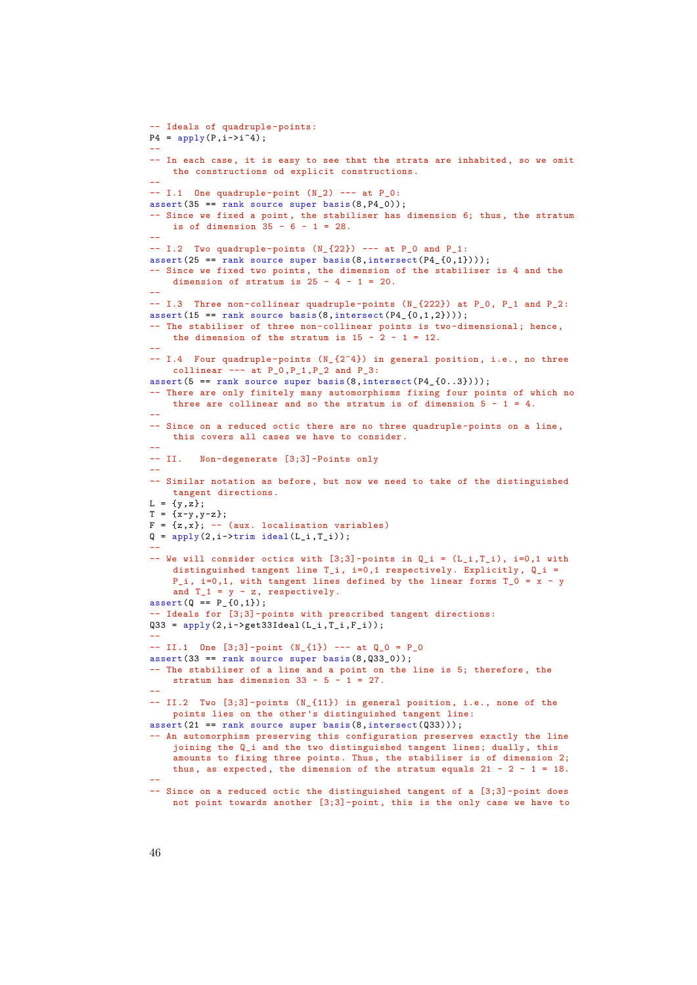```
-- Ideals of quadruple -points:
P4 = apply(P, i->i^4);--
-- In each case, it is easy to see that the strata are inhabited, so we omit
   the constructions od explicit constructions.
--
- I.1 One quadruple-point (N_2) --- at P<sub>-</sub>0:
assert(35 == \text{rank} source super basis(8, P4 0));
-- Since we fixed a point, the stabiliser has dimension 6; thus, the stratum
    is of dimension 35 - 6 - 1 = 28.
--
- I.2 Two quadruple-points (N_{22}) -- at P<sub>-</sub>0 and P<sub>-1</sub>:
assert(25 == rank source super basis(8,intersect(P4_{-}{0,1})));
-- Since we fixed two points , the dimension of the stabiliser is 4 and the
    dimension of stratum is 25 - 4 - 1 = 20.
--
-- I.3 Three non-collinear quadruple -points (N_{222}) at P_0, P_1 and P_2:
assert(15 == rank source basis(8, intersect(P4_{6}, 1, 2)));
-- The stabiliser of three non-collinear points is two-dimensional; hence ,
    the dimension of the stratum is 15 - 2 - 1 = 12.
--
-- I.4 Four quadruple-points (N_{-}\{2^{\sim}4\}) in general position, i.e., no three
   collinear --- at P_0, P_1, P_2 and P_3:
assert(5 == rank source super basis(8, intersect(P4 {0..3})));
-- There are only finitely many automorphisms fixing four points of which no
   three are collinear and so the stratum is of dimension 5 - 1 = 4.
--
-- Since on a reduced octic there are no three quadruple -points on a line,
   this covers all cases we have to consider.
--
-- II. Non-degenerate [3;3]-Points only
--
-- Similar notation as before, but now we need to take of the distinguished
   tangent directions.
L = \{y, z\};T = \{x-y, y-z\};F = {z,x}; -- (aux. localization variables)Q = apply(2, i->trim ideal(L_i, T_i));--
-- We will consider octics with [3:3]-points in \theta i = (L i, T i), i=0.1 with
    distinguished tangent line T_i, i=0,1 respectively. Explicitly, Q_i =
    P_i, i=0,1, with tangent lines defined by the linear forms T_0 = x - yand T_1 = y - z, respectively.
assert(Q == P_{0,1});
 - Ideals for [3;3]-points with prescribed tangent directions:
Q33 = apply(2, i - >get33Idea1(L_i, T_i, F_i));--
- II.1 One [3;3]-point (N_{-}{1}) -- at Q<sub>_0</sub> = P_0
assert(33 == rank source super basis(8,033_0));-- The stabiliser of a line and a point on the line is 5; therefore, the
    stratum has dimension 33 - 5 - 1 = 27.
--
-- II.2 Two [3;3]-points (N_{11}) in general position , i.e., none of the
    points lies on the other 's distinguished tangent line:
assert(21 == rank source super basis(8, intersect((033)));
 -- An automorphism preserving this configuration preserves exactly the line
    joining the Q<sub>i</sub> and the two distinguished tangent lines; dually, this
    amounts to fixing three points. Thus, the stabiliser is of dimension 2;
    thus, as expected, the dimension of the stratum equals 21 - 2 - 1 = 18.
--
-- Since on a reduced octic the distinguished tangent of a [3;3]-point does
    not point towards another [3;3]-point, this is the only case we have to
```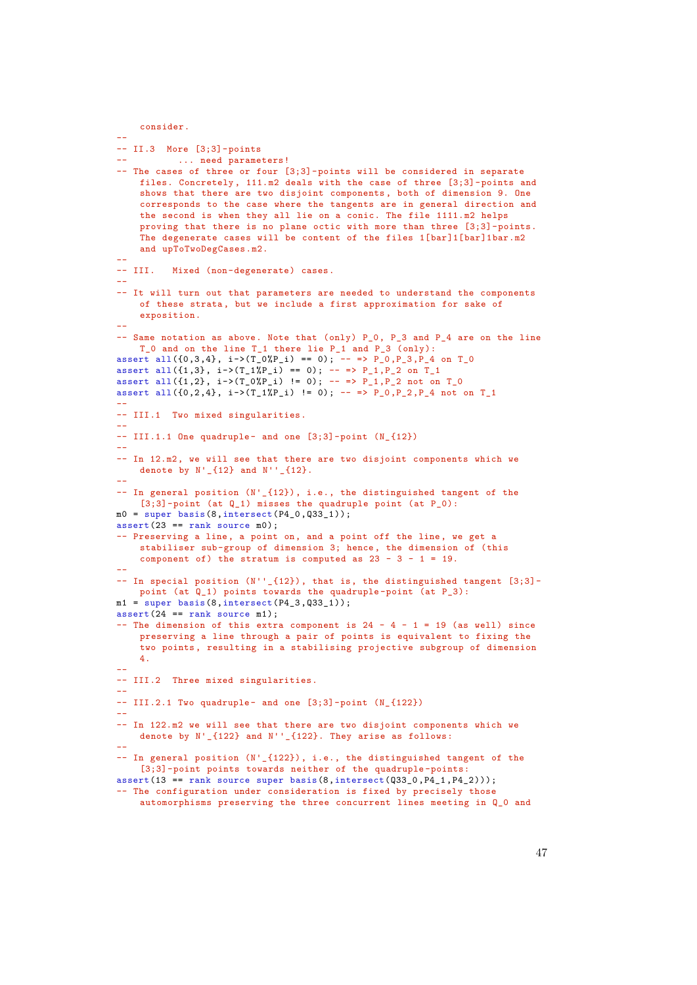```
consider.
--
-- II.3 More [3;3]-points
-- ... need parameters!
-- The cases of three or four [3;3]-points will be considered in separate
    files. Concretely , 111.m2 deals with the case of three [3;3]-points and
    shows that there are two disjoint components , both of dimension 9. One
    corresponds to the case where the tangents are in general direction and
    the second is when they all lie on a conic. The file 1111.m2 helps
    proving that there is no plane octic with more than three [3;3]-points.
    The degenerate cases will be content of the files 1[bar]1[bar]1bar.m2
    and upToTwoDegCases.m2.
--
-- III. Mixed (non-degenerate) cases.
--
-- It will turn out that parameters are needed to understand the components
    of these strata , but we include a first approximation for sake of
    exposition.
--
-- Same notation as above. Note that (only) P_0, P_3 and P_4 are on the line
    T_0 and on the line T_1 there lie P_1 and P_3 (only):
assert all(\{0,3,4\}, i->(T_0\%P_i)) == 0); --- = P_0, P_3, P_4 on T_0assert all(\{1,3\}, i->(T_1\%P_i) == 0); -- => P_1, P_2 on T_1assert all({1,2}, i->(T_0%P_i) != 0); -- => P_1, P_2 not on T_0
assert all({0,2,4}, i->(T_1%P_i) != 0); -- => P_0,P_2,P_4 not on T_1
--
-- III.1 Two mixed singularities.
--
- III.1.1 One quadruple - and one [3;3] -point (N_{12})--
-- In 12.m2, we will see that there are two disjoint components which we
   denote by N' {12} and N'' {12}.
--
-- In general position (N'_{12}), i.e., the distinguished tangent of the
    [3;3]-point (at Q_1) misses the quadruple point (at P<sub>_0</sub>):
m0 = super basis(8, interest(P4_0, 0.033_1));assert(23 == rank source m0);-- Preserving a line, a point on, and a point off the line, we get a
    stabiliser sub-group of dimension 3; hence , the dimension of (this
    component of) the stratum is computed as 23 - 3 - 1 = 19.
--
-- In special position (N''_{12}), that is, the distinguished tangent [3;3]-
    point (at Q_1) points towards the quadruple -point (at P_3):
m1 = super basis(8, interest(P4_3,033_1));assert(24 == rank source m1);-- The dimension of this extra component is 24 - 4 - 1 = 19 (as well) since
    preserving a line through a pair of points is equivalent to fixing the
    two points , resulting in a stabilising projective subgroup of dimension
    4.
--
-- III.2 Three mixed singularities.
--
- III.2.1 Two quadruple- and one [3;3]-point (N_{122})--
-- In 122.m2 we will see that there are two disjoint components which we
    denote by N' [122} and N'' [122}. They arise as follows:
--
-- In general position (N'_{122}), i.e., the distinguished tangent of the
    [3;3]-point points towards neither of the quadruple-points:
assert(13 == rank source super basis(8,intersect(Q33_0, P4_1, P4_2)));
-- The configuration under consideration is fixed by precisely those
```
automorphisms preserving the three concurrent lines meeting in Q\_0 and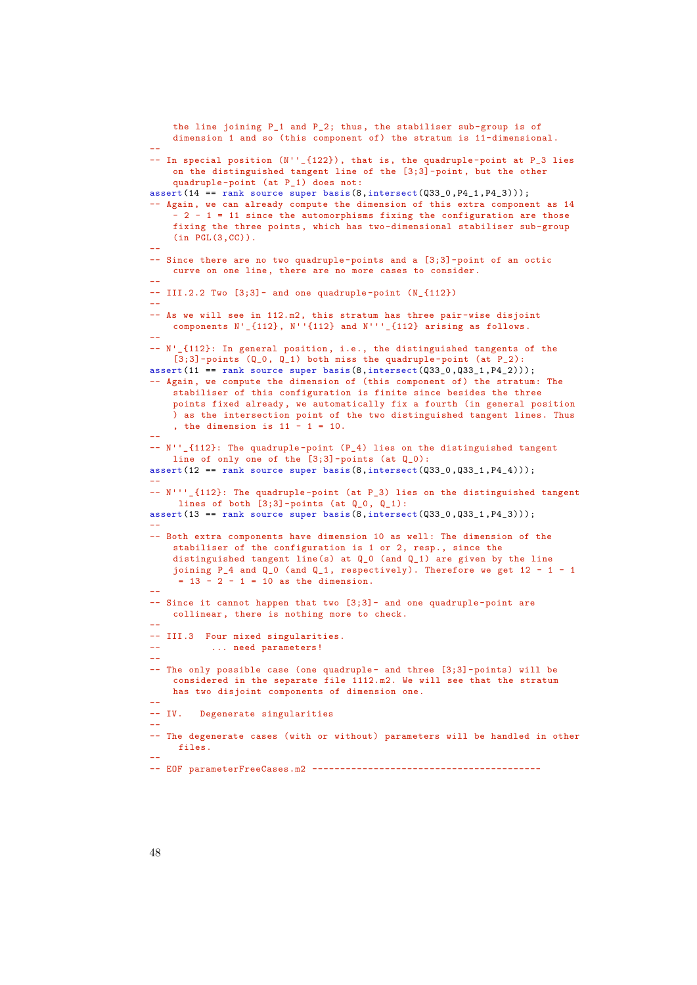```
the line joining P_1 and P_2; thus, the stabiliser sub-group is of
    dimension 1 and so (this component of) the stratum is 11-dimensional.
--
-- In special position (N''_{122}), that is, the quadruple-point at P_3 lies
    on the distinguished tangent line of the [3;3]-point , but the other
    quadruple -point (at P_1) does not:
assert(14 == rank source super basis(8,intersect(Q33_0,P4_1,P4_3)));
 - Again, we can already compute the dimension of this extra component as 14
    -2 - 1 = 11 since the automorphisms fixing the configuration are those
    fixing the three points, which has two-dimensional stabiliser sub-group
    (in PGL(3, CC)).
--
-- Since there are no two quadruple -points and a [3;3]-point of an octic
    curve on one line, there are no more cases to consider.
--
-- III.2.2 Two [3:3] - and one quadruple-point (N {112})
--
-- As we will see in 112.m2, this stratum has three pair-wise disjoint
    components N'_{112}, N''{112} and N'''_{112} arising as follows.
--
-- N'_{112}: In general position, i.e., the distinguished tangents of the
    \overline{[3;3]}-points (Q_0, Q_1) both miss the quadruple-point (at P<sub>-2</sub>):
assert(11 == rank source super basis(8,intersect(Q33_0,Q33_1,P4_2)));
 -- Again , we compute the dimension of (this component of) the stratum: The
    stabiliser of this configuration is finite since besides the three
    points fixed already , we automatically fix a fourth (in general position
    ) as the intersection point of the two distinguished tangent lines. Thus
    , the dimension is 11 - 1 = 10.
--
-- N''_{112}: The quadruple -point (P_4) lies on the distinguished tangent
    line of only one of the [3;3]-points (at Q_0):
assert (12 == rank source super basis(8.intersect(033 0.033 1.P4 4)));
--
-- N'''_{112}: The quadruple -point (at P_3) lies on the distinguished tangent
    lines of both [3;3]-points (at Q_0, Q_1):
assert(13 == rank source super basis(8, intersect(Q33_0, Q33_1, P4_3)));
--
-- Both extra components have dimension 10 as well: The dimension of the
    stabiliser of the configuration is 1 or 2, resp., since the
    distinguished tangent line(s) at 0 0 (and 0 1) are given by the line
    joining P_4 and Q_0 (and Q_1, respectively). Therefore we get 12 - 1 - 1
     = 13 - 2 - 1 = 10 as the dimension.
--
-- Since it cannot happen that two [3;3]- and one quadruple-point are
   collinear , there is nothing more to check.
--
-- III.3 Four mixed singularities.
          ... need parameters!
--
-- The only possible case (one quadruple- and three [3;3]-points) will be
    considered in the separate file 1112.m2. We will see that the stratum
    has two disjoint components of dimension one.
--
-- IV. Degenerate singularities
--
-- The degenerate cases (with or without) parameters will be handled in other
    files.
--
-- EOF parameterFreeCases.m2 -----------------------------------------
```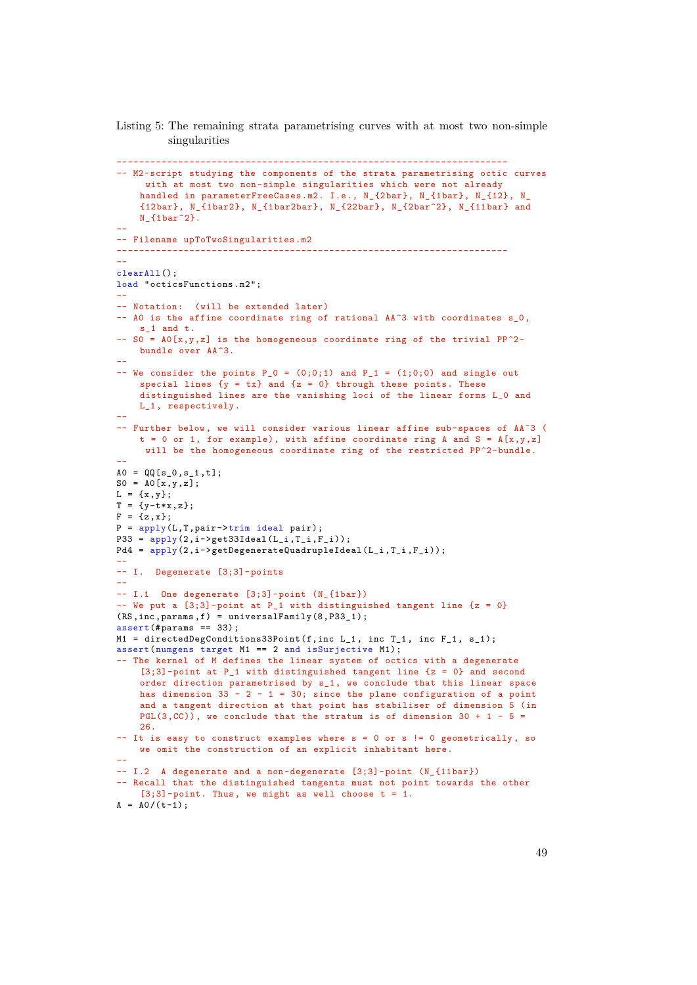```
----------------------------------------------------------------------
-- M2-script studying the components of the strata parametrising octic curves
     with at most two non-simple singularities which were not already
    handled in parameterFreeCases.m2. I.e., N_{2bar}, N_{1bar}, N_{12}, N_
    {12bar}, N_{1bar2}, N_{1bar2bar}, N_{22bar}, N_{2bar^2}, N_{11bar} and
    N_{-}{1bar<sup>\sim</sup>2}.
--
-- Filename upToTwoSingularities.m2
----------------------------------------------------------------------
--
\text{clearAll}():
load "octicsFunctions.m2";
--
-- Notation: (will be extended later)
-- A0 is the affine coordinate ring of rational AA^3 with coordinates s 0,
   s 1 and t.
- SO = AO[x,y,z] is the homogeneous coordinate ring of the trivial PP^2-
    bundle over AA<sup>\hat{}3.</sup>
--
- We consider the points P_0 = (0,0,1) and P_1 = (1,0,0) and single out
    special lines {y = tx} and {z = 0} through these points. These
    distinguished lines are the vanishing loci of the linear forms L_0 and
    L_1, respectively.
--
-- Further below, we will consider various linear affine sub-spaces of AA^3 (
    t = 0 or 1, for example), with affine coordinate ring A and S = A[x,y,z]
     will be the homogeneous coordinate ring of the restricted PP^2-bundle.
--
A0 = QQ[s_0, s_1, t];SO = AO[x,y,z];L = {x,y};T = \{y-t*x, z\};F = {z, x};P = apply(L,T,pair->trim ideal pair);
P33 = apply(2,i->get33Ideal(L i,T i,F i));Pd4 = apply(2,i->getDegenerateQuadrupleIdeal(L_i,T_i,F_i));
--
-- I. Degenerate [3;3]-points
--
-- I.1 One degenerate [3;3]-point (N_{1bar})
-- We put a [3;3]-point at P<sub>-</sub>1 with distinguished tangent line \{z = 0\}(RS, inc, params, f) = universalFamily(8, P33_1);assert(#params == 33);
M1 = directedDegConditions33Point(f,inc L<sub>1</sub>, inc T<sub>1</sub>, inc F<sub>1</sub>, s<sub>1</sub>);
assert(numgens target M1 == 2 and isSurjective M1);
-- The kernel of M defines the linear system of octics with a degenerate
    [3;3]-point at P_1 with distinguished tangent line {z = 0} and second
    order direction parametrised by s_1, we conclude that this linear space
    has dimension 33 - 2 - 1 = 30; since the plane configuration of a point
    and a tangent direction at that point has stabiliser of dimension 5 (in
    PGL(3, CC)), we conclude that the stratum is of dimension 30 + 1 - 5 =26-- It is easy to construct examples where s = 0 or s != 0 geometrically, so
    we omit the construction of an explicit inhabitant here.
--
-- I.2 A degenerate and a non-degenerate [3;3]-point (N_{11bar})
-- Recall that the distinguished tangents must not point towards the other
    [3;3]-point. Thus, we might as well choose t = 1.
A = A0/(t-1);
```
Listing 5: The remaining strata parametrising curves with at most two non-simple singularities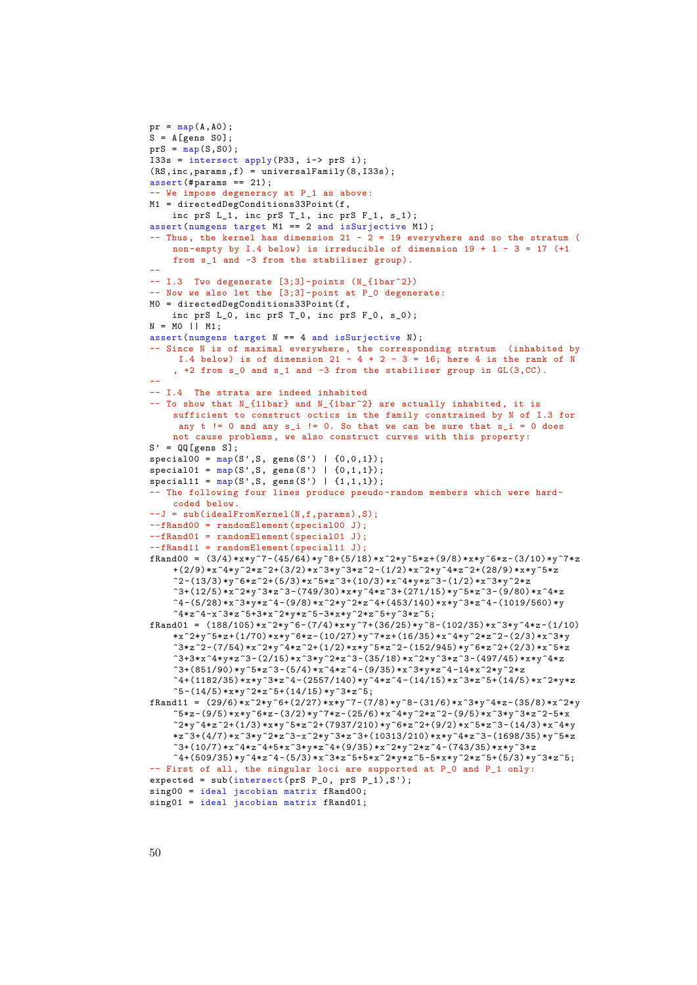```
pr = map(A, A0);S = A[gens SO];prS = \frac{map}{(S, S0)};
I33s = intersect apply(P33, i-> prS i);
(RS, inc, params, f) = universalFamily(8, 133s);assert (#params == 21);
-- We impose degeneracy at P_1 as above:
M1 = directedDegConditions33Point(f,
    inc prS L_1, inc prS T_1, inc prS F_1, s<sub>1</sub>);
assert(numgens target M1 == 2 and isSurjective M1);
- Thus, the kernel has dimension 21 - 2 = 19 everywhere and so the stratum (
    non-empty by I.4 below) is irreducible of dimension 19 + 1 - 3 = 17 (+1)
    from s_1 and -3 from the stabiliser group).
--
-- I.3 Two degenerate [3;3]-points (N_{1bar^2})
-- Now we also let the [3:3]-point at P_0 degenerate:
M0 = directedDegConditions33Point(f,
    inc prS L_0, inc prS T_0, inc prS F_0, s_0);
N = MO \overline{1} \overline{M1};
assert(numgens target N == 4 and isSurjective N);
-- Since N is of maximal everywhere, the corresponding stratum (inhabited by
      I.4 below) is of dimension 21 - 4 + 2 - 3 = 16; here 4 is the rank of N
     , +2 from s_0 and s_1 and -3 from the stabiliser group in GL(3,CC).
--
-- I.4 The strata are indeed inhabited
-- To show that N_{11bar} and N_{1bar^2} are actually inhabited, it is
    sufficient to construct octics in the family constrained by N of I.3 for
     any t != 0 and any s_i != 0. So that we can be sure that s_i = 0 does
    not cause problems , we also construct curves with this property:
S' = QQ[gens S];
special00 = map(S', S, gens(S') | {0,0,1}};{\rm special}01 = {\rm map}(S',S, {\rm ~gens}(S') \mid \{0,1,1\});
special11 = map(S', S, genus(S') | {1,1,1}};-- The following four lines produce pseudo-random members which were hard-
    coded below.
--J = sub(idealFromKernel(N,f,params),S);
--fRand00 = randomElement(special00 J);
--fRand01 = randomElement(special01 J);
--fRand11 = randomElement(special11 J);
fRand00 = (3/4)*x*y^7-(45/64)*y^8+(5/18)*x^2*y^5*z+(9/8)*x*y^6*z-(3/10)*y^7*z^4+(2/9)*x^4*y^2*z^2+(3/2)*x^3*y^3*z^2-(1/2)*x^2*y^4*z^2+(28/9)*x*y^5*z^2^2-(13/3)*y^6*z^2+(5/3)*x^5*z^3+(10/3)*x^4*y*z^3-(1/2)*x^3*y^2*z
    ^23+(12/5)*x<sup>2</sup>xv<sup>2</sup>3*z<sup>2</sup>3-(749/30)*x*v<sup>2</sup>+*z<sup>2</sup>3+(271/15)*v<sup>2</sup>5*z<sup>2</sup>3-(9/80)*x<sup>2</sup>4*z
     ^4-(5/28)*x^3*y*z^4-(9/8)*x^2*y^2*z^4+(453/140)*x*y^3*z^4-(1019/560)*y
    ^2*z<sup>^</sup>4-x^3*z^5+3*x^2*y*z^5-3*x*y^2*z^5+y^3*z^5;
fRand01 = (188/105)*x^2*y^6-(7/4)*x*y^7+(36/25)*y^8-(102/35)*x^3*y^4*z-(1/10)*x^2**y^5*z+(1/70)*x*y^6*z-(10/27)*y^7*z+(16/35)*x^4*y^2*z^2-(2/3)*x^3*y^{\circ}3*z^{\circ}2-(7/54)*x^{\circ}2*y^4*z^2+(1/2)*x*y^5*z^2-(152/945)*y^{\circ}6*z^2+(2/3)*x^{\circ}5*z^2^3+3*x^4*y*z^3-(2/15)*x^3*y^2*z^3-(35/18)*x^2*y^3*z^3-(497/45)*x*y^4*z
     \text{``3+(851/90)*y``5*z``3-(5/4)*x``4*z``4-(9/35)*x``3*y*z``4-14*x``2*y``2*z''}\hat{1}+(1182/35)*x*y^3*z^4-(2557/140)*y^4*z^4-(14/15)*x^3*z^5+(14/5)*x^2*y*z
    \hat{-}5-(14/5)*x*y^2*z^5+(14/15)*y^3*z^5;fRand11 = (29/6)*x^2*y^6+(2/27)*x*y^7-(7/8)*y^8-(31/6)*x^3*y^4*z-(35/8)*x^2*y^4*x^3*y^5-kx^2*y^6-kx^3*y^6-kx^2*y^6-kx^2*y^7-kx^2*y^7-kx^2y^2+y^3k-x^2y^3+y^2k-x^3y^2+y^2k-x^2y^2+y^2k-x^2y^2+y^2k-x^2y^2+y^2k-x^2y^2+y^2k-x^2y^2+y^2k-x^2y^2+y^2k-x^2y^2+y^2k-x^2y^2+y^2k-x^^5*z-(9/5)*x*y^6*z-(3/2)*y^7*z-(25/6)*x^4*y^2*z^2-(9/5)*x^3*y^3*z^2-5*x
    2*y^4*z^2+(1/3)*x*y^5*z^2+(7937/210)*y^6*z^2+(9/2)*x^5*z^3-(14/3)*x^4*y^3*z^3+(4/7)*x^3*y^2*z^3-x^2*y^3*z^3+(10313/210)*x*y^4*z^3-(1698/35)*y^5*z
     \gamma3+(10/7)*x^4*z^4+5*x^3*y*z^4+(9/35)*x^2*y^2*z^4-(743/35)*x*y^3*z
    \gamma^4+(509/35)*y^4*z^4-(5/3)*x^3*z^5+5*x^2*y*z^5-5*x*y^2*z^5+(5/3)*y^3*z^5;
-- First of all, the singular loci are supported at P_0 and P_1 only:
expected = sub(intersect(prS P_0, prS P_1),S');
sing00 = ideal jacobian matrix fRand00;
sing01 = ideal jacobian matrix fRand01;
```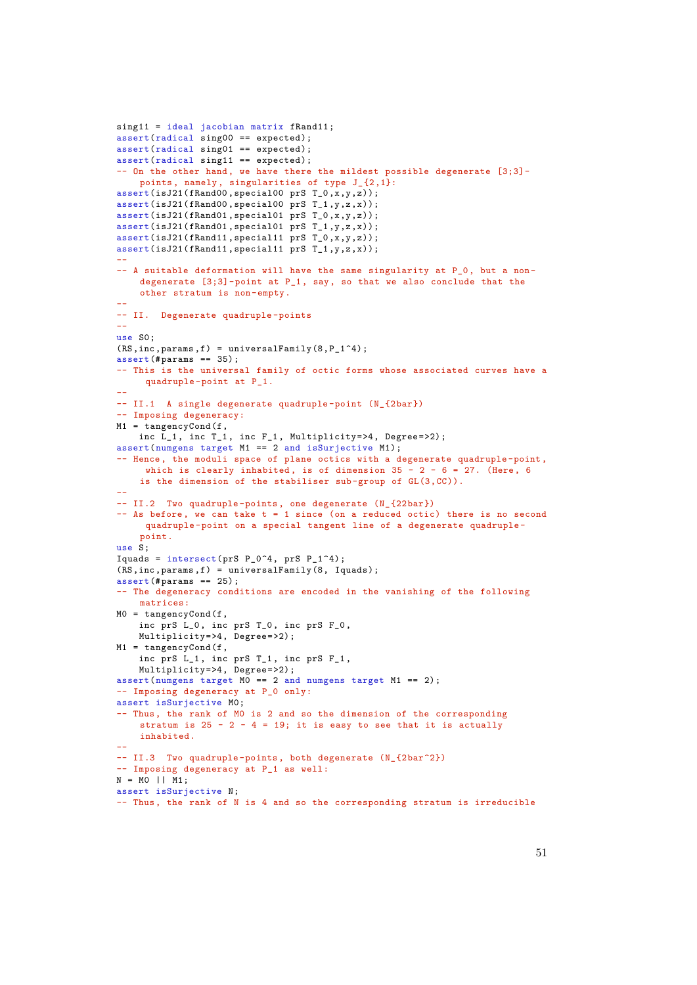```
sing11 = ideal jacobian matrix fRand11;
assert(radical sing00 == expected);
\frac{1}{2} assert(radical sing01 == expected);
assert(radical sing11 == expected);
-- On the other hand, we have there the mildest possible degenerate [3;3]-
    points, namely, singularities of type J_{-}{2,1}:
assert(isJ21(fRand00 ,special00 prS T_0,x,y,z));
\overline{\text{assert}(\text{isJ21}(\text{fRand}00, \text{special}00, \text{prS} T_1, y, z, x))};assert(isJ21(fRand01 ,special01 prS T_0,x,y,z));
assert(isJ21(fRand01,special01 prS T_1,y,z,x));
assert(isJ21(fRand11,special11 prS T_0,x,y,z));
assert(isJ21(fRand11,special11 prS T_1,y,z,x));
--
-- A suitable deformation will have the same singularity at P_0, but a non-
    degenerate [3;3]-point at P_1, say, so that we also conclude that the
    other stratum is non-empty.
--
-- II. Degenerate quadruple -points
--
use S0;
(RS,inc,params,f) = universalFamily(8,P_1^4);assert(#params == 35);
-- This is the universal family of octic forms whose associated curves have a
     quadruple -point at P_1.
--
-- II.1 A single degenerate quadruple-point (N_{2bar})
-- Imposing degeneracy:
M1 = tangencyCond(f,
    inc L_1, inc T_1, inc F_1, Multiplicity=>4, Degree=>2);
assert(numgens target M1 == 2 and isSurjective M1);
 -- Hence, the moduli space of plane octics with a degenerate quadruple-point,
     which is clearly inhabited, is of dimension 35 - 2 - 6 = 27. (Here, 6)
    is the dimension of the stabiliser sub-group of GL(3,CC)).
--
-- II.2 Two quadruple -points , one degenerate (N_{22bar})
- As before, we can take t = 1 since (on a reduced octic) there is no second
     quadruple -point on a special tangent line of a degenerate quadruple -
    point.
use S;
Iquads = intersect(prS P_0^4, prS P_1^4);
(RS,inc,params,f) = universalFamily(8, Iquads);
assert(#params == 25);
-- The degeneracy conditions are encoded in the vanishing of the following
    matrices:
M0 = tangencyCond(f,
    inc prS L_0, inc prS T_0, inc prS F_0,
    Multiplicity=>4, Degree=>2);
M1 = \text{tangencyCond}(f,inc prS L_1, inc prS T_1, inc prS F_1,
    Multiplicity=>4, Degree=>2);
assert(numgens target M0 == 2 and numgens target M1 == 2);
-- Imposing degeneracy at P_0 only:
assert isSurjective M0;
-- Thus, the rank of M0 is 2 and so the dimension of the corresponding
    stratum is 25 - 2 - 4 = 19; it is easy to see that it is actually
    inhabited.
--
-- II.3 Two quadruple-points, both degenerate (N_{2bar^2})
-- Imposing degeneracy at P_1 as well:
N = M0 || M1;
assert isSurjective N;
-- Thus, the rank of N is 4 and so the corresponding stratum is irreducible
```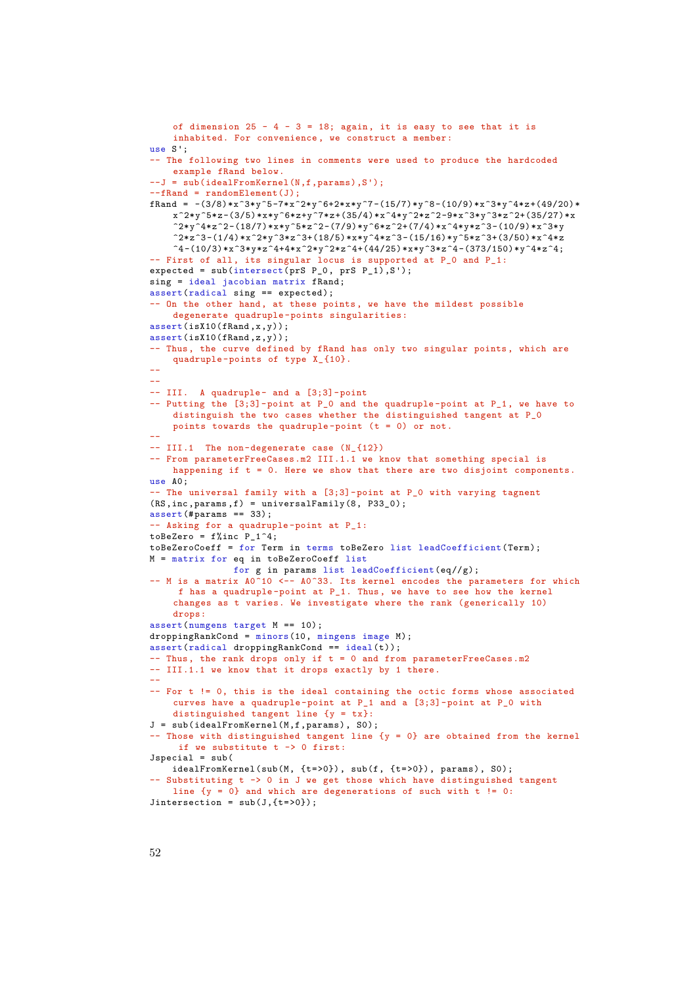```
of dimension 25 - 4 - 3 = 18; again, it is easy to see that it is
    inhabited. For convenience, we construct a member:
use S';
-- The following two lines in comments were used to produce the hardcoded
    example fRand below.
-J = sub(idealfromKernel(N,f,params),S');
--fRand = randomElement(J);
fRand = -(3/8)*x^3*y^5-7*x^2*y^6+2*x*y^7-(15/7)*y^8-(10/9)*x^3*v^4*z+(49/20)*x^2*y^5*z-(3/5)*x*y^6*z+y^7*z+(35/4)*x^4*y^2*z^2-9*x^3*y^3*z^2+(35/27)*x2*y^4*z^2-(18/7)*x*y^5*z^2-(7/9)*y^6*z^2+(7/4)*x^4*y*z^3-(10/9)*x^3*y^32*z^3-(1/4)*x^2*y^3*z^3+(18/5)*x*y^4*z^3-(15/16)*y^5*z^3+(3/50)*x^4*z^3^4-(10/3)*x^3*y*z^4+4*x^2*y^2*z^4+(44/25)*x*y^3*z^4-(373/150)*y^4*z^4;
-- First of all, its singular locus is supported at P_0 and P_1:
expected = sub(intersect(prS P_0, prS P_1),S');
sing = ideal jacobian matrix fRand;
assert(radical sine == expected):
-- On the other hand, at these points, we have the mildest possible
    degenerate quadruple -points singularities:
assert(isX10(fRand,x,y));
assert(isX10(fRand,z,y));
-- Thus, the curve defined by fRand has only two singular points, which are
    quadruple -points of type X_{10}.
--
--
-- III. A quadruple- and a [3;3]-point
-- Putting the [3;3]-point at P_0 and the quadruple -point at P_1, we have to
    distinguish the two cases whether the distinguished tangent at P_0
    points towards the quadruple-point (t = 0) or not.
--
-- III.1 The non-degenerate case (N_{12})
-- From parameterFreeCases.m2 III.1.1 we know that something special is
    happening if t = 0. Here we show that there are two disjoint components.
use A0;
-- The universal family with a [3;3]-point at P_0 with varying tagnent
(RS, inc, params, f) = universalFamily(8, P33_0);assert (#params == 33);
 -- Asking for a quadruple -point at P_1:
\text{to} \text{to} \text{to} \text{to} \text{to} \text{to} \text{to} \text{to} \text{to} \text{to} \text{to} \text{to} \text{to} \text{to} \text{to} \text{to} \text{to} \text{to} \text{to} \text{to} \text{to} \text{to} \text{to} \text{to} \text{to} \text{to} \text{to} \text{totoBeZeroCoeff = for Term in terms toBeZero list leadCoefficient(Term);
M = matrix for eq in toBeZeroCoeff list
                for g in params list leadCoefficient(eq//g);
-- M is a matrix A0^10 <-- A0^33. Its kernel encodes the parameters for which
     f has a quadruple-point at P_1. Thus, we have to see how the kernel
    changes as t varies. We investigate where the rank (generically 10)
    drops:
assert(numgens target M == 10);
droppingRankCond = minors(10, mingens image M);
\text{assert}(\text{radical droppingRankCond} == \text{ideal}(t));-- Thus, the rank drops only if t = 0 and from parameterFreeCases.m2
-- III.1.1 we know that it drops exactly by 1 there.
--
-- For t != 0, this is the ideal containing the octic forms whose associated
    curves have a quadruple-point at P_1 and a [3;3]-point at P_0 with
    distinguished tangent line \{y = tx\}:
J = sub(idealFromKernel(M,f,params), S0);
-- Those with distinguished tangent line {y = 0} are obtained from the kernel
     if we substitute t \rightarrow 0 first:
Jspecial = sub(idealFromKernel(sub(M, {t=>0}), sub(f, {t=>0}), params), S0);
-- Substituting t -> 0 in J we get those which have distinguished tangent
    line \{y = 0\} and which are degenerations of such with t = 0:
Jintersection = sub(J, {t=>0});
```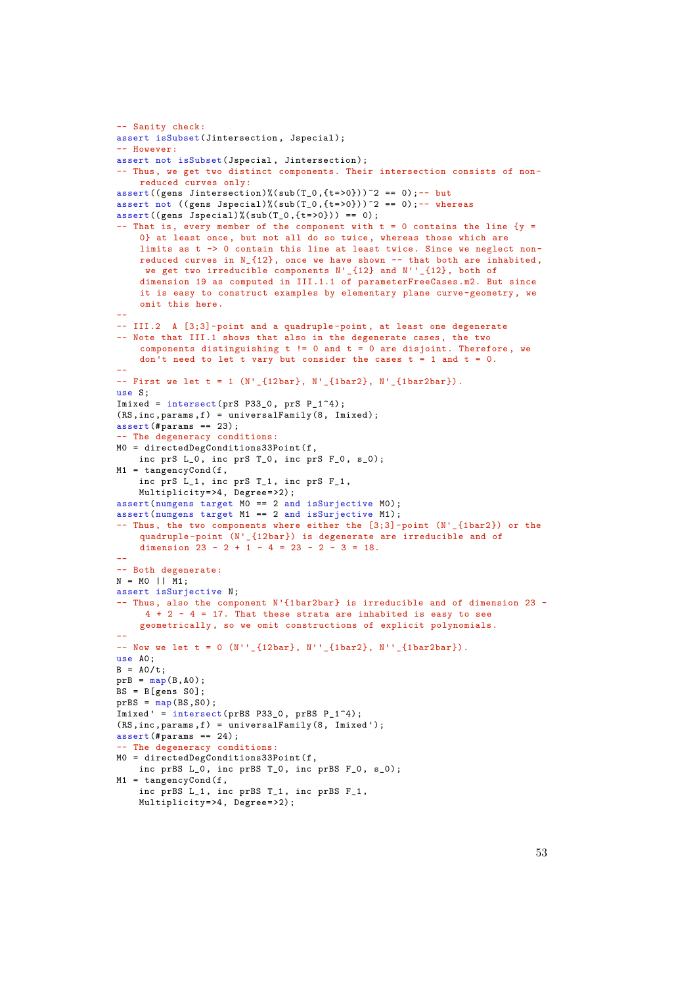```
-- Sanity check:
assert isSubset(Jintersection, Jspecial);
-- However:
assert not isSubset(Jspecial, Jintersection);
-- Thus, we get two distinct components. Their intersection consists of non-
    reduced curves only:
assert((gens Jintersection)%(sub(T_0,{t=>0}))^2 == 0);-- but
assert not ((gens Jspecial)%(sub(T_0,{t=>0}))^2 == 0);-- whereas
assert((gens Jspecial)%(sub(T_0,{t=>0})) == 0);
-- That is, every member of the component with t = 0 contains the line \{y =0} at least once, but not all do so twice , whereas those which are
    limits as t -> 0 contain this line at least twice. Since we neglect non-
    reduced curves in N_{-1} (12), once we have shown -- that both are inhabited,
     we get two irreducible components N'_{12} and N''_{12}, both of
    dimension 19 as computed in III.1.1 of parameterFreeCases.m2. But since
    it is easy to construct examples by elementary plane curve-geometry, we
    omit this here.
--
-- III.2 A [3;3]-point and a quadruple -point , at least one degenerate
-- Note that III.1 shows that also in the degenerate cases , the two
    components distinguishing t = 0 and t = 0 are disjoint. Therefore, we
    don't need to let t vary but consider the cases t = 1 and t = 0.
--
- First we let t = 1 (N'_{12bar}, N'_{1bar2}, N'_{1bar2bar}).
use S;
Imixed = intersect(prS P33_0, prS P_1^4);
(RS, inc, params, f) = universalFamily(8, Inixed);assert(#params == 23);
 - The degeneracy conditions:
M0 = directedDegConditions33Point (f,
    inc prS L_0, inc prS T_0, inc prS F_0, s_0);
M1 = \text{tangencyCond}(f,inc prS L_1, inc prS T_1, inc prS F_1,
    Multiplicity=>4, Degree=>2);
assert(numgens target M0 == 2 and isSurjective M0);
assert(numgens target M1 == 2 and isSurjective M1);
-- Thus, the two components where either the [3;3]-point (N'_{1bar2}) or the
    quadruple -point (N'_{12bar}) is degenerate are irreducible and of
    dimension 23 - 2 + 1 - 4 = 23 - 2 - 3 = 18.
--
-- Both degenerate:
N = MO | | M1;assert isSurjective N;
-- Thus, also the component N'{1bar2bar} is irreducible and of dimension 23 -
     4 + 2 - 4 = 17. That these strata are inhabited is easy to see
    geometrically , so we omit constructions of explicit polynomials.
--
-- Now we let t = 0 (N''_{12bar}, N''_{1bar2}, N''_{1bar2bar}).
use A0;
B = A0/t;prB = map(B, A0);BS = B[gens SO];prBS = map(BS, S0);Imixed' = intersect(prBS P33 0, prBS P 1^4);
(RS, inc, params, f) = universalFamily(8, Inixed');\overline{\text{assert}}(#params == 24);
-- The degeneracy conditions:
M0 = directedDegConditions33Point(f,
    inc prBS L_0, inc prBS T_0, inc prBS F_0, s_0);
M1 = tangencyCond(f,
    inc prBS L_1, inc prBS T_1, inc prBS F_1,
    Multiplicity=>4, Degree=>2);
```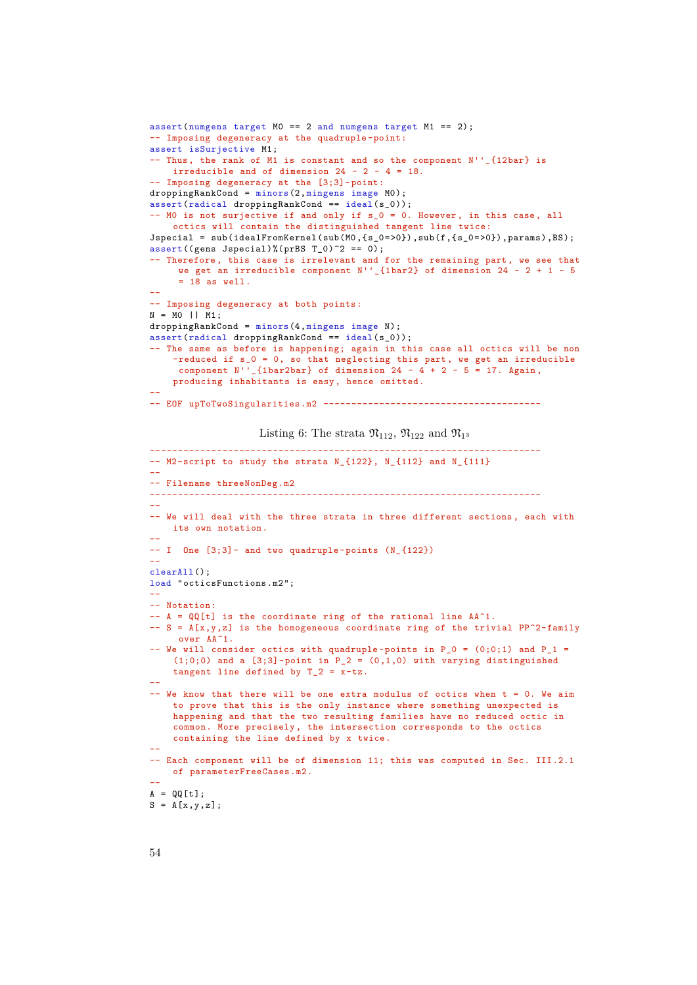```
assert(numgens target MO == 2 and numgens target M1 == 2);
-- Imposing degeneracy at the quadruple -point:
assert isSurjective M1;
-- Thus, the rank of M1 is constant and so the component N''_{12bar} is
   irreducible and of dimension 24 - 2 - 4 = 18.
-- Imposing degeneracy at the [3;3]-point:
droppingRankCond = minors(2,mingens image MO);\texttt{assert}(\texttt{radical}~\texttt{droppingRankCond} == \texttt{ideal(s_0)});-- M0 is not surjective if and only if s_0 = 0. However, in this case, all
   octics will contain the distinguished tangent line twice:
Jspecial = sub(idealFromKernel(sub(M0,{s_0=>0}),sub(f,{s_0=>0}),params),BS);
assert((gens Jspecial)%(prBS T_0)^2 == 0);
-- Therefore, this case is irrelevant and for the remaining part, we see that
     we get an irreducible component N'' [1bar2] of dimension 24 - 2 + 1 - 5
     = 18 as well.
--
-- Imposing degeneracy at both points:
N = MO || M1;
droppingRankCond = minors(4, mingens image N);assert(radical droppingRankCond == ideal(s_0));
-- The same as before is happening; again in this case all octics will be non
    -reduced if s_0 = 0, so that neglecting this part, we get an irreducible
     component N'' [1bar2bar} of dimension 24 - 4 + 2 - 5 = 17. Again,
    producing inhabitants is easy, hence omitted.
--
-- EOF upToTwoSingularities.m2 ---------------------------------------
```
Listing 6: The strata  $\mathfrak{N}_{112}$ ,  $\mathfrak{N}_{122}$  and  $\mathfrak{N}_{13}$ 

```
----------------------------------------------------------------------
- M2-script to study the strata N_{122}, N_{112} and N_{111}
--
-- Filename threeNonDeg.m2
----------------------------------------------------------------------
--
-- We will deal with the three strata in three different sections, each with
   its own notation.
--
- I One [3:3]- and two quadruple-points (N_{122})--
clearAll();
load "octicsFunctions.m2";
--
-- Notation:
- A = QQ[t] is the coordinate ring of the rational line AA^1.
- S = A[x, y, z] is the homogeneous coordinate ring of the trivial PP^2-family
    over AA^1.
-- We will consider octics with quadruple-points in P_0 = (0;0;1) and P_1 =(1;0;0) and a [3;3]-point in P_2 = (0,1,0) with varying distinguished
    tangent line defined by T_2 = x-tz.
--
-- We know that there will be one extra modulus of octics when t = 0. We aim
    to prove that this is the only instance where something unexpected is
    happening and that the two resulting families have no reduced octic in
    common. More precisely , the intersection corresponds to the octics
   containing the line defined by x twice.
--
-- Each component will be of dimension 11; this was computed in Sec. III.2.1
   of parameterFreeCases.m2.
--
A = QQ[t];S = A[x, y, z];
```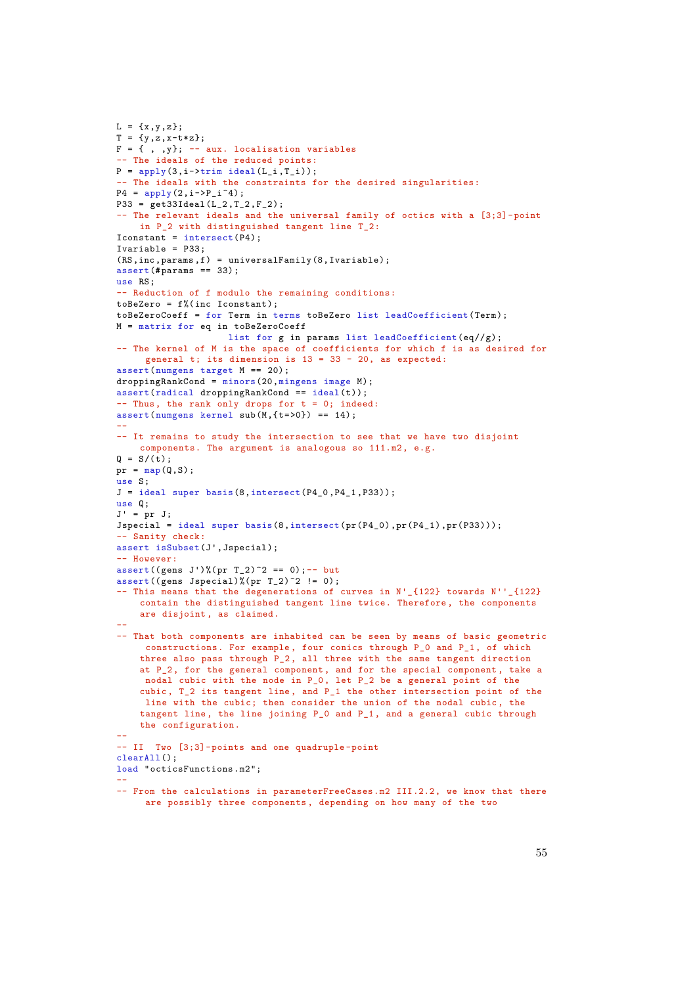```
L = {x, y, z};T = \{y, z, x-t*z\};F = \{ , , y\}; -- aux. localisation variables
-- The ideals of the reduced points:
P = apply(3, i->trim ideal(L_i, T_i));
 -- The ideals with the constraints for the desired singularities:
P4 = apply(2, i->P_i^2);
P33 = get33Ideal (L_2, T_2, F_2);-- The relevant ideals and the universal family of octics with a [3;3]-point
    in P_2 with distinguished tangent line T_2:
Iconstant = intersect(P4);
Ivariable = P33;
(RS,inc,params,f) = universalFamily(8,Ivariable);
assert(#params == 33);
use RS;
 -- Reduction of f modulo the remaining conditions:
toBeZero = f%(inc Iconstant);
toBeZeroCoeff = for Term in terms toBeZero list leadCoefficient(Term);
M = matrix for eq in toBeZeroCoeff
                    list for g in params list leadCoefficient(eq//g);
-- The kernel of M is the space of coefficients for which f is as desired for
     general t; its dimension is 13 = 33 - 20, as expected:
assert(numgens target M == 20);
droppingRankCond = minors(20.mingens image M);
assert(radical droppingRankCond == ideal(t));
-- Thus, the rank only drops for t = 0; indeed:
assert(numgens kernel sub(M,{t=>0}) == 14);
--
-- It remains to study the intersection to see that we have two disjoint
    components. The argument is analogous so 111.m2, e.g.
Q = S/(t);pr = \text{map}(0.S);
use S;
J = ideal super basis(8, intersect(P4_0, P4_1, P33));use Q;
J' = pr J;
Jspecial = ideal super basis(8, interest(pr(P4_0),pr(P4_1),pr(P33)));
 - Sanity check:
assert isSubset(J',Jspecial);
 -- However:
assert((gens J')%(pr T_2)<sup>-2</sup> == 0);-- but
assert((gens Jspecial)%(pr T_2)^2 != 0);
-- This means that the degenerations of curves in N' [122] towards N'' {122}
    contain the distinguished tangent line twice. Therefore , the components
    are disjoint, as claimed.
--
-- That both components are inhabited can be seen by means of basic geometric
     constructions. For example, four conics through P_0 and P_1, of which
    three also pass through P_2, all three with the same tangent direction
    at P_2, for the general component , and for the special component , take a
     nodal cubic with the node in P_0, let P_2 be a general point of the
    cubic , T_2 its tangent line, and P_1 the other intersection point of the
     line with the cubic; then consider the union of the nodal cubic, the
    tangent line, the line joining P_0 and P_1, and a general cubic through
    the configuration.
--
-- II Two [3;3]-points and one quadruple -point
clearAll();
load "octicsFunctions.m2";
--
-- From the calculations in parameterFreeCases.m2 III.2.2, we know that there
     are possibly three components , depending on how many of the two
```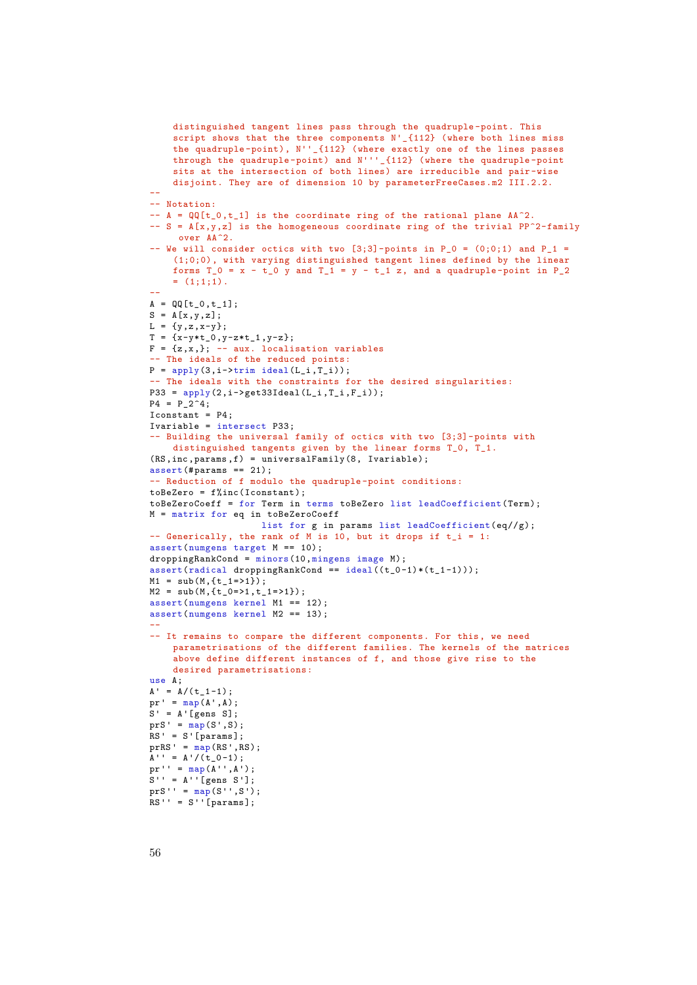```
distinguished tangent lines pass through the quadruple -point. This
    script shows that the three components N' [112] (where both lines miss
    the quadruple -point), N''_{112} (where exactly one of the lines passes
    through the quadruple -point) and N'''_{112} (where the quadruple -point
    sits at the intersection of both lines) are irreducible and pair-wise
    disjoint. They are of dimension 10 by parameterFreeCases.m2 III.2.2.
--
-- Notation:
- A = QQ[t_0,t_1] is the coordinate ring of the rational plane AA^2.
- S = A[x,y,z] is the homogeneous coordinate ring of the trivial PP^2-family
     over AA^2.
-- We will consider octics with two [3;3]-points in P<sub>-</sub>0 = (0;0;1) and P<sub>-</sub>1 =
    (1;0;0), with varying distinguished tangent lines defined by the linear
    forms T_0 = x - t_0 y and T_1 = y - t_1 z, and a quadruple-point in P<sub>-2</sub>
    = (1:1:1).
--
A = QQ[t_0, t_1];S = A[x,y,z];L = {y, z, x-y};T = \{x-y*t_0,y-z*t_1,y-z\};F = \{z, x, \}; -- aux. localisation variables
-- The ideals of the reduced points:
P = apply(3, i->trim ideal(L_i, T_i));-- The ideals with the constraints for the desired singularities:
P33 = apply(2,i->get33Ideal(L_i,T_i,F_i));
P4 = P_2^2^4;Iconstant = P4;
Ivariable = intersect P33;
-- Building the universal family of octics with two [3;3]-points with
    distinguished tangents given by the linear forms T_0, T_1.
(RS, inc, params, f) = universalFamily(8, Ivariable);\overline{\text{assert}}(#params == 21);
-- Reduction of f modulo the quadruple -point conditions:
toBeZero = f%inc(Iconstant);
toBeZeroCoeff = for Term in terms toBeZero list leadCoefficient(Term);
M = matrix for eq in toBeZeroCoeff
                    list for g in params list leadCoefficient(eq//g);
- Generically, the rank of M is 10, but it drops if t_i = 1:
assert(numgens target M == 10);
droppingRankCond = minors(10, mingens image M);
assert(radical droppingRankCond == ideal((t_0-1)*(t_1-1)));
M1 = sub(M, {t_1 = >1});
M2 = sub(M, \{t_0 => 1, t_1 = > 1\});
assert(numgens kernel M1 == 12);
assert(numgens \text{ kernel M2} == 13);--
-- It remains to compare the different components. For this, we need
    parametrisations of the different families. The kernels of the matrices
    above define different instances of f, and those give rise to the
    desired parametrisations:
use A;
A' = A/(t_1-1);pr' = map(A', A);S' = A'[gens S];
prS' = \frac{1}{map}(S', S);RS' = S'[params];
prRS' = \frac{1}{map}(RS', RS);A'' = A'/(t_0-1);pr'' = \frac{1}{\text{map}(A'', A')};
S' = A' [gens S'];
prS' = map(S', S');
RS' = S' [params];
```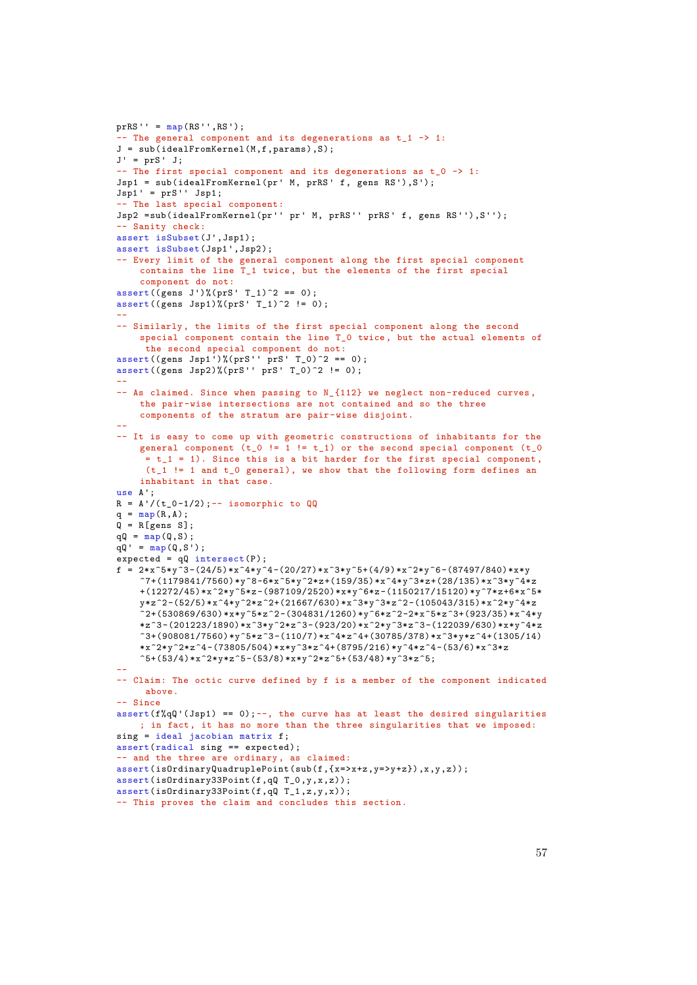```
prRS' = map(RS', RS');
 - The general component and its degenerations as t_1 -> 1:
J = sub(idealfromKernel(M, f, params), S);J' = prS' J;- The first special component and its degenerations as t_0 \rightarrow 1:
Jsp1 = sub(idealFromKernel(pr' M, prRS' f, gens RS'),S');
Jsp1' = prS'' Jsp1;
 -- The last special component:
Jsp2 =sub(idealFromKernel(pr'' pr' M, prRS'' prRS' f, gens RS''),S'');
 - Sanity check:
assert isSubset(J',Jsp1);
assert isSubset(Jsp1',Jsp2);
-- Every limit of the general component along the first special component
    contains the line T_1 twice , but the elements of the first special
    component do not:
\text{assert}((\text{gens } J') " (prS' T_1) ^2 == 0);
assert((gens Jsp1)%(prS' T_1)^2 != 0);
--
-- Similarly, the limits of the first special component along the second
    special component contain the line T_0 twice , but the actual elements of
     the second special component do not:
assert((gens Jsp1')%(prS'' prS' T_0) ^2 == 0);
\text{assert}((\text{gens } \text{Jsp2}) \setminus (\text{prS}^{\cdots} \text{ prS}^{\cdots} \text{T}_0)^2 = 0);--
-- As claimed. Since when passing to N_{-112} we neglect non-reduced curves,
    the pair-wise intersections are not contained and so the three
    components of the stratum are pair-wise disjoint.
--
-- It is easy to come up with geometric constructions of inhabitants for the
    general component (t_0 := 1 := t_1) or the second special component (t_0= t_1 = 1). Since this is a bit harder for the first special component,
     (t 1 != 1 and t_0 general), we show that the following form defines an
    inhabitant in that case.
use A';
R = A'/(t \ 0 - 1/2);-- isomorphic to QQ
q = \text{map}(R, A);
Q = R[gens S];qQ = \overline{map}(Q, S);qQ' = \frac{1}{map}(Q, S');
\overline{e} expected = q0 intersect(P);
f = 2*x^5*y^3-(24/5)*x^4*y^4-(20/27)*x^3*y^5+(4/9)*x^2*y^6-(87497/840)*x*y^2^7+(1179841/7560)*y^8-6*x^5*y^2*z+(159/35)*x^4*y^3*z+(28/135)*x^3*y^4*z
    +(12272/45)*x^2*y^5*z-(987109/2520)*x*y^6*z-(1150217/15120)*y^7*z+6*x^5*y*z^2-(52/5)*x^24*y^2*z^2+(21667/630)*x^3*y^3*z^2-(105043/315)*x^2*y^4*z^2+(530869/630)*x*y^5*z^2-(304831/1260)*y^6*z^2-2*x^5*z^3+(923/35)*x^4*y
    *z^3-(201223/1890)*x^3*y^2*z^3-(923/20)*x^2*y^3*z^3-(122039/630)*x*y^4*z
    \gamma3+(908081/7560)*y^5*z^3-(110/7)*x^4*z^4+(30785/378)*x^3*y*z^4+(1305/14)
    *x^2*y^2*z^4-(73805/504)*x*y^3*z^4+(8795/216)*y^4*z^4-(53/6)*x^3*z
    \tilde{5}+(53/4)*x^2*y*z^5-(53/8)*x*y^2*z^5+(53/48)*y^3*z^5;
--
-- Claim: The octic curve defined by f is a member of the component indicated
     above.
-- Since
assert(f\prime qQ'<sup>(Jsp1)</sup> == 0);--, the curve has at least the desired singularities
    ; in fact, it has no more than the three singularities that we imposed:
sing = ideal jacobian matrix f;
assert(radical sing == expected);
-- and the three are ordinary, as claimed:
assert(isOrdinaryQuadruplePoint(sub(f,{x=>x+z,y=>y+z}),x,y,z));
assert(isOrdinary33Point(f,qQ T_0,y,x,z));
assert(isOrdinary33Point(f,qQ T_1,z,y,x));
```

```
-- This proves the claim and concludes this section.
```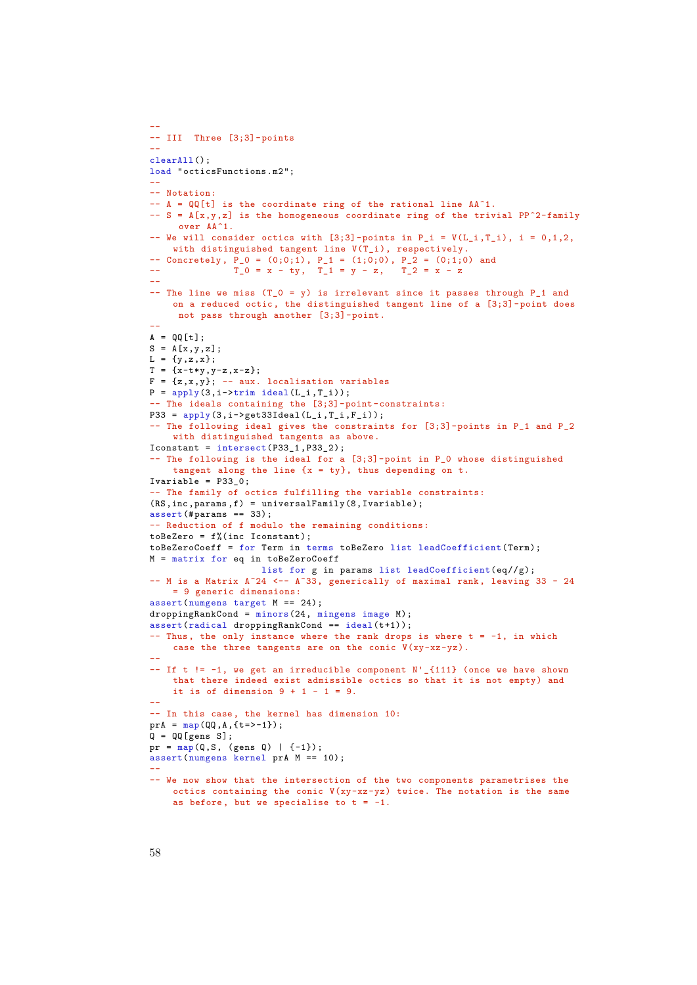```
--
-- III Three [3;3]-points
--
clearAll();
load "octicsFunctions.m2";
--
-- Notation:
- A = QQ[t] is the coordinate ring of the rational line AA^1.
- S = A[x,y,z] is the homogeneous coordinate ring of the trivial PP^2-family
     over AA^1.
-- We will consider octics with [3;3]-points in P_i = V(L_i, T_i), i = 0,1,2,
    with distinguished tangent line V(T_i), respectively.
-- Concretely, P_0 = (0;0;1), P_1 = (1;0;0), P_2 = (0;1;0) and
T_0 = x - ty, T_1 = y - z, T_2 = x - z--
-- The line we miss (T_0 = y) is irrelevant since it passes through P<sub>1</sub> and
    on a reduced octic, the distinguished tangent line of a [3;3]-point does
    not pass through another [3;3]-point.
--
A = QQ[t];S = A[x, y, z];L = {y, z, x};T = \{x-t*y, y-z, x-z\};F = \{z, x, y\}: -- aux. localisation variables
P = apply(3, i->trim ideal(L_i, T_i));-- The ideals containing the [3;3]-point -constraints:
P33 = apply(3, i->get33Ideal(L_i, T_i, F_i));-- The following ideal gives the constraints for [3;3]-points in P_1 and P_2
   with distinguished tangents as above.
Iconstant = intersect(P33_1,P33_2);
-- The following is the ideal for a [3;3]-point in P_0 whose distinguished
   tangent along the line \{x = ty\}, thus depending on t.
Ivariable = P33_0;
-- The family of octics fulfilling the variable constraints:
(RS, inc, params, f) = universalFamily(8, Ivariable);assert (#params == 33);
 - Reduction of f modulo the remaining conditions:
toBeZero = f''(inc Iconstant);toBeZeroCoeff = for Term in terms toBeZero list leadCoefficient(Term);
M = matrix for eq in toBeZeroCoeff
                    list for g in params list leadCoefficient(eq//g);
-- M is a Matrix A^24 <-- A^33, generically of maximal rank, leaving 33 - 24
   = 9 generic dimensions:
assert(numgens target M == 24);
droppingRankCond = minors(24, mingens image M);
assert(radical droppingRankCond == ideal(t+1));
-- Thus, the only instance where the rank drops is where t = -1, in which
    case the three tangents are on the conic V(xy-xz-yz).
--
- If t != -1, we get an irreducible component N'_{-1} (once we have shown
   that there indeed exist admissible octics so that it is not empty) and
    it is of dimension 9 + 1 - 1 = 9.
--
-- In this case, the kernel has dimension 10:
prA = map(QQ, A, {t=>-1});
Q = QQ[gens S];pr = map(Q, S, (gens Q) | {-1}});
assert(numgens kernel prA M == 10);
--
-- We now show that the intersection of the two components parametrises the
    octics containing the conic V(xy-xz-yz) twice. The notation is the same
    as before, but we specialise to t = -1.
```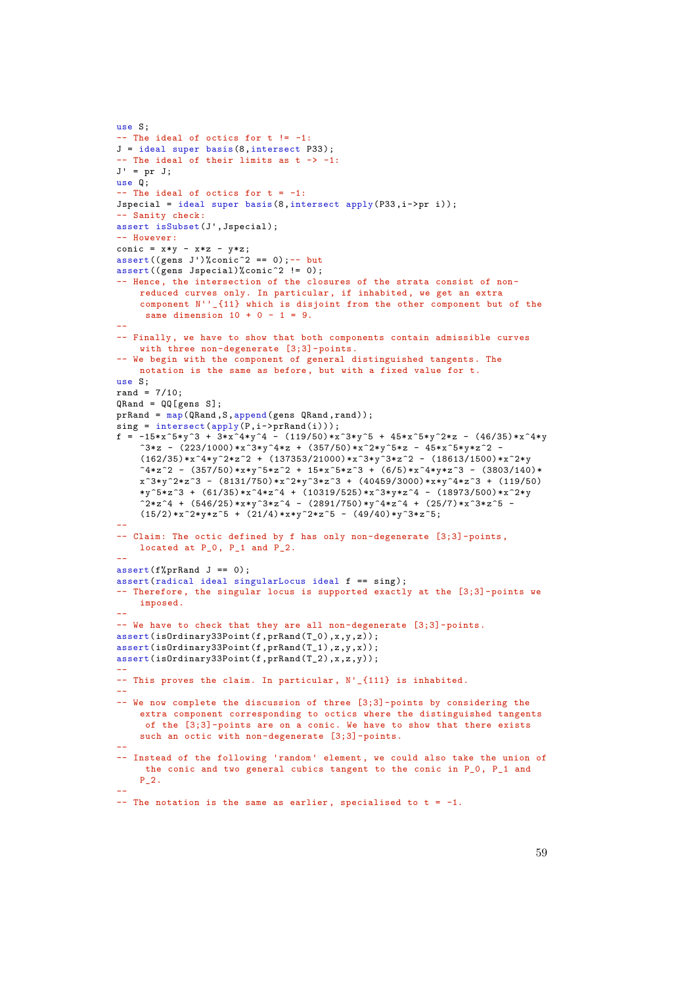```
use S;
 - The ideal of octics for t != -1:
J = ideal super basis(8,intersect P33);
-- The ideal of their limits as t \rightarrow -1:
J' = pr J;use Q;
-- The ideal of octics for t = -1:
Jspecial = ideal super basis(8,intersect apply(P33,i->pr i));
-- Sanity check:
assert isSubset(J',Jspecial);
-- However:
conic = x*y - x*z - y*z;assert((gens J')%conic^2 == 0);-- but
assert((gens Jspecial)%conic^2 != 0);
-- Hence, the intersection of the closures of the strata consist of non-
    reduced curves only. In particular, if inhabited, we get an extra
    component N''_{11} which is disjoint from the other component but of the
     same dimension 10 + 0 - 1 = 9.
--
-- Finally, we have to show that both components contain admissible curves
    with three non-degenerate [3;3]-points.
-- We begin with the component of general distinguished tangents. The
    notation is the same as before , but with a fixed value for t.
use S;
rand = 7/10:
QRand = QQ[gens S];prRand = map(QRand,S,append(gens QRand,rand));
sing = intersect(apply(P,i->prRand(i)));
f = -15*x^5*y^3 + 3*x^4*y^4 - (119/50)*x^3*y^5 + 45*x^5*y^2*z - (46/35)*x^4*y^3)^3*z - (223/1000)*x^3*y^4*z + (357/50)*x^2*y^5*z - 45*x^5*y*z^2 -
    (162/35)*x^4*y^2*z^2 + (137353/21000)*x^3*y^3*z^2 - (18613/1500)*x^2*y^2(357/50)*x*y^5*z^2 + 15*x^5*z^3 + (6/5)*x^4*y*z^3 - (3803/140)*x^3*y^2*z^3 - (8131/750)*x^2*y^3*z^3 + (40459/3000)*x*y^4*z^3 + (119/50)*y^5*z^3 + (61/35)*x^4*z^4 + (10319/525)*x^3*y*z^4 - (18973/500)*x^2*y
    \tilde{c}*z^4 + (546/25)*x*y^3*z^4 - (2891/750)*y^4*z^4 + (25/7)*x^3*z^5 -
    (15/2)*x^2*yz^5 + (21/4)*x*y^2*z^5 - (49/40)*y^3*z^5;--
-- Claim: The octic defined by f has only non-degenerate [3;3]-points ,
    located at P_0, P_1 and P_2.
--
assert(f\sqrt{r}Rand J == 0);assert(radical ideal singularLocus ideal f == sing);
-- Therefore, the singular locus is supported exactly at the [3;3]-points we
    imposed.
--
-- We have to check that they are all non-degenerate [3;3]-points.
assert(isOrdinary33Point(f,prRand(T_0),x,y,z));
assert(isOrdinary33Point(f,prRand(T_1),z,y,x));
assert(isOrdinary33Point(f,prRand(T_2),x,z,y));
--
-- This proves the claim. In particular, N'_{-1} (111) is inhabited.
--
-- We now complete the discussion of three [3;3]-points by considering the
    extra component corresponding to octics where the distinguished tangents
     of the [3;3]-points are on a conic. We have to show that there exists
    such an octic with non-degenerate [3;3]-points.
--
-- Instead of the following 'random' element, we could also take the union of
     the conic and two general cubics tangent to the conic in P_0, P_1 and
    P_2.
--
-- The notation is the same as earlier, specialised to t = -1.
```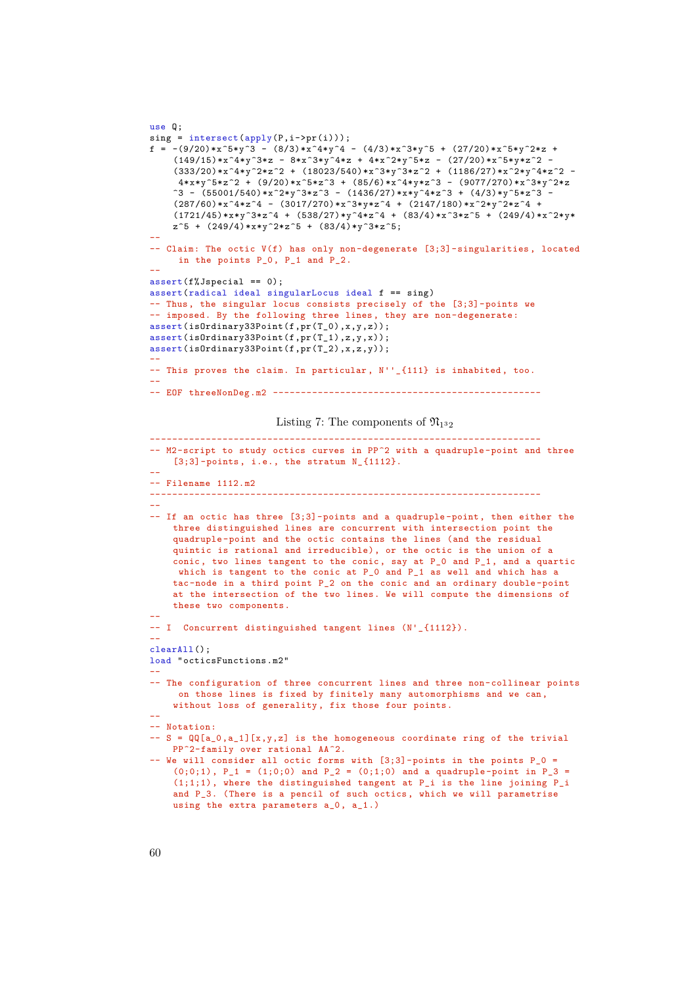```
use 0sing = intersect(apply(P, i->pr(i)));
f = -(9/20)*x^5*y^3 - (8/3)*x^4*y^4 - (4/3)*x^3*y^5 + (27/20)*x^5*y^2*z +
    (149/15)*x^4*y^3*z - 8*x^3*y^4*z + 4*x^2*y^5*z - (27/20)*x^5*y*z^2 -(333/20)*x^4*y^2*z^2 + (18023/540)*x^3*y^3*z^2 + (1186/27)*x^2*y^4*z^2 -
     4*x*y^5*z^2 + (9/20)*x^5*z^3 + (85/6)*x^4*y*z^3 - (9077/270)*x^3*y^2*z^3^3 - (55001/540)*x^2*y^3*z^3 - (1436/27)*x*y^4*z^3 + (4/3)*y^5*z^3 -
    (287/60)*x^4*z^4 - (3017/270)*x^3*y*z^4 + (2147/180)*x^2*y^2*z^4 +(1721/45)*x*y^3*z^4 + (538/27)*y^4*z^4 + (83/4)*x^3*z^5 + (249/4)*x^2*y*z^5 + (249/4)*x*y^2*z^5 + (83/4)*y^3*z^5;
--
-- Claim: The octic V(f) has only non-degenerate [3;3]-singularities , located
    in the points P_0, P_1 and P_2.
--
assert(f%Jspecial == 0);
assert(radical ideal singularLocus ideal f == sing)
-- Thus, the singular locus consists precisely of the [3;3]-points we
-- imposed. By the following three lines, they are non-degenerate:
assert(isOrdinary33Point(f,pr(T_0),x,y,z));
assert(isOrdinary33Point(f,pr(T_1),z,y,x));
assert(isOrdinary33Point(f,pr(T_2),x,z,y));
--
-- This proves the claim. In particular, N''<sub>-</sub>{111} is inhabited, too.
--
-- EOF threeNonDeg.m2 ------------------------------------------------
```
Listing 7: The components of  $\mathfrak{N}_{1^32}$ 

```
----------------------------------------------------------------------
-- M2-script to study octics curves in PP^2 with a quadruple-point and three
   [3;3]-points, i.e., the stratum N_{-}\{1112\}.
--
-- Filename 1112.m2
----------------------------------------------------------------------
--
-- If an octic has three [3;3]-points and a quadruple -point , then either the
    three distinguished lines are concurrent with intersection point the
    quadruple -point and the octic contains the lines (and the residual
    quintic is rational and irreducible), or the octic is the union of a
    conic, two lines tangent to the conic, say at P_0 and P_1, and a quartic
    which is tangent to the conic at P<sub>-</sub>0 and P<sub>-1</sub> as well and which has a
    tac-node in a third point P_2 on the conic and an ordinary double -point
    at the intersection of the two lines. We will compute the dimensions of
    these two components.
--
-- I Concurrent distinguished tangent lines (N' {1112}).
--
clearAll();
load "octicsFunctions.m2"
--
-- The configuration of three concurrent lines and three non-collinear points
     on those lines is fixed by finitely many automorphisms and we can,
    without loss of generality, fix those four points.
--
-- Notation:
- S = QQ[a_0,a_1][x,y,z] is the homogeneous coordinate ring of the trivial
   PP^2-family over rational AA^2.
- We will consider all octic forms with [3;3]-points in the points P_0 =
    (0;0;1), P<sub>1</sub> = (1;0;0) and P<sub>-</sub>2 = (0;1;0) and a quadruple-point in P<sub>-</sub>3 =
    (1;1;1), where the distinguished tangent at P_i is the line joining P_iand P_3. (There is a pencil of such octics , which we will parametrise
    using the extra parameters a_0, a_1.)
```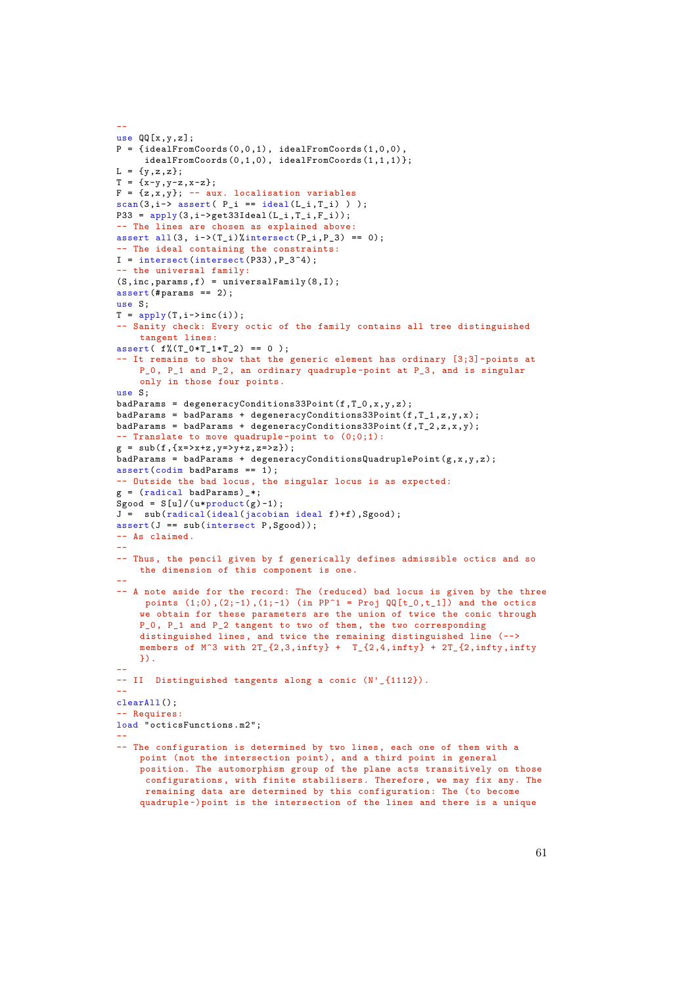```
use QQ[x,y,z];
P = \{idealFromCoords(0,0,1), ideaIFromCoords(1,0,0),\}idealFromCoords(0,1,0), idealFromCoords(1,1,1)};
L = \{y, z, z\};T = \{x-y, y-z, x-z\};F = {z, x, y}; -- aux. localisation variables
scan(3,i-> assert( P i == ideal(L i.T i) ) );
P33 = apply(3, i - > get33Ideal(L_i, T_i, F_i));-- The lines are chosen as explained above:
assert all(3, i \rightarrow (T_i)%intersect(P_i,P_3) == 0);
 -- The ideal containing the constraints:
I = intersect (intersect (P33), P_3^2;
-- the universal family:
(S, inc, params, f) = universalFamily(8, I);\frac{1}{\text{assert}}(#params == 2);
use S;
T = apply(T, i->inc(i));-- Sanity check: Every octic of the family contains all tree distinguished
    tangent lines:
assert(f'(T_0*T_1*T_2) == 0);
-- It remains to show that the generic element has ordinary [3;3]-points at
    P_0, P_1 and P_2, an ordinary quadruple -point at P_3, and is singular
    only in those four points.
use S;
badParams = degeneracyConditions33Point(f,T_0,x,y,z);
badParams = badParams + degeneracyConditions33Point(f,T_1,z,y,x);
badParams = badParams + degeneracyConditions33Point(f,T_2,z,x,y);
-- Translate to move quadruple -point to (0;0;1):
g = sub(f, {x=&x+z, y=&y+z, z=&z});
badParams = badParams + degeneracyConditionsQuadruplePoint(g, x, y, z);
assert(codim badParams == 1);
-- Outside the bad locus , the singular locus is as expected:
g = (radical badParams)_*;
Sgood = S[u]/(u * product(g) - 1);J = sub(radical(ideal(jacobian ideal f)+f),Sgood);
assert(J == sub(interset P, Sgood));-- As claimed.
--
-- Thus, the pencil given by f generically defines admissible octics and so
    the dimension of this component is one.
--
-- A note aside for the record: The (reduced) bad locus is given by the three
     points (1;0), (2;-1), (1;-1) (in PP<sup>\uparrow</sup> = Proj QQ[t_0,t_1]) and the octics
    we obtain for these parameters are the union of twice the conic through
    P_0, P_1 and P_2 tangent to two of them, the two corresponding
    distinguished lines , and twice the remaining distinguished line (-->
    members of M<sup>\degree3</sup> with 2T_{2,3,infty} + T_{2,4,infty} + 2T_{2,infty,infty
    \}).
--
-- II Distinguished tangents along a conic (N' {1112}).
--
clearAll();
-- Requires:
load "octicsFunctions.m2";
--
-- The configuration is determined by two lines, each one of them with a
    point (not the intersection point), and a third point in general
    position. The automorphism group of the plane acts transitively on those
     configurations , with finite stabilisers. Therefore , we may fix any. The
     remaining data are determined by this configuration: The (to become
    quadruple -)point is the intersection of the lines and there is a unique
```
 $-$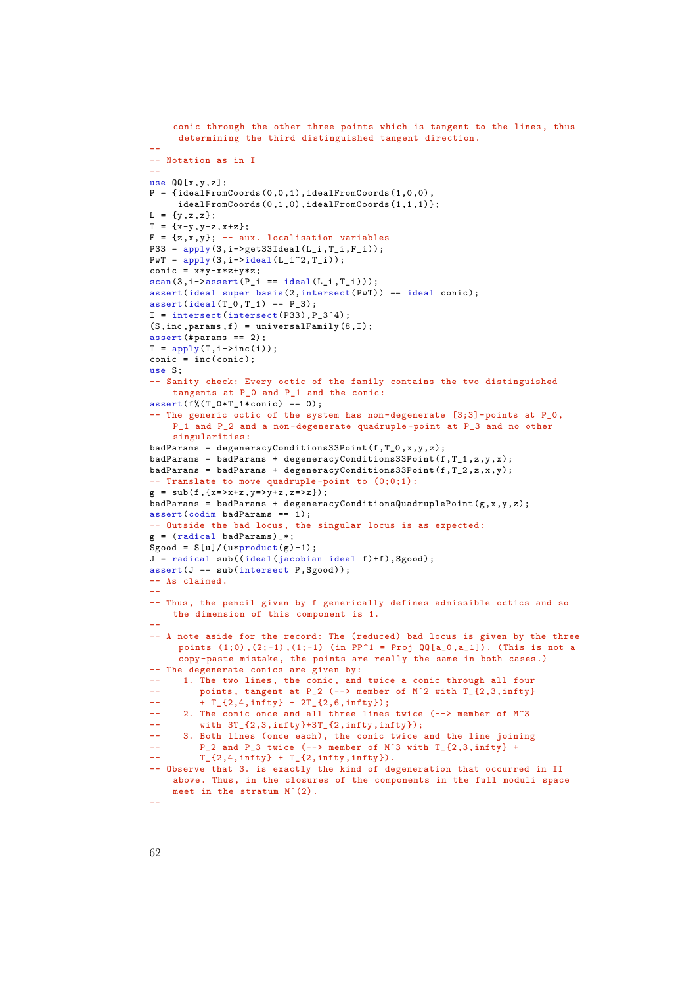```
conic through the other three points which is tangent to the lines , thus
     determining the third distinguished tangent direction.
--
-- Notation as in I
--
use QQ[x,y,z];
P = \{idealFromCoords(0,0,1), idealFromCoords(1,0,0),\}idealFromCoords(0,1,0),idealFromCoords(1,1,1)};
L = {y, z, z};T = \{x-y, y-z, x+z\};F = {z, x, y}; -- aux. localisation variables
P33 = apply(3, i->get33Ideal(L_i, T_i, F_i));PwT = apply(3,i->ideal(L_i^2,T_i));conic = x*y-x*z+yz;scan(3,i->assert(P_i == ideal(L_i,T_i)));
assert(ideal super basis(2,intersect(PwT)) == ideal conic);
assert(ideal(T_0, T_1) == P_3);I = intersect(intersect(P33), P_3^2;
(S, inc, params, f) = universalFamily(8, I);assert (#params == 2);
T = apply(T, i->inc(i));conic = inc(conic);
use S;
-- Sanity check: Every octic of the family contains the two distinguished
    tangents at P_0 and P_1 and the conic:
assert(f'(T_0*T_1*conic) == 0);- The generic octic of the system has non-degenerate [3;3]-points at P 0,
    P_1 and P_2 and a non-degenerate quadruple -point at P_3 and no other
    singularities:
badParams = degeneracyConditions33Point(f,T_0,x,y,z);
badParams = badParams + degeneracyConditions33Point(f,T_1,z,y,x);badParams = badParams + degeneracyConditions33Point(f,T_2,z,x,y);
-- Translate to move quadruple -point to (0;0;1):
g = sub(f, {x=>}x+z, y=>}y+z, z=>z);badParams = badParams + degeneracyConditionsQuadruplePoint(g, x, y, z);
assert(codim badParams == 1);
-- Outside the bad locus , the singular locus is as expected:
g = (radical badParams)<sub>*;</sub>
Sgood = S[u]/(u * product(g) - 1);J = radical sub((ideal(jacobian ideal f)+f), Sgood);
assert(J == sub(intersect P,Sgood));
-- As claimed.
--
-- Thus, the pencil given by f generically defines admissible octics and so
    the dimension of this component is 1.
--
-- A note aside for the record: The (reduced) bad locus is given by the three
     points (1;0), (2;-1), (1;-1) (in PP<sup>\gamma</sup> = Proj QQ[a_0,a_1]). (This is not a
      copy-paste mistake , the points are really the same in both cases.)
-- The degenerate conics are given by:
      1. The two lines, the conic, and twice a conic through all four
-- points, tangent at P_2 (--> member of M^2 with T_{2,3,infty}
          + T_{-}{2,4,infty} + 2T<sub>-</sub>{2,6,infty});
-- 2. The conic once and all three lines twice (--> member of M^3
-- with 3T_{2}(2,3,\text{infty})+3T_{2}(2,\text{infty},\text{infty});<br>2T_{2}, R_{1}, R_{2}, R_{3}, R_{4}, R_{5}, R_{6}, R_{7}, R_{8}, R_{9}, R_{1}, R_{1}, R_{2}, R_{1}, R_{2}, R_{3}, R_{4}, R_{5}3. Both lines (once each), the conic twice and the line joining
- P_2 and P_3 twice \left(-\right) member of M^3 with T_{2,3,infty} +
- T_{2,4,infty} + T_{2,infty,infty}).
-- Observe that 3. is exactly the kind of degeneration that occurred in II
    above. Thus, in the closures of the components in the full moduli space
    meet in the stratum M^{\hat{}}(2).
--
```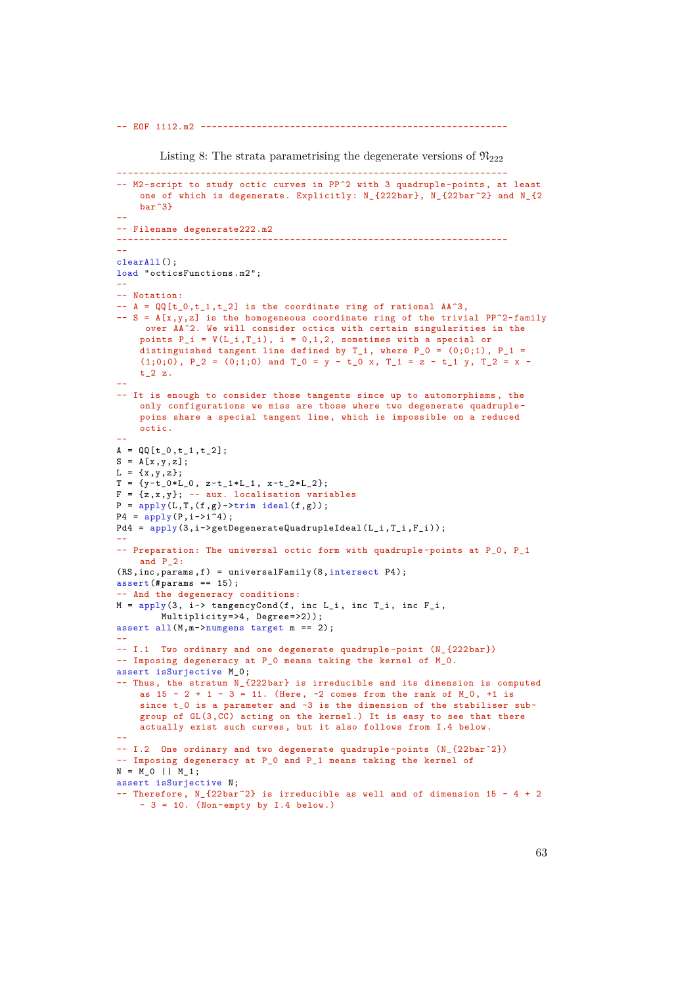```
Listing 8: The strata parametrising the degenerate versions of \mathfrak{N}_{222}----------------------------------------------------------------------
-- M2-script to study octic curves in PP^2 with 3 quadruple-points, at least
    one of which is degenerate. Explicitly: N_{222bar}, N_{22bar^2} and N_{2
    bar^3}
--
-- Filename degenerate222.m2
----------------------------------------------------------------------
--
clearAll();
load "octicsFunctions.m2";
--
-- Notation:
- A = QQ[t_0,t_1,t_2] is the coordinate ring of rational AA^3,
- S = A[x,y,z] is the homogeneous coordinate ring of the trivial PP^2-family
     over AA^2. We will consider octics with certain singularities in the
    points P_i = V(L_i, T_i), i = 0,1,2, sometimes with a special or
    distinguished tangent line defined by T_i, where P_0 = (0;0;1), P_1 =(1;0;0), P<sub>-</sub>2 = (0;1;0) and T<sub>-</sub>0 = y - t<sub>-</sub>0 x, T<sub>-</sub>1 = z - t<sub>-</sub>1 y, T<sub>-</sub>2 = x -
    t_2 z.--
-- It is enough to consider those tangents since up to automorphisms , the
    only configurations we miss are those where two degenerate quadruple -
    poins share a special tangent line, which is impossible on a reduced
    octic.
--
A = QQ[t_0, t_1, t_2];S = A[x, y, z];L = {x,y,z};T = \{y-t_0*L_0, z-t_1*L_1, x-t_2*L_2\};F = {z, x, y}; -- aux. localisation variables
P = apply(L,T,(f,g)-\text{trim ideal}(f,g));P4 = apply(P, i->i^4);Pd4 = apply(3,i->getDegenerateQuadrupleIdeal(L_i,T_i,F_i));--
-- Preparation: The universal octic form with quadruple-points at P 0, P 1
    and P_2:
(RS,inc,params,f) = universalFamily(8,intersect P4);
assert(#params == 15);
-- And the degeneracy conditions:
M = apply(3, i->tangent) and (f, inc L_i, inc T_i, inc F_i,Multiplicity=>4, Degree=>2));
assert all(M,m->numgens target m == 2);--
-- I.1 Two ordinary and one degenerate quadruple -point (N_{222bar})
-- Imposing degeneracy at P_0 means taking the kernel of M_0.
assert isSurjective M 0:
 - Thus, the stratum N_{222bar} is irreducible and its dimension is computed
    as 15 - 2 + 1 - 3 = 11. (Here, -2 comes from the rank of M_0, +1 is
    since t_0 is a parameter and -3 is the dimension of the stabiliser sub-
    group of GL(3,CC) acting on the kernel.) It is easy to see that there
    actually exist such curves , but it also follows from I.4 below.
--
-- I.2 One ordinary and two degenerate quadruple-points (N_{22bar^2})
-- Imposing degeneracy at P_0 and P_1 means taking the kernel of
N = M_0 || M_1;
assert isSurjective N;
-- Therefore, N_{-}{22bar^2} is irreducible as well and of dimension 15 - 4 + 2
    - 3 = 10. (Non-empty by I.4 below.)
```
-- EOF 1112.m2 -------------------------------------------------------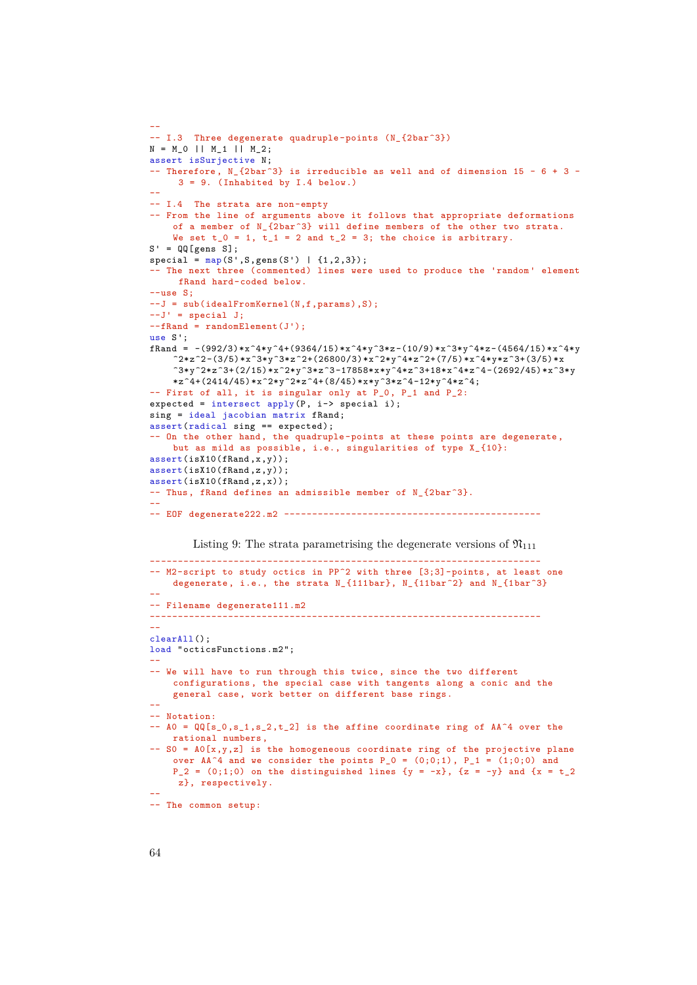```
--
-- I.3 Three degenerate quadruple-points (N_{2bar^3})
N = M_O || M_1 || M_2;
assert isSurjective N;
- Therefore, N<sub>-</sub>\{2bar\<sup>2</sup> is irreducible as well and of dimension 15 - 6 + 3 -
     3 = 9. (Inhabited by I.4 below.)
--
-- I.4 The strata are non-empty
-- From the line of arguments above it follows that appropriate deformations
    of a member of N_{2bar^3} will define members of the other two strata.
    We set t_0 = 1, t_1 = 2 and t_2 = 3; the choice is arbitrary.
S' = QQ[gens S];special = map(S', S, genes(S') | {1,2,3}};-- The next three (commented) lines were used to produce the 'random' element
    fRand hard-coded below.
--use S;
--J = sub(idealFromKernel(N,f,params),S);
--J' = special J;--fRand = randomElement(J');
use S';
fRand = -(992/3)*x^4*y^4+(9364/15)*x^4*y^3*z-(10/9)*x^3*y^4*z-(4564/15)*x^4*y
     2*z^2-(3/5)*x^3*y^3*z^2+(26800/3)*x^2*y^4*z^2+(7/5)*x^4*y*z^3+(3/5)*x
    \gamma3*y^2*z^3+(2/15)*x^2*y^3*z^3-17858*x*y^4*z^3+18*x^4*z^4-(2692/45)*x^3*y
    *z^4+(2414/45)*x^2*y^2*z^4+(8/45)*x*y^3*z^4-12*y^4*z^4;-- First of all, it is singular only at P_0, P_1 and P_2:
expected = intersect apply(P, i->) special i);
sing = ideal jacobian matrix fRand;
assert(radical sing == expected);
-- On the other hand, the quadruple-points at these points are degenerate,
    but as mild as possible, i.e., singularities of type X_{10}:
assert(isX10(fRand,x,y));
assert(isX10(fRand.z.y));
assert(isX10(fRand,z,x));
-- Thus, fRand defines an admissible member of N_{2bar^3}.
--
-- EOF degenerate222.m2 ----------------------------------------------
       Listing 9: The strata parametrising the degenerate versions of \mathfrak{N}_{111}----------------------------------------------------------------------
-- M2-script to study octics in PP^2 with three [3;3]-points, at least one
    degenerate, i.e., the strata N_{111bar}, N_{11bar^2} and N_{1bar^3}
--
```

```
-- Filename degenerate111.m2
----------------------------------------------------------------------
```

```
--
\text{clearAll}()
```

```
load "octicsFunctions.m2";
```
-- -- We will have to run through this twice, since the two different configurations , the special case with tangents along a conic and the general case, work better on different base rings.

```
--
-- Notation:
```
 $-$  A0 = QQ[s\_0,s\_1,s\_2,t\_2] is the affine coordinate ring of AA^4 over the rational numbers ,

```
- SO = AO[x,y,z] is the homogeneous coordinate ring of the projective plane
   over AA^4 and we consider the points P_0 = (0;0;1), P_1 = (1;0;0) and
    P_2 = (0;1;0) on the distinguished lines \{y = -x\}, \{z = -y\} and \{x = t_2\}z}, respectively.
--
```

```
-- The common setup:
```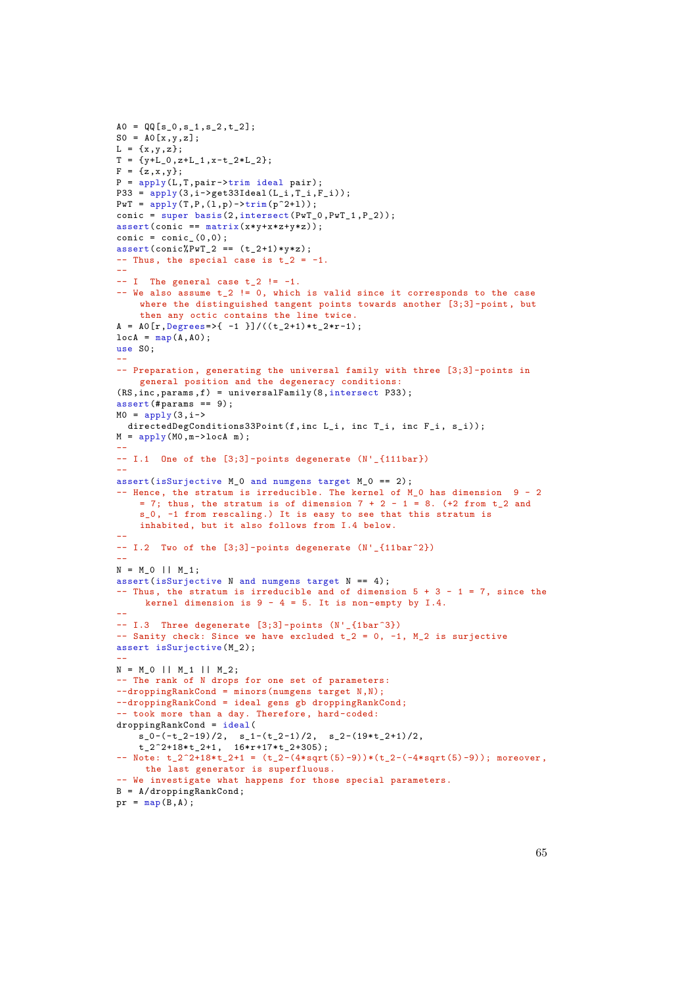```
A0 = QQ[s_0, s_1, s_2, t_2];SO = AO[x, y, z];L = {x,y,z};T = \{y+L_0, z+L_1, x-t_2+L_2\};F = {z, x, y};
P = apply(L,T,pair->trim ideal pair);
P33 = apply(3, i->get33Ideal(L_i, T_i, F_i));PwT = apply(T, P, (1, p) - \frac{\sum_{r=1}^{n} (p^2 + 1)}{r};
conic = super basis(2,intersect(PwT_0,PwT_1,P_2));
assert(conic == matrix(x*y+x*z+y*z));conic = conic_ (0,0);assert(conic\\N\nu T_2 == (t_2+1)*y*z);- Thus, the special case is t_2 = -1.
--
- I The general case t_2 != -1.
- We also assume t 2 != 0, which is valid since it corresponds to the case
    where the distinguished tangent points towards another [3;3]-point, but
    then any octic contains the line twice.
A = A0[r, \text{degrees} = > \{-1\}]/((t_{2}+1)*t_{2}*r-1);locA = map(A, A0);use S0;
--
-- Preparation, generating the universal family with three [3;3]-points in
    general position and the degeneracy conditions:
(RS, inc,params, f) = universalFamily(8, intersect P33);assert(#params == 9);
MO = apply(3, i-)directedDegConditions33Point(f,inc L_i, inc T_i, inc F_i, s_i));
M = apply(M0,m->locA m);
--
-- I.1 One of the [3;3]-points degenerate (N'_{111bar})
--
assert(isSurjective M_0 and numgens target M_0 == 2);
-- Hence, the stratum is irreducible. The kernel of M_0 has dimension 9 - 2= 7; thus, the stratum is of dimension 7 + 2 - 1 = 8. (+2 from t_2 and
    s_0, -1 from rescaling.) It is easy to see that this stratum is
    inhabited, but it also follows from I.4 below.
--
-- I.2 Two of the [3;3]-points degenerate (N'_{11bar^2})
--
N = M_0 || M_1;
assert(isSurjective N and numgens target N == 4);
- Thus, the stratum is irreducible and of dimension 5 + 3 - 1 = 7, since the
     kernel dimension is 9 - 4 = 5. It is non-empty by I.4.
--
-- I.3 Three degenerate [3;3]-points (N'_{1bar^3})
-- Sanity check: Since we have excluded t_{-2} = 0, -1, M<sub>-</sub>2 is surjective
assert isSurjective(M_2);
--
N = M_0 || M_1 || M_2;
-- The rank of N drops for one set of parameters:
--droppingRankCond = minors(numgens target N,N);
--droppingRankCond = ideal gens gb droppingRankCond;
-- took more than a day. Therefore, hard-coded:
droppingRankCond = ideal(s_0-(-t_2-19)/2, s_1-(t_2-1)/2, s_2-(19*t_2+1)/2,
    t_2^2+18*t_2+1, 16*r+17*t_2+305);
-- Note: t_2^2+18*t_2+1 = (t_2 - (4*sqrt(5)-9))*(t_2-(-4*sqrt(5)-9)); moreover,
     the last generator is superfluous.
-- We investigate what happens for those special parameters.
B = A/droppingRankCond;pr = map(B, A);
```
65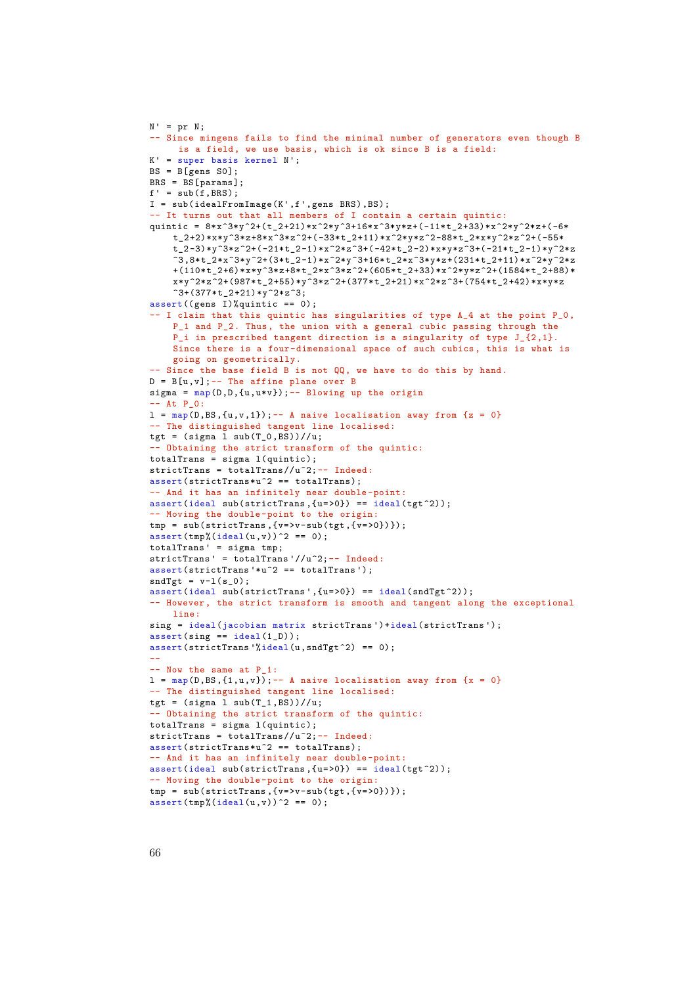```
N' = pr N;
-- Since mingens fails to find the minimal number of generators even though B
    is a field, we use basis, which is ok since B is a field:
K' = super basis kernel N';
BS = B[gens SO];BRS = BS[params];
f' = sub(f, BRS);
I = sub(idealfromImage(K', f',gens BRS), BS);-- It turns out that all members of I contain a certain quintic:
quintic = 8*x^3*y^2+(t_2+21)*x^2*y^3+16*x^3*y*z+(-11*t_2+33)*x^2*y^2*z+(-6*t_{2}+2)*x*y^3*z+8*x^3*z^2+(-33*t_2+11)*x^2*y*z^2-88*t_2*x*y^2*z^2+(-55*
    t_{-2}-3*y^3*z^2+(-21*t_2-1)*x^2*z^3+(-42*t_2-2)*x*y*z^3+(-21*t_2-1)*y^2*z
    3,8*t_2*x^3*y^2+(3*t_2-1)*x^2*y^3+16*t_2*x^3*y*z+(231*t_2+11)*x^2*y^2*z+(110*t_2+6)*x*y^3*z+8*t_2*x^3*z^2+(605*t_2+33)*x^2*y*z^2+(1584*t_2+88)*
    x*y^2*z^2+(987*t_2+55)*y^3*z^2+(377*t_2+21)*x^2*z^3+(754*t_2+42)*x*y*z
    \hat{3}+(377*t 2+21)*v^2*z^3;
assert((gens I)% quintic == 0);
 - I claim that this quintic has singularities of type A_4 at the point P_0,
    P_1 and P_2. Thus, the union with a general cubic passing through the
    P_i in prescribed tangent direction is a singularity of type J_{2,1}.
    Since there is a four-dimensional space of such cubics , this is what is
    going on geometrically.
-- Since the base field B is not QQ, we have to do this by hand.
D = B[u, v];-- The affine plane over B
sigma = map(D, D, \{u, u*v\}); -- Blowing up the origin
-- At P_0:
l = map(D, BS, \{u, v, 1\}); -- A naive localisation away from \{z = 0\}-- The distinguished tangent line localised:
tgt = (sigma_1 \text{ sub}(T_0, BS))/u;- Obtaining the strict transform of the quintic:
totalTrans = sigma 1 (quintic);strictTrans = totalTrans//u^2;-- Indeed:
assert(strictTrans*u^2 == totalTrans);
-- And it has an infinitely near double -point:
assert(ideal sub(strictTrans,\{u=>0\}) == ideal(tgt<sup>2</sup>));
-- Moving the double -point to the origin:
tmp = sub(strictTrans ,{v=>v-sub(tgt,{v=>0})});
assert(tmp%(ideal(u,v))^2 == 0);
totalTrans ' = sigma tmp;
strictTrans' = totalTrans'//u^2;-- Indeed:
assert(strictTrans '*u^2 == totalTrans ');
sndTgt = v-1(s_0);assert(ideal sub(strictTrans',\{u=>0\}) == ideal(sndTgt^2));
-- However, the strict transform is smooth and tangent along the exceptional
   line:
sing = ideal(jacobian matrix strictTrans ')+ideal(strictTrans ');
assert(sing == ideal(1_D));assert(\text{strictTrans '%ideal(u,sndTgt^2) == 0)};
--
-- Now the same at P_1:
l = map(D, BS, {1, u, v}); -- A naive localisation away from {x = 0}-- The distinguished tangent line localised:
tgt = (sigma 1 sub(T_1,BS))/u;-- Obtaining the strict transform of the quintic:
totalTrans = sigma 1 (quintic);strictTrans = totalTrans//u^2;-- Indeed:
assert(strictTrans*u^2 == totalTrans);
-- And it has an infinitely near double -point:
assert(ideal sub(strictTrans,\{u=>0\}) == ideal(tgt^2));
-- Moving the double -point to the origin:
tmp = sub(strictTrans, {v=>v-sub(tgt, {v=>0})});
assert(tmp<(ideal(u,v))^2 = 0);
```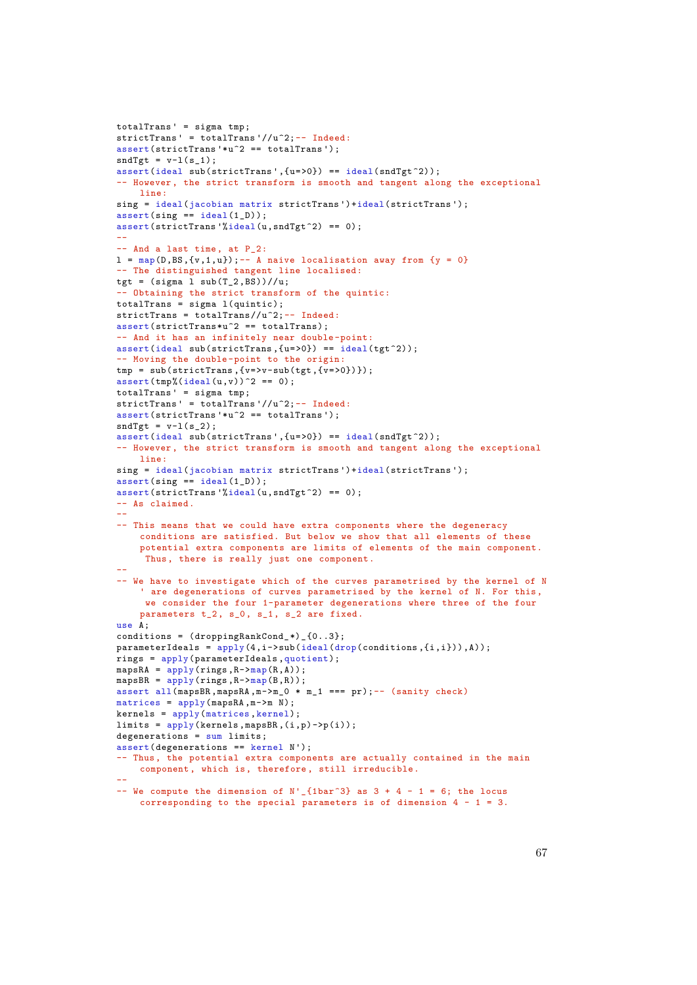```
totalTrans ' = sigma tmp;
strictTrans' = totalTrans'//u^2;-- Indeed:
assert(strictTrans '*u^2 == totalTrans ');
sndTgt = v-1(s_1);assert(ideal sub(strictTrans',{u=>0}) == ideal(sndTgt^2));
-- However, the strict transform is smooth and tangent along the exceptional
    line:
sing = ideal(iacobian matrix strictTrans')+ideal(strictTrans');
assert(sing == ideal(1_D));assert(strictTrans '%ideal(u,sndTgt^2) == 0);
--
-- And a last time, at P_2:
l = map(D, BS, \{v,1,u\}); -- A naive localisation away from \{y = 0\}-- The distinguished tangent line localised:
tgt = (sigma 1 sub(T_2,BS)) // u;-- Obtaining the strict transform of the quintic:
totalTrans = sigma l(quintic);
strictTrans = totalTrans//u^2;-- Indeed:
assert(strictTrans*u^2 == totalTrans);
-- And it has an infinitely near double -point:
assert(ideal sub(strictTrans,\{u=>0\}) == ideal(tgt^2));
-- Moving the double -point to the origin:
tmp = sub(strictTrans, {v=>}v-sub(tgt, {v=}>0)});
\text{assert}(\text{tmp}\%(\text{ideal}(u,v))) \text{2} = 0);
totalTrans ' = sigma tmp;
strictTrans' = totalTrans '//u^2;-- Indeed:
assert(strictTrans'*u^2 == totalTrans');
sndTgt = v-1(s_2);assert(ideal sub(strictTrans', {u=>0}) == ideal(sndTgt^2));-- However, the strict transform is smooth and tangent along the exceptional
    line:
sing = ideal(iacobian matrix strictTrans')+ideal(strictTrans');
assert(sing == ideal(1_D));assert(strictTrans '%ideal(u,sndTgt^2) == 0);
-- As claimed.
--
-- This means that we could have extra components where the degeneracy
    conditions are satisfied. But below we show that all elements of these
    potential extra components are limits of elements of the main component.
     Thus, there is really just one component.
--
-- We have to investigate which of the curves parametrised by the kernel of N
      are degenerations of curves parametrised by the kernel of N. For this,
     we consider the four 1-parameter degenerations where three of the four
    parameters t_2, s_0, s_1, s_2 are fixed.
use A;
conditions = (droppingRankCond_*)_{0..3};
parameterIdeals = \frac{1}{\text{apply}}(4,i-\text{sub}(ideal(drop(conditions, \{i, i\})), A));rings = apply(parameterIdeals ,quotient);
mapsRA = apply(rings,R->map(R,A));mapsBR = \frac{1}{\text{apply}}(\text{rings}, R-\text{map}(B,R));assert all(mapsBR,mapsRA,m->m_0 * m_1 === pr);-- (sanity check)
matrices = apply(mapsRA, m->m N);kernels = apply(matrices, kernel);
limits = \text{apply}(kernels, mapsBR, (i, p)->p(i));
degenerations = sum limits;assert(degenerations == kernel N');
-- Thus, the potential extra components are actually contained in the main
    component, which is, therefore, still irreducible.
--
-- We compute the dimension of N' {1bar^3} as 3 + 4 - 1 = 6; the locus
    corresponding to the special parameters is of dimension 4 - 1 = 3.
```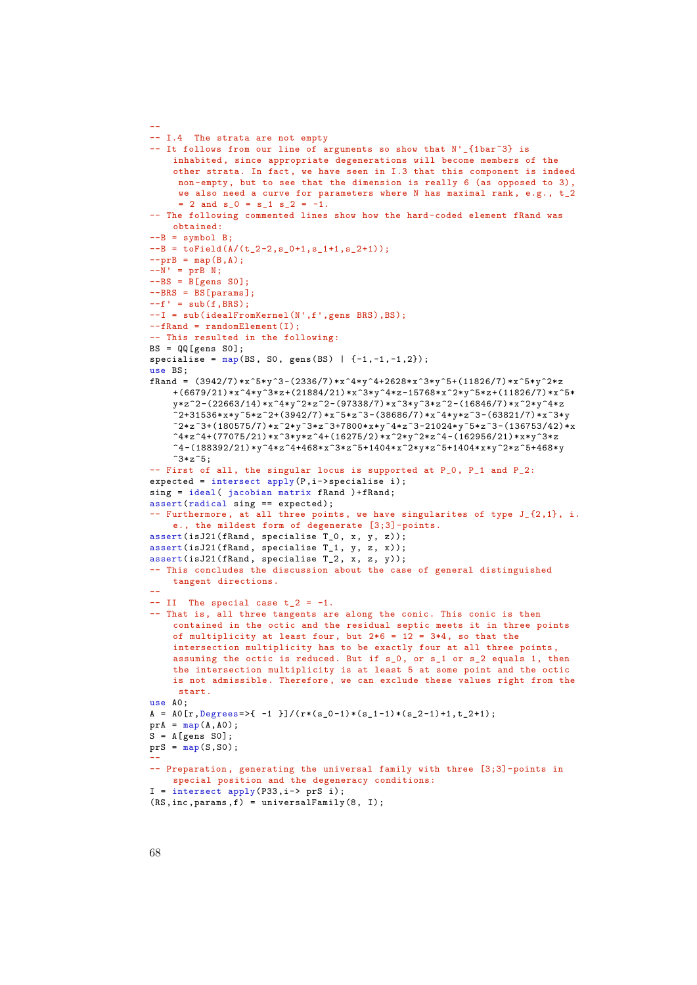```
--
-- I.4 The strata are not empty
-- It follows from our line of arguments so show that N' [1bar^3} is
    inhabited, since appropriate degenerations will become members of the
    other strata. In fact, we have seen in I.3 that this component is indeed
     non-empty , but to see that the dimension is really 6 (as opposed to 3),
     we also need a curve for parameters where N has maximal rank, e.g., t_2
     = 2 and s 0 = s 1 s 2 = -1.
-- The following commented lines show how the hard-coded element fRand was
   obtained:
--B = symbol B:
--B = toField(A/(t_2-2,s_0+1,s_1+1,s_2+1));
--prB = map(B,A);--\bar{N} = prB N;
--BS = B[gens SO];--BRS = <b>BS</b>[params];
--f' = sub(f, BRS);--I = sub(idealFromKernel(N',f',gens BRS), BS);
--fRand = randomElement(I);
-- This resulted in the following:
BS = QQ[gens SO];specialise = map(BS, S0, gens(BS) | {-1,-1,-1,2}};use BS;
fRand = (3942/7)*x^5*y^3-(2336/7)*x^4*y^4+2628*x^3*v^5+(11826/7)*x^5*y^2*z+(6679/21)*x^4*y^3*z+(21884/21)*x^3*y^4*z-15768*x^2*y^5*z+(11826/7)*x^5*
    y*z^2-(22663/14)*x^4*y^2*z^2-(97338/7)*x^3*y^3*z^2-(16846/7)*x^2*y^4*z^32+31536*x*y^5*z^2+(3942/7)*x^5*z^3-(38686/7)*x^4*y*z^3-(63821/7)*x^3*y^32*z^3+(180575/7)*x^2*y^3*z^3+7800*x*y^4*z^3-21024*y^5*z^3-(136753/42)*x^24*z<sup>2</sup>4+(77075/21)*x<sup>2</sup>3*y*z<sup>2</sup>4+(16275/2)*x<sup>2</sup>2*y<sup>2</sup>2*z<sup>2</sup>4-(162956/21)*x*y<sup>2</sup>3*z
    \gamma4-(188392/21)*v^4*z^4+468*x^3*z^5+1404*x^2*y*z^5+1404*x*v^2*z^5+468*v
    \hat{}3*z\hat{}5;-- First of all, the singular locus is supported at P_0, P_1 and P_2:
expected = intersect apply(P,i->specialise i);
sing = ideal( jacobian matrix fRand )+fRand;
assert(radical sing == expected);
- Furthermore, at all three points, we have singularites of type J_2{2,1}, i.
    e., the mildest form of degenerate [3;3]-points.
assert(isJ21(fRand, specialise T_0, x, y, z));
assert(isJ21(fRand, specialise T_1, y, z, x));
assert(isJ21(fRand, specialise T_2, x, z, y));
-- This concludes the discussion about the case of general distinguished
    tangent directions.
--
-- II The special case t_2 = -1.
-- That is, all three tangents are along the conic. This conic is then
    contained in the octic and the residual septic meets it in three points
    of multiplicity at least four, but 2*6 = 12 = 3*4, so that the
    intersection multiplicity has to be exactly four at all three points ,
    assuming the octic is reduced. But if s_0, or s_1 or s_2 equals 1, then
    the intersection multiplicity is at least 5 at some point and the octic
    is not admissible. Therefore , we can exclude these values right from the
     start.
use A0;
A = A0[r, \text{degrees} = > \{-1\}] / (r * (s_0 - 1) * (s_1 - 1) * (s_2 - 1) + 1, t_2 + 1);prA = map(A, A0);
S = A[gens S0];prS = \text{map}(S, S0);
--
-- Preparation, generating the universal family with three [3;3]-points in
    special position and the degeneracy conditions:
I = intersect apply(P33, i-> prS i);
(RS, inc, params, f) = universalFamily(8, I);
```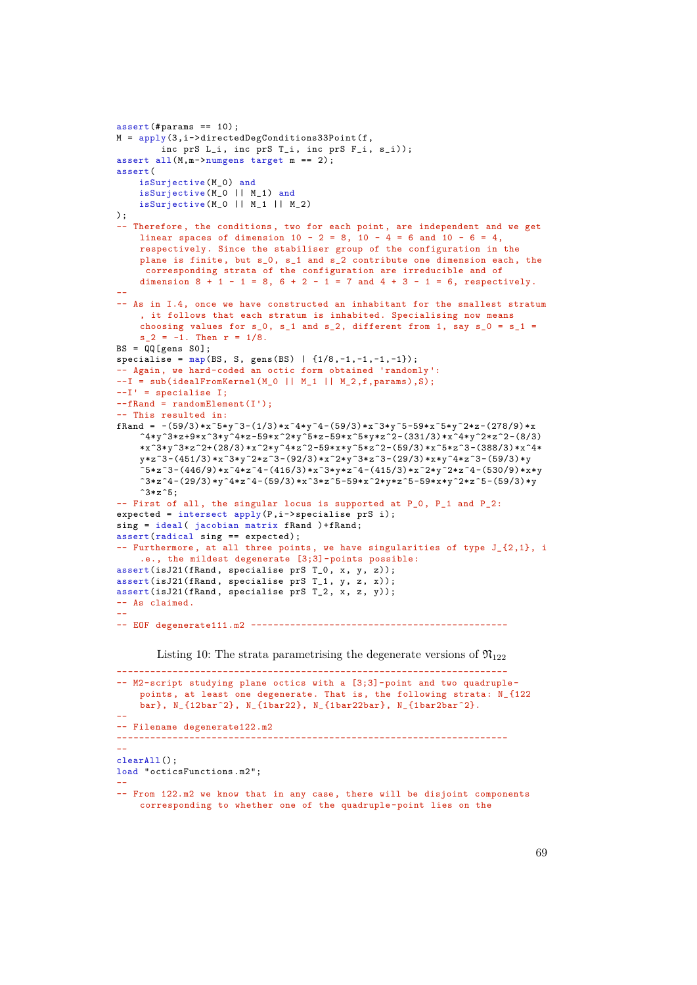```
assert(#params == 10);
M = \frac{1}{2} (3, i->directedDegConditions33Point (f,
       inc prS L_i, inc prS T_i, inc prS F_i, s_i));
assert all(M,m-)numgens target m == 2);
assert(
   isSurjective(M 0) and
    isSurjective(M_0 || M_1) and
    isSurjective(M_0 || M_1 || M_2)
);
 - Therefore, the conditions, two for each point, are independent and we get
    linear spaces of dimension 10 - 2 = 8, 10 - 4 = 6 and 10 - 6 = 4,
    respectively. Since the stabiliser group of the configuration in the
    plane is finite, but s_0, s_1 and s_2 contribute one dimension each, the
     corresponding strata of the configuration are irreducible and of
    dimension 8 + 1 - 1 = 8, 6 + 2 - 1 = 7 and 4 + 3 - 1 = 6, respectively.
--
-- As in I.4, once we have constructed an inhabitant for the smallest stratum
    , it follows that each stratum is inhabited. Specialising now means
    choosing values for s_0, s_1 and s_2, different from 1, say s_0 = s_1s_2 = -1. Then r = 1/8.
BS = QQ[gens S0];specialise = map(BS, S, genes(BS) | {1/8, -1, -1, -1, -1};- Again, we hard-coded an octic form obtained 'randomly':
    -<br>= sub(idealFromKernel(M_0 || M_1 || M_2,f,params),S);
--I' = specialise I;
--fRand = randomElement(I');
-- This resulted in:
fRand = -(59/3)*x^5*y^3-(1/3)*x^4*y^4-(59/3)*x^3*y^5-59*x^5*y^2*z-(278/9)*x\gamma^4*y^3*z+9*x^3*y^4*z-59*x^2*y^5*z-59*x^5*y*z^2-(331/3)*x^4*y^2*z^2-(8/3)
    *x^3*y^3*z^2+(28/3)*x^2*y^4*z^2-59*x*y^5*z^2-(59/3)*x^5*z^3-(388/3)*x^4*y*z^3-(451/3)*x^3*y^2*z^3-(92/3)*x^2*y^3*z^3-(29/3)*x*y^4*z^3-(59/3)*y-5*z^3 - (446/9)*x^4*z^4-(416/3)*x^3*v*z^4-(415/3)*x^2*v^2*z^4-(530/9)*x*v
    \gamma3*z^4-(29/3)*y^4*z^4-(59/3)*x^3*z^5-59*x^2*y*z^5-59*x*y^2*z^5-(59/3)*y
    ^{\circ}3*z^{\circ}5;
-- First of all, the singular locus is supported at P_0, P_1 and P_2:
expected = intersect apply(P, i->specialise prS i);
sing = ideal( jacobian matrix fRand )+fRand;
assert(radical sing == expected);
-- Furthermore, at all three points, we have singularities of type J_{2,1}, i
    .e., the mildest degenerate [3;3]-points possible:
assert(isJ21(fRand, specialise prS T_0, x, y, z));
assert(isJ21(fRand, specialise prS T_1, y, z, x));
assert(isJ21(fRand, specialise prS T_2, x, z, y));
-- As claimed.
--
-- EOF degenerate111.m2 ----------------------------------------------
       Listing 10: The strata parametrising the degenerate versions of \mathfrak{N}_{122}----------------------------------------------------------------------
-- M2-script studying plane octics with a [3;3]-point and two quadruple -
```

```
points, at least one degenerate. That is, the following strata: N_{1122}bar}, N_{12bar^2}, N_{1bar22}, N_{1bar22bar}, N_{1bar2bar^2}.
--
-- Filename degenerate122.m2
----------------------------------------------------------------------
--
\text{clearAll}():
load "octicsFunctions.m2";
--
-- From 122.m2 we know that in any case, there will be disjoint components
```
corresponding to whether one of the quadruple -point lies on the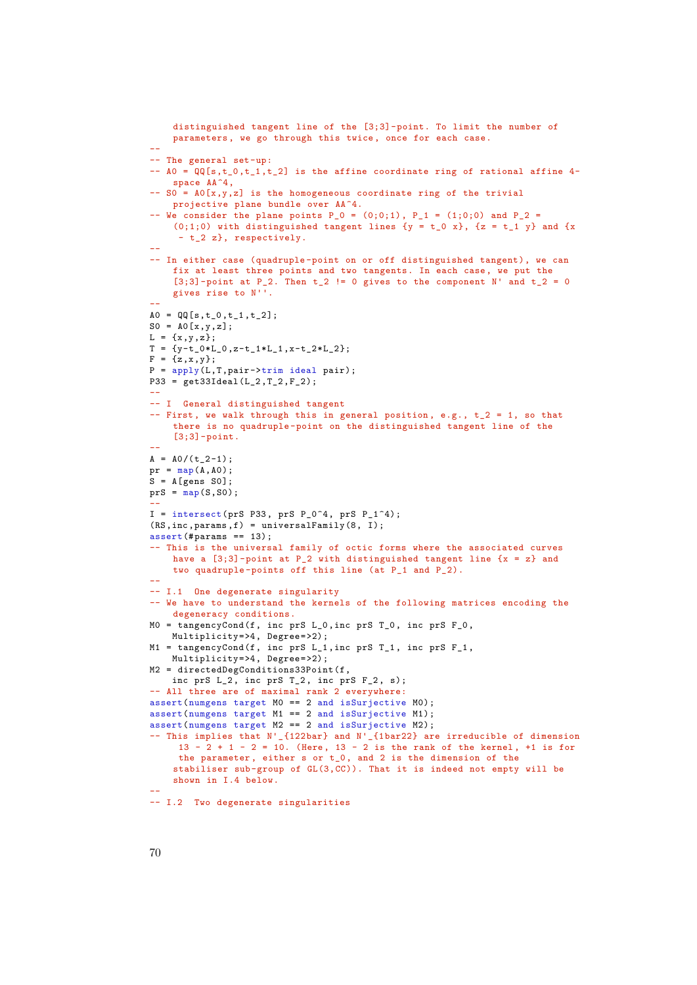```
distinguished tangent line of the [3;3]-point. To limit the number of
    parameters, we go through this twice, once for each case.
--
-- The general set-up:
- A0 = QQ[s,t_0,t_1,t_2] is the affine coordinate ring of rational affine 4-
    space AA^4,
- SO = AO[x,y,z] is the homogeneous coordinate ring of the trivial
   projective plane bundle over AA^4.
-- We consider the plane points P_0 = (0,0,1), P_1 = (1,0,0) and P_2 =(0;1;0) with distinguished tangent lines \{y = t_0 x\}, \{z = t_1 y\} and \{x- t_2 z}, respectively.
--
-- In either case (quadruple -point on or off distinguished tangent), we can
    fix at least three points and two tangents. In each case, we put the
    [3;3]-point at P<sub>2</sub>. Then t<sub>2</sub> != 0 gives to the component N' and t<sub>2</sub> = 0
    gives rise to N''.
--
A0 = QQ[s, t_0, t_1, t_2];SO = AO[x,y,z];L = {x,y,z};T = \{y-t_0*L_0, z-t_1*L_1, x-t_2*L_2\};F = {z, x, y};
P = apply(L, T, pair-<i>trim ideal pair</i>);
P33 = get33Ideal(L_2, T_2, F_2);--
-- I General distinguished tangent
-- First, we walk through this in general position, e.g., t_2 = 1, so that
    there is no quadruple -point on the distinguished tangent line of the
    [3:3]-point.
--
A = AO/(t_2-1);pr = map(A, A0);S = A[gens S0];prS = map(S, S0);--
I = intersect(prS P33, prS P_0^4, prS P_1^4);
(RS, inc, params, f) = universalFamily(8, 1);assert(#params == 13):
-- This is the universal family of octic forms where the associated curves
    have a [3:3]-point at P 2 with distinguished tangent line \{x = z\} and
    two quadruple -points off this line (at P_1 and P_2).
--
-- I.1 One degenerate singularity
-- We have to understand the kernels of the following matrices encoding the
   degeneracy conditions.
M0 = tangencyCond(f, inc prS L_0,inc prS T_0, inc prS F_0,
   Multiplicity=>4, Degree=>2);
M1 = tangencyCond(f, inc prS L_1,inc prS T_1, inc prS F_1,
   Multiplicity=>4, Degree=>2);
M2 = directedDegConditions33Point(f,
   inc prS L_2, inc prS T_2, inc prS F_2, s);
-- All three are of maximal rank 2 everywhere:
assert(numgens target M0 == 2 and isSurjective M0);
assert(numgens target M1 == 2 and isSurjective M1);
assert(numgens target M2 == 2 and isSurjective M2);
-- This implies that N'_{122bar} and N'_{1bar22} are irreducible of dimension
     13 - 2 + 1 - 2 = 10. (Here, 13 - 2 is the rank of the kernel, +1 is for
     the parameter, either s or t<sub>-0</sub>, and 2 is the dimension of the
    stabiliser sub-group of GL(3, CC)). That it is indeed not empty will be
    shown in I.4 below.
--
-- I.2 Two degenerate singularities
```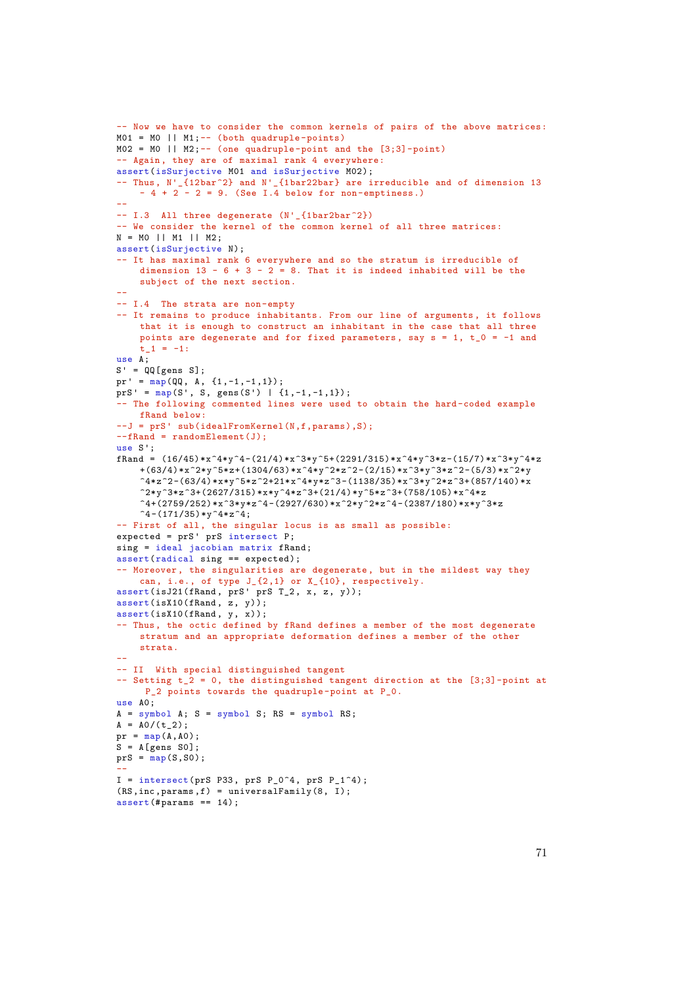```
-- Now we have to consider the common kernels of pairs of the above matrices:
MO1 = MO || MJ; -- (both quadruple-points)MO2 = MO || M2; -- (one quadruple-point and the [3;3]-point)
-- Again, they are of maximal rank 4 everywhere:
assert(isSurjective M01 and isSurjective M02);
-- Thus, N'_{12bar^2} and N'_{1bar22bar} are irreducible and of dimension 13
    -4 + 2 - 2 = 9. (See I.4 below for non-emptiness.)
--
-- I.3 All three degenerate (N'_{-1}1bar2bar^2)-- We consider the kernel of the common kernel of all three matrices:
N = MO || M1 || M2;
assert(isSurjective N);
-- It has maximal rank 6 everywhere and so the stratum is irreducible of
    dimension 13 - 6 + 3 - 2 = 8. That it is indeed inhabited will be the
    subject of the next section.
--
-- I.4 The strata are non-empty
-- It remains to produce inhabitants. From our line of arguments , it follows
    that it is enough to construct an inhabitant in the case that all three
    points are degenerate and for fixed parameters, say s = 1, t_0 = -1 and
    t_1 = -1:
use A;
S' = QQ[gens S];pr' = \text{map}(QQ, A, {1,-1,-1,1});
prS' = \frac{1}{\text{map}}(S', S, \text{gens}(S') | \{1, -1, -1, 1\});
 -- The following commented lines were used to obtain the hard-coded example
    fRand below:
--J = prS' sub(idealFromKernel(N,f,params),S);
--fRand = randomElement(J);
use S';
fRand = (16/45)*x^4*y^4-(21/4)*x^3*y^5+(2291/315)*x^4*y^3*z-(15/7)*x^3*y^4*z+(63/4)*x^2*x^5*x+(1304/63)*x^4*y^2*z^2-(2/15)*x^3*v^3*z^2-(5/3)*x^2*y^3\overline{a}^2 -(63/4)*x*y^5*z^2+21*x^4*y*z^3-(1138/35)*x^3*y^2*z^3+(857/140)*x
    \gamma<sup>2</sup>*y^3*z^3+(2627/315)*x*y^4*z^3+(21/4)*y^5*z^3+(758/105)*x^4*z
    \gamma4+(2759/252)*x\gamma3*y*z\gamma4-(2927/630)*x\gamma2*y\gamma2*z\gamma4-(2387/180)*x*y\gamma3*z
    ^{\sim}4-(171/35)*y^4*z^4;
 -- First of all, the singular locus is as small as possible:
expected = prS' prS intersect P;
sing = ideal jacobian matrix fRand;
assert(radical sine == expected):
-- Moreover, the singularities are degenerate, but in the mildest way they
    can, i.e., of type J_{2}(2,1) or X_{2}(10), respectively.
assert(isJ21(fRand, prS' prS T_2, x, z, y));
assert(isX10(fRand, z, y));
assert(isX10(fRand, y, x));
-- Thus, the octic defined by fRand defines a member of the most degenerate
    stratum and an appropriate deformation defines a member of the other
    strata.
--
-- II With special distinguished tangent
-- Setting t_2 = 0, the distinguished tangent direction at the [3;3]-point at
     P_2 points towards the quadruple -point at P_0.
use A0;
A = symbol A; S = symbol S; RS = symbol RS;
A = A0/(t_2);pr = map(A, A0);S = A[gens S0];prS = map(S, S0);--
I = intersect(prS P33, prS P_0^4, prS P_1^4);
(RS, inc, params, f) = universalFamily(8, I);\frac{1}{\text{assert}}(#params == 14);
```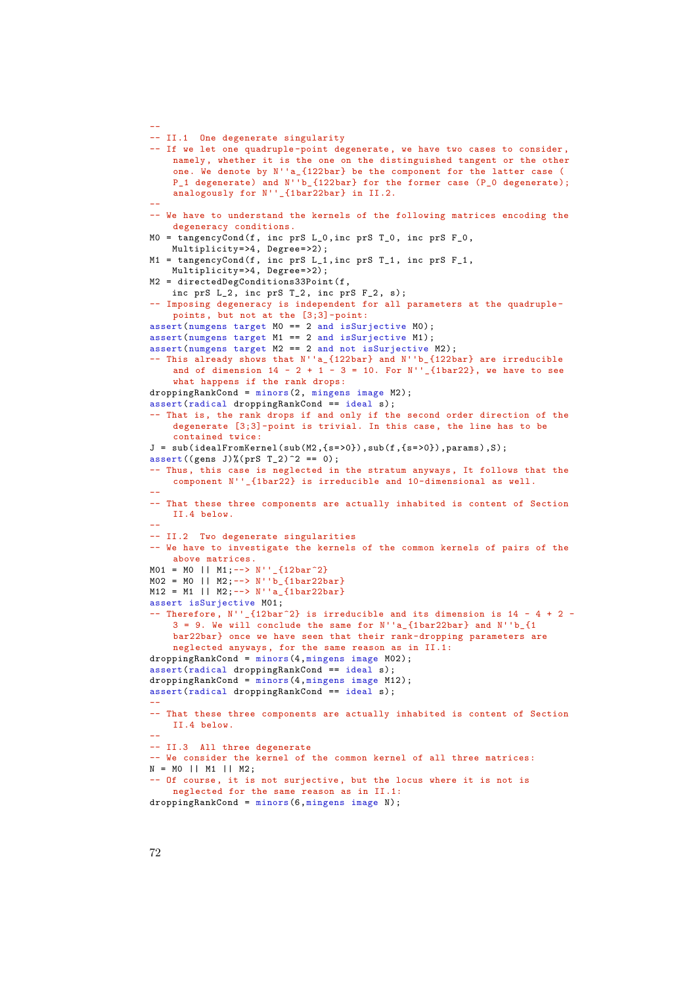```
--
-- II.1 One degenerate singularity
-- If we let one quadruple-point degenerate, we have two cases to consider,
    namely, whether it is the one on the distinguished tangent or the other
    one. We denote by N''a_{122bar} be the component for the latter case (
    P_1 degenerate) and N''b_{122bar} for the former case (P_0 degenerate);
    analogously for N''_{1bar22bar} in II.2.
--
-- We have to understand the kernels of the following matrices encoding the
   degeneracy conditions.
M0 = tangencyCond(f, inc prS L_0,inc prS T_0, inc prS F_0,
   Multiplicity=>4, Degree=>2);
M1 = tangencyCond(f, inc prS L_1,inc prS T_1, inc prS F_1,
   Multiplicity=>4, Degree=>2);
M2 = directedDegConditions33Point(f,
   inc prS L 2, inc prS T 2, inc prS F 2, s);
-- Imposing degeneracy is independent for all parameters at the quadruple -
    points , but not at the [3;3]-point:
assert(numgens target M0 == 2 and isSurjective M0);
assert(numgens target M1 == 2 and isSurjective M1);
assert(numgens target M2 == 2 and not isSurjective M2);
-- This already shows that N''a_{122bar} and N''b_{122bar} are irreducible
    and of dimension 14 - 2 + 1 - 3 = 10. For N'' [1bar22], we have to see
    what happens if the rank drops:
droppingRankCond = minors(2, mingens image M2);
assert(radical droppingRankCond == ideal s);
-- That is, the rank drops if and only if the second order direction of the
    degenerate [3;3]-point is trivial. In this case, the line has to be
    contained twice:
J = sub(idealFromKernel(sub(M2, {s=}0)), sub(f, {s=}0)), params), S);assert((gens J)%(prS T_2)^2 == 0);
-- Thus, this case is neglected in the stratum anyways , It follows that the
   component N''_{1bar22} is irreducible and 10-dimensional as well.
--
-- That these three components are actually inhabited is content of Section
    II.4 below.
--
-- II.2 Two degenerate singularities
-- We have to investigate the kernels of the common kernels of pairs of the
    above matrices.
M01 = M0 || M1; --> N'' _{2}{12bar<sup>-2</sup>}
M02 = M0 || M2;--> N''b_{1bar22bar}
M12 = M1 || M2:---> N''a {1bar22bar}
assert isSurjective M01;
 - Therefore, N''_{12bar^2} is irreducible and its dimension is 14 - 4 + 2 -
    3 = 9. We will conclude the same for N''a_{1}{1bar22bar} and N''b_{1}{1
    bar22bar} once we have seen that their rank-dropping parameters are
    neglected anyways , for the same reason as in II.1:
droppingRankCond = minors(4,mingens image M02);
assert(radical droppingRankCond == ideal s);
droppingRankCond = minors(4,mingens image M12);assert(radical droppingRankCond == ideal s);
--
-- That these three components are actually inhabited is content of Section
    II.4 below.
--
-- II.3 All three degenerate
-- We consider the kernel of the common kernel of all three matrices:
N = MO || M1 || M2;
-- Of course, it is not surjective, but the locus where it is not is
   neglected for the same reason as in II.1:
droppingRankCond = minors(6,mingens image N);
```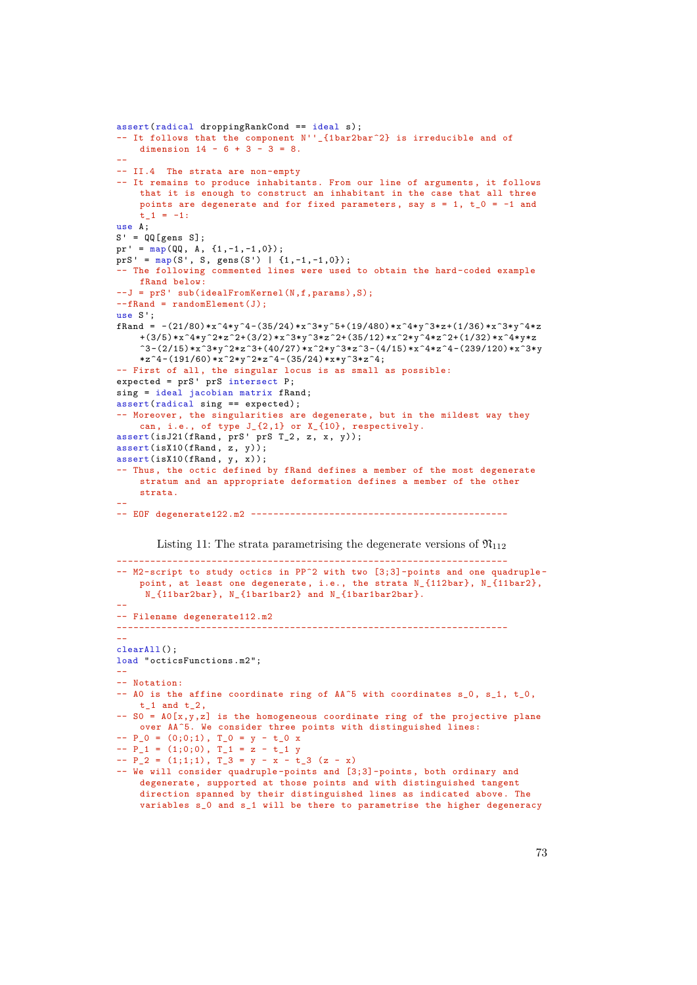```
assert(radical droppingRankCond == ideal s);
-- It follows that the component N''_{1bar2bar^2} is irreducible and of
    dimension 14 - 6 + 3 - 3 = 8.
--
-- II.4 The strata are non-empty
-- It remains to produce inhabitants. From our line of arguments, it follows
    that it is enough to construct an inhabitant in the case that all three
    points are degenerate and for fixed parameters, say s = 1, t = 0 - 1 and
    t_1 = -1:
use A;
S' = QQ[gens S];pr' = map(QQ, A, {1, -1, -1, 0});
prS' = map(S', S, genus(S') | {1,-1,-1,0};
 -- The following commented lines were used to obtain the hard-coded example
    fRand below:
--J = prS' sub(idealFromKernel(N.f.params).S);
--fRand = randomElement(J);
use S';
fRand = -(21/80)*x^24*y^4-(35/24)*x^3*y^5+(19/480)*x^4*y^3*z+(1/36)*x^3*v^4*z+(3/5)*x^2**^2*z^2+(3/2)*x^3*y^3*z^2+(35/12)*x^2*y^4*z^2+(1/32)*x^4*y*z^2^2 -(2/15)*x<sup>^</sup>3*y<sup>^2</sup>*z<sup>^3+</sup>(40/27)*x<sup>^2</sup>*y<sup>^3*z^3</sup>-(4/15)*x<sup>^4</sup>*z<sup>^4</sup>-(239/120)*x<sup>^3*y</sup>
    *z^4 - (191/60)*x^2*yz^2 + (-191/60)*x^2-- First of all, the singular locus is as small as possible:
expected = prS' prS intersect P;
sing = ideal jacobian matrix fRand;
assert(radical sing == expected);
-- Moreover, the singularities are degenerate, but in the mildest way they
    can, i.e., of type J_{2,1} or X_{10}, respectively.
assert(isJ21(fRand, prS' prS T_2, z, x, y));assert(isX10(fRand, z, y));
assert(isX10(fRand, y, x));
 -- Thus, the octic defined by fRand defines a member of the most degenerate
    stratum and an appropriate deformation defines a member of the other
    strata.
--
-- EOF degenerate122.m2 ----------------------------------------------
       Listing 11: The strata parametrising the degenerate versions of \mathfrak{N}_{112}----------------------------------------------------------------------
-- M2-script to study octics in PP^2 with two [3;3]-points and one quadruple-
    point, at least one degenerate, i.e., the strata N_{112bar}, N_{11bar2},
     N_{11bar2bar}, N_{1bar1bar2} and N_{1bar1bar2bar}.
--
-- Filename degenerate112.m2
                             ----------------------------------------------------------------------
-clearAll();
load "octicsFunctions.m2";
--
-- Notation:
-- AO is the affine coordinate ring of AA^5 with coordinates s_0, s_1, t_0,
    t_1 and t_2,
- SO = AO[x,y,z] is the homogeneous coordinate ring of the projective plane
    over AA^5. We consider three points with distinguished lines:
-- P_0 = (0;0;1), T_0 = y - t_0 x
-- P_1 = (1;0;0), T_1 = z - t_1 y
- P_2 = (1;1;1), T_3 = y - x - t_3 (z - x)
-- We will consider quadruple -points and [3;3]-points , both ordinary and
    degenerate , supported at those points and with distinguished tangent
    direction spanned by their distinguished lines as indicated above. The
    variables s_0 and s_1 will be there to parametrise the higher degeneracy
```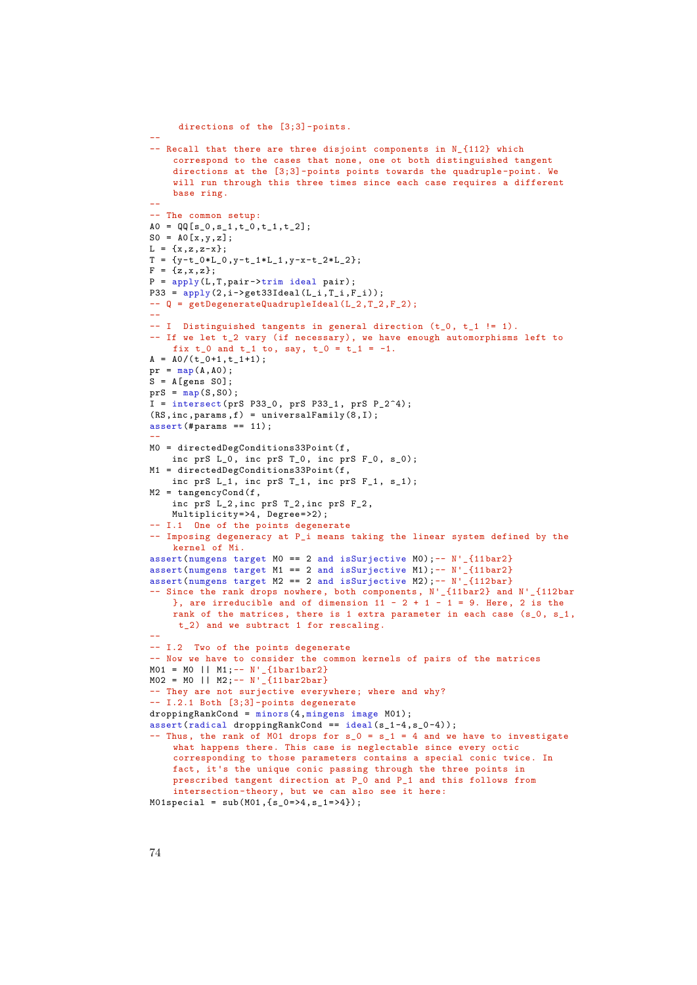```
directions of the [3;3]-points.
--
-- Recall that there are three disjoint components in N<sub>-</sub>{112} which
    correspond to the cases that none, one ot both distinguished tangent
    directions at the [3;3]-points points towards the quadruple -point. We
    will run through this three times since each case requires a different
    base ring.
--
-- The common setup:
A0 = \mathbb{Q}\mathbb{Q}[s_0, s_1, t_0, t_1, t_2];SO = AO[x,y,z];L = {x, z, z-x};T = \{y-t_0*L_0, y-t_1*L_1, y-x-t_2*L_2\};F = {z, x, z};P = apply(L, T, pair-<i>trim ideal pair</i>);
P33 =app1v(2,i->get33]deal(L_i,T_i,F_i));
-- Q = getDegenerateQuadrupleIdeal(L_2,T_2,F_2);
--
-- I Distinguished tangents in general direction (t_0, t_1 != 1).
-- If we let t_2 vary (if necessary), we have enough automorphisms left to
    fix t_0 and t_1 to, say, t_0 = t_1 = -1.
A = AO/(t_0+1, t_1+1);pr = map(A, A0);S = A[gens S0];
prS = \overline{map}(S, S0);
I = intersect(prS P33_0, prS P33_1, prS P_2^4);
(RS, inc, params, f) = universalFamily(8,I);assert (#params == 11);
--
M0 = directedDegConditions33Point(f,
    inc prS L_0, inc prS T_0, inc prS F_0, s_0);
M1 = directedDegConditions33Point (f,
   inc prS L_1, inc prS T_1, inc prS F_1, s<sub>1</sub>);
M2 = tangencyCond(f,
    inc prS L_2,inc prS T_2,inc prS F_2,
    Multiplicity=>4, Degree=>2);
-- I.1 One of the points degenerate
-- Imposing degeneracy at P_i means taking the linear system defined by the
    kernel of Mi.
assert(numgens target MO == 2 and isSurjective MO) :-- N' {11bar2}assert(numgens target M1 == 2 and isSurjective M1);-- N'_{11bar2}
assert(numgens target M2 == 2 and isSurjective M2);- N'_{112bar}
-- Since the rank drops nowhere, both components, N'_{-1}(11bar2) and N'_{-1}(112bar
    }, are irreducible and of dimension 11 - 2 + 1 - 1 = 9. Here, 2 is the
    rank of the matrices, there is 1 extra parameter in each case (s_0, s_1,t 2) and we subtract 1 for rescaling.
--
-- I.2 Two of the points degenerate
-- Now we have to consider the common kernels of pairs of the matrices
M01 = M0 || M1;-- N'_{1bar1bar2}
M02 = M0 || M2;-- N'_{11bar2bar}
-- They are not surjective everywhere; where and why?
-- I.2.1 Both [3;3]-points degenerate
droppingRankCond = minors(4,mingens image M01);
assert(radical droppingRankCond == ideal(s_1-4,s_0-4));-- Thus, the rank of M01 drops for s_0 = s_1 = 4 and we have to investigate
    what happens there. This case is neglectable since every octic
    corresponding to those parameters contains a special conic twice. In
    fact, it's the unique conic passing through the three points in
    prescribed tangent direction at P_0 and P_1 and this follows from
    intersection -theory , but we can also see it here:
M01special = sub(M01, {s_0 = > 4, s_1 = > 4});
```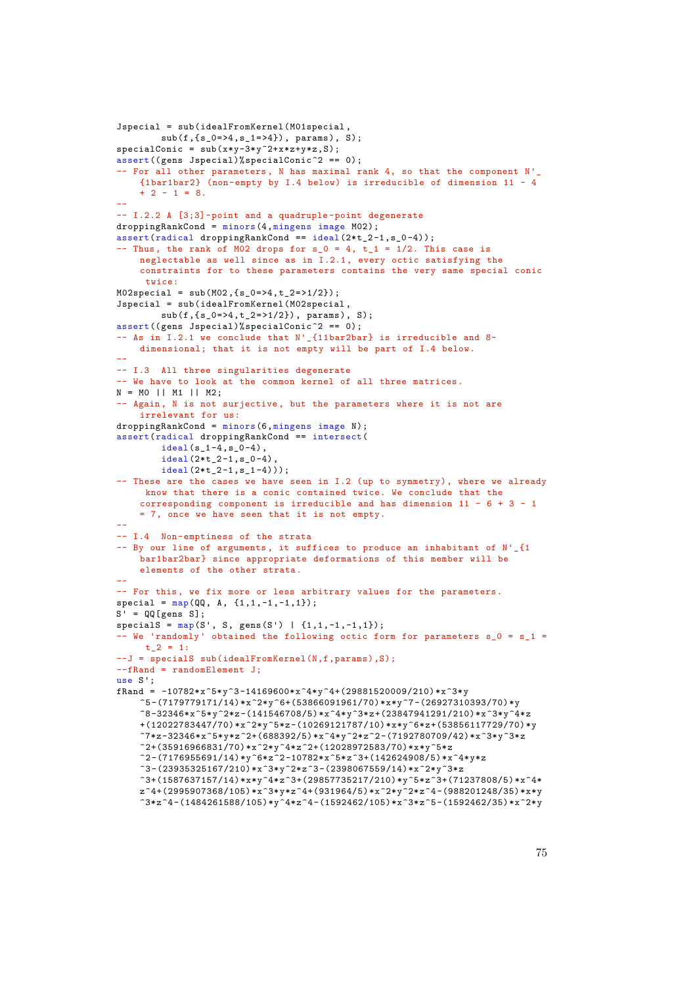```
Jspecial = sub(idealFromKernel(M01special ,
        sub(f, {s_0 = > 4, s_1 = > 4}), params), S);
specialConic = sub(x*y-3*y^2+x*z+yz,S);assert((gens Jspecial)%specialConic^2 == 0);
-- For all other parameters, N has maximal rank 4, so that the component N'.
    {1bar1bar2} (non-empty by I.4 below) is irreducible of dimension 11 - 4
    + 2 - 1 = 8.--
-- I.2.2 A [3;3]-point and a quadruple -point degenerate
droppingRankCond = minors(4,mingens image M02);
assert(radical droppingRankCond == ideal(2*t_2-1,s_0-4));
-- Thus, the rank of M02 drops for s_0 = 4, t_1 = 1/2. This case is
    neglectable as well since as in I.2.1, every octic satisfying the
    constraints for to these parameters contains the very same special conic
     twice:
MO2special = sub(M02, fs_0=>4, t_2=>1/2);
Jspecial = sub(idealFromKernel(M02special ,
        sub(f, {s_0 = > 4, t_2 = > 1/2}), params), S);
assert((gens Jspecial)%specialConic<sup>2</sup> == 0);
-- As in I.2.1 we conclude that N'_{11bar2bar} is irreducible and 8-
    dimensional; that it is not empty will be part of I.4 below.
--
-- I.3 All three singularities degenerate
-- We have to look at the common kernel of all three matrices.
N = MO || M1 || M2;
-- Again, N is not surjective, but the parameters where it is not are
    irrelevant for us:
droppingRankCond = minors(6,mingens image N);
assert(radical droppingRankCond == intersect(
        ideal(s_1-4,s_0-4),
        ideal(2*t_2-1,s_0-4),
        ideal(2*t 2-1,s 1-4)));
-- These are the cases we have seen in I.2 (up to symmetry), where we already
     know that there is a conic contained twice. We conclude that the
    corresponding component is irreducible and has dimension 11 - 6 + 3 - 1= 7, once we have seen that it is not empty.
--
-- I.4 Non-emptiness of the strata
-- By our line of arguments, it suffices to produce an inhabitant of N'_{-1} {1
    bar1bar2bar} since appropriate deformations of this member will be
    elements of the other strata.
--
-- For this, we fix more or less arbitrary values for the parameters.
special = map(QQ, A, {1,1,-1,-1,1});
S' = QQ[gens S];specialS = map(S', S, gens(S') | {1,1,-1,-1,1};
-- We 'randomly' obtained the following octic form for parameters s_0 = s_1 =t 2 = 1:
--J = specialS sub(idealFromKernel(N,f,params),S);
--fRand = randomElement J;
use S';
fRand = -10782*x^5*y^3-14169600*x^4*y^4+(29881520009/210)*x^3*y5-(7179779171/14)*x^2*y^6+(53866091961/70)*x*y^7-(26927310393/70)*y\frac{8-32346*x^5*y^2*z-(141546708/5)*x^4*v^3*z+(23847941291/210)*x^3*y^4*z}{x^2*y^2}+(12022783447/70)*x^2*y^5*z-(10269121787/10)*x*y^6*z+(53856117729/70)*y7*z-32346*x^5*y*z^2+(688392/5)*x^4*y^2*z^2-(7192780709/42)*x^3*y^3*z^3*z\gamma2+(35916966831/70)*x\gamma2*y\gamma4*z\gamma2+(12028972583/70)*x*y\gamma5*z
    ^2-(7176955691/14)*y^6*z^2-10782*x^5*z^3+(142624908/5)*x^4*y*z
    \degree3-(23935325167/210)*x\degree3*y\degree2*z\degree3-(2398067559/14)*x\degree2*y\degree3*z
    ^3+(1587637157/14)*x*y^4*z^3+(29857735217/210)*y^5*z^3+(71237808/5)*x^4*
    z^4+(2995907368/105)*x^3*y*z^4+(931964/5)*x^2*y^2*z^4-(988201248/35)*x*y
    \sim3*z\sim4-(1484261588/105)*v\sim4*z\sim4-(1592462/105)*x\sim3*z\sim5-(1592462/35)*x\sim2*y
```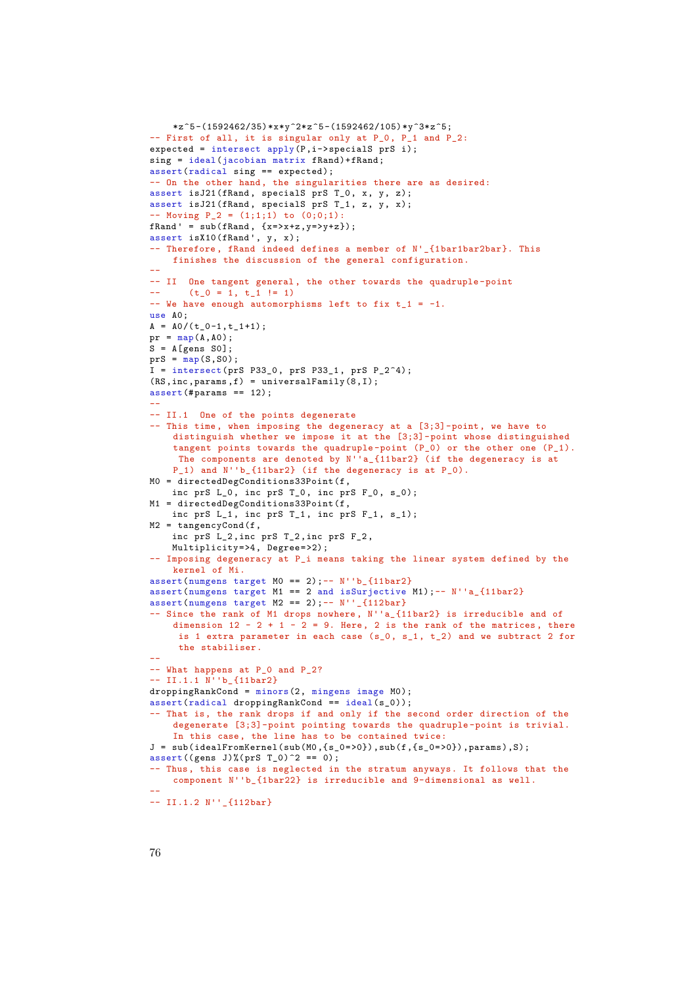```
*z^5-(1592462/35)*x*y^2*z^5-(1592462/105)*y^3*z^5;
-- First of all, it is singular only at P_0, P_1 and P_2:
expected = intersect apply(P,i->specialS prS i);
sing = ideal(jacobian matrix fRand)+fRand;
assert(radical sing == expected);
-- On the other hand, the singularities there are as desired:
assert isJ21(fRand, specialS prS T_0, x, y, z);
assert isJ21(fRand, specialS prS T_1, z, y, x);
-- Moving P_2 = (1;1;1) to (0;0;1):
fRand' = sub(fRand, {x=>x+z,y=>y+z};assert isX10(fRand', y, x);
-- Therefore , fRand indeed defines a member of N'_{1bar1bar2bar}. This
    finishes the discussion of the general configuration.
--
-- II One tangent general, the other towards the quadruple-point
       (t_0 = 1, t_1 := 1)- We have enough automorphisms left to fix t_1 = -1.
use A0;
A = AO/(t_0-1, t_1+1);pr = map(A, A0);S = A[gens SO];prS = map(S, S0);I = intersect(prS P33_0, prS P33_1, prS P_2^4);
(RS.inc.params,f) = universalFamily(8,I);assert(#params == 12);
--
-- II.1 One of the points degenerate
-- This time, when imposing the degeneracy at a [3;3]-point, we have to
    distinguish whether we impose it at the [3;3]-point whose distinguished
    tangent points towards the quadruple -point (P_0) or the other one (P_1).
    The components are denoted by N''a_{11bar2} (if the degeneracy is at
    P_1) and N''b_{11bar2} (if the degeneracy is at P_0).
M0 = directedDegConditions33Point(f,
   inc prS L_0, inc prS T_0, inc prS F_0, s_0);
M1 = directedDegConditions33Point(f,
   inc prS L_1, inc prS T_1, inc prS F_1, s_1);
M2 = \text{tangencyCond}(f,inc prS L_2,inc prS T_2,inc prS F_2,
    Multiplicity=>4, Degree=>2);
-- Imposing degeneracy at P_i means taking the linear system defined by the
    kernel of Mi.
assert(numgens target MO == 2);-- N' 'b_{11}bar2}
assert(numgens target M1 == 2 and isSurjective M1);- N''a<sub>1</sub>{11bar2}
assert(numgens target M2 == 2);-- N'' [112bar]
-- Since the rank of M1 drops nowhere, N''a_{11bar2} is irreducible and of
    dimension 12 - 2 + 1 - 2 = 9. Here, 2 is the rank of the matrices, there
     is 1 extra parameter in each case (s_0, s_1, t_2) and we subtract 2 for
    the stabiliser.
--
-- What happens at P_0 and P_2?
-- II.1.1 N''b_{11bar2}
droppingRankCond = minors(2, mingens image M0);
assert(radical droppingRankCond == ideal(s_0));-- That is, the rank drops if and only if the second order direction of the
    degenerate [3;3]-point pointing towards the quadruple -point is trivial.
    In this case, the line has to be contained twice:
J = sub(idealfromKernel(sub(M0, {s_0=>0}), sub(f, {s_0=>0}), params), S);
assert((gens J)%(prS T_0)^2 = 0;
-- Thus, this case is neglected in the stratum anyways. It follows that the
    component N''b_{1bar22} is irreducible and 9-dimensional as well.
--
-- II.1.2 N'' {112bar}
```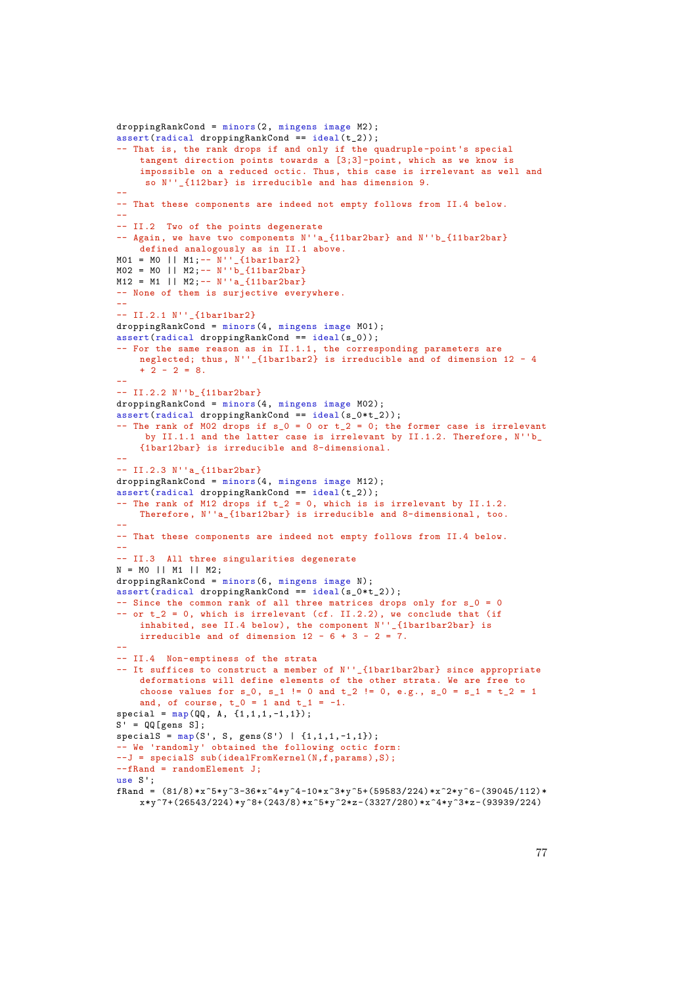```
droppingRankCond = minors(2, mingens image M2);
assert(radical droppingRankCond == ideal(t_2));-- That is, the rank drops if and only if the quadruple -point 's special
    tangent direction points towards a [3;3]-point , which as we know is
    impossible on a reduced octic. Thus, this case is irrelevant as well and
     so N''_{112bar} is irreducible and has dimension 9.
--
-- That these components are indeed not empty follows from II.4 below.
--
-- II.2 Two of the points degenerate
-- Again , we have two components N''a_{11bar2bar} and N''b_{11bar2bar}
    defined analogously as in II.1 above.
MO1 = MO || MJ; -- N''.[1bar1bar2]M02 = M0 || M2; -- N''b {11bar2bar}
M12 = M1 || M2; -- N''a_{11}bar2bar}
-- None of them is surjective everywhere.
--
-- II.2.1 N''_{1bar1bar2}
droppingRankCond = minors(4, mingens image M01);
assert(radical droppingRankCond == ideal(s_0));
-- For the same reason as in II.1.1, the corresponding parameters are
    neglected; thus, N''_{1bar1bar2} is irreducible and of dimension 12 - 4
    + 2 - 2 = 8.--
-- II.2.2 N''b_{11bar2bar}
droppingRankCond = minors(4, mingens image M02);
assert(radical droppingRankCond == ideal(s_0*t_2));
-- The rank of M02 drops if s_0 = 0 or t_2 = 0; the former case is irrelevant
     by II.1.1 and the latter case is irrelevant by II.1.2. Therefore , N''b_
    {1bar12bar} is irreducible and 8-dimensional.
--
-- II.2.3 N''a_{11bar2bar}
droppingRankCond = minors(4, mingens image M12);
\frac{1}{\text{assert}}(\text{radical droppingRankCond} == \text{ideal}(t_2));-- The rank of M12 drops if t_2 = 0, which is is irrelevant by II.1.2.
    Therefore, N''a_{1bar12bar} is irreducible and 8-dimensional, too.
--
-- That these components are indeed not empty follows from II.4 below.
--
-- II.3 All three singularities degenerate
N = M0 || M1 || M2;
droppingRankCond = minors(6, mingens image N);
assert(radical droppingRankCond == ideal(s_0*t_2));-- Since the common rank of all three matrices drops only for s_0 = 0-- or t_2 = 0, which is irrelevant (cf. II.2.2), we conclude that (if
    inhabited, see II.4 below), the component N'' - {11bar1bar2bar2}irreducible and of dimension 12 - 6 + 3 - 2 = 7.
--
-- II.4 Non-emptiness of the strata
-- It suffices to construct a member of N''_{1bar1bar2bar} since appropriate
    deformations will define elements of the other strata. We are free to
    choose values for s_0, s_1 != 0 and t_2 != 0, e.g., s_0 = s_1 = t_2 = 1
    and, of course, t_0 = 1 and t_1 = -1.
special = map(QQ, A, {1,1,1,-1,1});
S' = QQ[gens S];specialS = map(S', S, gens(S') | {1,1,1,-1,1};-- We 'randomly ' obtained the following octic form:
--J = specialS sub(idealFromKernel(N,f,params),S);
--fRand = randomElement J;
useS';
fRand = (81/8)*x^5**y^3-36*x^4*y^4-10*x^3*y^5+(59583/224)*x^2*y^6-(39045/112)*x*y^7+(26543/224)*y^8+(243/8)*x^5*y^2*z-(3327/280)*x^4*y^3*z-(93939/224)
```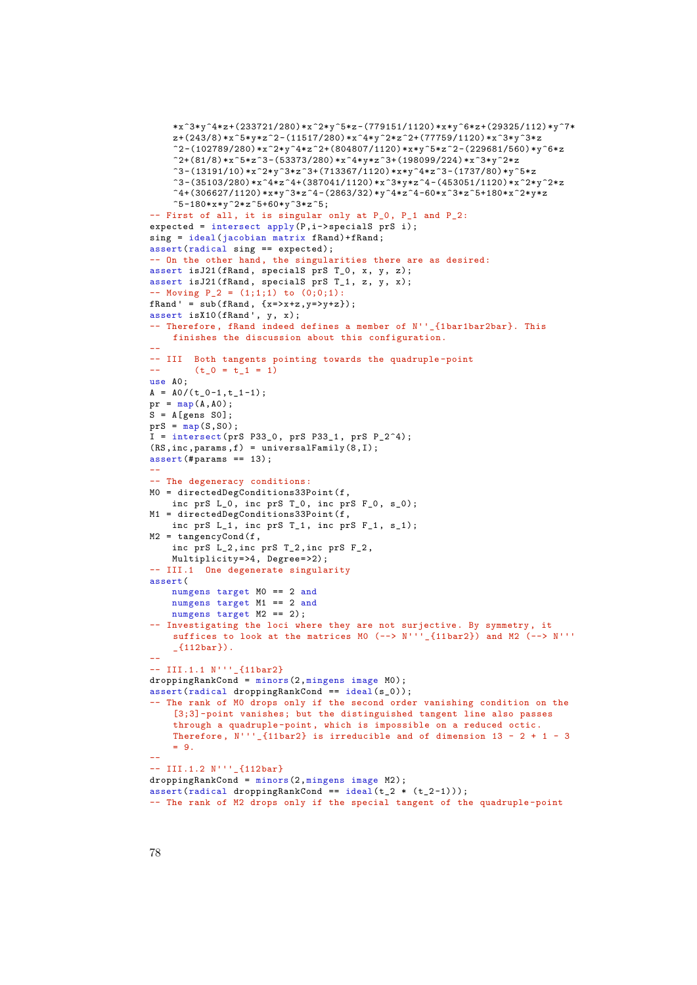```
*x^3*y^4*z+(233721/280)*x^2*y^5*z-(779151/1120)*x*y^6*z+(29325/112)*y^7*z+(243/8)*x^5*yz^2-(11517/280)*x^4*y^2*z^2+(77759/1120)*x^3*y^3*z\text{102789/280}*x^2*y^4*z^2+(804807/1120)*x*y^5*z^2-(229681/560)*y^6*z^2-
    ^2+(81/8)*x^5*z^3-(53373/280)*x^4*y*z^3+(198099/224)*x^3*y^2*z^3\gamma3-(13191/10)*x^2*y^3*z^3+(713367/1120)*x*y^4*z^3-(1737/80)*y^5*z
    ^3-(35103/280)*x^4*z^4+(387041/1120)*x^3*y*z^4-(453051/1120)*x^2*y^2*z
    ^24+(306627/1120)*x*y^3*z^4-(2863/32)*y^4*z^4-60*x^3*z^5+180*x^2*y*z^4\degree5-180*x*v\degree2*z\degree5+60*v\degree3*z\degree5;
-- First of all, it is singular only at P_0, P_1 and P_2:
expected = intersect apply(P, i-)specialS prS i);
sing = ideal(jacobian matrix fRand)+fRand;
assert(radical sing == expected);
-- On the other hand, the singularities there are as desired:
assert isJ21(fRand, specialS prS T_0, x, y, z);
assert isJ21(fRand, specialS prS T_1, z, y, x);
- Moving P 2 = (1:1:1) to (0:0:1):fRand' = sub(fRand, {x=>x+z,y=>y+z});
assert isX10(fRand', y, x);
-- Therefore , fRand indeed defines a member of N''_{1bar1bar2bar}. This
    finishes the discussion about this configuration.
--
-- III Both tangents pointing towards the quadruple-point<br>-- (1 + 0) = 1 + 1 = 1(t_0 = t_1 = 1)use A0;
A = AO/(t_0-1, t_1-1);pr = map(A, A0);S = A[gens S0];prS = map(S, S0);I = intersect(prS P33_0, prS P33_1, prS P_2^4);
(RS,inc,params,f) = universalFamily(8,I);
assert (#params == 13);
--
-- The degeneracy conditions:
M0 = directedDegConditions33Point(f,
   inc prS L_0, inc prS T_0, inc prS F_0, s_0);
M1 = directedDegConditions33Point(f,
   inc prS L_1, inc prS T_1, inc prS F_1, s_1);
M2 = tangencyCond(f,
   inc prS L_2,inc prS T_2,inc prS F_2,
    Multiplicity=>4, Degree=>2);
-- III.1 One degenerate singularity
assert(
   numgens target M0 == 2 and
    numgens target M1 == 2 and
   numgens target M2 == 2);
-- Investigating the loci where they are not surjective. By symmetry, it
    suffices to look at the matrices MO (--> N'')' {11bar2}) and M2 (--> N'')'_{112bar}.
--
-- III.1.1 N'''_{11bar2}
droppingRankCond = minors(2,mingens image M0);
assert(radical droppingRankCond == ideal(s_0));
-- The rank of M0 drops only if the second order vanishing condition on the
    [3;3]-point vanishes; but the distinguished tangent line also passes
    through a quadruple -point , which is impossible on a reduced octic.
    Therefore, N'''' {11bar2} is irreducible and of dimension 13 - 2 + 1 - 3
    = 9--
-- III.1.2 N''' {112bar}
droppingRankCond = minors(2,mingens image M2);
assert(radical droppingRankCond == ideal(t_2 * (t_2-1)));
-- The rank of M2 drops only if the special tangent of the quadruple -point
```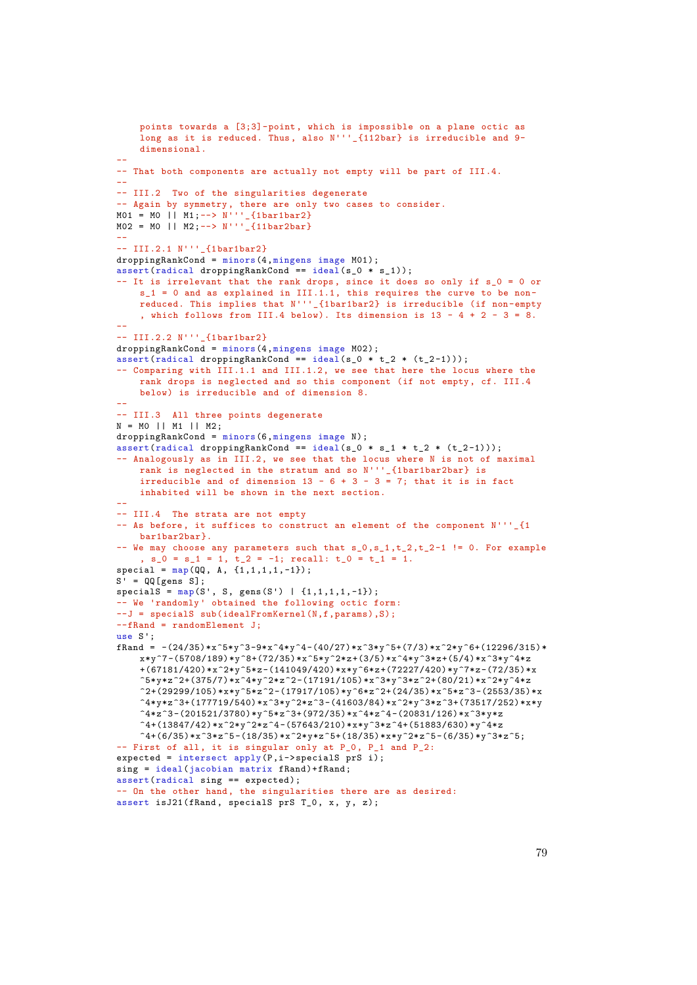```
points towards a [3;3]-point , which is impossible on a plane octic as
    long as it is reduced. Thus, also N'''_{112bar} is irreducible and 9-
    dimensional.
--
-- That both components are actually not empty will be part of III.4.
--
-- III.2 Two of the singularities degenerate
-- Again by symmetry, there are only two cases to consider.
M01 = M0 || M1;--> N'''_{1bar1bar2}
M02 = M0 || M2;--> N''' _{2}(11bar2bar)
--
-- III.2.1 N'''_{1bar1bar2}
droppingRankCond = minors(4,mingens image M01);
assert(radical droppingRankCond == ideal(s_0 * s_1));-- It is irrelevant that the rank drops, since it does so only if s_0 = 0 or
    s 1 = 0 and as explained in III.1.1, this requires the curve to be non-
    reduced. This implies that N'''_{1bar1bar2} is irreducible (if non-empty
    , which follows from III.4 below). Its dimension is 13 - 4 + 2 - 3 = 8.
--
-- III.2.2 N'''_{1bar1bar2}
droppingRankCond = minors(4,mingens image MO2);assert(radical droppingRankCond == ideal(s_0 * t_2 * (t_2-1))));
-- Comparing with III.1.1 and III.1.2, we see that here the locus where the
    rank drops is neglected and so this component (if not empty, cf. III.4
    below) is irreducible and of dimension 8.
--
-- III.3 All three points degenerate
N = MO || M1 || M2;
droppingRankCond = minors(6, mingens image N);assert(radical droppingRankCond == ideal(s_0 * s_1 * t_2 * (t_2-1)));
-- Analogously as in III.2, we see that the locus where N is not of maximal
    rank is neglected in the stratum and so N''' {1bar1bar2bar} is
    irreducible and of dimension 13 - 6 + 3 - 3 = 7; that it is in fact
    inhabited will be shown in the next section.
--
-- III.4 The strata are not empty
-- As before, it suffices to construct an element of the component N'''_{1
    bar1bar2bar}.
-- We may choose any parameters such that s_0, s_1, t_2, t_2-1 != 0. For example
     , s_0 = s_1 = 1, t_2 = -1; recall: t_0 = t_1 = 1.
special = map(QQ, A, {1,1,1,1,-1}});S' = QQ[gens S];specialS = map(S', S, gens(S') | {1,1,1,1,-1}};-- We 'randomly' obtained the following octic form:
--J = specialS sub(idealFromKernel(N,f,params),S);
-fRand = randomElement J;use S';
fRand = -(24/35)*x^5*y^3-9*x^4*y^4-(40/27)*x^3*y^5+(7/3)*x^2*y^6+(12296/315)*x^3*y^6+x*y^7-(5708/189)*y^8+(72/35)*x^5*y^2*z+(3/5)*x^4*y^3*z+(5/4)*x^3*y^4*z+(67181/420)*x^2*y^5*z-(141049/420)*x*y^6*z+(72227/420)*y^7*z-(72/35)*x
    5* y* z^2+(375/7)*x^24* y^2z^2-(17191/105)*x^3* y^3*z^2+(80/21)*x^2*y^4*z^22+(29299/105)*x*y^5*z^2-(17917/105)*y^6*z^2+(24/35)*x^5*z^3-(2553/35)*x\hat{i}*y*z^3+(177719/540)*x^3*y^2*z^3-(41603/84)*x^2*y^3*z^3+(73517/252)*x*y
    ^2<sup>*</sup>z<sup>^</sup>3-(201521/3780)*v^5*z<sup>^</sup>3+(972/35)*x^4*z^4-(20831/126)*x^3*y*z
    \gamma4+(13847/42)*x\gamma2*y\gamma2*z\gamma4-(57643/210)*x*y\gamma3*z\gamma4+(51883/630)*y\gamma4*z
    \hat{C}4+(6/35)*x<sup>-</sup>3*z<sup>-</sup>5-(18/35)*x<sup>-</sup>2*y*z<sup>-</sup>5+(18/35)*x*y<sup>-</sup>2*z<sup>-</sup>5-(6/35)*y<sup>-</sup>3*z<sup>-</sup>5;
-- First of all, it is singular only at P_0, P_1 and P_2:
expected = intersect apply(P, i->specialS prS i);
sing = ideal(jacobian matrix fRand)+fRand:
assert(radical sing == expected);
 -- On the other hand, the singularities there are as desired:
assert isJ21(fRand, specialS prS T_0, x, y, z);
```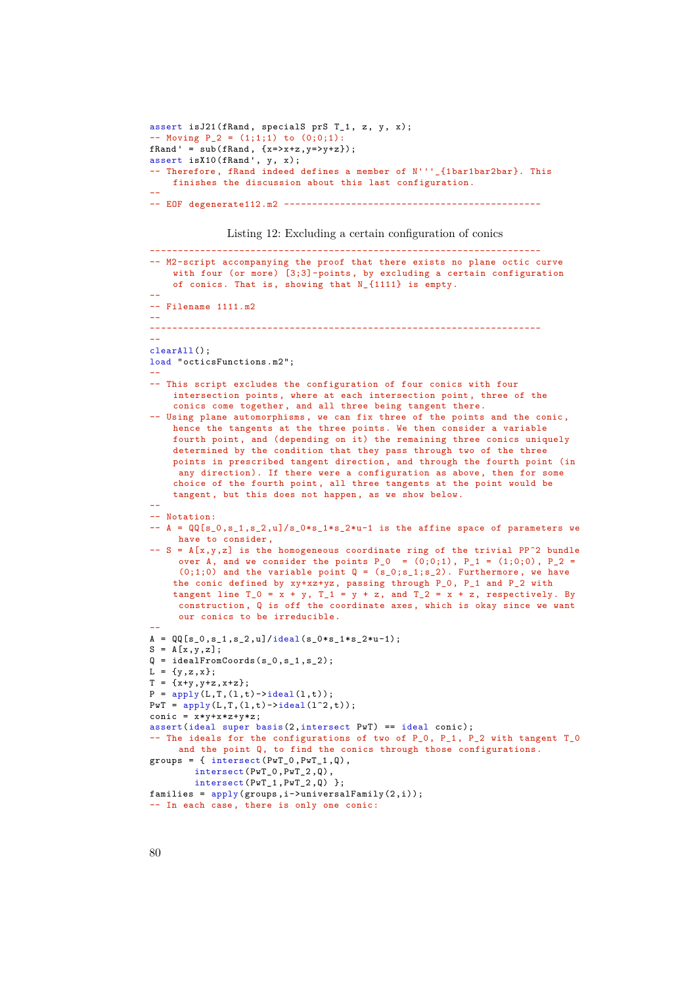```
assert isJ21(fRand, specialS prS T_1, z, y, x);
- Moving P<sub>-</sub>2 = (1;1;1) to (0;0;1):
fRand' = \sin(fRand, {x=>x+z, y=>y+z});
assert isX10(fRand', y, x);
-- Therefore, fRand indeed defines a member of N'''_{1bar1bar2bar}. This
    finishes the discussion about this last configuration.
--
-- EOF degenerate112.m2 ----------------------------------------------
```
## Listing 12: Excluding a certain configuration of conics

```
----------------------------------------------------------------------
-- M2-script accompanying the proof that there exists no plane octic curve
   with four (or more) [3;3]-points , by excluding a certain configuration
    of conics. That is, showing that N_{1111} is empty.
--
-- Filename 1111.m2
--
----------------------------------------------------------------------
--
clearAll();
load "octicsFunctions.m2";
--
-- This script excludes the configuration of four conics with four
    intersection points, where at each intersection point, three of the
    conics come together , and all three being tangent there.
-- Using plane automorphisms, we can fix three of the points and the conic,
    hence the tangents at the three points. We then consider a variable
    fourth point, and (depending on it) the remaining three conics uniquely
    determined by the condition that they pass through two of the three
    points in prescribed tangent direction , and through the fourth point (in
    any direction). If there were a configuration as above, then for some
    choice of the fourth point , all three tangents at the point would be
    tangent, but this does not happen, as we show below.
--
-- Notation:
- A = QQ[s_0,s_1,s_2,u]/s_0*s_1*s_2*u-1 is the affine space of parameters we
    have to consider ,
- S = A[x,y,z] is the homogeneous coordinate ring of the trivial PP^2 bundle
     over A, and we consider the points P_0 = (0,0,1), P_1 = (1,0,0), P_2 =(0;1;0) and the variable point Q = (s_0;s_1;s_2). Furthermore, we have
    the conic defined by xy+xz+yz, passing through P_0, P_1 and P_2 with
    tangent line T_0 = x + y, T_1 = y + z, and T_2 = x + z, respectively. By
     construction , Q is off the coordinate axes, which is okay since we want
     our conics to be irreducible.
--
A = QQ[s_0, s_1, s_2, u]/ideal(s_0*s_1*s_2*u-1);S = A[x, y, z];Q = idealFromCoords(s_0, s_1, s_2);L = {y, z, x};T = \{x+y, y+z, x+z\};P = apply(L,T,(1,t)-\geq ideal(1,t));PwT = apply(L, T, (1, t) - >ideal(1^2, t));conic = x*y+xx+zy+z;assert(ideal super basis(2,intersect PwT) == ideal conic);
-- The ideals for the configurations of two of P_0, P_1, P_2 with tangent T_0
    and the point Q, to find the conics through those configurations.
groups = {intersect(PwT_0,PwT_1,Q),
       intersect(PwT_0,PwT_2,Q),
       intersect(PwT_1,PwT_2,Q) };
families = apply(grows, i->universalFamily(2,i));-- In each case, there is only one conic:
```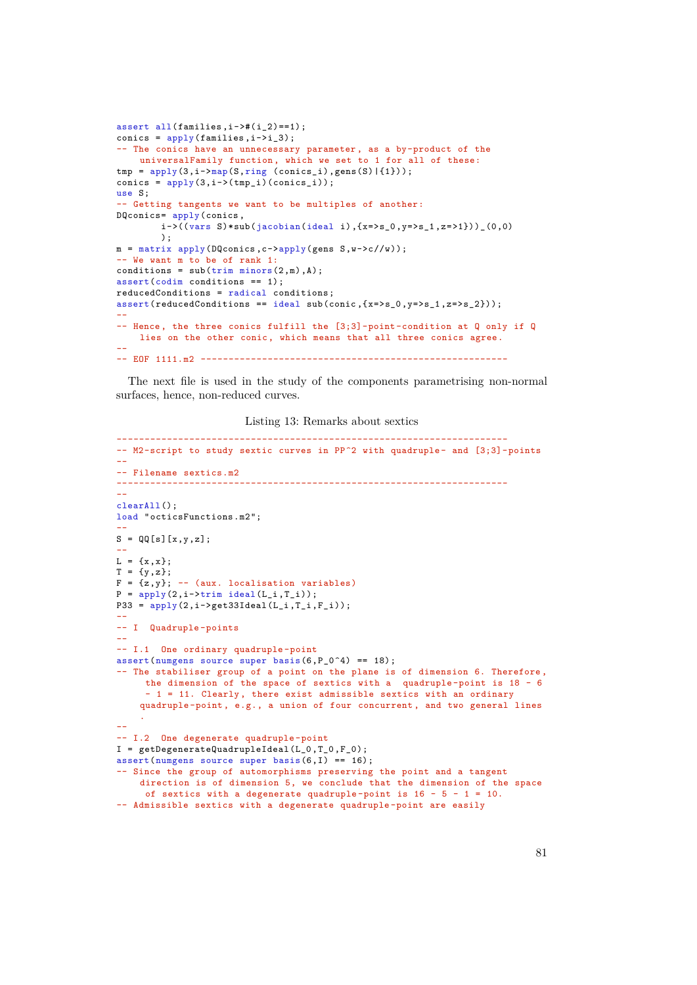```
assert all(families,i->#(i_2)==1);
conics = \frac{\text{apply}}{\text{family}} (families, i->i_3);
-- The conics have an unnecessary parameter, as a by-product of the
   universalFamily function, which we set to 1 for all of these:
tmp = apply(3, i->map(S, ring (conics_i),gens(S)|{1});
conics = \text{apply}(3,i-\text{temp}_i)(\text{conics}_i);
use S;
-- Getting tangents we want to be multiples of another:
DQconics= apply(conics,
        i-\frac{\sqrt{vars}}{0,0} sub(jacobian(ideal i), {x=>s_0, y=>s_1, z=>1}))_(0,0)
        );
m = matrix apply(DQconics, c->apply(gens S,w->c//w));-- We want m to be of rank 1:
conditions = sub(trim minors(2,m),A);
assert(codim conditions == 1);
reducedConditions = radical conditions;
assert(reducedConditions == ideal sub(conic,\{x=>s_0, y=>s_1, z=>s_2\}));
--
-- Hence, the three conics fulfill the [3;3]-point-condition at Q only if Q
    lies on the other conic, which means that all three conics agree.
--
-- EOF 1111.m2 -------------------------------------------------------
```
The next file is used in the study of the components parametrising non-normal surfaces, hence, non-reduced curves.

## Listing 13: Remarks about sextics

```
----------------------------------------------------------------------
-- M2-script to study sextic curves in PP\hat{}2 with quadruple- and [3;3]-points
--
-- Filename sextics.m2
----------------------------------------------------------------------
-clearAll();
load "octicsFunctions.m2";
--
S = QQ[s][x,y,z];--
L = {x, x};
T = {y, z};F = {z, y}; -- (aux. localisation variables)
P = apply(2, i->trim ideal(L_i,T_i));
P33 = apply(2,i->get33Ideal(L_i,T_i,F_i));
--
-- I Quadruple -points
--
-- I.1 One ordinary quadruple -point
assert(numgens source super basis(6, P_0^{\circ 4}) == 18);
-- The stabiliser group of a point on the plane is of dimension 6. Therefore ,
     the dimension of the space of sextics with a quadruple -point is 18 - 6
     - 1 = 11. Clearly, there exist admissible sextics with an ordinary
    quadruple-point, e.g., a union of four concurrent, and two general lines
    .
--
-- I.2 One degenerate quadruple -point
I = getDegenerateQuadrupleIdeal(L_0,T_0,F_0);
assert(numgens source super basis(6,1) == 16);
-- Since the group of automorphisms preserving the point and a tangent
    direction is of dimension 5, we conclude that the dimension of the space
     of sextics with a degenerate quadruple-point is 16 - 5 - 1 = 10.
-- Admissible sextics with a degenerate quadruple-point are easily
```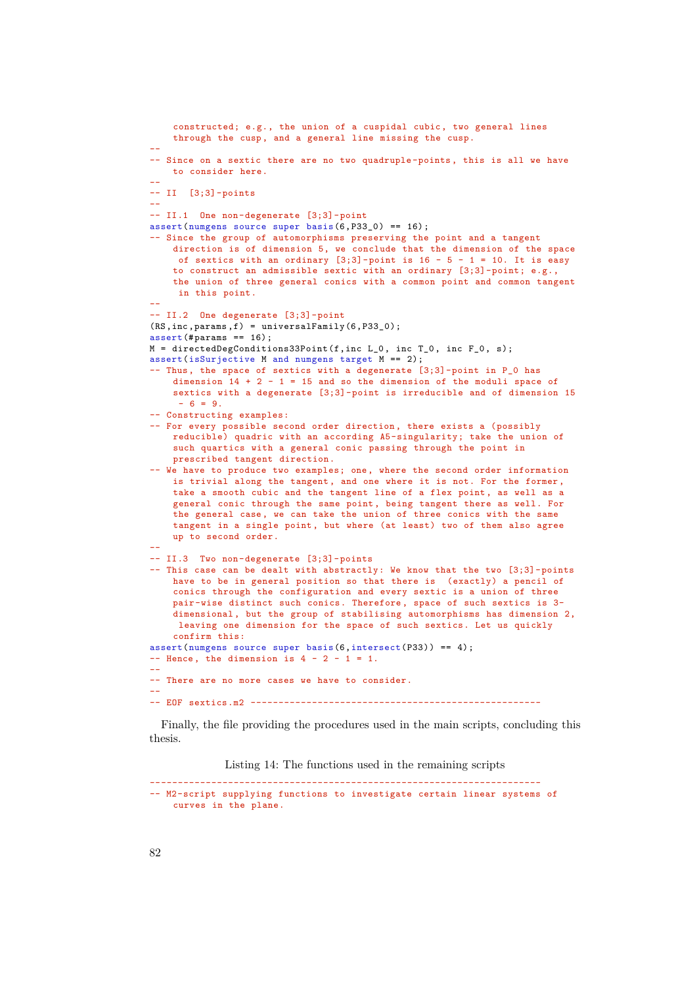```
constructed; e.g., the union of a cuspidal cubic , two general lines
    through the cusp, and a general line missing the cusp.
--
-- Since on a sextic there are no two quadruple-points, this is all we have
   to consider here.
--
-- II [3;3]-points
--
-- II.1 One non-degenerate [3;3]-point
assert(numgens source super basis(6, P33_0) == 16);
-- Since the group of automorphisms preserving the point and a tangent
    direction is of dimension 5, we conclude that the dimension of the space
    of sextics with an ordinary [3;3]-point is 16 - 5 - 1 = 10. It is easy
    to construct an admissible sextic with an ordinary [3;3]-point; e.g.,
    the union of three general conics with a common point and common tangent
    in this point.
--
-- II.2 One degenerate [3;3]-point
(RS, inc, params, f) = universalFamily(6, P33_0);assert (#params == 16);
M = directedDegConditions33Point(f,inc L_0, inc T_0, inc F_0, s);
assert(isSurjective M and numgens target M == 2);
-- Thus, the space of sextics with a degenerate [3;3]-point in P_0 has
    dimension 14 + 2 - 1 = 15 and so the dimension of the moduli space of
    sextics with a degenerate [3;3]-point is irreducible and of dimension 15
     - 6 = 9.-- Constructing examples:
-- For every possible second order direction, there exists a (possibly
   reducible) quadric with an according A5-singularity; take the union of
    such quartics with a general conic passing through the point in
    prescribed tangent direction.
-- We have to produce two examples; one, where the second order information
   is trivial along the tangent, and one where it is not. For the former,
    take a smooth cubic and the tangent line of a flex point, as well as a
    general conic through the same point, being tangent there as well. For
    the general case, we can take the union of three conics with the same
    tangent in a single point, but where (at least) two of them also agree
    up to second order.
--
-- II.3 Two non-degenerate [3;3]-points
-- This case can be dealt with abstractly: We know that the two [3;3]-points
   have to be in general position so that there is (exactly) a pencil of
    conics through the configuration and every sextic is a union of three
    pair-wise distinct such conics. Therefore, space of such sextics is 3-
    dimensional , but the group of stabilising automorphisms has dimension 2,
    leaving one dimension for the space of such sextics. Let us quickly
    confirm this:
assert(numgens source super basis(6,intersect(P33)) == 4);
-- Hence, the dimension is 4 - 2 - 1 = 1.
--
-- There are no more cases we have to consider.
--
-- EOF sextics.m2 ----------------------------------------------------
```
Finally, the file providing the procedures used in the main scripts, concluding this thesis.

Listing 14: The functions used in the remaining scripts

```
----------------------------------------------------------------------
-- M2-script supplying functions to investigate certain linear systems of
    curves in the plane.
```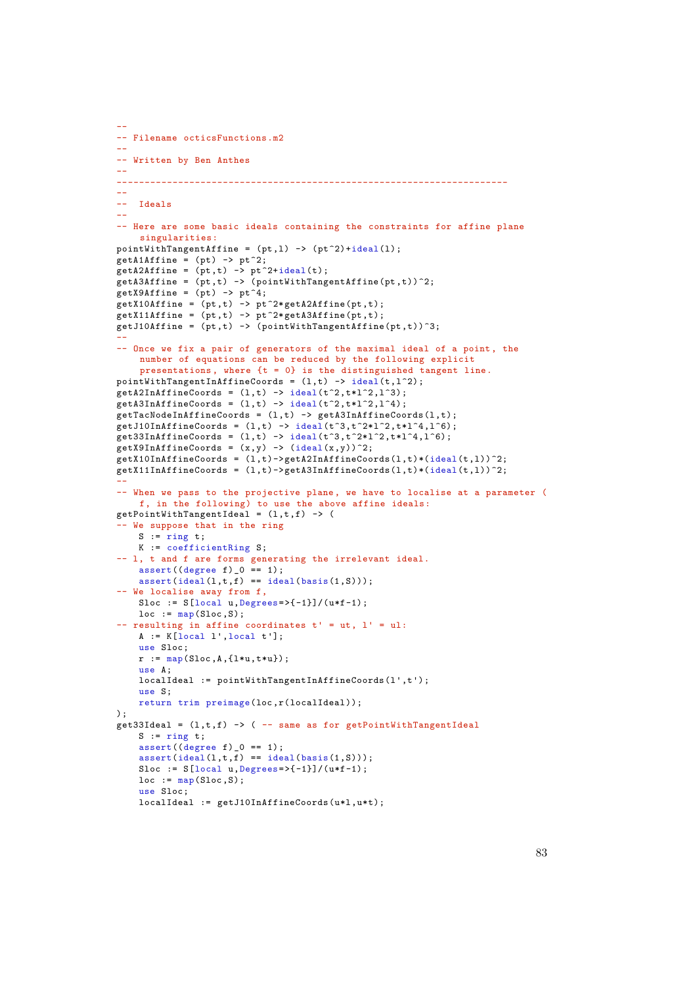```
--
-- Filename octicsFunctions.m2
--
-- Written by Ben Anthes
--
----------------------------------------------------------------------
--
-- Ideals
--
-- Here are some basic ideals containing the constraints for affine plane
    singularities:
pointWithTangentAffine = (pt,1) -> (pt^2)+ideal(1);getA1Affine = (pt) -> pt <sup>2</sup>;
getA2Affine = (pt, t) -> pt^2+ideal(t);
getA3Affine = (pt, t) -> (pointWithTangentAffine(pt,t))^2;
getX9Affine = (pt) -> pt<sup>-4</sup>;
getX10Affine = (pt, t) -> pt^2*getA2Affine(pt,t);
getX11Affine = (pt,t) -> pt^2*getA3Affine(pt,t);
getJ10Affine = (pt,t) -> (pointWithTangentAffine(pt,t))^3;
--
-- Once we fix a pair of generators of the maximal ideal of a point, the
    number of equations can be reduced by the following explicit
    presentations, where \{t = 0\} is the distinguished tangent line.
pointWithTangentInAffineCoords = (1,t) -> ideal(t,1^2);
getA2InAffineCoords = (1,t) \rightarrow ideal(t^2, t^*l^2, l^3);getA3InAffineCoords = (1,t) -> ideal(t<sup>2</sup>,t*l<sup>2</sup>,l<sup>2</sup>);
\texttt{getTacNodeInAffineCoords} = (1,t) -> getA3InAffineCoords(1,t);
getJ10InAffineCoords = (1,t) -> ideal(t^3,t^2*l^2,t*l^4,l^6);
get33InAffineCoords = (1,t) -> ideal(t^3,t^2*l^2,t*l^4,l^6);
getX9InAffineCoords = (x,y) -> (ideal(x,y))^2;getX10InAffineCoordinates = (1,t)-<i>getA2InAffineCords</i> (1,t)*(ideal(t,1))<sup>2</sup>;getX11InAffineCoords = (1,t)-\text{Y}getA3InAffineCoords(1,t)*(ideal(t,1))^2;--
-- When we pass to the projective plane, we have to localise at a parameter (
    f, in the following) to use the above affine ideals:
getPointWithTangentIdeal = (1, t, f) -> (
 -- We suppose that in the ring
    S := ring t;K := \overline{\text{coefficientRing S}};-- l, t and f are forms generating the irrelevant ideal.
    assert((degree f)_0 = 1);assert(ideal(1, t, f) == ideal(basis(1, S)));
-- We localise away from f,
    Sloc := S[local u, Degrees=\gt{-1}]/(u*f-1);loc := map(Sloc, S);- resulting in affine coordinates t' = ut, 1' = ul:
    A := K[local 1', local t'];
    use Sloc;
    r := \text{map}(\text{Sloc}, A, \{1 * u, t * u\});
    use A;
    localIdeal := pointWithTangentInAffineCoords(l',t');
    use S;
    return trim preimage(loc,r(localIdeal));
\lambda;
get33Ideal = (1,t,f) -> ( -- same as for getPointWithTangentIdeal
    S := ring t;assert((degree f)_0 == 1);assert(ideal(1, t, f) == ideal(basis(1, S)));
    Sloc := S[local u,Degrees=\>{-1}]/(u*f-1);loc := map(Sloc, S);use Sloc;
    localIdeal := getJ10InAffineCoords(u*l,u*t);
```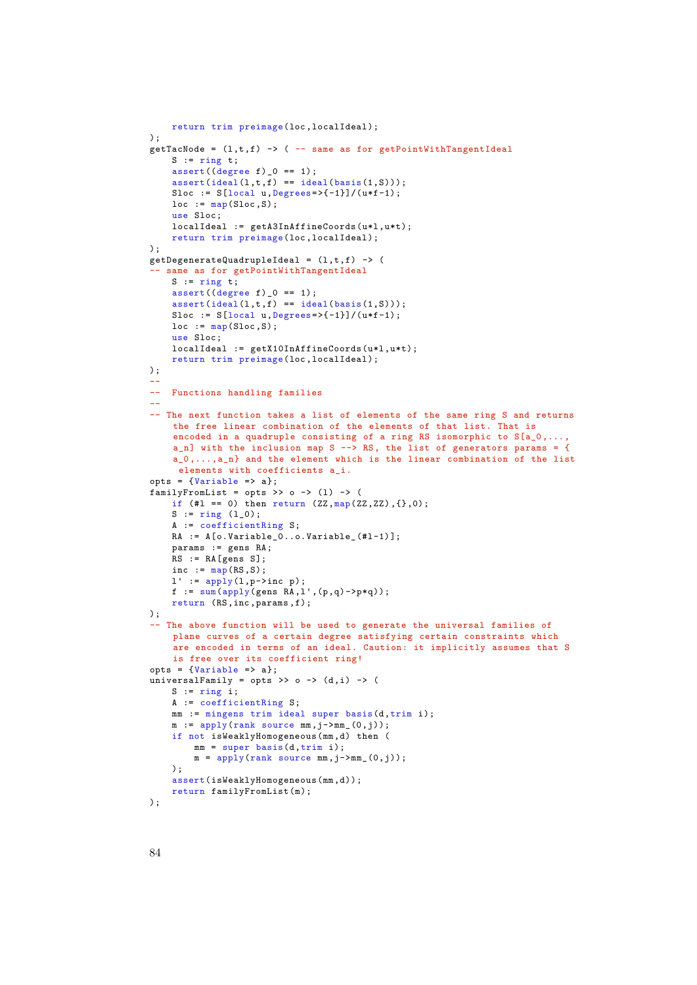```
return trim preimage(loc,localIdeal);
);
getTacNode = (1,t,f) -> ( -- same as for getPointWithTangentIdeal
    S := ring t;assert((degree f)_0 == 1);assert(ideal(1, t, f) == ideal(basis(1, S)));
    Sloc := S[local u, Degrees = > {-1}] / (u * f - 1);loc := \text{map}(\text{Sloc}, S);
    use Sloc;
    localIdeal := getA3InAffineCoords(u*l,u*t);
    return trim preimage(loc,localIdeal);
);
getDegenerateQuadrupleIdeal = (1,t,f) -> (
 - same as for getPointWithTangentIdeal
    S := ring t;assert((degree f) 0 == 1);
    assert(ideal(1,t,f) == ideal(basis(1,S)));
    Sloc := S[local u, Degrees = >{-1}]/(u*f-1);loc := map(Sloc, S);use Sloc;
    localIdeal := getX10InAffineCoords(u*l,u*t);
    return trim preimage(loc,localIdeal);
);
--
-- Functions handling families
--
-- The next function takes a list of elements of the same ring S and returns
    the free linear combination of the elements of that list. That is
    encoded in a quadruple consisting of a ring RS isomorphic to S[a_0, \ldots]a_n] with the inclusion map S --> RS, the list of generators params = {
    a_0,...,a_n} and the element which is the linear combination of the list
     elements with coefficients a_i.
opts = {Variable \Rightarrow a};family From List = opts >> o -> (1) -> (
    if (\#1 == 0) then return (ZZ, \text{map}(ZZ, ZZ), \{\}, 0);
    S := ring (1_0);A := coefficientRing S;
    RA := A[o.Variable_0...o.Variable_*(1-1)];
    params := gens RA;
    RS := RAF \geqslant S1:
    inc := \text{map}(RS, S);
    l' := apply(1, p-> inc p);f := sum(apply(gens RA, 1', (p,q)->p*q));return (RS,inc,params,f);
);
 .<br>- The above function will be used to generate the universal families of
    plane curves of a certain degree satisfying certain constraints which
    are encoded in terms of an ideal. Caution: it implicitly assumes that S
    is free over its coefficient ring!
opts = {Variable \Rightarrow a};universalFamily = opts >> o \rightarrow (d, i) -> (
    S := ring i;A := coefficientRing S;
    mm := mingens trim ideal super basis(d, trim i);
    m := \text{apply}(\text{rank source mm}, j \rightarrow \text{mm}(\text{0}, j));
    if not isWeaklyHomogeneous(mm,d) then (
        mm = super basis(d,trim i);
        m = apply(rank source mm,j->mm(0,j)););
    assert(isWeaklyHomogeneous(mm,d));
    return familyFromList(m);
);
```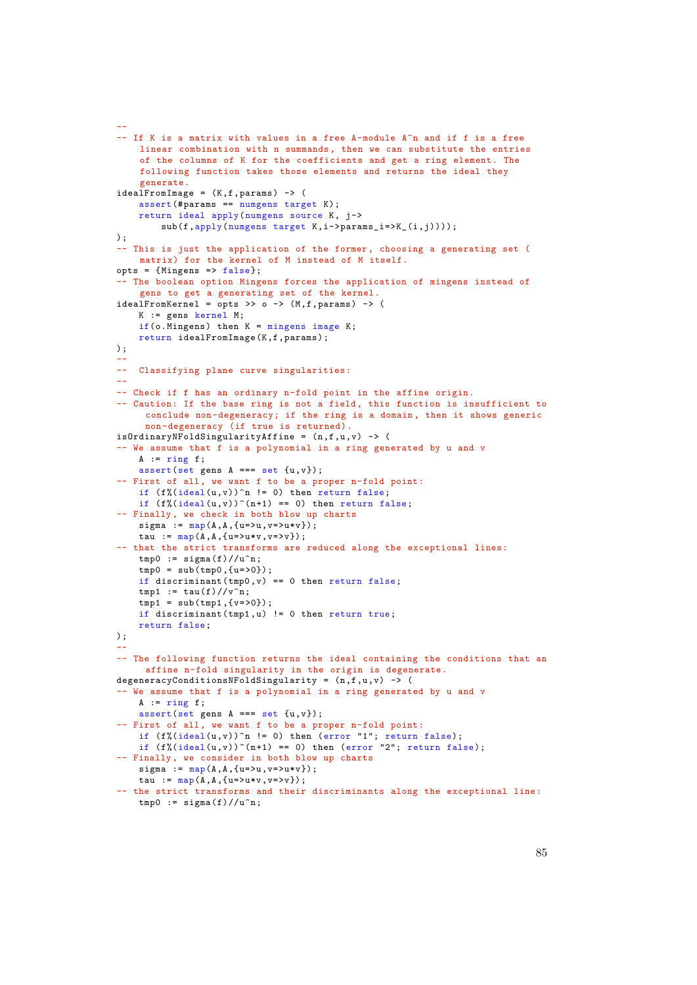```
--
-- If K is a matrix with values in a free A-module A^n and if f is a free
    linear combination with n summands , then we can substitute the entries
    of the columns of K for the coefficients and get a ring element. The
    following function takes those elements and returns the ideal they
    generate.
idealFromImage = (K, f, params) -> (
    \frac{1}{2} assert(#params == numgens target K);
    return ideal apply(numgens source K, j->
        sub(f,apply(numgens target K,i->params_i=>K_(i,j))));
);
 -- This is just the application of the former , choosing a generating set (
    matrix) for the kernel of M instead of M itself.
opts = {Mingens => false};
  The boolean option Mingens forces the application of mingens instead of
    gens to get a generating set of the kernel.
idealFromKernel = opts >> o \rightarrow (M, f, params) \rightarrow (K := gens kernel M;
    if(o.Mingens) then K = mingens image K;
    return idealFromImage(K,f,params);
);
--
-- Classifying plane curve singularities:
--
-- Check if f has an ordinary n-fold point in the affine origin.
-- Caution: If the base ring is not a field, this function is insufficient to
     conclude non-degeneracy; if the ring is a domain, then it shows generic
     non-degeneracy (if true is returned).
isOrdinaryNFoldSingularityAffine = (n, f, u, v) -> (
-- We assume that f is a polynomial in a ring generated by u and v
    A := ring f;\overline{\text{assert}}(\text{set} \text{gens A} == \text{set} \{u, v\});
-- First of all, we want f to be a proper n-fold point:
    if (f''_0(idea1(u,v))^n != 0) then return false;
    if (f''_6(ideal(u,v))^c(n+1) == 0) then return false;
-- Finally, we check in both blow up charts
    sigma := map(A, A, {u=>u, v=>u*v});
    tau := \text{map}(\hat{A}, A, \{u=>u*v, v=>v\});
-- that the strict transforms are reduced along the exceptional lines:
    tmp0 := \text{sigma(f)}/\text{/u}^n:
    tmp0 = sub(tmp0,{u=>0});
    if discriminant (\text{tmp0}, v) == 0 then return false;
    tmp1 := tau(f) // v^n;tmp1 = sub(tmp1, {v=>0});
    if discriminant(tmp1,u) != 0 then return true;
    return false;
);
--
-- The following function returns the ideal containing the conditions that an
     affine n-fold singularity in the origin is degenerate.
degeneracyConditionsNFoldSingularity = (n, f, u, v) -> (
-- We assume that f is a polynomial in a ring generated by u and v
    A := ring f;assert(set gens A == set \{u,v\};-- First of all, we want f to be a proper n-fold point:
    if (f''_{\nu}(\text{ideal}(u, v))^n != 0) then (error "1"; return false);
    if (f'_{\nu}(\text{ideal}(u,v))^n(n+1) == 0) then (error "2"; return false);
-- Finally, we consider in both blow up charts
    sigma := map(A, A, {u=>u, v=>u*v};tau := map(A, A, \{u=>u*v, v=>v\});
-- the strict transforms and their discriminants along the exceptional line:
    tmp0 := sigma(f) //u^n;
```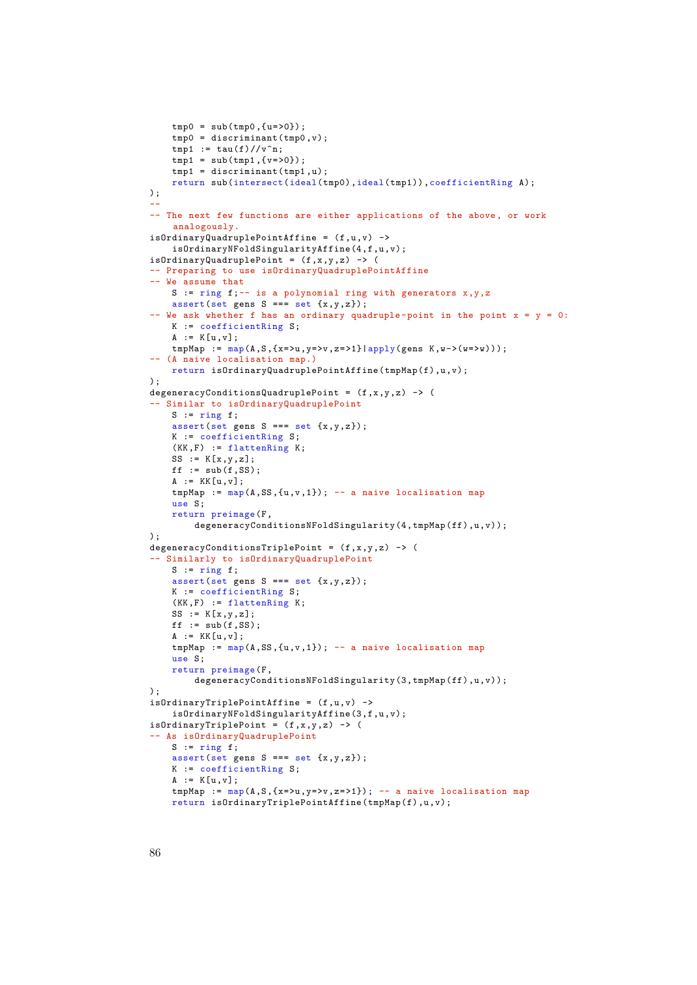```
tmp0 = sub(tmp0, {u=>0});
    \text{tmp0} = \text{discriminant}(\text{tmp0}, \text{v});\text{tmp1} := \text{tau(f)} / / \text{v}^n;tmp1 = sub(tmp1, {v=>0});
    \text{tmp1} = \text{discriminant}(\text{tmp1}, \text{u});return sub(intersect(ideal(tmp0),ideal(tmp1)),coefficientRing A);
);
--
-- The next few functions are either applications of the above, or work
    analogously.
isOrdinaryQuadruplePointAffine = (f, u, v) ->
    isOrdinaryNFoldSingularityAffine(4,f,u,v);
isOrdinaryQuadruplePoint = (f, x, y, z) -> (
-- Preparing to use isOrdinaryQuadruplePointAffine
-- We assume that
    S := ring f;-- is a polynomial ring with generators x,y,zassert(set gens S == set {x,y,z});
- We ask whether f has an ordinary quadruple-point in the point x = y = 0:
   K := \text{coefficientRing } S;A := K[u,v];
   tmpMap := map(A, S, {x=>u, y=>v, z=>1} | apply(gens K, w->(w=>w))));
-- (A naive localisation map.)
   return isOrdinaryQuadruplePointAffine(tmpMap(f),u,v);
\lambda;
degeneracyConditionsQuadruplePoint = (f, x, y, z) -> (
-- Similar to isOrdinaryQuadruplePoint
    S := ring f;assert(set gens S == set {x,y,z});K := coefficientRing S;
    (KK, F) := flattenRing K;
    SS := K[x, y, z];ff := sub(f, SS);A := KK[u,v];
    tmpMap := map(A, SS, \{u, v, 1\}); -- a naive localisation map
    use S:
    return preimage(F,
        degeneracyConditionsNFoldSingularity(4,tmpMap(ff),u,v));
);
degeneracyConditionsTriplePoint = (f, x, y, z) -> (
 -- Similarly to isOrdinaryQuadruplePoint
    S := ring f;assert(set gens S == set {x,y,z});K := coefficientRing S;
    (KK, F) := flattenRing K;
    SS := K[x,y,z];ff := sub(f, SS):A := KK[u,v];tmpMap := map(A, SS, \{u, v, 1\}); -- a naive localisation map
    use S;
    return preimage(F,
        degeneracyConditionsNFoldSingularity(3,tmpMap(ff),u,v));
);
isOrdinaryTriplePointAffine = (f, u, v) ->
    isOrdinaryNFoldSingularityAffine(3,f,u,v);
isOrdinaryTriplePoint = (f, x, y, z) -> (
 -- As isOrdinaryQuadruplePoint
   S := ring f;assert(set gens S == set {x,y,z});K := \text{coefficientRing } S:
    A := K[u, v];tmpMap := map(A, S, {x=>u, y=>v, z=>1}); -- a naive localisation map
    return isOrdinaryTriplePointAffine(tmpMap(f),u,v);
```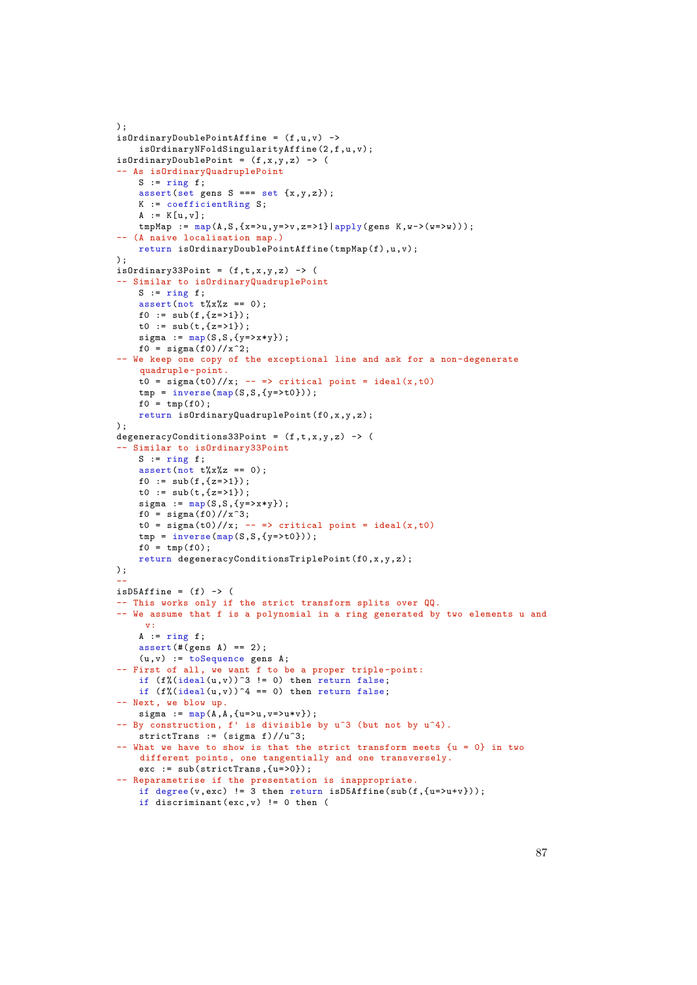```
);
isOrdinaryDoublePointAffine = (f, u, v) ->
    isOrdinaryNFoldSingularityAffine(2,f,u,v);
isOrdinaryDoublePoint = (f, x, y, z) \rightarrow (-- As isOrdinaryQuadruplePoint
    S := ring f;assert(set gens S == set {x,y,z});
    K := \text{coefficientRing } S:
    A := K[u, v];tmpMap := map(A, S, {x=>u, y=>v, z=>1} | apply(gens K, w->(w=>w)));
-- (A naive localisation map.)
    return isOrdinaryDoublePointAffine(tmpMap(f),u,v);
);
is0rdinary33Point = (f,t,x,y,z) -> (-- Similar to isOrdinaryQuadruplePoint
    S := \text{ring } f:
    assert(not t%x%z == 0);f0 := sub(f, {z=>1});
    t0 := sub(t, {z=>1});
    sigma := map(S, S, {y=>x*y};f0 = signa(f0) // x^2;-- We keep one copy of the exceptional line and ask for a non-degenerate
    quadruple -point.
    \overrightarrow{t0} = sigma(\overrightarrow{t0})//x; -- => critical point = ideal(x,t0)
    tmp = inverse(map(S, S, {y=>}t0));
    f0 = \text{tmp}(f0);return isOrdinaryQuadruplePoint(f0,x,y,z);
);
degeneracyConditions33Point = (f, t, x, y, z) -> (-- Similar to isOrdinary33Point
    S := ring f;assert(not t%x%z == 0):
    f0 := sub(f, {z=>1});
    t0 := sub(t, {z=>1});
    sigma := map(S, S, {y=>x*y};f0 = signa(f0) // x^3;t0 = \text{sigma}(t0)/x; -- => critical point = ideal(x,t0)
    tmp = inverse(map(S, S, {y=> t0}));
    f0 = \text{tmp}(f0);return degeneracyConditionsTriplePoint(f0,x,y,z);
);
--
isD5Affine = (f) \rightarrow (-- This works only if the strict transform splits over QQ.
-- We assume that f is a polynomial in a ring generated by two elements u and
     \mathbf{v}.
    A := ring f;\overline{assert}(#(gens A) == 2);
    (u,v) := toSequence gens A;
-- First of all, we want f to be a proper triple -point:
    if (f''_{\nu}(\text{ideal}(u,v))^3 != 0) then return false;
    if (f)(\text{ideal}(u,v))^4 = 0 then return false;
-- Next, we blow up.
    sigma := map(A, A, \{u=>u, v=>u*v\});
- By construction, f' is divisible by u^3 (but not by u^4).
    strictTrans := (sigma f)//u^3;
- What we have to show is that the strict transform meets \{u = 0\} in two
    different points , one tangentially and one transversely.
    exc := \sin\left(\text{strictTrans}, \{u=>0\}\right);
-- Reparametrise if the presentation is inappropriate.
    if degree(v,exc) != 3 then return isD5Affine(sub(f,\{u=>u+v\}));
```

```
if discriminant (exc, v) != 0 then (
```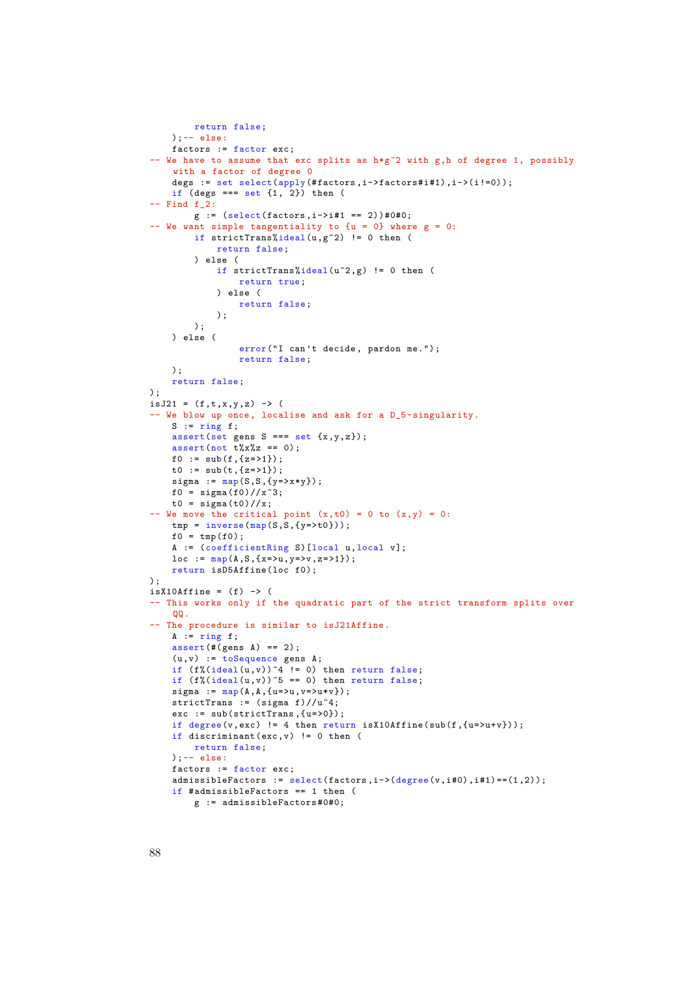```
return false;
    );-- else:
    factors := factor exc;
-- We have to assume that exc splits as h * g^2 with g,h of degree 1, possibly
    with a factor of degree 0
    degs := set select(apply(#factors ,i->factors#i#1),i->(i!=0));
    if \text{deg } s == \text{ set } \{1, 2\} then \text{ } (-- Find f 2:g := (select(factors, i-> i#1 == 2)) #0#0;- We want simple tangentiality to \{u = 0\} where g = 0:
        if strictTrans%ideal(u,g^2) != 0 then (
             return false;
        ) else (
            if strictTrans%ideal(u^2,g) != 0 then (
                 return true;
             ) else (
                 return false;
             );
        );
    ) else (
                 error("I can't decide, pardon me.");
                 return false;
    );
    return false;
);
isJ21 = (f, t, x, y, z) -> (
-- We blow up once, localise and ask for a D_5-singularity.
    S := ring f;assert(set gens S == set \{x,y,z\});assert(not t%x%z == 0);
    f0 := sub(f, {z=>1});
    t0 := \text{sub}(t, \{z = 21\}):
    sigma := map(S, S, {y=>x*y});
    f0 = \text{sigma}(f0) // x^3;t0 = \text{sigma}(t0) // x;- We move the critical point (x,t0) = 0 to (x,y) = 0:
    tmp = inverse(map(S, S, {y=> t0};
    f0 = \text{tmp}(f0);A := (coefficientRing S)[local u,local v];
    loc := \text{map}(A.S.\{x=>u, v=>v, z=>1\}):
    return isD5Affine(loc f0);
);
isX10Affine = (f) -> (-- This works only if the quadratic part of the strict transform splits over
    QQ.
-- The procedure is similar to isJ21Affine.
    A := ring f;\overline{assert}(#(gens A) == 2);
    (u,v) := toSequence gens A;
    if (f)(ideal(u, v))^4 != 0) then return false;
    if (f)(\text{ideal}(u,v))^5 = 0 then return false;
    sigma := map(A, A, {u=>u, v=>u*v};strictTrans := (sigma f)/(u^4;exc := sub(strictTrans, {u=>0});
    if degree(v,exc) != 4 then return isX10Affine(sub(f,(u=>u+v)));
    if discriminant (exc, v) != 0 then (
        return false;
    );-- else:
    factors := factor exc;
    admissibleFactors := select(factors, i->(degree(v, i#0), i#1)==(1,2));
    if #admissibleFactors == 1 then (
        g := admissibleFactors#0#0;
```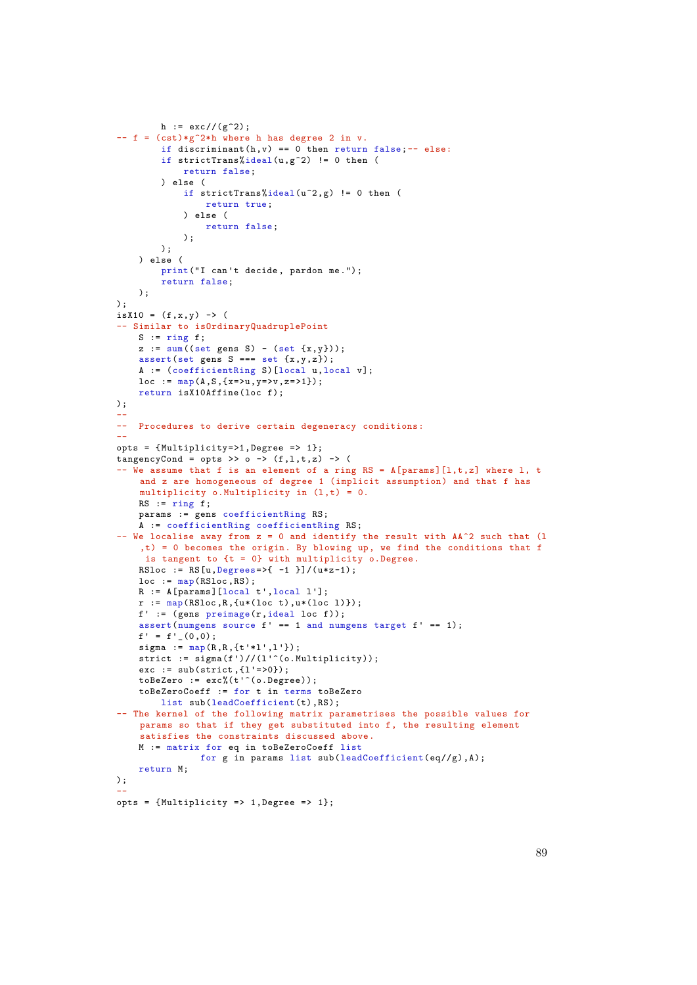```
h := exc//(g^2);- f = (cst)*g^2*h where h has degree 2 in v.
        if discriminant(h, v) == 0 then return false;-- else:
        if strictTrans%ideal(u,g^2) != 0 then (
            return false;
        ) else (
            if strictTrans%ideal(u^2,g) != 0 then (
                 return true;
             ) else (
                 return false;
            );
        );
    ) else (
        print("I can't decide, pardon me.");
        return false;
    \lambda;
);
isX10 = (f, x, y) -> (
-- Similar to isOrdinaryQuadruplePoint
    S := ring f;z := sum((set gens S) - (set {x,y}));assert(set gens S == set {x,y,z});A := (coefficientRing S)[local u,local v];
    loc := \text{map}(A.S.\{x=>u, v=>v, z=>1\}):
    return isX10Affine(loc f);
);
--
-- Procedures to derive certain degeneracy conditions:
--
opts = {Multiplicity=>1,Degree => 1};
tangencyCond = opts >> o \rightarrow (f,1,t,z) \rightarrow (- We assume that f is an element of a ring RS = A[params][1,t,z] where 1, t
    and z are homogeneous of degree 1 (implicit assumption) and that f has
    multiplicity o. Multiplicity in (l,t) = 0.
    RS := ring f;params := gens coefficientRing RS;
    A := coefficientRing coefficientRing RS;
- We localise away from z = 0 and identify the result with AA^2 such that (l
    ,t) = 0 becomes the origin. By blowing up, we find the conditions that f
     is tangent to \{t = 0\} with multiplicity o.Degree.
    RSloc := RS[u, \text{begrees} \rightarrow \{-1\}] / (u * z - 1);
    loc := map(RSloc, RS);R := A[params][local t',local l'];
    r := \text{map}(RSloc, R, \{u*(loc t), u*(loc 1)\});
    f' := (gens preimage(r, ideal loc f));
    \frac{1}{2} assert(numgens source f' == 1 and numgens target f' == 1);
    f' = f'_{0}(0,0);sigma := map(R, R, {t'*1',1'};
    strict := sigma(f')//(l'^(o.Multiplicity));
    exc := sub(strict, {1'->0});
    toBeZero := exc%(t'^(o.Degree));
    toBeZeroCoeff := for t in terms toBeZero
        list sub(leadCoefficient(t),RS);
-- The kernel of the following matrix parametrises the possible values for
    params so that if they get substituted into f, the resulting element
    satisfies the constraints discussed above.
    M := matrix for eq in toBeZeroCoeff list
                for g in params list sub(leadCoefficient(eq//g),A);
    return M;
);
--
opts = \{Multiplicity \Rightarrow 1, Degree \Rightarrow 1\};
```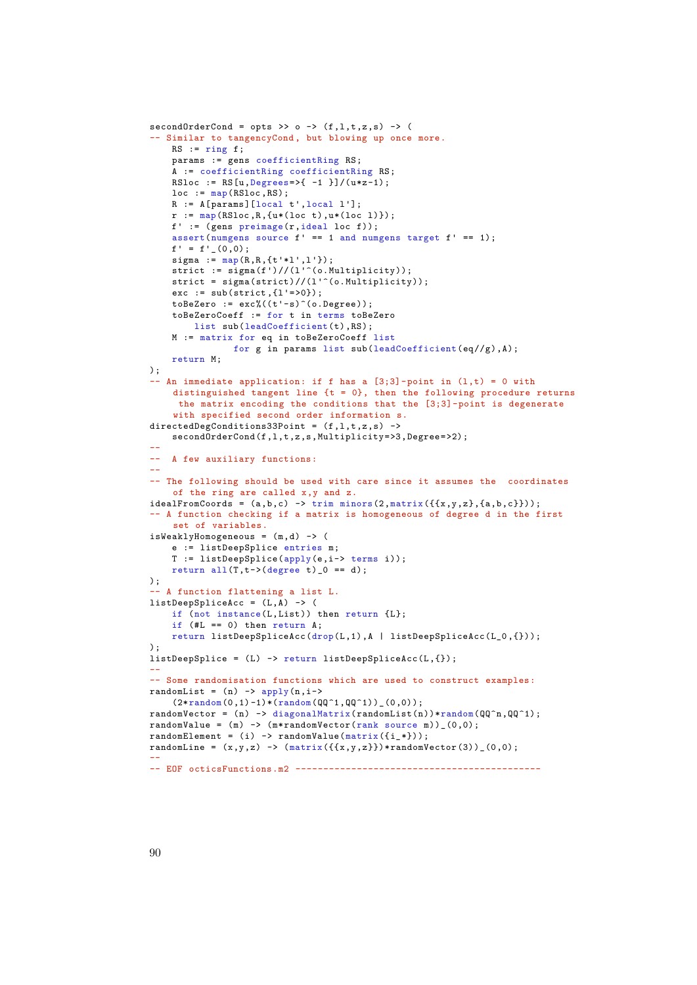```
secondOrderCond = opts \rightarrow o \rightarrow (f, l, t, z, s) \rightarrow (- Similar to tangencyCond, but blowing up once more.
    RS := ring f;params := gens coefficientRing RS;
    A := coefficientRing coefficientRing RS;
    RSloc := RS[u, \text{Degrees} \rightarrow \{-1\}] / (u * z - 1);
    loc := map(RSloc, RS);R := A[params][local t',local l'];
    r := \text{map}(RSloc, R, \{u*(loc t), u*(loc 1)\});
    f' := (gens preimage(r, ideal loc f));
    assert(numgens source f' == 1 and numgens target f' == 1);
    f' = f' (0,0);sigma := map(R,R,{t'*l',l'});
    strict := sigma(f')//(l'^(o.Multiplicity));
    strict = signa(strict) // (1<sup>'</sup>(o.Multiplicity));exc := sub(strict.{1'=>0});
    toBeZero := exc*((t'-s)^(o.Degree));toBeZeroCoeff := for t in terms toBeZero
        list sub(leadCoefficient(t),RS);
    M := matrix for eq in toBeZeroCoeff list
                for g in params list sub(leadCoefficient(eq//g),A);
    return M;
);
 - An immediate application: if f has a [3;3]-point in (l,t) = 0 with
    distinguished tangent line \{t = 0\}, then the following procedure returns
     the matrix encoding the conditions that the [3;3]-point is degenerate
    with specified second order information s.
directedDegConditions33Point = (f, l, t, z, s) ->
    secondOrderCond(f,l,t,z,s,Multiplicity=>3,Degree=>2);
--
-- A few auxiliary functions:
--
-- The following should be used with care since it assumes the coordinates
    of the ring are called x,y and z.
idealFromCoords = (a,b,c) -> trim minors(2,matrix({f(x,y,z),f(a,b,c)}));
-- A function checking if a matrix is homogeneous of degree d in the first
    set of variables.
isWeaklyHomogeneous = (m,d) -> (
    e := listDeepSplice entries m;
    T := 1istDeepSplice(apply(e,i-> terms i));
    return all(T,t->(degree t)_{0} == d););
 -- A function flattening a list L.
listDeepSpliceAcc = (L,A) -> (
    if (not instance(L,List)) then return {L};
    if (HL == 0) then return A;
    return listDeepSpliceAcc(drop(L,1),A | listDeepSpliceAcc(L_0,{}));
\lambda:
listDeepSplice = (L) -> return listDeepSpliceAcc(L,{});
--
-- Some randomisation functions which are used to construct examples:
randomList = (n) -> apply(n,i-)(2*<b>random</b>(0,1)-1)*(<b>random</b>(QQ<sup>1</sup>,QQ<sup>1</sup>))_{(0,0)};randomVector = (n) -> diagonalMatrix(randomList(n))*random(QQ^n,QQ^1);
randomValue = (m) -> (m*randomVector(rank source m))<sub>-</sub>(0,0);
randomElement = (i) -> randomValue(matrix({i_*}));
randomLine = (x,y,z) \rightarrow (matrix({{x,y,z}})*randomVector(3))_(0,0);
--
-- EOF octicsFunctions.m2 --------------------------------------------
```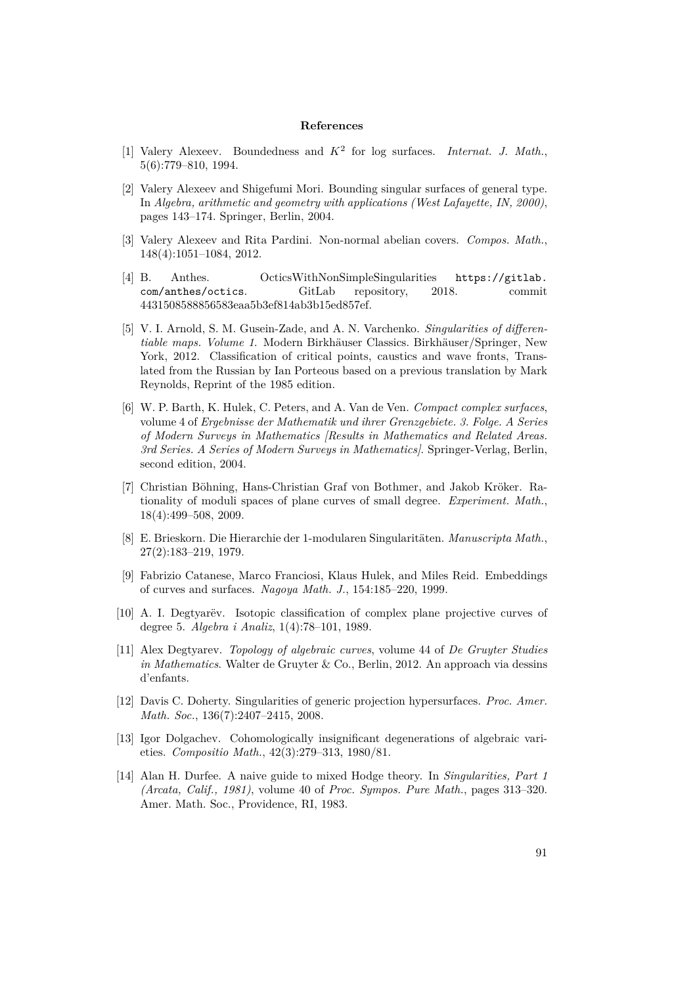## **References**

- [1] Valery Alexeev. Boundedness and *K*<sup>2</sup> for log surfaces. *Internat. J. Math.*, 5(6):779–810, 1994.
- [2] Valery Alexeev and Shigefumi Mori. Bounding singular surfaces of general type. In *Algebra, arithmetic and geometry with applications (West Lafayette, IN, 2000)*, pages 143–174. Springer, Berlin, 2004.
- [3] Valery Alexeev and Rita Pardini. Non-normal abelian covers. *Compos. Math.*, 148(4):1051–1084, 2012.
- [4] B. Anthes. OcticsWithNonSimpleSingularities [https://gitlab.](https://gitlab.com/anthes/octics) [com/anthes/octics](https://gitlab.com/anthes/octics). GitLab repository, 2018. commit 4431508588856583eaa5b3ef814ab3b15ed857ef.
- [5] V. I. Arnold, S. M. Gusein-Zade, and A. N. Varchenko. *Singularities of differentiable maps. Volume 1*. Modern Birkhäuser Classics. Birkhäuser/Springer, New York, 2012. Classification of critical points, caustics and wave fronts, Translated from the Russian by Ian Porteous based on a previous translation by Mark Reynolds, Reprint of the 1985 edition.
- [6] W. P. Barth, K. Hulek, C. Peters, and A. Van de Ven. *Compact complex surfaces*, volume 4 of *Ergebnisse der Mathematik und ihrer Grenzgebiete. 3. Folge. A Series of Modern Surveys in Mathematics [Results in Mathematics and Related Areas. 3rd Series. A Series of Modern Surveys in Mathematics]*. Springer-Verlag, Berlin, second edition, 2004.
- [7] Christian Böhning, Hans-Christian Graf von Bothmer, and Jakob Kröker. Rationality of moduli spaces of plane curves of small degree. *Experiment. Math.*, 18(4):499–508, 2009.
- [8] E. Brieskorn. Die Hierarchie der 1-modularen Singularitäten. *Manuscripta Math.*, 27(2):183–219, 1979.
- [9] Fabrizio Catanese, Marco Franciosi, Klaus Hulek, and Miles Reid. Embeddings of curves and surfaces. *Nagoya Math. J.*, 154:185–220, 1999.
- [10] A. I. Degtyarëv. Isotopic classification of complex plane projective curves of degree 5. *Algebra i Analiz*, 1(4):78–101, 1989.
- [11] Alex Degtyarev. *Topology of algebraic curves*, volume 44 of *De Gruyter Studies in Mathematics*. Walter de Gruyter & Co., Berlin, 2012. An approach via dessins d'enfants.
- [12] Davis C. Doherty. Singularities of generic projection hypersurfaces. *Proc. Amer. Math. Soc.*, 136(7):2407–2415, 2008.
- [13] Igor Dolgachev. Cohomologically insignificant degenerations of algebraic varieties. *Compositio Math.*, 42(3):279–313, 1980/81.
- [14] Alan H. Durfee. A naive guide to mixed Hodge theory. In *Singularities, Part 1 (Arcata, Calif., 1981)*, volume 40 of *Proc. Sympos. Pure Math.*, pages 313–320. Amer. Math. Soc., Providence, RI, 1983.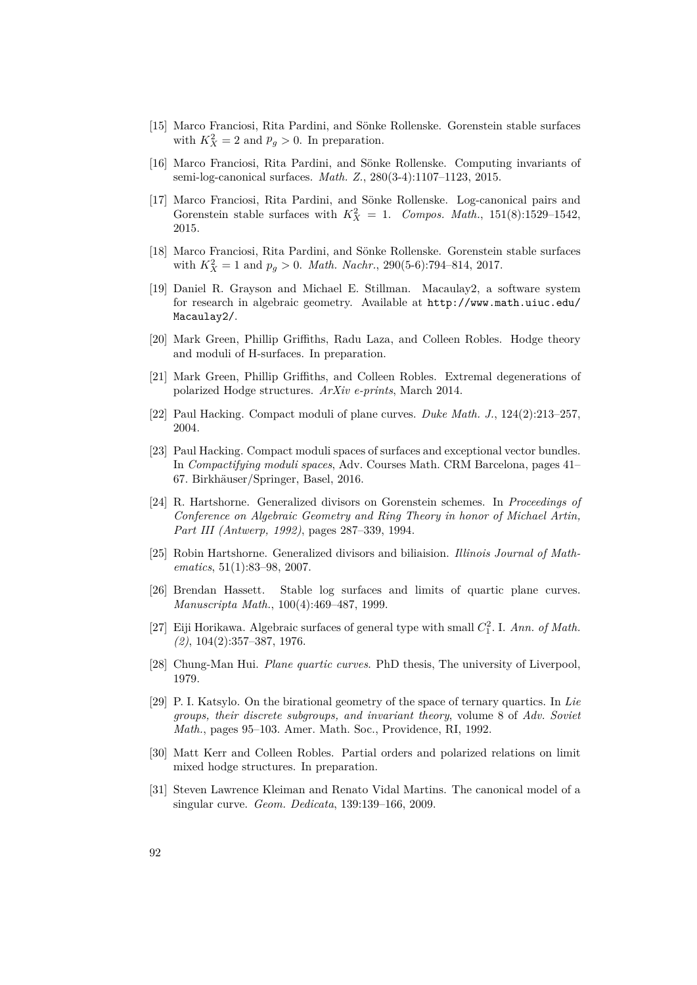- [15] Marco Franciosi, Rita Pardini, and Sönke Rollenske. Gorenstein stable surfaces with  $K_X^2 = 2$  and  $p_g > 0$ . In preparation.
- [16] Marco Franciosi, Rita Pardini, and Sönke Rollenske. Computing invariants of semi-log-canonical surfaces. *Math. Z.*, 280(3-4):1107–1123, 2015.
- [17] Marco Franciosi, Rita Pardini, and Sönke Rollenske. Log-canonical pairs and Gorenstein stable surfaces with  $K_X^2 = 1$ . *Compos. Math.*, 151(8):1529-1542, 2015.
- [18] Marco Franciosi, Rita Pardini, and Sönke Rollenske. Gorenstein stable surfaces with  $K_X^2 = 1$  and  $p_g > 0$ . *Math. Nachr.*, 290(5-6):794-814, 2017.
- [19] Daniel R. Grayson and Michael E. Stillman. Macaulay2, a software system for research in algebraic geometry. Available at [http://www.math.uiuc.edu/](http://www.math.uiuc.edu/Macaulay2/) [Macaulay2/](http://www.math.uiuc.edu/Macaulay2/).
- [20] Mark Green, Phillip Griffiths, Radu Laza, and Colleen Robles. Hodge theory and moduli of H-surfaces. In preparation.
- [21] Mark Green, Phillip Griffiths, and Colleen Robles. Extremal degenerations of polarized Hodge structures. *ArXiv e-prints*, March 2014.
- [22] Paul Hacking. Compact moduli of plane curves. *Duke Math. J.*, 124(2):213–257, 2004.
- [23] Paul Hacking. Compact moduli spaces of surfaces and exceptional vector bundles. In *Compactifying moduli spaces*, Adv. Courses Math. CRM Barcelona, pages 41– 67. Birkhäuser/Springer, Basel, 2016.
- [24] R. Hartshorne. Generalized divisors on Gorenstein schemes. In *Proceedings of Conference on Algebraic Geometry and Ring Theory in honor of Michael Artin, Part III (Antwerp, 1992)*, pages 287–339, 1994.
- [25] Robin Hartshorne. Generalized divisors and biliaision. *Illinois Journal of Mathematics*, 51(1):83–98, 2007.
- [26] Brendan Hassett. Stable log surfaces and limits of quartic plane curves. *Manuscripta Math.*, 100(4):469–487, 1999.
- [27] Eiji Horikawa. Algebraic surfaces of general type with small  $C_1^2$ . I. Ann. of Math. *(2)*, 104(2):357–387, 1976.
- [28] Chung-Man Hui. *Plane quartic curves*. PhD thesis, The university of Liverpool, 1979.
- [29] P. I. Katsylo. On the birational geometry of the space of ternary quartics. In *Lie groups, their discrete subgroups, and invariant theory*, volume 8 of *Adv. Soviet Math.*, pages 95–103. Amer. Math. Soc., Providence, RI, 1992.
- [30] Matt Kerr and Colleen Robles. Partial orders and polarized relations on limit mixed hodge structures. In preparation.
- [31] Steven Lawrence Kleiman and Renato Vidal Martins. The canonical model of a singular curve. *Geom. Dedicata*, 139:139–166, 2009.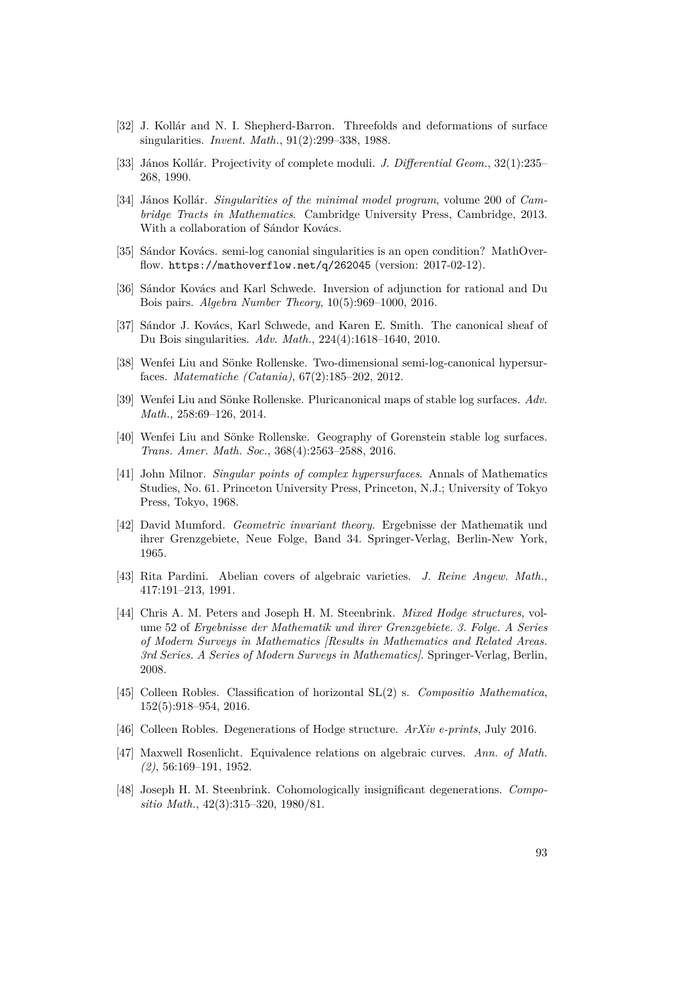- [32] J. Kollár and N. I. Shepherd-Barron. Threefolds and deformations of surface singularities. *Invent. Math.*, 91(2):299–338, 1988.
- [33] János Kollár. Projectivity of complete moduli. *J. Differential Geom.*, 32(1):235– 268, 1990.
- [34] János Kollár. *Singularities of the minimal model program*, volume 200 of *Cambridge Tracts in Mathematics*. Cambridge University Press, Cambridge, 2013. With a collaboration of Sándor Kovács.
- [35] Sándor Kovács. semi-log canonial singularities is an open condition? MathOverflow. <https://mathoverflow.net/q/262045> (version: 2017-02-12).
- [36] Sándor Kovács and Karl Schwede. Inversion of adjunction for rational and Du Bois pairs. *Algebra Number Theory*, 10(5):969–1000, 2016.
- [37] Sándor J. Kovács, Karl Schwede, and Karen E. Smith. The canonical sheaf of Du Bois singularities. *Adv. Math.*, 224(4):1618–1640, 2010.
- [38] Wenfei Liu and Sönke Rollenske. Two-dimensional semi-log-canonical hypersurfaces. *Matematiche (Catania)*, 67(2):185–202, 2012.
- [39] Wenfei Liu and Sönke Rollenske. Pluricanonical maps of stable log surfaces. *Adv. Math.*, 258:69–126, 2014.
- [40] Wenfei Liu and Sönke Rollenske. Geography of Gorenstein stable log surfaces. *Trans. Amer. Math. Soc.*, 368(4):2563–2588, 2016.
- [41] John Milnor. *Singular points of complex hypersurfaces*. Annals of Mathematics Studies, No. 61. Princeton University Press, Princeton, N.J.; University of Tokyo Press, Tokyo, 1968.
- [42] David Mumford. *Geometric invariant theory*. Ergebnisse der Mathematik und ihrer Grenzgebiete, Neue Folge, Band 34. Springer-Verlag, Berlin-New York, 1965.
- [43] Rita Pardini. Abelian covers of algebraic varieties. *J. Reine Angew. Math.*, 417:191–213, 1991.
- [44] Chris A. M. Peters and Joseph H. M. Steenbrink. *Mixed Hodge structures*, volume 52 of *Ergebnisse der Mathematik und ihrer Grenzgebiete. 3. Folge. A Series of Modern Surveys in Mathematics [Results in Mathematics and Related Areas. 3rd Series. A Series of Modern Surveys in Mathematics]*. Springer-Verlag, Berlin, 2008.
- [45] Colleen Robles. Classification of horizontal SL(2) s. *Compositio Mathematica*, 152(5):918–954, 2016.
- [46] Colleen Robles. Degenerations of Hodge structure. *ArXiv e-prints*, July 2016.
- [47] Maxwell Rosenlicht. Equivalence relations on algebraic curves. *Ann. of Math. (2)*, 56:169–191, 1952.
- [48] Joseph H. M. Steenbrink. Cohomologically insignificant degenerations. *Compositio Math.*, 42(3):315–320, 1980/81.